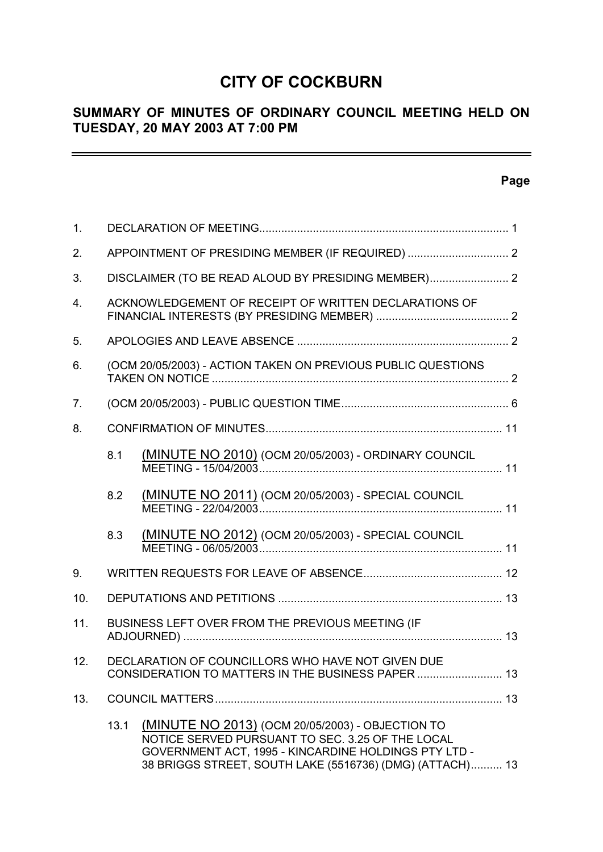## **CITY OF COCKBURN**

## **SUMMARY OF MINUTES OF ORDINARY COUNCIL MEETING HELD ON TUESDAY, 20 MAY 2003 AT 7:00 PM**

## **Page**

 $\equiv$ 

| 1.               |                                                              |                                                                                                                                                                                                                          |  |
|------------------|--------------------------------------------------------------|--------------------------------------------------------------------------------------------------------------------------------------------------------------------------------------------------------------------------|--|
| 2.               |                                                              |                                                                                                                                                                                                                          |  |
| 3.               | DISCLAIMER (TO BE READ ALOUD BY PRESIDING MEMBER) 2          |                                                                                                                                                                                                                          |  |
| $\overline{4}$ . |                                                              | ACKNOWLEDGEMENT OF RECEIPT OF WRITTEN DECLARATIONS OF                                                                                                                                                                    |  |
| 5.               |                                                              |                                                                                                                                                                                                                          |  |
| 6.               | (OCM 20/05/2003) - ACTION TAKEN ON PREVIOUS PUBLIC QUESTIONS |                                                                                                                                                                                                                          |  |
| 7.               |                                                              |                                                                                                                                                                                                                          |  |
| 8.               |                                                              |                                                                                                                                                                                                                          |  |
|                  | 8.1                                                          | (MINUTE NO 2010) (OCM 20/05/2003) - ORDINARY COUNCIL                                                                                                                                                                     |  |
|                  | 8.2                                                          | (MINUTE NO 2011) (OCM 20/05/2003) - SPECIAL COUNCIL                                                                                                                                                                      |  |
|                  | 8.3                                                          | (MINUTE NO 2012) (OCM 20/05/2003) - SPECIAL COUNCIL                                                                                                                                                                      |  |
| 9.               |                                                              |                                                                                                                                                                                                                          |  |
| 10.              |                                                              |                                                                                                                                                                                                                          |  |
| 11.              |                                                              | BUSINESS LEFT OVER FROM THE PREVIOUS MEETING (IF                                                                                                                                                                         |  |
| 12.              |                                                              | DECLARATION OF COUNCILLORS WHO HAVE NOT GIVEN DUE<br>CONSIDERATION TO MATTERS IN THE BUSINESS PAPER  13                                                                                                                  |  |
| 13.              |                                                              |                                                                                                                                                                                                                          |  |
|                  | 13.1                                                         | (MINUTE NO 2013) (OCM 20/05/2003) - OBJECTION TO<br>NOTICE SERVED PURSUANT TO SEC. 3.25 OF THE LOCAL<br>GOVERNMENT ACT, 1995 - KINCARDINE HOLDINGS PTY LTD -<br>38 BRIGGS STREET, SOUTH LAKE (5516736) (DMG) (ATTACH) 13 |  |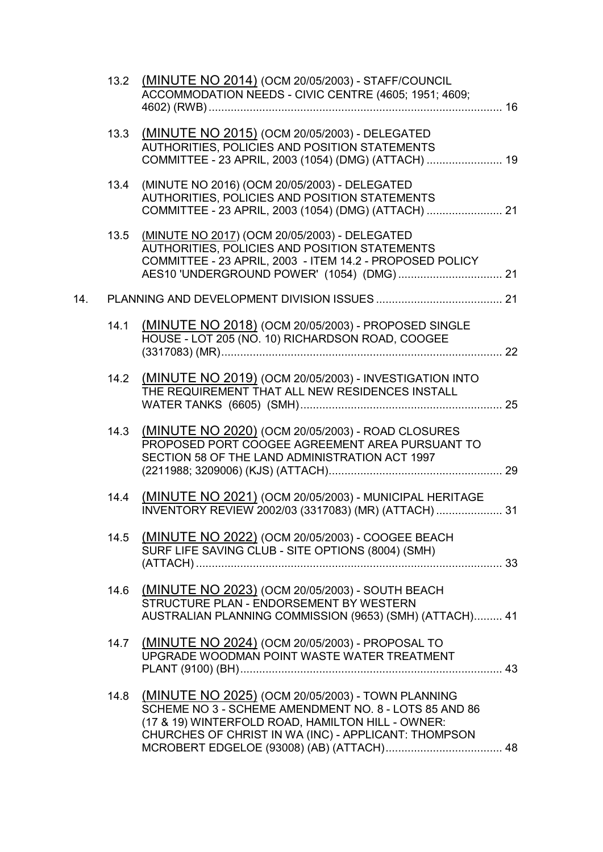|     | 13.2 | (MINUTE NO 2014) (OCM 20/05/2003) - STAFF/COUNCIL<br>ACCOMMODATION NEEDS - CIVIC CENTRE (4605; 1951; 4609;                                                                                                              |  |
|-----|------|-------------------------------------------------------------------------------------------------------------------------------------------------------------------------------------------------------------------------|--|
|     | 13.3 | (MINUTE NO 2015) (OCM 20/05/2003) - DELEGATED<br>AUTHORITIES, POLICIES AND POSITION STATEMENTS<br>COMMITTEE - 23 APRIL, 2003 (1054) (DMG) (ATTACH)  19                                                                  |  |
|     | 13.4 | (MINUTE NO 2016) (OCM 20/05/2003) - DELEGATED<br>AUTHORITIES, POLICIES AND POSITION STATEMENTS<br>COMMITTEE - 23 APRIL, 2003 (1054) (DMG) (ATTACH)  21                                                                  |  |
|     | 13.5 | (MINUTE NO 2017) (OCM 20/05/2003) - DELEGATED<br>AUTHORITIES, POLICIES AND POSITION STATEMENTS<br>COMMITTEE - 23 APRIL, 2003 - ITEM 14.2 - PROPOSED POLICY                                                              |  |
| 14. |      |                                                                                                                                                                                                                         |  |
|     | 14.1 | (MINUTE NO 2018) (OCM 20/05/2003) - PROPOSED SINGLE<br>HOUSE - LOT 205 (NO. 10) RICHARDSON ROAD, COOGEE                                                                                                                 |  |
|     |      | 14.2 (MINUTE NO 2019) (OCM 20/05/2003) - INVESTIGATION INTO<br>THE REQUIREMENT THAT ALL NEW RESIDENCES INSTALL                                                                                                          |  |
|     | 14.3 | (MINUTE NO 2020) (OCM 20/05/2003) - ROAD CLOSURES<br>PROPOSED PORT COOGEE AGREEMENT AREA PURSUANT TO<br>SECTION 58 OF THE LAND ADMINISTRATION ACT 1997                                                                  |  |
|     | 14.4 | (MINUTE NO 2021) (OCM 20/05/2003) - MUNICIPAL HERITAGE<br>INVENTORY REVIEW 2002/03 (3317083) (MR) (ATTACH)  31                                                                                                          |  |
|     | 14.5 | (MINUTE NO 2022) (OCM 20/05/2003) - COOGEE BEACH<br>SURF LIFE SAVING CLUB - SITE OPTIONS (8004) (SMH)                                                                                                                   |  |
|     | 14.6 | (MINUTE NO 2023) (OCM 20/05/2003) - SOUTH BEACH<br>STRUCTURE PLAN - ENDORSEMENT BY WESTERN<br>AUSTRALIAN PLANNING COMMISSION (9653) (SMH) (ATTACH) 41                                                                   |  |
|     | 14.7 | (MINUTE NO 2024) (OCM 20/05/2003) - PROPOSAL TO<br>UPGRADE WOODMAN POINT WASTE WATER TREATMENT                                                                                                                          |  |
|     | 14.8 | (MINUTE NO 2025) (OCM 20/05/2003) - TOWN PLANNING<br>SCHEME NO 3 - SCHEME AMENDMENT NO. 8 - LOTS 85 AND 86<br>(17 & 19) WINTERFOLD ROAD, HAMILTON HILL - OWNER:<br>CHURCHES OF CHRIST IN WA (INC) - APPLICANT: THOMPSON |  |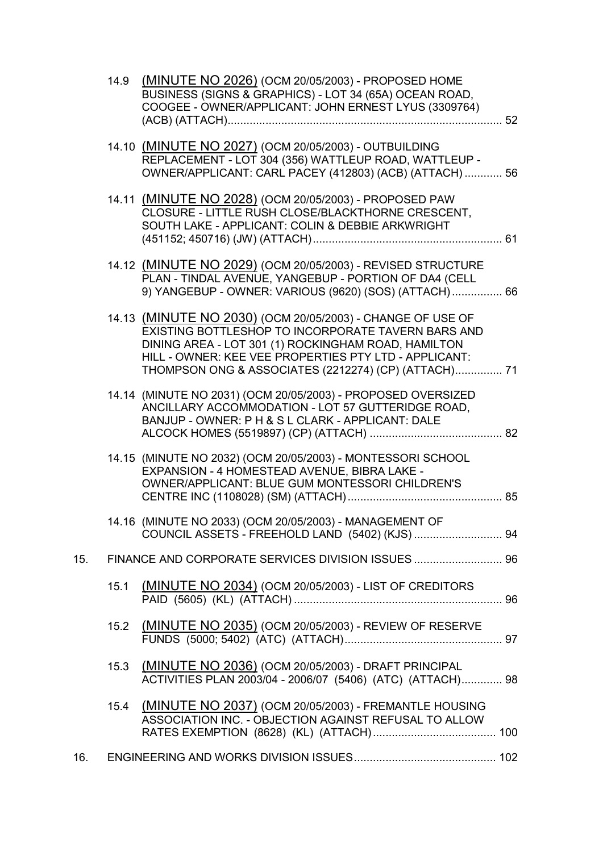|     | 14.9 | (MINUTE NO 2026) (OCM 20/05/2003) - PROPOSED HOME<br>BUSINESS (SIGNS & GRAPHICS) - LOT 34 (65A) OCEAN ROAD,<br>COOGEE - OWNER/APPLICANT: JOHN ERNEST LYUS (3309764)                                                                                                                      |
|-----|------|------------------------------------------------------------------------------------------------------------------------------------------------------------------------------------------------------------------------------------------------------------------------------------------|
|     |      |                                                                                                                                                                                                                                                                                          |
|     |      | 14.10 (MINUTE NO 2027) (OCM 20/05/2003) - OUTBUILDING<br>REPLACEMENT - LOT 304 (356) WATTLEUP ROAD, WATTLEUP -<br>OWNER/APPLICANT: CARL PACEY (412803) (ACB) (ATTACH)  56                                                                                                                |
|     |      | 14.11 (MINUTE NO 2028) (OCM 20/05/2003) - PROPOSED PAW<br>CLOSURE - LITTLE RUSH CLOSE/BLACKTHORNE CRESCENT,<br>SOUTH LAKE - APPLICANT: COLIN & DEBBIE ARKWRIGHT                                                                                                                          |
|     |      | 14.12 (MINUTE NO 2029) (OCM 20/05/2003) - REVISED STRUCTURE<br>PLAN - TINDAL AVENUE, YANGEBUP - PORTION OF DA4 (CELL<br>9) YANGEBUP - OWNER: VARIOUS (9620) (SOS) (ATTACH) 66                                                                                                            |
|     |      | 14.13 (MINUTE NO 2030) (OCM 20/05/2003) - CHANGE OF USE OF<br>EXISTING BOTTLESHOP TO INCORPORATE TAVERN BARS AND<br>DINING AREA - LOT 301 (1) ROCKINGHAM ROAD, HAMILTON<br>HILL - OWNER: KEE VEE PROPERTIES PTY LTD - APPLICANT:<br>THOMPSON ONG & ASSOCIATES (2212274) (CP) (ATTACH) 71 |
|     |      | 14.14 (MINUTE NO 2031) (OCM 20/05/2003) - PROPOSED OVERSIZED<br>ANCILLARY ACCOMMODATION - LOT 57 GUTTERIDGE ROAD,<br>BANJUP - OWNER: P H & S L CLARK - APPLICANT: DALE                                                                                                                   |
|     |      | 14.15 (MINUTE NO 2032) (OCM 20/05/2003) - MONTESSORI SCHOOL<br>EXPANSION - 4 HOMESTEAD AVENUE, BIBRA LAKE -<br>OWNER/APPLICANT: BLUE GUM MONTESSORI CHILDREN'S                                                                                                                           |
|     |      | 14.16 (MINUTE NO 2033) (OCM 20/05/2003) - MANAGEMENT OF                                                                                                                                                                                                                                  |
| 15. |      |                                                                                                                                                                                                                                                                                          |
|     | 15.1 | (MINUTE NO 2034) (OCM 20/05/2003) - LIST OF CREDITORS                                                                                                                                                                                                                                    |
|     | 15.2 | (MINUTE NO 2035) (OCM 20/05/2003) - REVIEW OF RESERVE                                                                                                                                                                                                                                    |
|     | 15.3 | (MINUTE NO 2036) (OCM 20/05/2003) - DRAFT PRINCIPAL<br>ACTIVITIES PLAN 2003/04 - 2006/07 (5406) (ATC) (ATTACH) 98                                                                                                                                                                        |
|     | 15.4 | (MINUTE NO 2037) (OCM 20/05/2003) - FREMANTLE HOUSING<br>ASSOCIATION INC. - OBJECTION AGAINST REFUSAL TO ALLOW                                                                                                                                                                           |
| 16. |      |                                                                                                                                                                                                                                                                                          |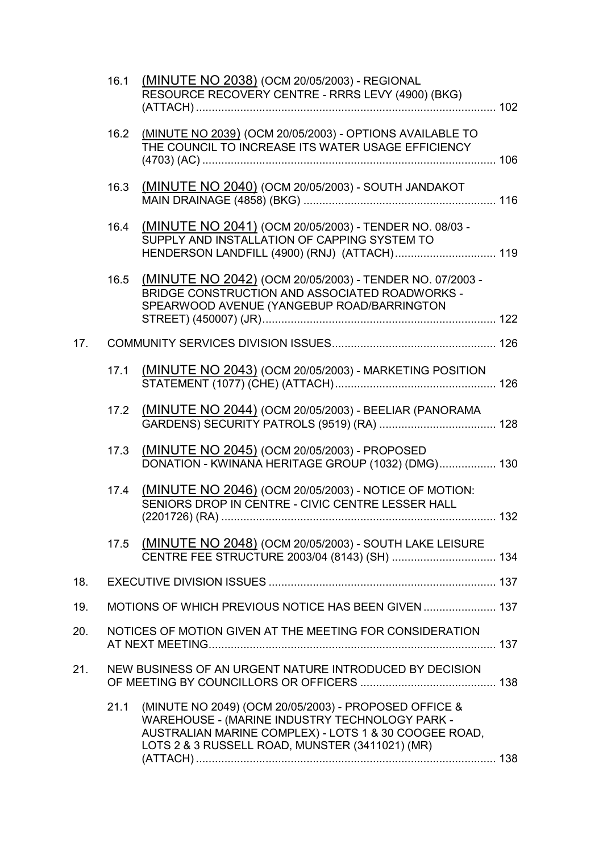|     | 16.1 | (MINUTE NO 2038) (OCM 20/05/2003) - REGIONAL<br>RESOURCE RECOVERY CENTRE - RRRS LEVY (4900) (BKG)                                                                                                                   |  |
|-----|------|---------------------------------------------------------------------------------------------------------------------------------------------------------------------------------------------------------------------|--|
|     |      | 16.2 (MINUTE NO 2039) (OCM 20/05/2003) - OPTIONS AVAILABLE TO<br>THE COUNCIL TO INCREASE ITS WATER USAGE EFFICIENCY                                                                                                 |  |
|     | 16.3 | (MINUTE NO 2040) (OCM 20/05/2003) - SOUTH JANDAKOT                                                                                                                                                                  |  |
|     | 16.4 | (MINUTE NO 2041) (OCM 20/05/2003) - TENDER NO. 08/03 -<br>SUPPLY AND INSTALLATION OF CAPPING SYSTEM TO<br>HENDERSON LANDFILL (4900) (RNJ) (ATTACH) 119                                                              |  |
|     | 16.5 | (MINUTE NO 2042) (OCM 20/05/2003) - TENDER NO. 07/2003 -<br>BRIDGE CONSTRUCTION AND ASSOCIATED ROADWORKS -<br>SPEARWOOD AVENUE (YANGEBUP ROAD/BARRINGTON                                                            |  |
| 17. |      |                                                                                                                                                                                                                     |  |
|     | 17.1 | (MINUTE NO 2043) (OCM 20/05/2003) - MARKETING POSITION                                                                                                                                                              |  |
|     | 17.2 | (MINUTE NO 2044) (OCM 20/05/2003) - BEELIAR (PANORAMA                                                                                                                                                               |  |
|     | 17.3 | (MINUTE NO 2045) (OCM 20/05/2003) - PROPOSED<br>DONATION - KWINANA HERITAGE GROUP (1032) (DMG) 130                                                                                                                  |  |
|     | 17.4 | (MINUTE NO 2046) (OCM 20/05/2003) - NOTICE OF MOTION:<br>SENIORS DROP IN CENTRE - CIVIC CENTRE LESSER HALL                                                                                                          |  |
|     |      | 17.5 (MINUTE NO 2048) (OCM 20/05/2003) - SOUTH LAKE LEISURE<br>CENTRE FEE STRUCTURE 2003/04 (8143) (SH)  134                                                                                                        |  |
| 18. |      |                                                                                                                                                                                                                     |  |
| 19. |      | MOTIONS OF WHICH PREVIOUS NOTICE HAS BEEN GIVEN  137                                                                                                                                                                |  |
| 20. |      | NOTICES OF MOTION GIVEN AT THE MEETING FOR CONSIDERATION                                                                                                                                                            |  |
| 21. |      | NEW BUSINESS OF AN URGENT NATURE INTRODUCED BY DECISION                                                                                                                                                             |  |
|     | 21.1 | (MINUTE NO 2049) (OCM 20/05/2003) - PROPOSED OFFICE &<br>WAREHOUSE - (MARINE INDUSTRY TECHNOLOGY PARK -<br>AUSTRALIAN MARINE COMPLEX) - LOTS 1 & 30 COOGEE ROAD,<br>LOTS 2 & 3 RUSSELL ROAD, MUNSTER (3411021) (MR) |  |
|     |      |                                                                                                                                                                                                                     |  |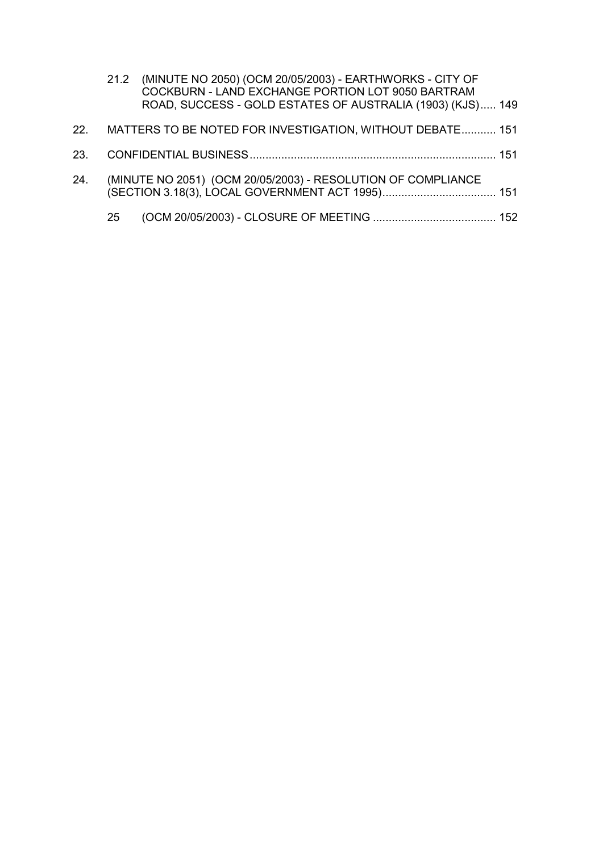|     |    | 21.2 (MINUTE NO 2050) (OCM 20/05/2003) - EARTHWORKS - CITY OF<br>COCKBURN - LAND EXCHANGE PORTION LOT 9050 BARTRAM<br>ROAD, SUCCESS - GOLD ESTATES OF AUSTRALIA (1903) (KJS) 149 |
|-----|----|----------------------------------------------------------------------------------------------------------------------------------------------------------------------------------|
| 22. |    | MATTERS TO BE NOTED FOR INVESTIGATION, WITHOUT DEBATE 151                                                                                                                        |
|     |    |                                                                                                                                                                                  |
| 24. |    | (MINUTE NO 2051) (OCM 20/05/2003) - RESOLUTION OF COMPLIANCE                                                                                                                     |
|     | 25 |                                                                                                                                                                                  |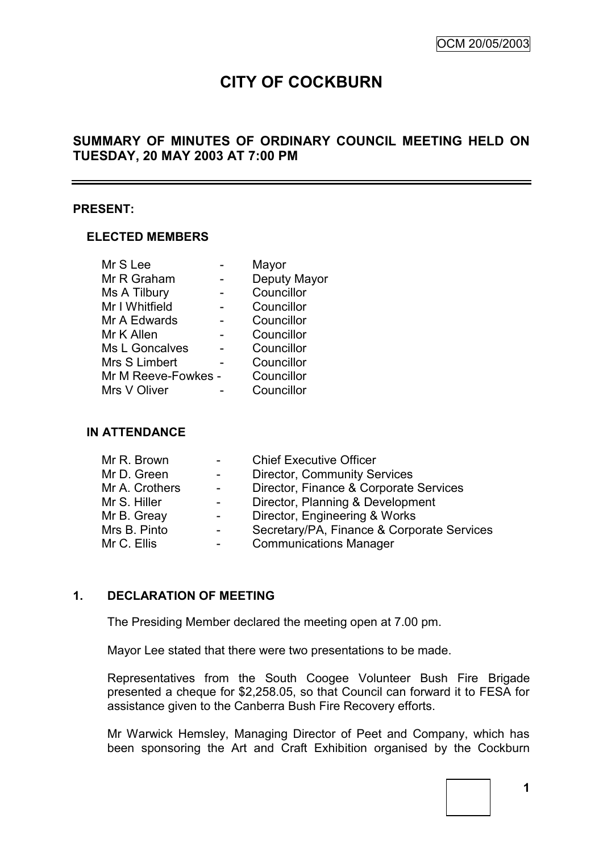# **CITY OF COCKBURN**

## **SUMMARY OF MINUTES OF ORDINARY COUNCIL MEETING HELD ON TUESDAY, 20 MAY 2003 AT 7:00 PM**

#### **PRESENT:**

#### **ELECTED MEMBERS**

| Mr S Lee            | Mayor        |
|---------------------|--------------|
| Mr R Graham         | Deputy Mayor |
| Ms A Tilbury        | Councillor   |
| Mr I Whitfield      | Councillor   |
| Mr A Edwards        | Councillor   |
| Mr K Allen          | Councillor   |
| Ms L Goncalves      | Councillor   |
| Mrs S Limbert       | Councillor   |
| Mr M Reeve-Fowkes - | Councillor   |
| Mrs V Oliver        | Councillor   |

## **IN ATTENDANCE**

| Mr R. Brown    | $\overline{\phantom{0}}$ | <b>Chief Executive Officer</b>             |
|----------------|--------------------------|--------------------------------------------|
| Mr D. Green    | $\sim 100$               | <b>Director, Community Services</b>        |
| Mr A. Crothers | $\blacksquare$           | Director, Finance & Corporate Services     |
| Mr S. Hiller   | $\overline{\phantom{a}}$ | Director, Planning & Development           |
| Mr B. Greay    | $\overline{\phantom{0}}$ | Director, Engineering & Works              |
| Mrs B. Pinto   | $\overline{a}$           | Secretary/PA, Finance & Corporate Services |
| Mr C. Ellis    | $\overline{\phantom{a}}$ | <b>Communications Manager</b>              |
|                |                          |                                            |

## **1. DECLARATION OF MEETING**

The Presiding Member declared the meeting open at 7.00 pm.

Mayor Lee stated that there were two presentations to be made.

Representatives from the South Coogee Volunteer Bush Fire Brigade presented a cheque for \$2,258.05, so that Council can forward it to FESA for assistance given to the Canberra Bush Fire Recovery efforts.

Mr Warwick Hemsley, Managing Director of Peet and Company, which has been sponsoring the Art and Craft Exhibition organised by the Cockburn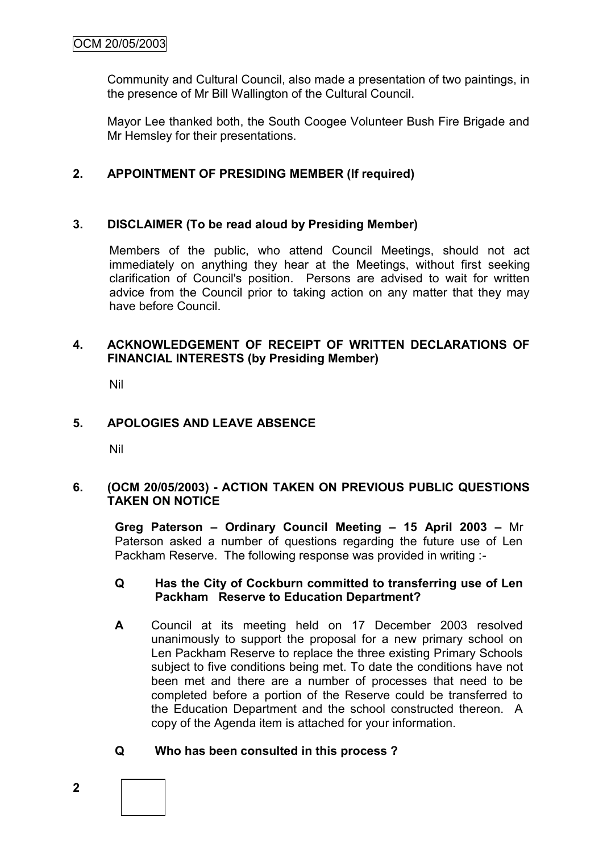Community and Cultural Council, also made a presentation of two paintings, in the presence of Mr Bill Wallington of the Cultural Council.

Mayor Lee thanked both, the South Coogee Volunteer Bush Fire Brigade and Mr Hemsley for their presentations.

## **2. APPOINTMENT OF PRESIDING MEMBER (If required)**

## **3. DISCLAIMER (To be read aloud by Presiding Member)**

Members of the public, who attend Council Meetings, should not act immediately on anything they hear at the Meetings, without first seeking clarification of Council's position. Persons are advised to wait for written advice from the Council prior to taking action on any matter that they may have before Council.

## **4. ACKNOWLEDGEMENT OF RECEIPT OF WRITTEN DECLARATIONS OF FINANCIAL INTERESTS (by Presiding Member)**

Nil

## **5. APOLOGIES AND LEAVE ABSENCE**

Nil

## **6. (OCM 20/05/2003) - ACTION TAKEN ON PREVIOUS PUBLIC QUESTIONS TAKEN ON NOTICE**

**Greg Paterson – Ordinary Council Meeting – 15 April 2003 –** Mr Paterson asked a number of questions regarding the future use of Len Packham Reserve. The following response was provided in writing :-

#### **Q Has the City of Cockburn committed to transferring use of Len Packham Reserve to Education Department?**

**A** Council at its meeting held on 17 December 2003 resolved unanimously to support the proposal for a new primary school on Len Packham Reserve to replace the three existing Primary Schools subject to five conditions being met. To date the conditions have not been met and there are a number of processes that need to be completed before a portion of the Reserve could be transferred to the Education Department and the school constructed thereon. A copy of the Agenda item is attached for your information.

## **Q Who has been consulted in this process ?**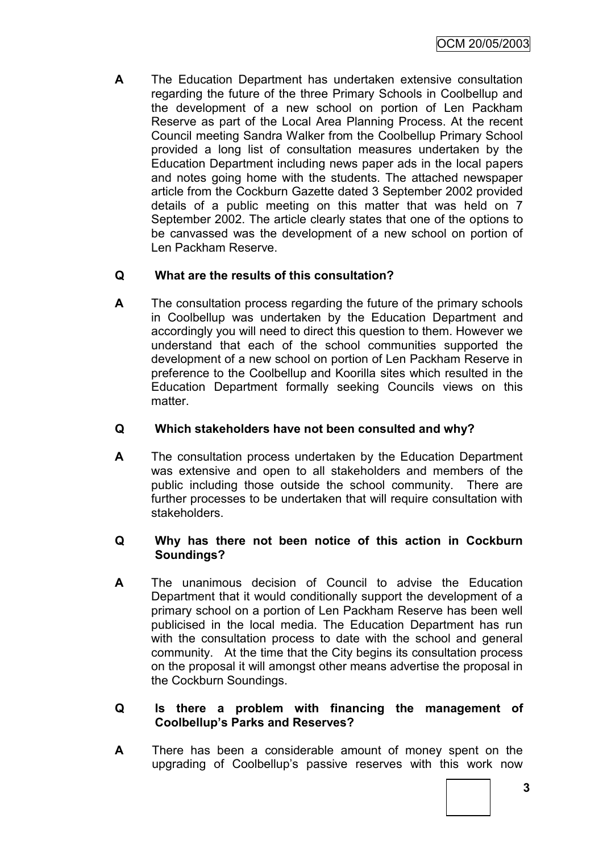**A** The Education Department has undertaken extensive consultation regarding the future of the three Primary Schools in Coolbellup and the development of a new school on portion of Len Packham Reserve as part of the Local Area Planning Process. At the recent Council meeting Sandra Walker from the Coolbellup Primary School provided a long list of consultation measures undertaken by the Education Department including news paper ads in the local papers and notes going home with the students. The attached newspaper article from the Cockburn Gazette dated 3 September 2002 provided details of a public meeting on this matter that was held on 7 September 2002. The article clearly states that one of the options to be canvassed was the development of a new school on portion of Len Packham Reserve.

## **Q What are the results of this consultation?**

**A** The consultation process regarding the future of the primary schools in Coolbellup was undertaken by the Education Department and accordingly you will need to direct this question to them. However we understand that each of the school communities supported the development of a new school on portion of Len Packham Reserve in preference to the Coolbellup and Koorilla sites which resulted in the Education Department formally seeking Councils views on this matter.

## **Q Which stakeholders have not been consulted and why?**

**A** The consultation process undertaken by the Education Department was extensive and open to all stakeholders and members of the public including those outside the school community. There are further processes to be undertaken that will require consultation with stakeholders.

## **Q Why has there not been notice of this action in Cockburn Soundings?**

**A** The unanimous decision of Council to advise the Education Department that it would conditionally support the development of a primary school on a portion of Len Packham Reserve has been well publicised in the local media. The Education Department has run with the consultation process to date with the school and general community. At the time that the City begins its consultation process on the proposal it will amongst other means advertise the proposal in the Cockburn Soundings.

## **Q Is there a problem with financing the management of Coolbellup's Parks and Reserves?**

**A** There has been a considerable amount of money spent on the upgrading of Coolbellup"s passive reserves with this work now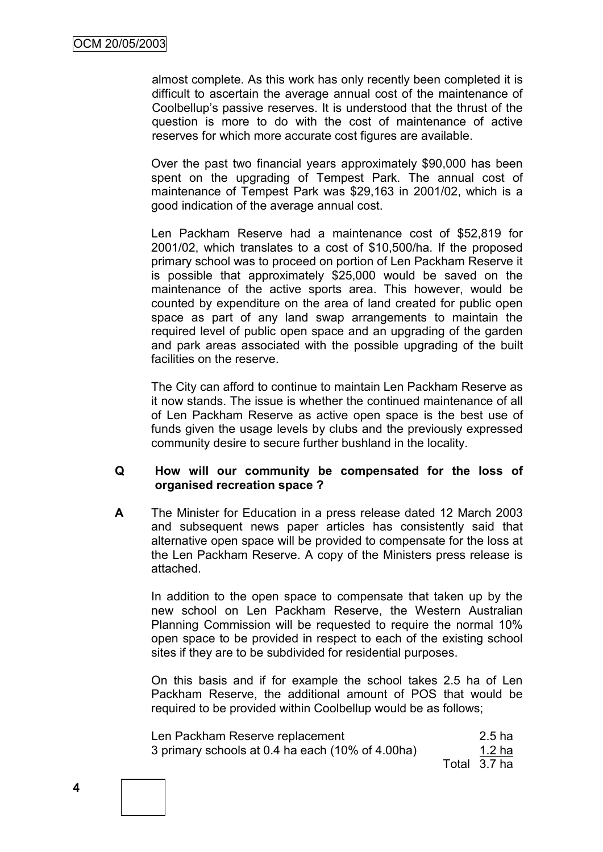almost complete. As this work has only recently been completed it is difficult to ascertain the average annual cost of the maintenance of Coolbellup"s passive reserves. It is understood that the thrust of the question is more to do with the cost of maintenance of active reserves for which more accurate cost figures are available.

Over the past two financial years approximately \$90,000 has been spent on the upgrading of Tempest Park. The annual cost of maintenance of Tempest Park was \$29,163 in 2001/02, which is a good indication of the average annual cost.

Len Packham Reserve had a maintenance cost of \$52,819 for 2001/02, which translates to a cost of \$10,500/ha. If the proposed primary school was to proceed on portion of Len Packham Reserve it is possible that approximately \$25,000 would be saved on the maintenance of the active sports area. This however, would be counted by expenditure on the area of land created for public open space as part of any land swap arrangements to maintain the required level of public open space and an upgrading of the garden and park areas associated with the possible upgrading of the built facilities on the reserve.

The City can afford to continue to maintain Len Packham Reserve as it now stands. The issue is whether the continued maintenance of all of Len Packham Reserve as active open space is the best use of funds given the usage levels by clubs and the previously expressed community desire to secure further bushland in the locality.

## **Q How will our community be compensated for the loss of organised recreation space ?**

**A** The Minister for Education in a press release dated 12 March 2003 and subsequent news paper articles has consistently said that alternative open space will be provided to compensate for the loss at the Len Packham Reserve. A copy of the Ministers press release is attached.

In addition to the open space to compensate that taken up by the new school on Len Packham Reserve, the Western Australian Planning Commission will be requested to require the normal 10% open space to be provided in respect to each of the existing school sites if they are to be subdivided for residential purposes.

On this basis and if for example the school takes 2.5 ha of Len Packham Reserve, the additional amount of POS that would be required to be provided within Coolbellup would be as follows;

| Len Packham Reserve replacement                  | $2.5$ ha     |
|--------------------------------------------------|--------------|
| 3 primary schools at 0.4 ha each (10% of 4.00ha) | 1.2 ha       |
|                                                  | Total 3.7 ha |

**4**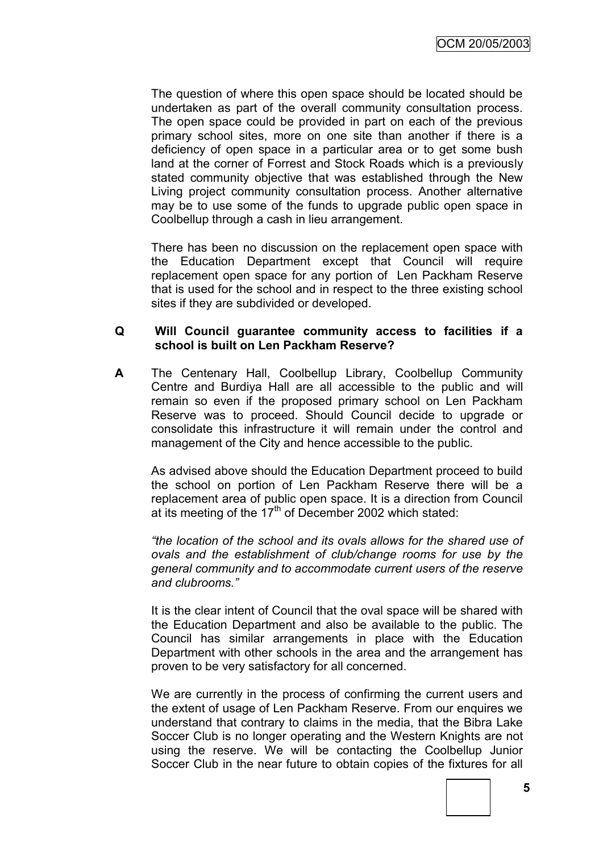The question of where this open space should be located should be undertaken as part of the overall community consultation process. The open space could be provided in part on each of the previous primary school sites, more on one site than another if there is a deficiency of open space in a particular area or to get some bush land at the corner of Forrest and Stock Roads which is a previously stated community objective that was established through the New Living project community consultation process. Another alternative may be to use some of the funds to upgrade public open space in Coolbellup through a cash in lieu arrangement.

There has been no discussion on the replacement open space with the Education Department except that Council will require replacement open space for any portion of Len Packham Reserve that is used for the school and in respect to the three existing school sites if they are subdivided or developed.

## **Q Will Council guarantee community access to facilities if a school is built on Len Packham Reserve?**

**A** The Centenary Hall, Coolbellup Library, Coolbellup Community Centre and Burdiya Hall are all accessible to the public and will remain so even if the proposed primary school on Len Packham Reserve was to proceed. Should Council decide to upgrade or consolidate this infrastructure it will remain under the control and management of the City and hence accessible to the public.

As advised above should the Education Department proceed to build the school on portion of Len Packham Reserve there will be a replacement area of public open space. It is a direction from Council at its meeting of the  $17<sup>th</sup>$  of December 2002 which stated:

*"the location of the school and its ovals allows for the shared use of ovals and the establishment of club/change rooms for use by the general community and to accommodate current users of the reserve and clubrooms."*

It is the clear intent of Council that the oval space will be shared with the Education Department and also be available to the public. The Council has similar arrangements in place with the Education Department with other schools in the area and the arrangement has proven to be very satisfactory for all concerned.

We are currently in the process of confirming the current users and the extent of usage of Len Packham Reserve. From our enquires we understand that contrary to claims in the media, that the Bibra Lake Soccer Club is no longer operating and the Western Knights are not using the reserve. We will be contacting the Coolbellup Junior Soccer Club in the near future to obtain copies of the fixtures for all

**5**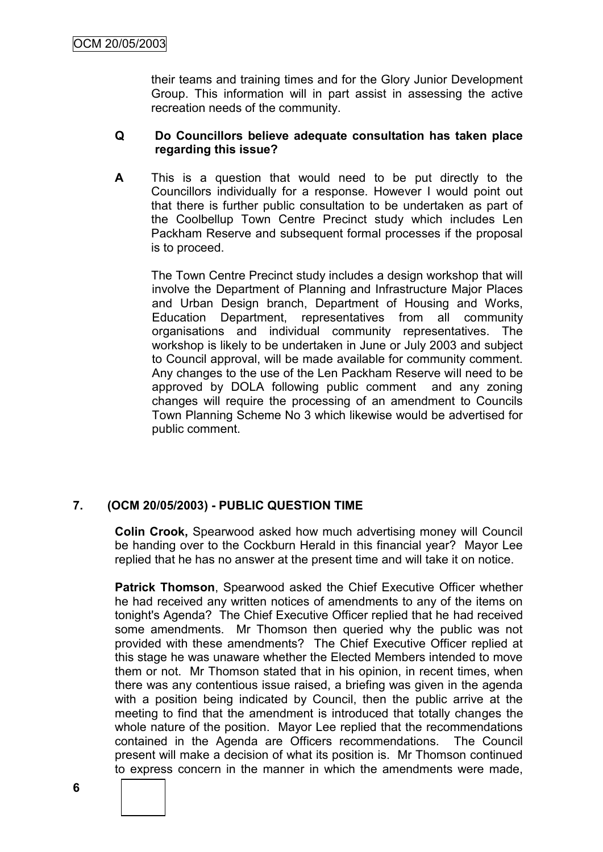their teams and training times and for the Glory Junior Development Group. This information will in part assist in assessing the active recreation needs of the community.

## **Q Do Councillors believe adequate consultation has taken place regarding this issue?**

**A** This is a question that would need to be put directly to the Councillors individually for a response. However I would point out that there is further public consultation to be undertaken as part of the Coolbellup Town Centre Precinct study which includes Len Packham Reserve and subsequent formal processes if the proposal is to proceed.

The Town Centre Precinct study includes a design workshop that will involve the Department of Planning and Infrastructure Major Places and Urban Design branch, Department of Housing and Works, Education Department, representatives from all community organisations and individual community representatives. The workshop is likely to be undertaken in June or July 2003 and subject to Council approval, will be made available for community comment. Any changes to the use of the Len Packham Reserve will need to be approved by DOLA following public comment and any zoning changes will require the processing of an amendment to Councils Town Planning Scheme No 3 which likewise would be advertised for public comment.

## **7. (OCM 20/05/2003) - PUBLIC QUESTION TIME**

**Colin Crook,** Spearwood asked how much advertising money will Council be handing over to the Cockburn Herald in this financial year? Mayor Lee replied that he has no answer at the present time and will take it on notice.

**Patrick Thomson**, Spearwood asked the Chief Executive Officer whether he had received any written notices of amendments to any of the items on tonight's Agenda? The Chief Executive Officer replied that he had received some amendments. Mr Thomson then queried why the public was not provided with these amendments? The Chief Executive Officer replied at this stage he was unaware whether the Elected Members intended to move them or not. Mr Thomson stated that in his opinion, in recent times, when there was any contentious issue raised, a briefing was given in the agenda with a position being indicated by Council, then the public arrive at the meeting to find that the amendment is introduced that totally changes the whole nature of the position. Mayor Lee replied that the recommendations contained in the Agenda are Officers recommendations. The Council present will make a decision of what its position is. Mr Thomson continued to express concern in the manner in which the amendments were made,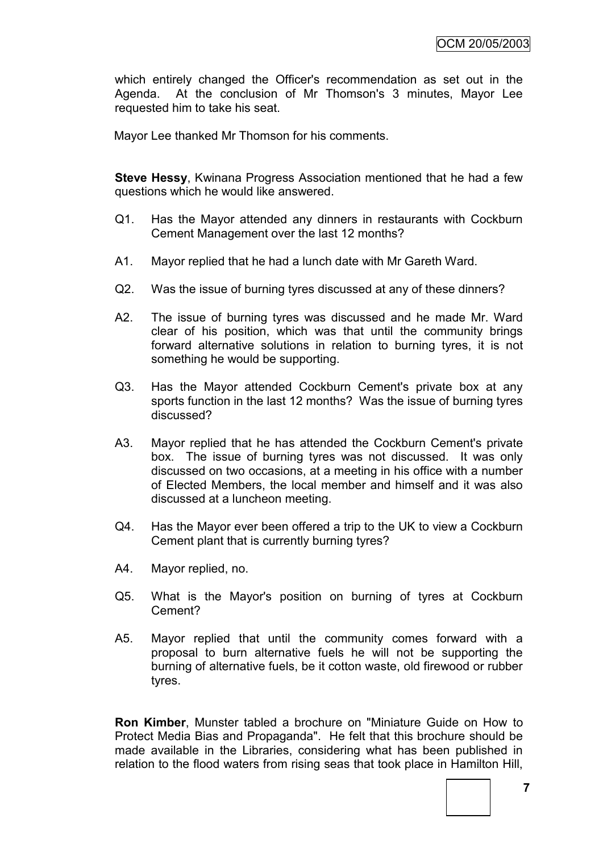which entirely changed the Officer's recommendation as set out in the Agenda. At the conclusion of Mr Thomson's 3 minutes, Mayor Lee requested him to take his seat.

Mayor Lee thanked Mr Thomson for his comments.

**Steve Hessy**, Kwinana Progress Association mentioned that he had a few questions which he would like answered.

- Q1. Has the Mayor attended any dinners in restaurants with Cockburn Cement Management over the last 12 months?
- A1. Mayor replied that he had a lunch date with Mr Gareth Ward.
- Q2. Was the issue of burning tyres discussed at any of these dinners?
- A2. The issue of burning tyres was discussed and he made Mr. Ward clear of his position, which was that until the community brings forward alternative solutions in relation to burning tyres, it is not something he would be supporting.
- Q3. Has the Mayor attended Cockburn Cement's private box at any sports function in the last 12 months? Was the issue of burning tyres discussed?
- A3. Mayor replied that he has attended the Cockburn Cement's private box. The issue of burning tyres was not discussed. It was only discussed on two occasions, at a meeting in his office with a number of Elected Members, the local member and himself and it was also discussed at a luncheon meeting.
- Q4. Has the Mayor ever been offered a trip to the UK to view a Cockburn Cement plant that is currently burning tyres?
- A4. Mayor replied, no.
- Q5. What is the Mayor's position on burning of tyres at Cockburn Cement?
- A5. Mayor replied that until the community comes forward with a proposal to burn alternative fuels he will not be supporting the burning of alternative fuels, be it cotton waste, old firewood or rubber tyres.

**Ron Kimber**, Munster tabled a brochure on "Miniature Guide on How to Protect Media Bias and Propaganda". He felt that this brochure should be made available in the Libraries, considering what has been published in relation to the flood waters from rising seas that took place in Hamilton Hill,

**7**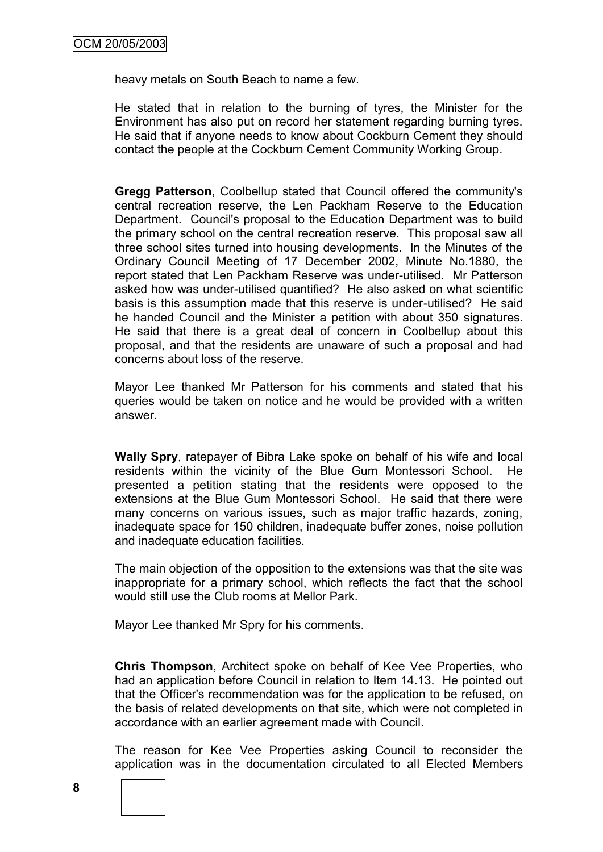heavy metals on South Beach to name a few.

He stated that in relation to the burning of tyres, the Minister for the Environment has also put on record her statement regarding burning tyres. He said that if anyone needs to know about Cockburn Cement they should contact the people at the Cockburn Cement Community Working Group.

**Gregg Patterson**, Coolbellup stated that Council offered the community's central recreation reserve, the Len Packham Reserve to the Education Department. Council's proposal to the Education Department was to build the primary school on the central recreation reserve. This proposal saw all three school sites turned into housing developments. In the Minutes of the Ordinary Council Meeting of 17 December 2002, Minute No.1880, the report stated that Len Packham Reserve was under-utilised. Mr Patterson asked how was under-utilised quantified? He also asked on what scientific basis is this assumption made that this reserve is under-utilised? He said he handed Council and the Minister a petition with about 350 signatures. He said that there is a great deal of concern in Coolbellup about this proposal, and that the residents are unaware of such a proposal and had concerns about loss of the reserve.

Mayor Lee thanked Mr Patterson for his comments and stated that his queries would be taken on notice and he would be provided with a written answer.

**Wally Spry**, ratepayer of Bibra Lake spoke on behalf of his wife and local residents within the vicinity of the Blue Gum Montessori School. He presented a petition stating that the residents were opposed to the extensions at the Blue Gum Montessori School. He said that there were many concerns on various issues, such as major traffic hazards, zoning, inadequate space for 150 children, inadequate buffer zones, noise pollution and inadequate education facilities.

The main objection of the opposition to the extensions was that the site was inappropriate for a primary school, which reflects the fact that the school would still use the Club rooms at Mellor Park.

Mayor Lee thanked Mr Spry for his comments.

**Chris Thompson**, Architect spoke on behalf of Kee Vee Properties, who had an application before Council in relation to Item 14.13. He pointed out that the Officer's recommendation was for the application to be refused, on the basis of related developments on that site, which were not completed in accordance with an earlier agreement made with Council.

The reason for Kee Vee Properties asking Council to reconsider the application was in the documentation circulated to all Elected Members

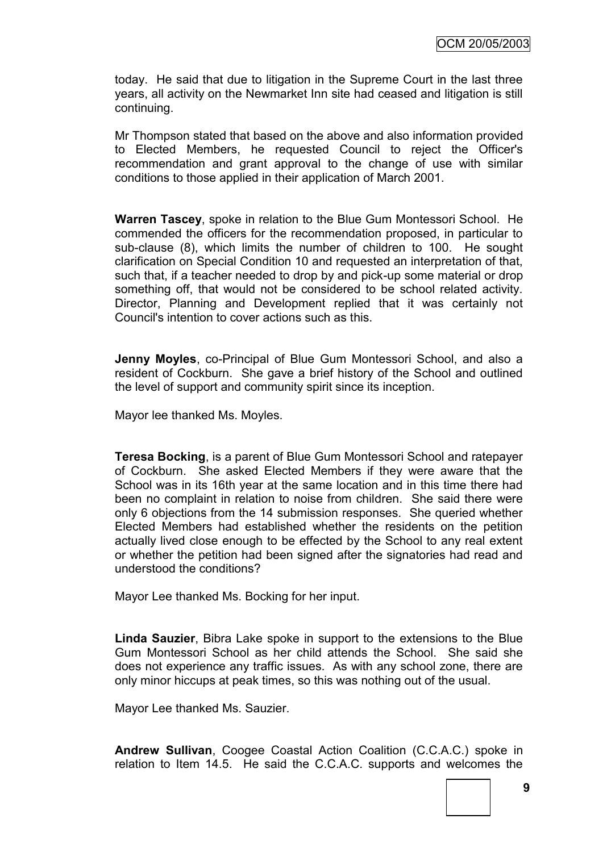today. He said that due to litigation in the Supreme Court in the last three years, all activity on the Newmarket Inn site had ceased and litigation is still continuing.

Mr Thompson stated that based on the above and also information provided to Elected Members, he requested Council to reject the Officer's recommendation and grant approval to the change of use with similar conditions to those applied in their application of March 2001.

**Warren Tascey**, spoke in relation to the Blue Gum Montessori School. He commended the officers for the recommendation proposed, in particular to sub-clause (8), which limits the number of children to 100. He sought clarification on Special Condition 10 and requested an interpretation of that, such that, if a teacher needed to drop by and pick-up some material or drop something off, that would not be considered to be school related activity. Director, Planning and Development replied that it was certainly not Council's intention to cover actions such as this.

**Jenny Moyles**, co-Principal of Blue Gum Montessori School, and also a resident of Cockburn. She gave a brief history of the School and outlined the level of support and community spirit since its inception.

Mayor lee thanked Ms. Moyles.

**Teresa Bocking**, is a parent of Blue Gum Montessori School and ratepayer of Cockburn. She asked Elected Members if they were aware that the School was in its 16th year at the same location and in this time there had been no complaint in relation to noise from children. She said there were only 6 objections from the 14 submission responses. She queried whether Elected Members had established whether the residents on the petition actually lived close enough to be effected by the School to any real extent or whether the petition had been signed after the signatories had read and understood the conditions?

Mayor Lee thanked Ms. Bocking for her input.

**Linda Sauzier**, Bibra Lake spoke in support to the extensions to the Blue Gum Montessori School as her child attends the School. She said she does not experience any traffic issues. As with any school zone, there are only minor hiccups at peak times, so this was nothing out of the usual.

Mayor Lee thanked Ms. Sauzier.

**Andrew Sullivan**, Coogee Coastal Action Coalition (C.C.A.C.) spoke in relation to Item 14.5. He said the C.C.A.C. supports and welcomes the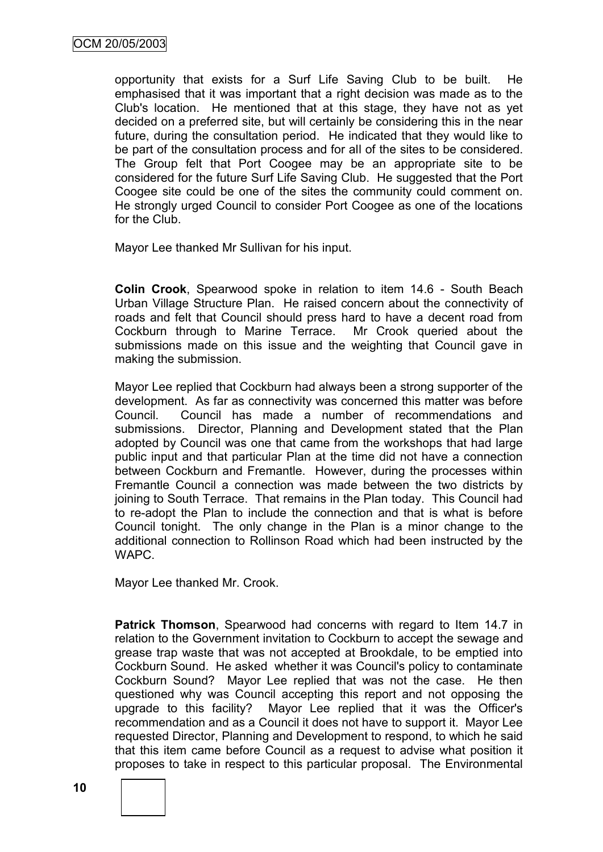opportunity that exists for a Surf Life Saving Club to be built. He emphasised that it was important that a right decision was made as to the Club's location. He mentioned that at this stage, they have not as yet decided on a preferred site, but will certainly be considering this in the near future, during the consultation period. He indicated that they would like to be part of the consultation process and for all of the sites to be considered. The Group felt that Port Coogee may be an appropriate site to be considered for the future Surf Life Saving Club. He suggested that the Port Coogee site could be one of the sites the community could comment on. He strongly urged Council to consider Port Coogee as one of the locations for the Club.

Mayor Lee thanked Mr Sullivan for his input.

**Colin Crook**, Spearwood spoke in relation to item 14.6 - South Beach Urban Village Structure Plan. He raised concern about the connectivity of roads and felt that Council should press hard to have a decent road from Cockburn through to Marine Terrace. Mr Crook queried about the submissions made on this issue and the weighting that Council gave in making the submission.

Mayor Lee replied that Cockburn had always been a strong supporter of the development. As far as connectivity was concerned this matter was before Council. Council has made a number of recommendations and submissions. Director, Planning and Development stated that the Plan adopted by Council was one that came from the workshops that had large public input and that particular Plan at the time did not have a connection between Cockburn and Fremantle. However, during the processes within Fremantle Council a connection was made between the two districts by joining to South Terrace. That remains in the Plan today. This Council had to re-adopt the Plan to include the connection and that is what is before Council tonight. The only change in the Plan is a minor change to the additional connection to Rollinson Road which had been instructed by the WAPC.

Mayor Lee thanked Mr. Crook.

**Patrick Thomson**, Spearwood had concerns with regard to Item 14.7 in relation to the Government invitation to Cockburn to accept the sewage and grease trap waste that was not accepted at Brookdale, to be emptied into Cockburn Sound. He asked whether it was Council's policy to contaminate Cockburn Sound? Mayor Lee replied that was not the case. He then questioned why was Council accepting this report and not opposing the upgrade to this facility? Mayor Lee replied that it was the Officer's recommendation and as a Council it does not have to support it. Mayor Lee requested Director, Planning and Development to respond, to which he said that this item came before Council as a request to advise what position it proposes to take in respect to this particular proposal. The Environmental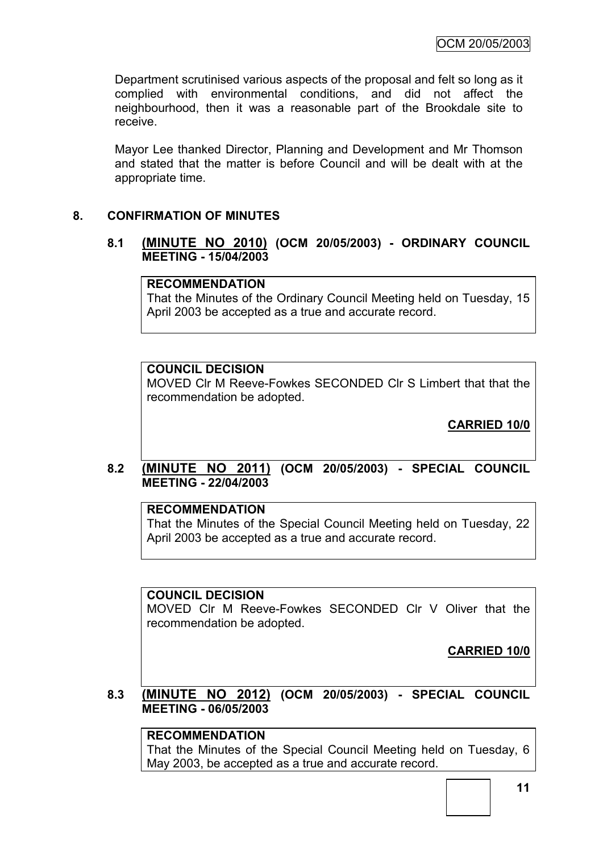Department scrutinised various aspects of the proposal and felt so long as it complied with environmental conditions, and did not affect the neighbourhood, then it was a reasonable part of the Brookdale site to receive.

Mayor Lee thanked Director, Planning and Development and Mr Thomson and stated that the matter is before Council and will be dealt with at the appropriate time.

## **8. CONFIRMATION OF MINUTES**

#### **8.1 (MINUTE NO 2010) (OCM 20/05/2003) - ORDINARY COUNCIL MEETING - 15/04/2003**

## **RECOMMENDATION**

That the Minutes of the Ordinary Council Meeting held on Tuesday, 15 April 2003 be accepted as a true and accurate record.

## **COUNCIL DECISION**

MOVED Clr M Reeve-Fowkes SECONDED Clr S Limbert that that the recommendation be adopted.

**CARRIED 10/0**

#### **8.2 (MINUTE NO 2011) (OCM 20/05/2003) - SPECIAL COUNCIL MEETING - 22/04/2003**

## **RECOMMENDATION**

That the Minutes of the Special Council Meeting held on Tuesday, 22 April 2003 be accepted as a true and accurate record.

## **COUNCIL DECISION**

MOVED Clr M Reeve-Fowkes SECONDED Clr V Oliver that the recommendation be adopted.

**CARRIED 10/0**

**8.3 (MINUTE NO 2012) (OCM 20/05/2003) - SPECIAL COUNCIL MEETING - 06/05/2003**

## **RECOMMENDATION**

That the Minutes of the Special Council Meeting held on Tuesday, 6 May 2003, be accepted as a true and accurate record.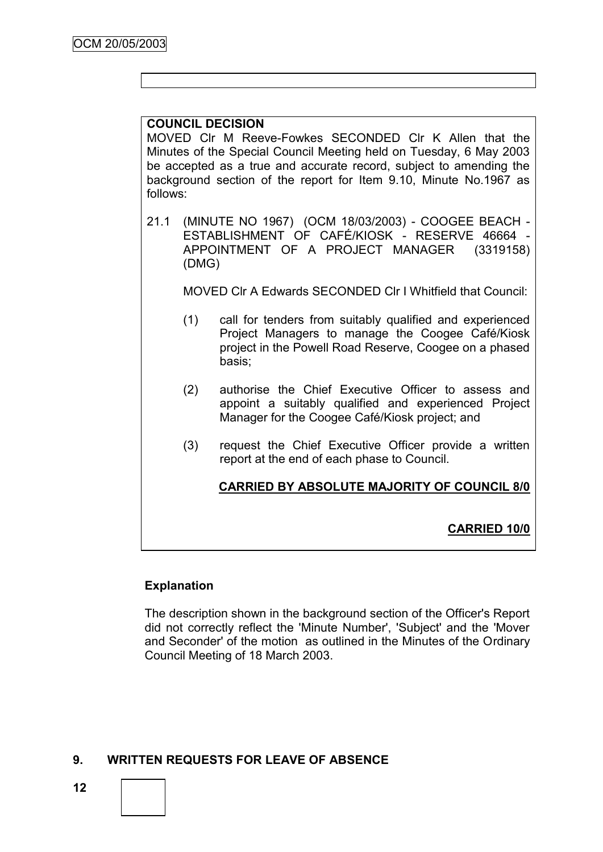## **COUNCIL DECISION**

MOVED Clr M Reeve-Fowkes SECONDED Clr K Allen that the Minutes of the Special Council Meeting held on Tuesday, 6 May 2003 be accepted as a true and accurate record, subject to amending the background section of the report for Item 9.10, Minute No.1967 as follows:

21.1 (MINUTE NO 1967) (OCM 18/03/2003) - COOGEE BEACH - ESTABLISHMENT OF CAFÉ/KIOSK - RESERVE 46664 - APPOINTMENT OF A PROJECT MANAGER (3319158) (DMG)

MOVED Clr A Edwards SECONDED Clr I Whitfield that Council:

- (1) call for tenders from suitably qualified and experienced Project Managers to manage the Coogee Café/Kiosk project in the Powell Road Reserve, Coogee on a phased basis;
- (2) authorise the Chief Executive Officer to assess and appoint a suitably qualified and experienced Project Manager for the Coogee Café/Kiosk project; and
- (3) request the Chief Executive Officer provide a written report at the end of each phase to Council.

**CARRIED BY ABSOLUTE MAJORITY OF COUNCIL 8/0**

## **CARRIED 10/0**

## **Explanation**

The description shown in the background section of the Officer's Report did not correctly reflect the 'Minute Number', 'Subject' and the 'Mover and Seconder' of the motion as outlined in the Minutes of the Ordinary Council Meeting of 18 March 2003.

## **9. WRITTEN REQUESTS FOR LEAVE OF ABSENCE**

**12**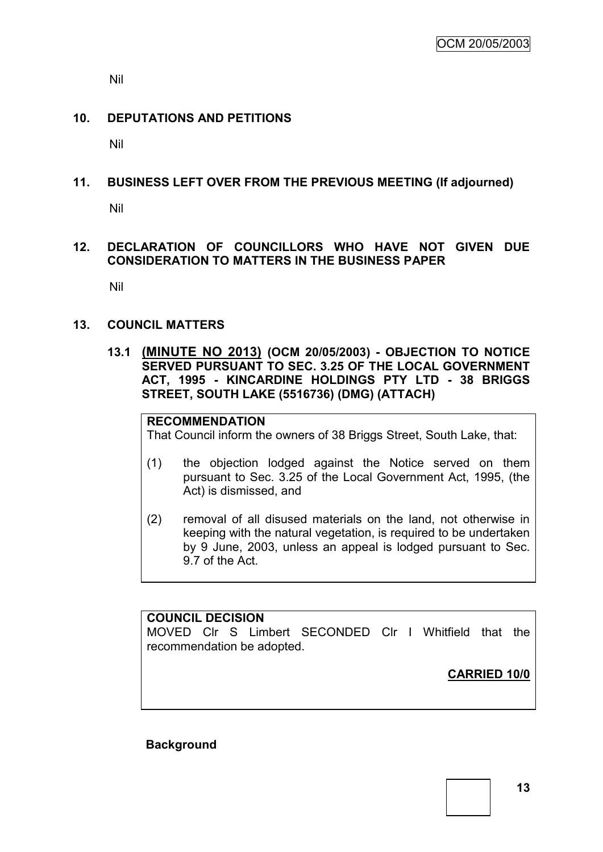Nil

## **10. DEPUTATIONS AND PETITIONS**

Nil

## **11. BUSINESS LEFT OVER FROM THE PREVIOUS MEETING (If adjourned)**

Nil

## **12. DECLARATION OF COUNCILLORS WHO HAVE NOT GIVEN DUE CONSIDERATION TO MATTERS IN THE BUSINESS PAPER**

Nil

## **13. COUNCIL MATTERS**

**13.1 (MINUTE NO 2013) (OCM 20/05/2003) - OBJECTION TO NOTICE SERVED PURSUANT TO SEC. 3.25 OF THE LOCAL GOVERNMENT ACT, 1995 - KINCARDINE HOLDINGS PTY LTD - 38 BRIGGS STREET, SOUTH LAKE (5516736) (DMG) (ATTACH)**

## **RECOMMENDATION**

That Council inform the owners of 38 Briggs Street, South Lake, that:

- (1) the objection lodged against the Notice served on them pursuant to Sec. 3.25 of the Local Government Act, 1995, (the Act) is dismissed, and
- (2) removal of all disused materials on the land, not otherwise in keeping with the natural vegetation, is required to be undertaken by 9 June, 2003, unless an appeal is lodged pursuant to Sec. 9.7 of the Act.

## **COUNCIL DECISION**

MOVED Clr S Limbert SECONDED Clr I Whitfield that the recommendation be adopted.

**CARRIED 10/0**

**Background**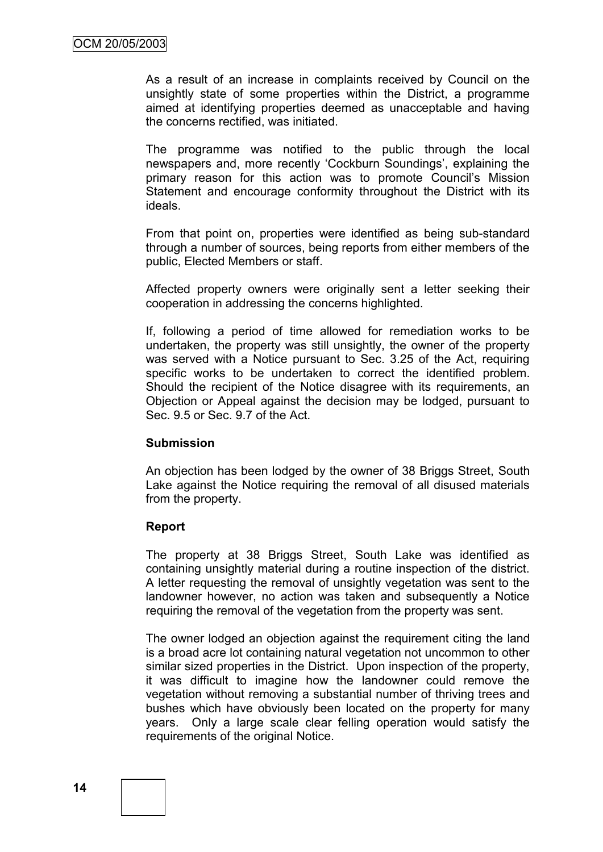As a result of an increase in complaints received by Council on the unsightly state of some properties within the District, a programme aimed at identifying properties deemed as unacceptable and having the concerns rectified, was initiated.

The programme was notified to the public through the local newspapers and, more recently 'Cockburn Soundings', explaining the primary reason for this action was to promote Council"s Mission Statement and encourage conformity throughout the District with its ideals.

From that point on, properties were identified as being sub-standard through a number of sources, being reports from either members of the public, Elected Members or staff.

Affected property owners were originally sent a letter seeking their cooperation in addressing the concerns highlighted.

If, following a period of time allowed for remediation works to be undertaken, the property was still unsightly, the owner of the property was served with a Notice pursuant to Sec. 3.25 of the Act, requiring specific works to be undertaken to correct the identified problem. Should the recipient of the Notice disagree with its requirements, an Objection or Appeal against the decision may be lodged, pursuant to Sec. 9.5 or Sec. 9.7 of the Act.

## **Submission**

An objection has been lodged by the owner of 38 Briggs Street, South Lake against the Notice requiring the removal of all disused materials from the property.

## **Report**

The property at 38 Briggs Street, South Lake was identified as containing unsightly material during a routine inspection of the district. A letter requesting the removal of unsightly vegetation was sent to the landowner however, no action was taken and subsequently a Notice requiring the removal of the vegetation from the property was sent.

The owner lodged an objection against the requirement citing the land is a broad acre lot containing natural vegetation not uncommon to other similar sized properties in the District. Upon inspection of the property, it was difficult to imagine how the landowner could remove the vegetation without removing a substantial number of thriving trees and bushes which have obviously been located on the property for many years. Only a large scale clear felling operation would satisfy the requirements of the original Notice.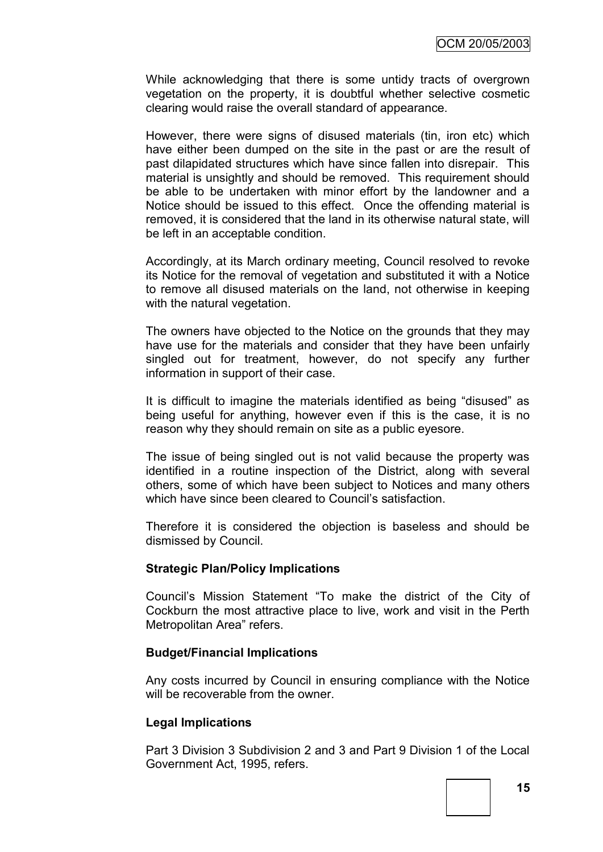While acknowledging that there is some untidy tracts of overgrown vegetation on the property, it is doubtful whether selective cosmetic clearing would raise the overall standard of appearance.

However, there were signs of disused materials (tin, iron etc) which have either been dumped on the site in the past or are the result of past dilapidated structures which have since fallen into disrepair. This material is unsightly and should be removed. This requirement should be able to be undertaken with minor effort by the landowner and a Notice should be issued to this effect. Once the offending material is removed, it is considered that the land in its otherwise natural state, will be left in an acceptable condition.

Accordingly, at its March ordinary meeting, Council resolved to revoke its Notice for the removal of vegetation and substituted it with a Notice to remove all disused materials on the land, not otherwise in keeping with the natural vegetation.

The owners have objected to the Notice on the grounds that they may have use for the materials and consider that they have been unfairly singled out for treatment, however, do not specify any further information in support of their case.

It is difficult to imagine the materials identified as being "disused" as being useful for anything, however even if this is the case, it is no reason why they should remain on site as a public eyesore.

The issue of being singled out is not valid because the property was identified in a routine inspection of the District, along with several others, some of which have been subject to Notices and many others which have since been cleared to Council's satisfaction.

Therefore it is considered the objection is baseless and should be dismissed by Council.

#### **Strategic Plan/Policy Implications**

Council"s Mission Statement "To make the district of the City of Cockburn the most attractive place to live, work and visit in the Perth Metropolitan Area" refers.

#### **Budget/Financial Implications**

Any costs incurred by Council in ensuring compliance with the Notice will be recoverable from the owner.

#### **Legal Implications**

Part 3 Division 3 Subdivision 2 and 3 and Part 9 Division 1 of the Local Government Act, 1995, refers.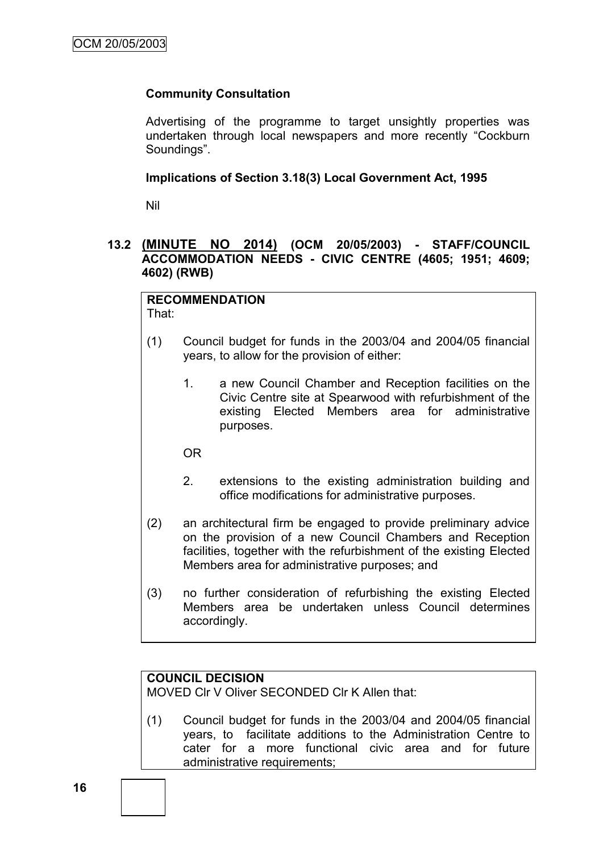## **Community Consultation**

Advertising of the programme to target unsightly properties was undertaken through local newspapers and more recently "Cockburn Soundings".

## **Implications of Section 3.18(3) Local Government Act, 1995**

Nil

## **13.2 (MINUTE NO 2014) (OCM 20/05/2003) - STAFF/COUNCIL ACCOMMODATION NEEDS - CIVIC CENTRE (4605; 1951; 4609; 4602) (RWB)**

#### **RECOMMENDATION** That:

- (1) Council budget for funds in the 2003/04 and 2004/05 financial years, to allow for the provision of either:
	- 1. a new Council Chamber and Reception facilities on the Civic Centre site at Spearwood with refurbishment of the existing Elected Members area for administrative purposes.

OR

- 2. extensions to the existing administration building and office modifications for administrative purposes.
- (2) an architectural firm be engaged to provide preliminary advice on the provision of a new Council Chambers and Reception facilities, together with the refurbishment of the existing Elected Members area for administrative purposes; and
- (3) no further consideration of refurbishing the existing Elected Members area be undertaken unless Council determines accordingly.

## **COUNCIL DECISION**

MOVED Clr V Oliver SECONDED Clr K Allen that:

(1) Council budget for funds in the 2003/04 and 2004/05 financial years, to facilitate additions to the Administration Centre to cater for a more functional civic area and for future administrative requirements;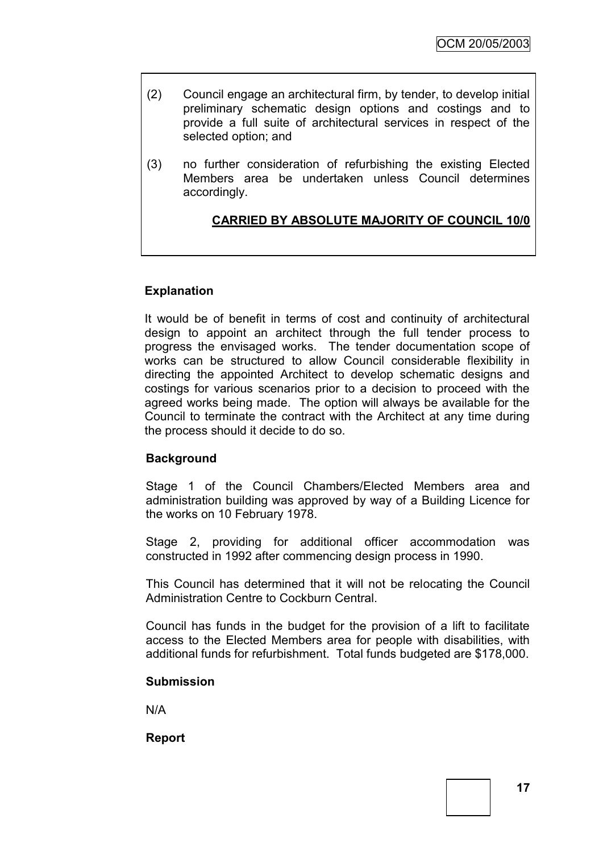- (2) Council engage an architectural firm, by tender, to develop initial preliminary schematic design options and costings and to provide a full suite of architectural services in respect of the selected option; and
- (3) no further consideration of refurbishing the existing Elected Members area be undertaken unless Council determines accordingly.

## **CARRIED BY ABSOLUTE MAJORITY OF COUNCIL 10/0**

## **Explanation**

It would be of benefit in terms of cost and continuity of architectural design to appoint an architect through the full tender process to progress the envisaged works. The tender documentation scope of works can be structured to allow Council considerable flexibility in directing the appointed Architect to develop schematic designs and costings for various scenarios prior to a decision to proceed with the agreed works being made. The option will always be available for the Council to terminate the contract with the Architect at any time during the process should it decide to do so.

## **Background**

Stage 1 of the Council Chambers/Elected Members area and administration building was approved by way of a Building Licence for the works on 10 February 1978.

Stage 2, providing for additional officer accommodation was constructed in 1992 after commencing design process in 1990.

This Council has determined that it will not be relocating the Council Administration Centre to Cockburn Central.

Council has funds in the budget for the provision of a lift to facilitate access to the Elected Members area for people with disabilities, with additional funds for refurbishment. Total funds budgeted are \$178,000.

## **Submission**

N/A

**Report**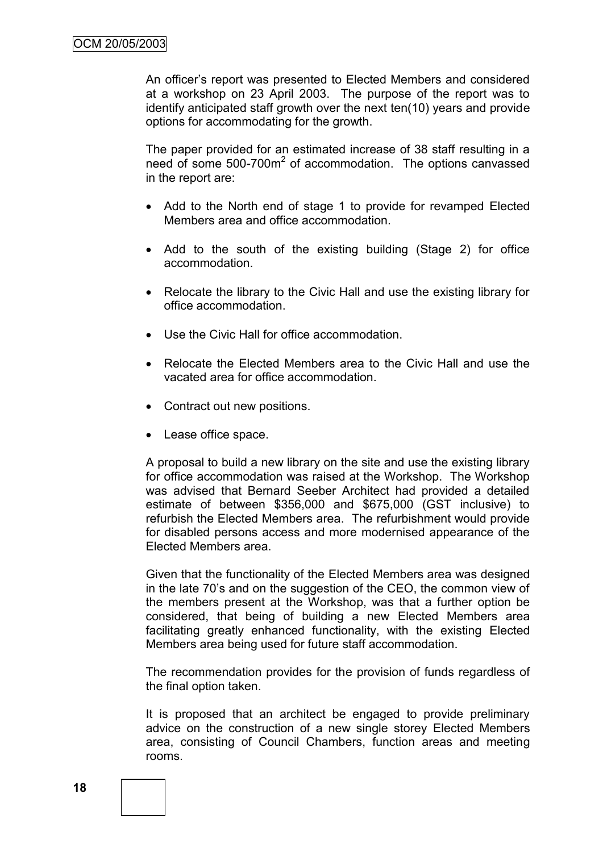An officer"s report was presented to Elected Members and considered at a workshop on 23 April 2003. The purpose of the report was to identify anticipated staff growth over the next ten(10) years and provide options for accommodating for the growth.

The paper provided for an estimated increase of 38 staff resulting in a need of some 500-700m<sup>2</sup> of accommodation. The options canvassed in the report are:

- Add to the North end of stage 1 to provide for revamped Elected Members area and office accommodation.
- Add to the south of the existing building (Stage 2) for office accommodation.
- Relocate the library to the Civic Hall and use the existing library for office accommodation.
- Use the Civic Hall for office accommodation.
- Relocate the Elected Members area to the Civic Hall and use the vacated area for office accommodation.
- Contract out new positions.
- Lease office space.

A proposal to build a new library on the site and use the existing library for office accommodation was raised at the Workshop. The Workshop was advised that Bernard Seeber Architect had provided a detailed estimate of between \$356,000 and \$675,000 (GST inclusive) to refurbish the Elected Members area. The refurbishment would provide for disabled persons access and more modernised appearance of the Elected Members area.

Given that the functionality of the Elected Members area was designed in the late 70"s and on the suggestion of the CEO, the common view of the members present at the Workshop, was that a further option be considered, that being of building a new Elected Members area facilitating greatly enhanced functionality, with the existing Elected Members area being used for future staff accommodation.

The recommendation provides for the provision of funds regardless of the final option taken.

It is proposed that an architect be engaged to provide preliminary advice on the construction of a new single storey Elected Members area, consisting of Council Chambers, function areas and meeting rooms.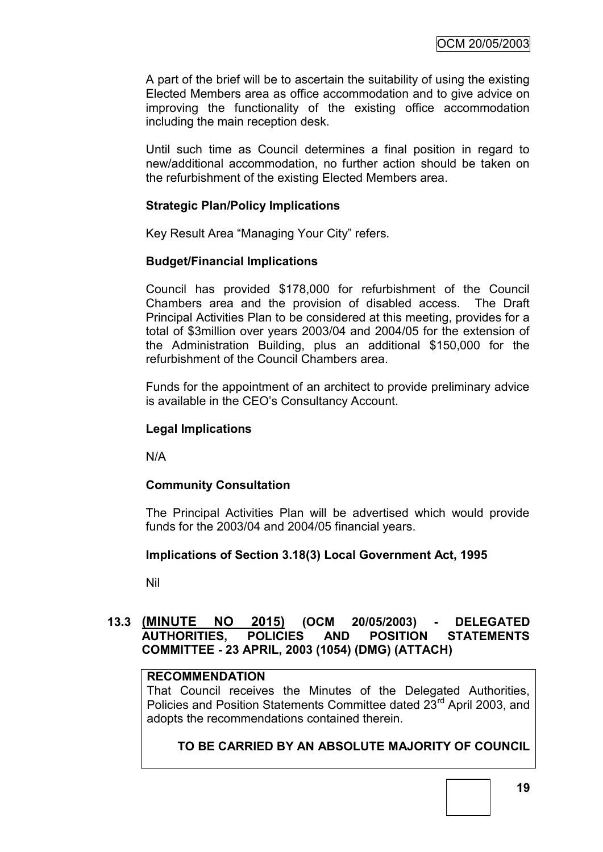A part of the brief will be to ascertain the suitability of using the existing Elected Members area as office accommodation and to give advice on improving the functionality of the existing office accommodation including the main reception desk.

Until such time as Council determines a final position in regard to new/additional accommodation, no further action should be taken on the refurbishment of the existing Elected Members area.

## **Strategic Plan/Policy Implications**

Key Result Area "Managing Your City" refers.

## **Budget/Financial Implications**

Council has provided \$178,000 for refurbishment of the Council Chambers area and the provision of disabled access. The Draft Principal Activities Plan to be considered at this meeting, provides for a total of \$3million over years 2003/04 and 2004/05 for the extension of the Administration Building, plus an additional \$150,000 for the refurbishment of the Council Chambers area.

Funds for the appointment of an architect to provide preliminary advice is available in the CEO"s Consultancy Account.

## **Legal Implications**

N/A

## **Community Consultation**

The Principal Activities Plan will be advertised which would provide funds for the 2003/04 and 2004/05 financial years.

## **Implications of Section 3.18(3) Local Government Act, 1995**

Nil

## **13.3 (MINUTE NO 2015) (OCM 20/05/2003) - DELEGATED AUTHORITIES, POLICIES AND POSITION STATEMENTS COMMITTEE - 23 APRIL, 2003 (1054) (DMG) (ATTACH)**

#### **RECOMMENDATION**

That Council receives the Minutes of the Delegated Authorities, Policies and Position Statements Committee dated 23<sup>rd</sup> April 2003, and adopts the recommendations contained therein.

## **TO BE CARRIED BY AN ABSOLUTE MAJORITY OF COUNCIL**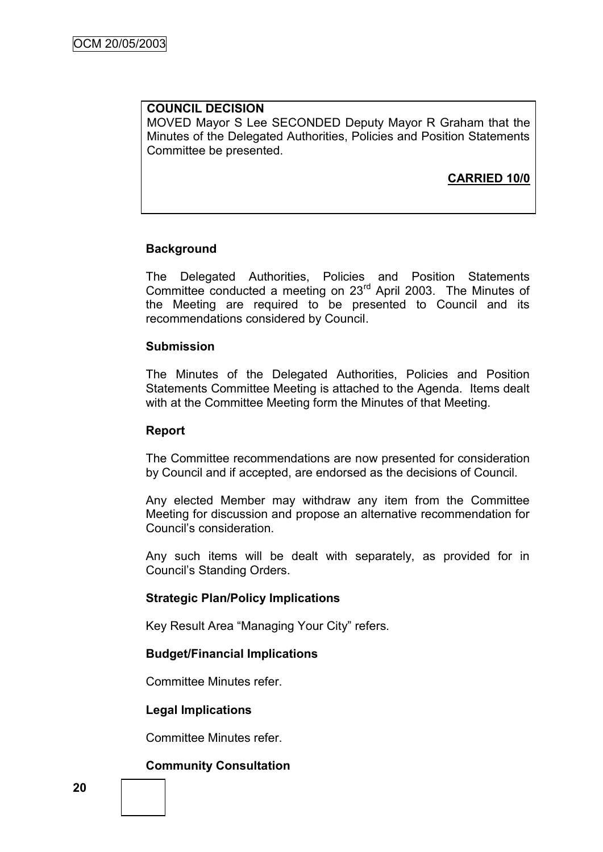# **COUNCIL DECISION**

MOVED Mayor S Lee SECONDED Deputy Mayor R Graham that the Minutes of the Delegated Authorities, Policies and Position Statements Committee be presented.

## **CARRIED 10/0**

## **Background**

The Delegated Authorities, Policies and Position Statements Committee conducted a meeting on 23rd April 2003. The Minutes of the Meeting are required to be presented to Council and its recommendations considered by Council.

### **Submission**

The Minutes of the Delegated Authorities, Policies and Position Statements Committee Meeting is attached to the Agenda. Items dealt with at the Committee Meeting form the Minutes of that Meeting.

#### **Report**

The Committee recommendations are now presented for consideration by Council and if accepted, are endorsed as the decisions of Council.

Any elected Member may withdraw any item from the Committee Meeting for discussion and propose an alternative recommendation for Council"s consideration.

Any such items will be dealt with separately, as provided for in Council"s Standing Orders.

## **Strategic Plan/Policy Implications**

Key Result Area "Managing Your City" refers.

## **Budget/Financial Implications**

Committee Minutes refer.

## **Legal Implications**

Committee Minutes refer.

## **Community Consultation**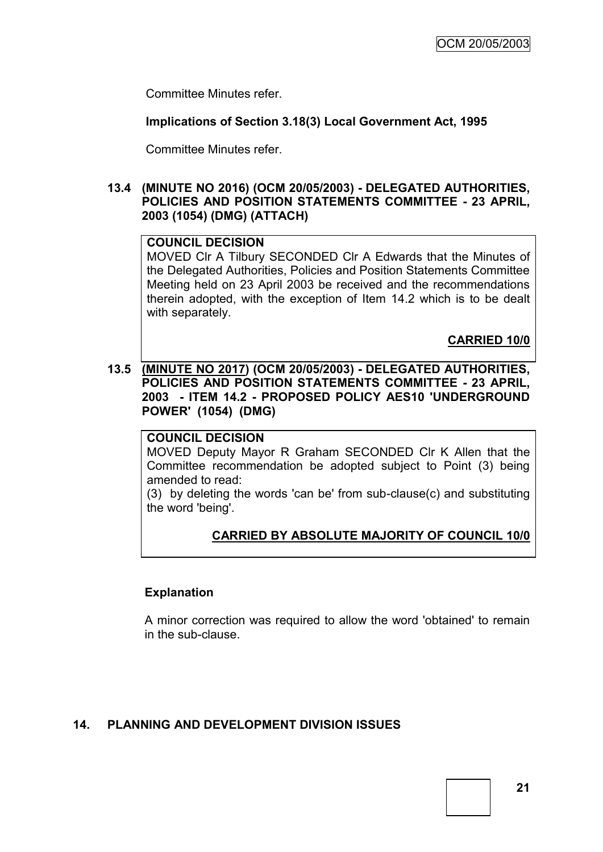Committee Minutes refer.

## **Implications of Section 3.18(3) Local Government Act, 1995**

Committee Minutes refer.

## **13.4 (MINUTE NO 2016) (OCM 20/05/2003) - DELEGATED AUTHORITIES, POLICIES AND POSITION STATEMENTS COMMITTEE - 23 APRIL, 2003 (1054) (DMG) (ATTACH)**

#### **COUNCIL DECISION**

MOVED Clr A Tilbury SECONDED Clr A Edwards that the Minutes of the Delegated Authorities, Policies and Position Statements Committee Meeting held on 23 April 2003 be received and the recommendations therein adopted, with the exception of Item 14.2 which is to be dealt with separately.

**CARRIED 10/0**

## **13.5 (MINUTE NO 2017) (OCM 20/05/2003) - DELEGATED AUTHORITIES, POLICIES AND POSITION STATEMENTS COMMITTEE - 23 APRIL, 2003 - ITEM 14.2 - PROPOSED POLICY AES10 'UNDERGROUND POWER' (1054) (DMG)**

## **COUNCIL DECISION**

MOVED Deputy Mayor R Graham SECONDED Clr K Allen that the Committee recommendation be adopted subject to Point (3) being amended to read:

(3) by deleting the words 'can be' from sub-clause(c) and substituting the word 'being'.

## **CARRIED BY ABSOLUTE MAJORITY OF COUNCIL 10/0**

#### **Explanation**

A minor correction was required to allow the word 'obtained' to remain in the sub-clause.

## **14. PLANNING AND DEVELOPMENT DIVISION ISSUES**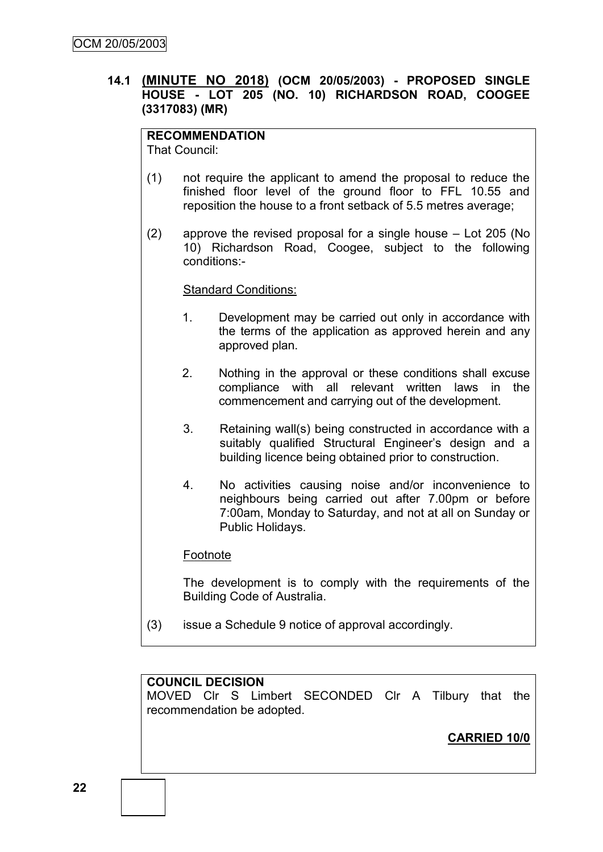## **14.1 (MINUTE NO 2018) (OCM 20/05/2003) - PROPOSED SINGLE HOUSE - LOT 205 (NO. 10) RICHARDSON ROAD, COOGEE (3317083) (MR)**

#### **RECOMMENDATION** That Council:

(1) not require the applicant to amend the proposal to reduce the finished floor level of the ground floor to FFL 10.55 and reposition the house to a front setback of 5.5 metres average;

(2) approve the revised proposal for a single house – Lot 205 (No 10) Richardson Road, Coogee, subject to the following conditions:-

## Standard Conditions:

- 1. Development may be carried out only in accordance with the terms of the application as approved herein and any approved plan.
- 2. Nothing in the approval or these conditions shall excuse compliance with all relevant written laws in the commencement and carrying out of the development.
- 3. Retaining wall(s) being constructed in accordance with a suitably qualified Structural Engineer's design and a building licence being obtained prior to construction.
- 4. No activities causing noise and/or inconvenience to neighbours being carried out after 7.00pm or before 7:00am, Monday to Saturday, and not at all on Sunday or Public Holidays.

## Footnote

The development is to comply with the requirements of the Building Code of Australia.

(3) issue a Schedule 9 notice of approval accordingly.

## **COUNCIL DECISION**

MOVED Clr S Limbert SECONDED Clr A Tilbury that the recommendation be adopted.

**CARRIED 10/0**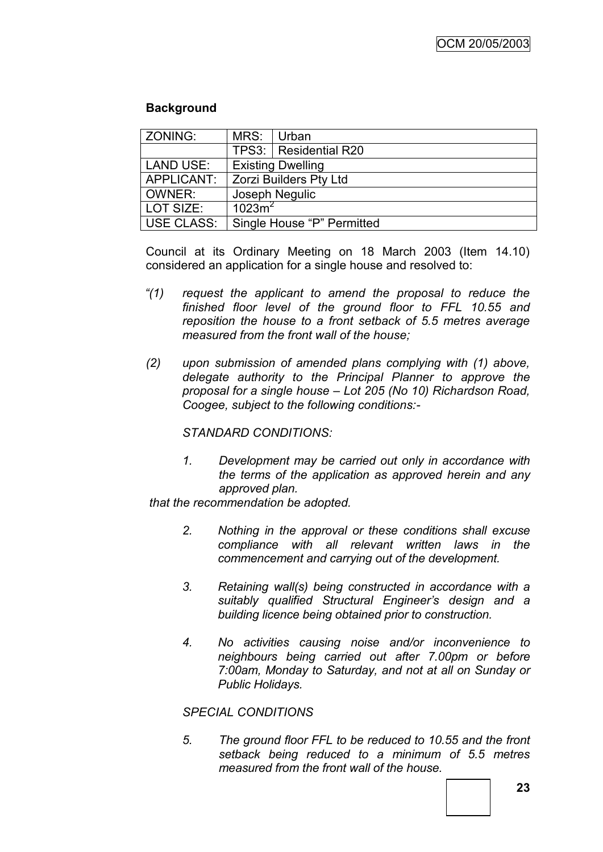## **Background**

| ZONING:           | MRS:                       | Urban                    |  |
|-------------------|----------------------------|--------------------------|--|
|                   |                            | TPS3:   Residential R20  |  |
| <b>LAND USE:</b>  |                            | <b>Existing Dwelling</b> |  |
| APPLICANT:        | Zorzi Builders Pty Ltd     |                          |  |
| <b>OWNER:</b>     |                            | Joseph Negulic           |  |
| LOT SIZE:         | 1023m <sup>2</sup>         |                          |  |
| <b>USE CLASS:</b> | Single House "P" Permitted |                          |  |

Council at its Ordinary Meeting on 18 March 2003 (Item 14.10) considered an application for a single house and resolved to:

- *"(1) request the applicant to amend the proposal to reduce the finished floor level of the ground floor to FFL 10.55 and reposition the house to a front setback of 5.5 metres average measured from the front wall of the house;*
- *(2) upon submission of amended plans complying with (1) above, delegate authority to the Principal Planner to approve the proposal for a single house – Lot 205 (No 10) Richardson Road, Coogee, subject to the following conditions:-*

## *STANDARD CONDITIONS:*

*1. Development may be carried out only in accordance with the terms of the application as approved herein and any approved plan.*

*that the recommendation be adopted.*

- *2. Nothing in the approval or these conditions shall excuse compliance with all relevant written laws in the commencement and carrying out of the development.*
- *3. Retaining wall(s) being constructed in accordance with a suitably qualified Structural Engineer"s design and a building licence being obtained prior to construction.*
- *4. No activities causing noise and/or inconvenience to neighbours being carried out after 7.00pm or before 7:00am, Monday to Saturday, and not at all on Sunday or Public Holidays.*

## *SPECIAL CONDITIONS*

*5. The ground floor FFL to be reduced to 10.55 and the front setback being reduced to a minimum of 5.5 metres measured from the front wall of the house.*

**23**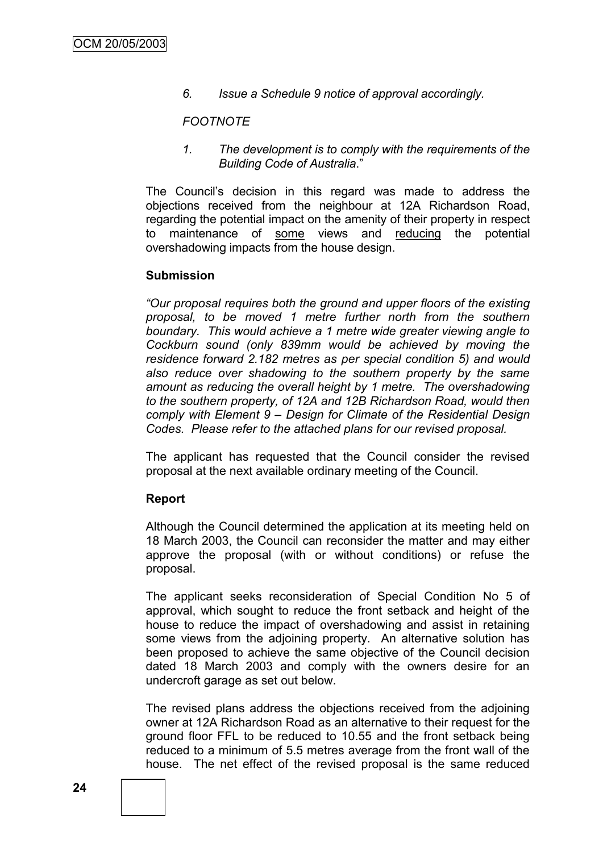*6. Issue a Schedule 9 notice of approval accordingly.*

#### *FOOTNOTE*

*1. The development is to comply with the requirements of the Building Code of Australia*."

The Council"s decision in this regard was made to address the objections received from the neighbour at 12A Richardson Road, regarding the potential impact on the amenity of their property in respect to maintenance of some views and reducing the potential overshadowing impacts from the house design.

#### **Submission**

*"Our proposal requires both the ground and upper floors of the existing proposal, to be moved 1 metre further north from the southern boundary. This would achieve a 1 metre wide greater viewing angle to Cockburn sound (only 839mm would be achieved by moving the residence forward 2.182 metres as per special condition 5) and would also reduce over shadowing to the southern property by the same amount as reducing the overall height by 1 metre. The overshadowing to the southern property, of 12A and 12B Richardson Road, would then comply with Element 9 – Design for Climate of the Residential Design Codes. Please refer to the attached plans for our revised proposal.*

The applicant has requested that the Council consider the revised proposal at the next available ordinary meeting of the Council.

#### **Report**

Although the Council determined the application at its meeting held on 18 March 2003, the Council can reconsider the matter and may either approve the proposal (with or without conditions) or refuse the proposal.

The applicant seeks reconsideration of Special Condition No 5 of approval, which sought to reduce the front setback and height of the house to reduce the impact of overshadowing and assist in retaining some views from the adjoining property. An alternative solution has been proposed to achieve the same objective of the Council decision dated 18 March 2003 and comply with the owners desire for an undercroft garage as set out below.

The revised plans address the objections received from the adjoining owner at 12A Richardson Road as an alternative to their request for the ground floor FFL to be reduced to 10.55 and the front setback being reduced to a minimum of 5.5 metres average from the front wall of the house. The net effect of the revised proposal is the same reduced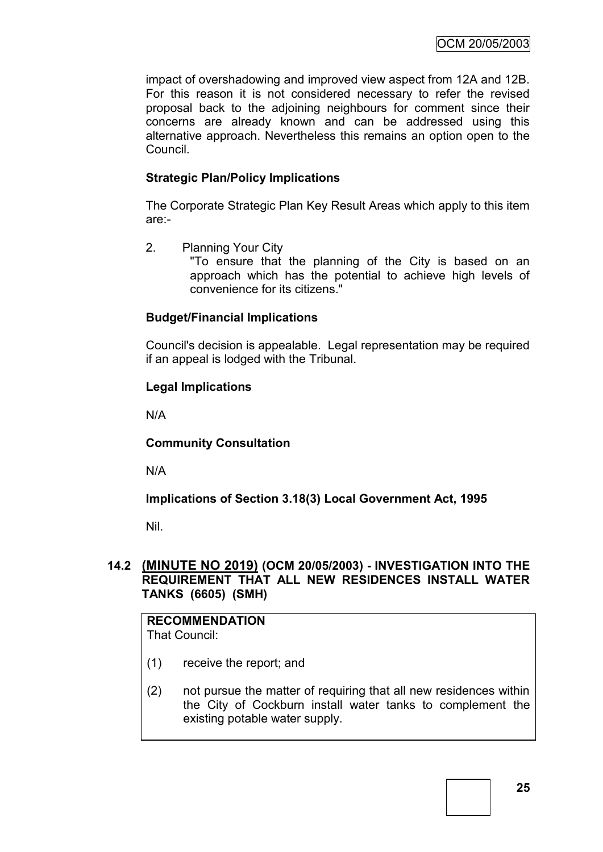impact of overshadowing and improved view aspect from 12A and 12B. For this reason it is not considered necessary to refer the revised proposal back to the adjoining neighbours for comment since their concerns are already known and can be addressed using this alternative approach. Nevertheless this remains an option open to the Council.

## **Strategic Plan/Policy Implications**

The Corporate Strategic Plan Key Result Areas which apply to this item are:-

2. Planning Your City "To ensure that the planning of the City is based on an approach which has the potential to achieve high levels of convenience for its citizens."

## **Budget/Financial Implications**

Council's decision is appealable. Legal representation may be required if an appeal is lodged with the Tribunal.

## **Legal Implications**

N/A

**Community Consultation**

N/A

**Implications of Section 3.18(3) Local Government Act, 1995**

Nil.

## **14.2 (MINUTE NO 2019) (OCM 20/05/2003) - INVESTIGATION INTO THE REQUIREMENT THAT ALL NEW RESIDENCES INSTALL WATER TANKS (6605) (SMH)**

**RECOMMENDATION** That Council:

(1) receive the report; and

(2) not pursue the matter of requiring that all new residences within the City of Cockburn install water tanks to complement the existing potable water supply.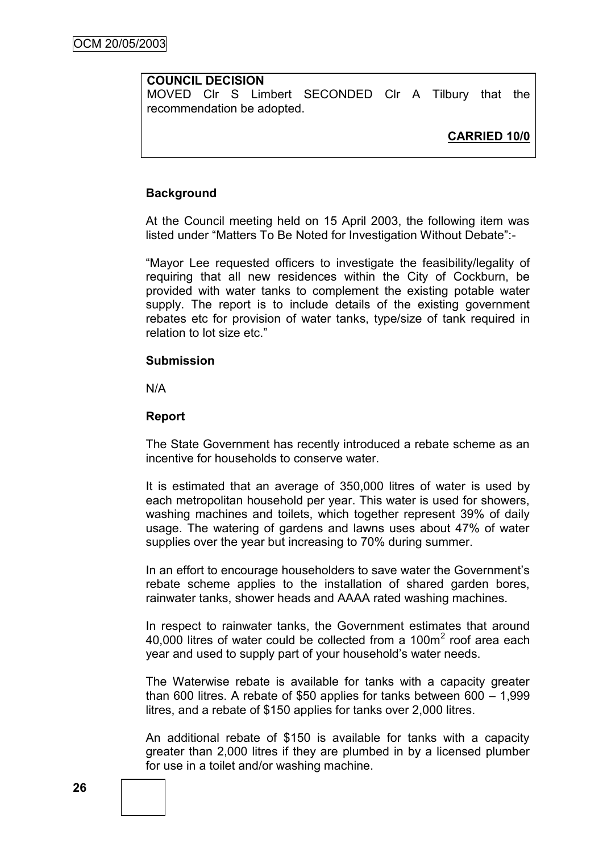## **COUNCIL DECISION**

MOVED Clr S Limbert SECONDED Clr A Tilbury that the recommendation be adopted.

## **CARRIED 10/0**

#### **Background**

At the Council meeting held on 15 April 2003, the following item was listed under "Matters To Be Noted for Investigation Without Debate":-

"Mayor Lee requested officers to investigate the feasibility/legality of requiring that all new residences within the City of Cockburn, be provided with water tanks to complement the existing potable water supply. The report is to include details of the existing government rebates etc for provision of water tanks, type/size of tank required in relation to lot size etc."

#### **Submission**

N/A

#### **Report**

The State Government has recently introduced a rebate scheme as an incentive for households to conserve water.

It is estimated that an average of 350,000 litres of water is used by each metropolitan household per year. This water is used for showers, washing machines and toilets, which together represent 39% of daily usage. The watering of gardens and lawns uses about 47% of water supplies over the year but increasing to 70% during summer.

In an effort to encourage householders to save water the Government"s rebate scheme applies to the installation of shared garden bores, rainwater tanks, shower heads and AAAA rated washing machines.

In respect to rainwater tanks, the Government estimates that around 40,000 litres of water could be collected from a 100 $m<sup>2</sup>$  roof area each year and used to supply part of your household"s water needs.

The Waterwise rebate is available for tanks with a capacity greater than 600 litres. A rebate of \$50 applies for tanks between 600 – 1,999 litres, and a rebate of \$150 applies for tanks over 2,000 litres.

An additional rebate of \$150 is available for tanks with a capacity greater than 2,000 litres if they are plumbed in by a licensed plumber for use in a toilet and/or washing machine.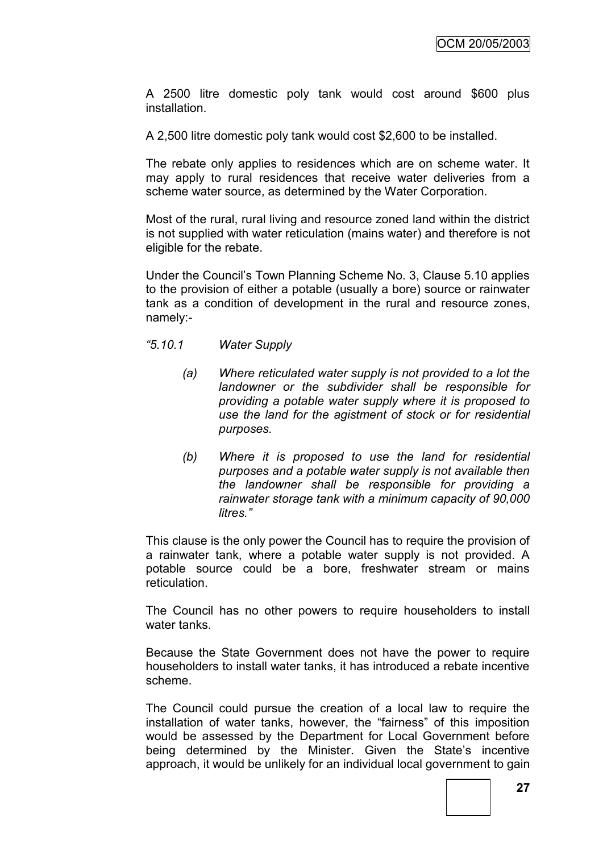A 2500 litre domestic poly tank would cost around \$600 plus installation.

A 2,500 litre domestic poly tank would cost \$2,600 to be installed.

The rebate only applies to residences which are on scheme water. It may apply to rural residences that receive water deliveries from a scheme water source, as determined by the Water Corporation.

Most of the rural, rural living and resource zoned land within the district is not supplied with water reticulation (mains water) and therefore is not eligible for the rebate.

Under the Council"s Town Planning Scheme No. 3, Clause 5.10 applies to the provision of either a potable (usually a bore) source or rainwater tank as a condition of development in the rural and resource zones, namely:-

- *"5.10.1 Water Supply*
	- *(a) Where reticulated water supply is not provided to a lot the landowner or the subdivider shall be responsible for providing a potable water supply where it is proposed to use the land for the agistment of stock or for residential purposes.*
	- *(b) Where it is proposed to use the land for residential purposes and a potable water supply is not available then the landowner shall be responsible for providing a rainwater storage tank with a minimum capacity of 90,000 litres."*

This clause is the only power the Council has to require the provision of a rainwater tank, where a potable water supply is not provided. A potable source could be a bore, freshwater stream or mains reticulation.

The Council has no other powers to require householders to install water tanks.

Because the State Government does not have the power to require householders to install water tanks, it has introduced a rebate incentive scheme.

The Council could pursue the creation of a local law to require the installation of water tanks, however, the "fairness" of this imposition would be assessed by the Department for Local Government before being determined by the Minister. Given the State's incentive approach, it would be unlikely for an individual local government to gain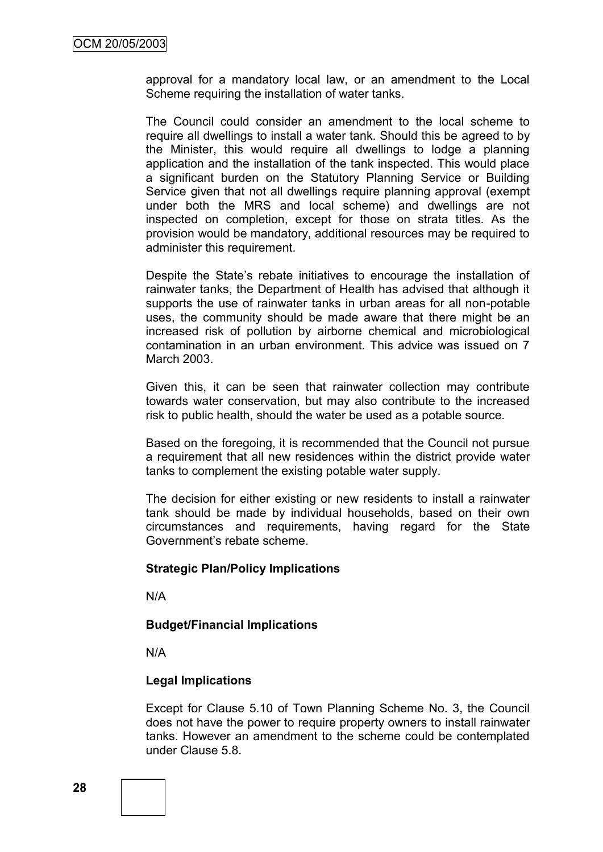approval for a mandatory local law, or an amendment to the Local Scheme requiring the installation of water tanks.

The Council could consider an amendment to the local scheme to require all dwellings to install a water tank. Should this be agreed to by the Minister, this would require all dwellings to lodge a planning application and the installation of the tank inspected. This would place a significant burden on the Statutory Planning Service or Building Service given that not all dwellings require planning approval (exempt under both the MRS and local scheme) and dwellings are not inspected on completion, except for those on strata titles. As the provision would be mandatory, additional resources may be required to administer this requirement.

Despite the State"s rebate initiatives to encourage the installation of rainwater tanks, the Department of Health has advised that although it supports the use of rainwater tanks in urban areas for all non-potable uses, the community should be made aware that there might be an increased risk of pollution by airborne chemical and microbiological contamination in an urban environment. This advice was issued on 7 March 2003.

Given this, it can be seen that rainwater collection may contribute towards water conservation, but may also contribute to the increased risk to public health, should the water be used as a potable source.

Based on the foregoing, it is recommended that the Council not pursue a requirement that all new residences within the district provide water tanks to complement the existing potable water supply.

The decision for either existing or new residents to install a rainwater tank should be made by individual households, based on their own circumstances and requirements, having regard for the State Government"s rebate scheme.

#### **Strategic Plan/Policy Implications**

N/A

## **Budget/Financial Implications**

N/A

## **Legal Implications**

Except for Clause 5.10 of Town Planning Scheme No. 3, the Council does not have the power to require property owners to install rainwater tanks. However an amendment to the scheme could be contemplated under Clause 5.8.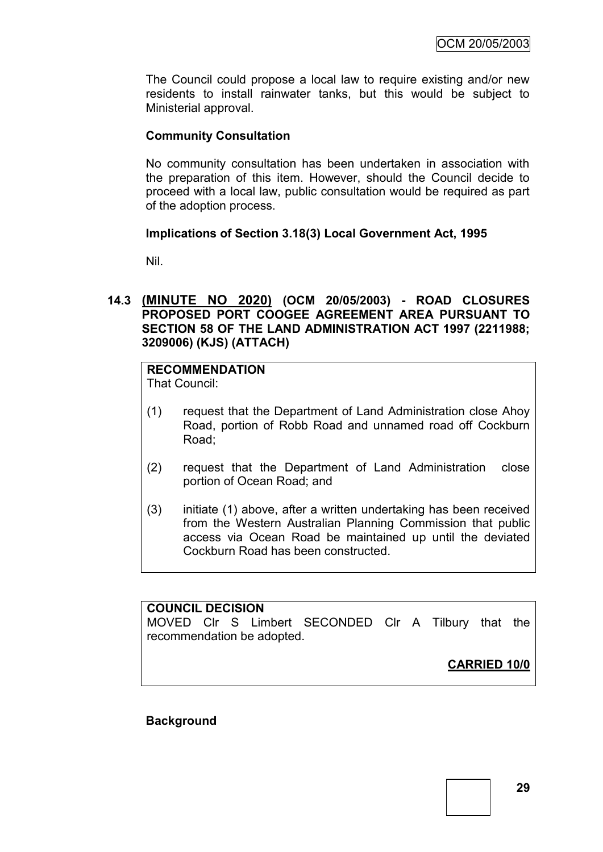The Council could propose a local law to require existing and/or new residents to install rainwater tanks, but this would be subject to Ministerial approval.

## **Community Consultation**

No community consultation has been undertaken in association with the preparation of this item. However, should the Council decide to proceed with a local law, public consultation would be required as part of the adoption process.

## **Implications of Section 3.18(3) Local Government Act, 1995**

Nil.

## **14.3 (MINUTE NO 2020) (OCM 20/05/2003) - ROAD CLOSURES PROPOSED PORT COOGEE AGREEMENT AREA PURSUANT TO SECTION 58 OF THE LAND ADMINISTRATION ACT 1997 (2211988; 3209006) (KJS) (ATTACH)**

## **RECOMMENDATION**

That Council:

- (1) request that the Department of Land Administration close Ahoy Road, portion of Robb Road and unnamed road off Cockburn Road;
- (2) request that the Department of Land Administration close portion of Ocean Road; and
- (3) initiate (1) above, after a written undertaking has been received from the Western Australian Planning Commission that public access via Ocean Road be maintained up until the deviated Cockburn Road has been constructed.

## **COUNCIL DECISION**

MOVED Clr S Limbert SECONDED Clr A Tilbury that the recommendation be adopted.

**CARRIED 10/0**

## **Background**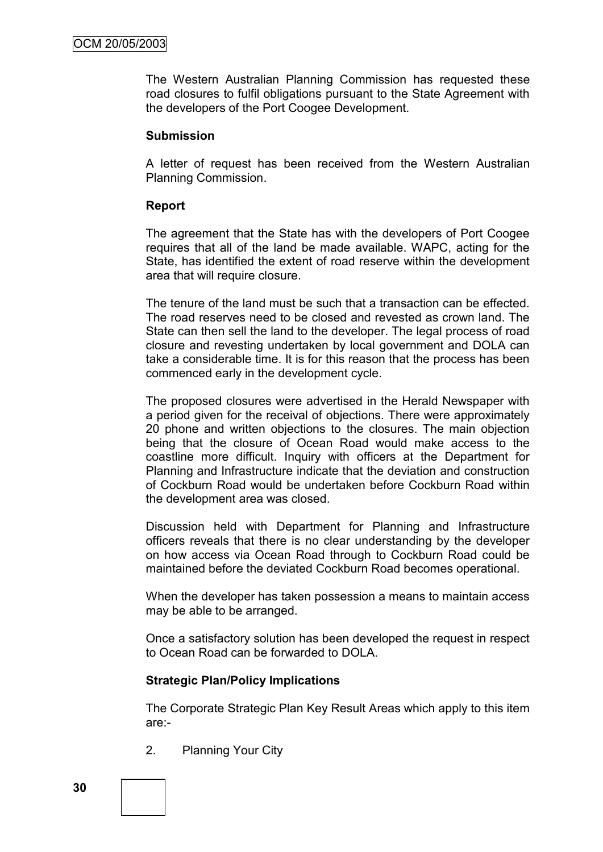The Western Australian Planning Commission has requested these road closures to fulfil obligations pursuant to the State Agreement with the developers of the Port Coogee Development.

#### **Submission**

A letter of request has been received from the Western Australian Planning Commission.

## **Report**

The agreement that the State has with the developers of Port Coogee requires that all of the land be made available. WAPC, acting for the State, has identified the extent of road reserve within the development area that will require closure.

The tenure of the land must be such that a transaction can be effected. The road reserves need to be closed and revested as crown land. The State can then sell the land to the developer. The legal process of road closure and revesting undertaken by local government and DOLA can take a considerable time. It is for this reason that the process has been commenced early in the development cycle.

The proposed closures were advertised in the Herald Newspaper with a period given for the receival of objections. There were approximately 20 phone and written objections to the closures. The main objection being that the closure of Ocean Road would make access to the coastline more difficult. Inquiry with officers at the Department for Planning and Infrastructure indicate that the deviation and construction of Cockburn Road would be undertaken before Cockburn Road within the development area was closed.

Discussion held with Department for Planning and Infrastructure officers reveals that there is no clear understanding by the developer on how access via Ocean Road through to Cockburn Road could be maintained before the deviated Cockburn Road becomes operational.

When the developer has taken possession a means to maintain access may be able to be arranged.

Once a satisfactory solution has been developed the request in respect to Ocean Road can be forwarded to DOLA.

## **Strategic Plan/Policy Implications**

The Corporate Strategic Plan Key Result Areas which apply to this item are:-

2. Planning Your City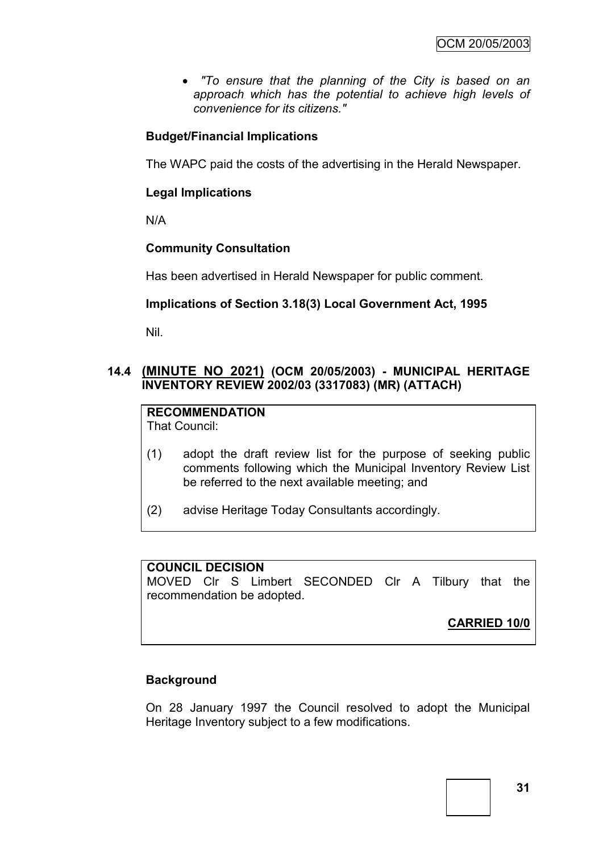*"To ensure that the planning of the City is based on an approach which has the potential to achieve high levels of convenience for its citizens."*

## **Budget/Financial Implications**

The WAPC paid the costs of the advertising in the Herald Newspaper.

## **Legal Implications**

N/A

## **Community Consultation**

Has been advertised in Herald Newspaper for public comment.

## **Implications of Section 3.18(3) Local Government Act, 1995**

Nil.

## **14.4 (MINUTE NO 2021) (OCM 20/05/2003) - MUNICIPAL HERITAGE INVENTORY REVIEW 2002/03 (3317083) (MR) (ATTACH)**

**RECOMMENDATION** That Council:

- (1) adopt the draft review list for the purpose of seeking public comments following which the Municipal Inventory Review List be referred to the next available meeting; and
- (2) advise Heritage Today Consultants accordingly.

## **COUNCIL DECISION**

MOVED Clr S Limbert SECONDED Clr A Tilbury that the recommendation be adopted.

**CARRIED 10/0**

## **Background**

On 28 January 1997 the Council resolved to adopt the Municipal Heritage Inventory subject to a few modifications.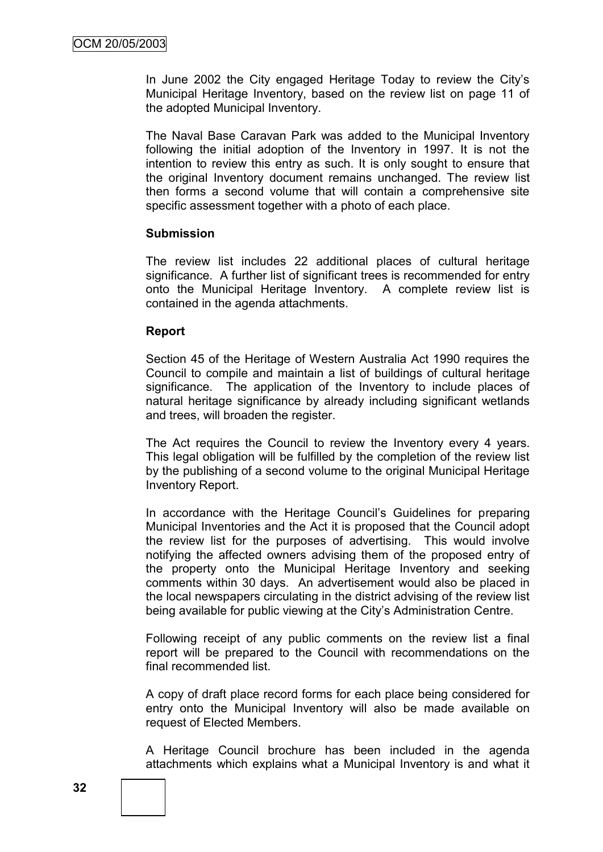In June 2002 the City engaged Heritage Today to review the City"s Municipal Heritage Inventory, based on the review list on page 11 of the adopted Municipal Inventory.

The Naval Base Caravan Park was added to the Municipal Inventory following the initial adoption of the Inventory in 1997. It is not the intention to review this entry as such. It is only sought to ensure that the original Inventory document remains unchanged. The review list then forms a second volume that will contain a comprehensive site specific assessment together with a photo of each place.

#### **Submission**

The review list includes 22 additional places of cultural heritage significance. A further list of significant trees is recommended for entry onto the Municipal Heritage Inventory. A complete review list is contained in the agenda attachments.

#### **Report**

Section 45 of the Heritage of Western Australia Act 1990 requires the Council to compile and maintain a list of buildings of cultural heritage significance. The application of the Inventory to include places of natural heritage significance by already including significant wetlands and trees, will broaden the register.

The Act requires the Council to review the Inventory every 4 years. This legal obligation will be fulfilled by the completion of the review list by the publishing of a second volume to the original Municipal Heritage Inventory Report.

In accordance with the Heritage Council's Guidelines for preparing Municipal Inventories and the Act it is proposed that the Council adopt the review list for the purposes of advertising. This would involve notifying the affected owners advising them of the proposed entry of the property onto the Municipal Heritage Inventory and seeking comments within 30 days. An advertisement would also be placed in the local newspapers circulating in the district advising of the review list being available for public viewing at the City"s Administration Centre.

Following receipt of any public comments on the review list a final report will be prepared to the Council with recommendations on the final recommended list.

A copy of draft place record forms for each place being considered for entry onto the Municipal Inventory will also be made available on request of Elected Members.

A Heritage Council brochure has been included in the agenda attachments which explains what a Municipal Inventory is and what it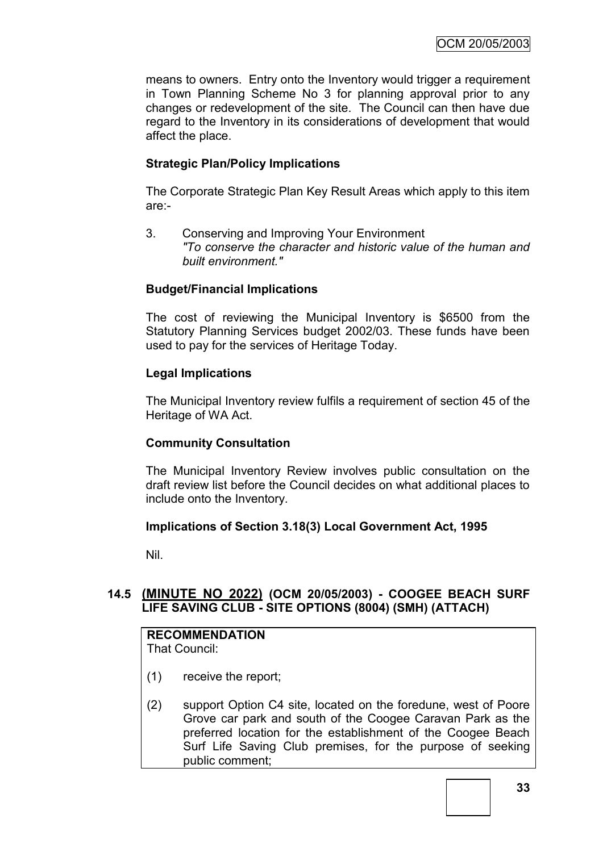means to owners. Entry onto the Inventory would trigger a requirement in Town Planning Scheme No 3 for planning approval prior to any changes or redevelopment of the site. The Council can then have due regard to the Inventory in its considerations of development that would affect the place.

## **Strategic Plan/Policy Implications**

The Corporate Strategic Plan Key Result Areas which apply to this item are:-

3. Conserving and Improving Your Environment *"To conserve the character and historic value of the human and built environment."*

## **Budget/Financial Implications**

The cost of reviewing the Municipal Inventory is \$6500 from the Statutory Planning Services budget 2002/03. These funds have been used to pay for the services of Heritage Today.

## **Legal Implications**

The Municipal Inventory review fulfils a requirement of section 45 of the Heritage of WA Act.

## **Community Consultation**

The Municipal Inventory Review involves public consultation on the draft review list before the Council decides on what additional places to include onto the Inventory.

## **Implications of Section 3.18(3) Local Government Act, 1995**

Nil.

# **14.5 (MINUTE NO 2022) (OCM 20/05/2003) - COOGEE BEACH SURF LIFE SAVING CLUB - SITE OPTIONS (8004) (SMH) (ATTACH)**

# **RECOMMENDATION**

That Council:

- (1) receive the report;
- (2) support Option C4 site, located on the foredune, west of Poore Grove car park and south of the Coogee Caravan Park as the preferred location for the establishment of the Coogee Beach Surf Life Saving Club premises, for the purpose of seeking public comment;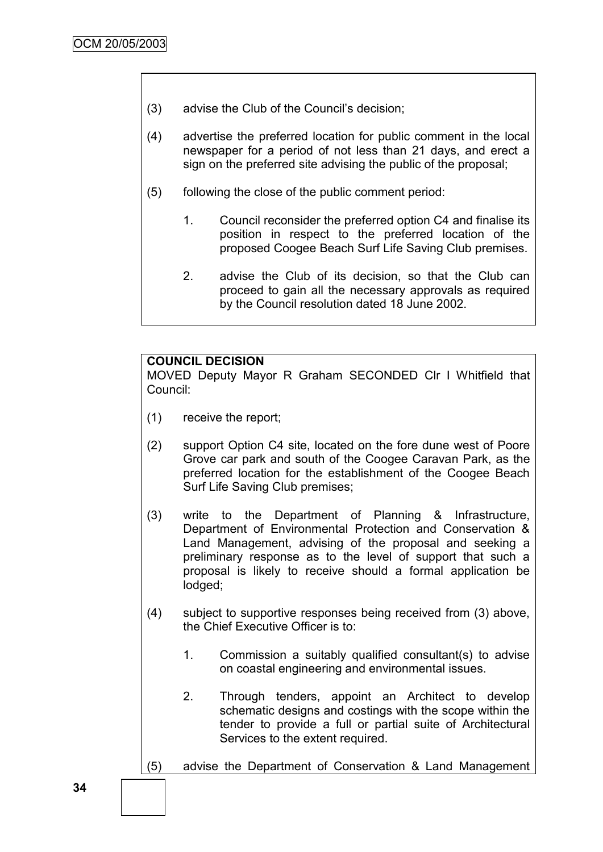- (3) advise the Club of the Council"s decision;
- (4) advertise the preferred location for public comment in the local newspaper for a period of not less than 21 days, and erect a sign on the preferred site advising the public of the proposal;
- (5) following the close of the public comment period:
	- 1. Council reconsider the preferred option C4 and finalise its position in respect to the preferred location of the proposed Coogee Beach Surf Life Saving Club premises.
	- 2. advise the Club of its decision, so that the Club can proceed to gain all the necessary approvals as required by the Council resolution dated 18 June 2002.

#### **COUNCIL DECISION**

MOVED Deputy Mayor R Graham SECONDED Clr I Whitfield that Council:

- (1) receive the report;
- (2) support Option C4 site, located on the fore dune west of Poore Grove car park and south of the Coogee Caravan Park, as the preferred location for the establishment of the Coogee Beach Surf Life Saving Club premises;
- (3) write to the Department of Planning & Infrastructure, Department of Environmental Protection and Conservation & Land Management, advising of the proposal and seeking a preliminary response as to the level of support that such a proposal is likely to receive should a formal application be lodged;
- (4) subject to supportive responses being received from (3) above, the Chief Executive Officer is to:
	- 1. Commission a suitably qualified consultant(s) to advise on coastal engineering and environmental issues.
	- 2. Through tenders, appoint an Architect to develop schematic designs and costings with the scope within the tender to provide a full or partial suite of Architectural Services to the extent required.
- (5) advise the Department of Conservation & Land Management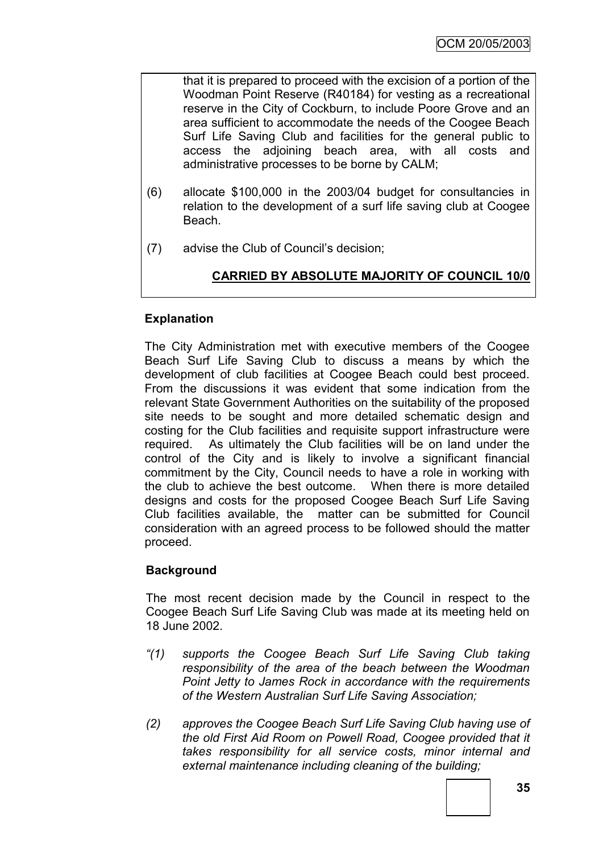that it is prepared to proceed with the excision of a portion of the Woodman Point Reserve (R40184) for vesting as a recreational reserve in the City of Cockburn, to include Poore Grove and an area sufficient to accommodate the needs of the Coogee Beach Surf Life Saving Club and facilities for the general public to access the adjoining beach area, with all costs and administrative processes to be borne by CALM;

- (6) allocate \$100,000 in the 2003/04 budget for consultancies in relation to the development of a surf life saving club at Coogee Beach.
- (7) advise the Club of Council"s decision;

# **CARRIED BY ABSOLUTE MAJORITY OF COUNCIL 10/0**

# **Explanation**

The City Administration met with executive members of the Coogee Beach Surf Life Saving Club to discuss a means by which the development of club facilities at Coogee Beach could best proceed. From the discussions it was evident that some indication from the relevant State Government Authorities on the suitability of the proposed site needs to be sought and more detailed schematic design and costing for the Club facilities and requisite support infrastructure were required. As ultimately the Club facilities will be on land under the control of the City and is likely to involve a significant financial commitment by the City, Council needs to have a role in working with the club to achieve the best outcome. When there is more detailed designs and costs for the proposed Coogee Beach Surf Life Saving Club facilities available, the matter can be submitted for Council consideration with an agreed process to be followed should the matter proceed.

# **Background**

The most recent decision made by the Council in respect to the Coogee Beach Surf Life Saving Club was made at its meeting held on 18 June 2002.

- *"(1) supports the Coogee Beach Surf Life Saving Club taking responsibility of the area of the beach between the Woodman Point Jetty to James Rock in accordance with the requirements of the Western Australian Surf Life Saving Association;*
- *(2) approves the Coogee Beach Surf Life Saving Club having use of the old First Aid Room on Powell Road, Coogee provided that it takes responsibility for all service costs, minor internal and external maintenance including cleaning of the building;*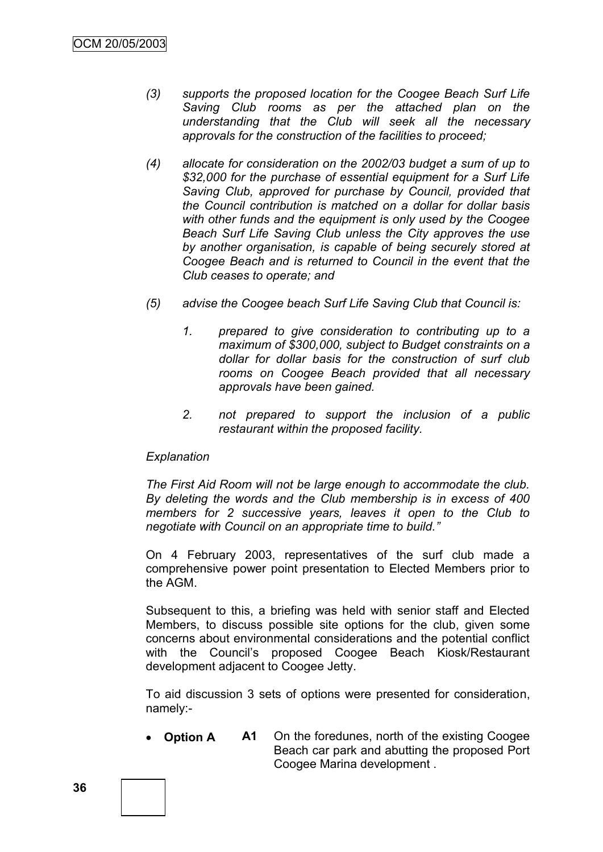- *(3) supports the proposed location for the Coogee Beach Surf Life Saving Club rooms as per the attached plan on the understanding that the Club will seek all the necessary approvals for the construction of the facilities to proceed;*
- *(4) allocate for consideration on the 2002/03 budget a sum of up to \$32,000 for the purchase of essential equipment for a Surf Life Saving Club, approved for purchase by Council, provided that the Council contribution is matched on a dollar for dollar basis with other funds and the equipment is only used by the Coogee Beach Surf Life Saving Club unless the City approves the use by another organisation, is capable of being securely stored at Coogee Beach and is returned to Council in the event that the Club ceases to operate; and*
- *(5) advise the Coogee beach Surf Life Saving Club that Council is:*
	- *1. prepared to give consideration to contributing up to a maximum of \$300,000, subject to Budget constraints on a dollar for dollar basis for the construction of surf club rooms on Coogee Beach provided that all necessary approvals have been gained.*
	- *2. not prepared to support the inclusion of a public restaurant within the proposed facility.*

#### *Explanation*

*The First Aid Room will not be large enough to accommodate the club. By deleting the words and the Club membership is in excess of 400 members for 2 successive years, leaves it open to the Club to negotiate with Council on an appropriate time to build."*

On 4 February 2003, representatives of the surf club made a comprehensive power point presentation to Elected Members prior to the AGM.

Subsequent to this, a briefing was held with senior staff and Elected Members, to discuss possible site options for the club, given some concerns about environmental considerations and the potential conflict with the Council's proposed Coogee Beach Kiosk/Restaurant development adjacent to Coogee Jetty.

To aid discussion 3 sets of options were presented for consideration, namely:-

 **Option A A1** On the foredunes, north of the existing Coogee Beach car park and abutting the proposed Port Coogee Marina development .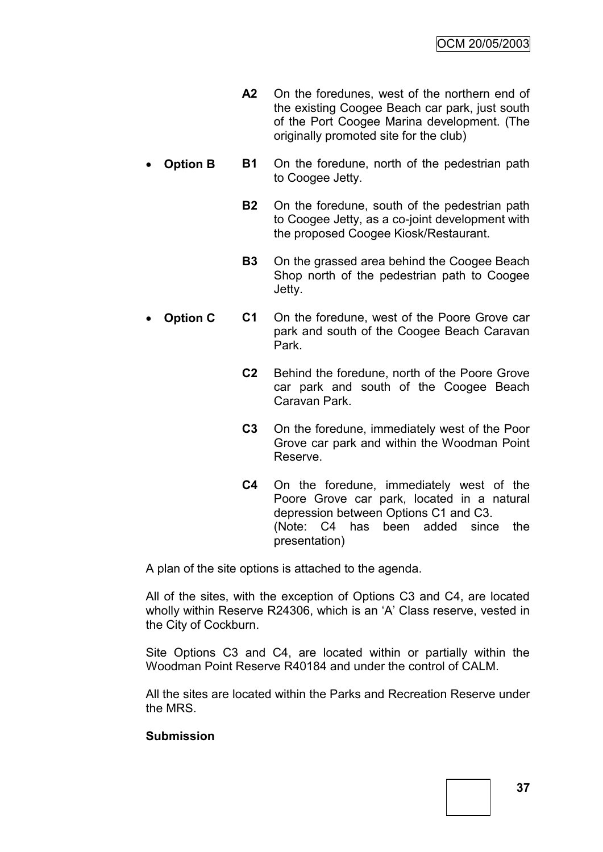- **A2** On the foredunes, west of the northern end of the existing Coogee Beach car park, just south of the Port Coogee Marina development. (The originally promoted site for the club)
- **Option B B1** On the foredune, north of the pedestrian path to Coogee Jetty.
	- **B2** On the foredune, south of the pedestrian path to Coogee Jetty, as a co-joint development with the proposed Coogee Kiosk/Restaurant.
	- **B3** On the grassed area behind the Coogee Beach Shop north of the pedestrian path to Coogee Jetty.
- **Option C C1** On the foredune, west of the Poore Grove car park and south of the Coogee Beach Caravan Park.
	- **C2** Behind the foredune, north of the Poore Grove car park and south of the Coogee Beach Caravan Park.
	- **C3** On the foredune, immediately west of the Poor Grove car park and within the Woodman Point Reserve.
	- **C4** On the foredune, immediately west of the Poore Grove car park, located in a natural depression between Options C1 and C3. (Note: C4 has been added since the presentation)

A plan of the site options is attached to the agenda.

All of the sites, with the exception of Options C3 and C4, are located wholly within Reserve R24306, which is an "A" Class reserve, vested in the City of Cockburn.

Site Options C3 and C4, are located within or partially within the Woodman Point Reserve R40184 and under the control of CALM.

All the sites are located within the Parks and Recreation Reserve under the MRS.

## **Submission**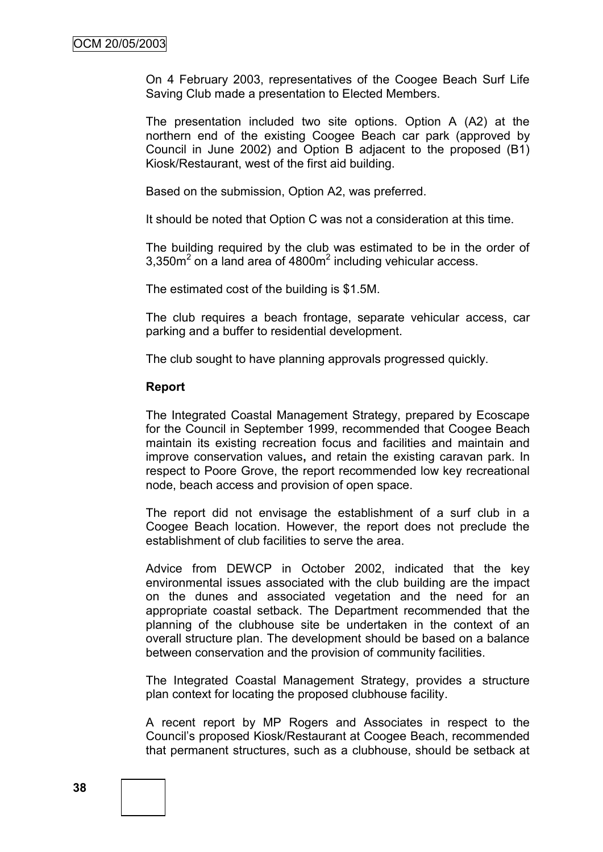On 4 February 2003, representatives of the Coogee Beach Surf Life Saving Club made a presentation to Elected Members.

The presentation included two site options. Option A (A2) at the northern end of the existing Coogee Beach car park (approved by Council in June 2002) and Option B adjacent to the proposed (B1) Kiosk/Restaurant, west of the first aid building.

Based on the submission, Option A2, was preferred.

It should be noted that Option C was not a consideration at this time.

The building required by the club was estimated to be in the order of  $3,350$ m<sup>2</sup> on a land area of 4800m<sup>2</sup> including vehicular access.

The estimated cost of the building is \$1.5M.

The club requires a beach frontage, separate vehicular access, car parking and a buffer to residential development.

The club sought to have planning approvals progressed quickly.

#### **Report**

The Integrated Coastal Management Strategy, prepared by Ecoscape for the Council in September 1999, recommended that Coogee Beach maintain its existing recreation focus and facilities and maintain and improve conservation values**,** and retain the existing caravan park. In respect to Poore Grove, the report recommended low key recreational node, beach access and provision of open space.

The report did not envisage the establishment of a surf club in a Coogee Beach location. However, the report does not preclude the establishment of club facilities to serve the area.

Advice from DEWCP in October 2002, indicated that the key environmental issues associated with the club building are the impact on the dunes and associated vegetation and the need for an appropriate coastal setback. The Department recommended that the planning of the clubhouse site be undertaken in the context of an overall structure plan. The development should be based on a balance between conservation and the provision of community facilities.

The Integrated Coastal Management Strategy, provides a structure plan context for locating the proposed clubhouse facility.

A recent report by MP Rogers and Associates in respect to the Council"s proposed Kiosk/Restaurant at Coogee Beach, recommended that permanent structures, such as a clubhouse, should be setback at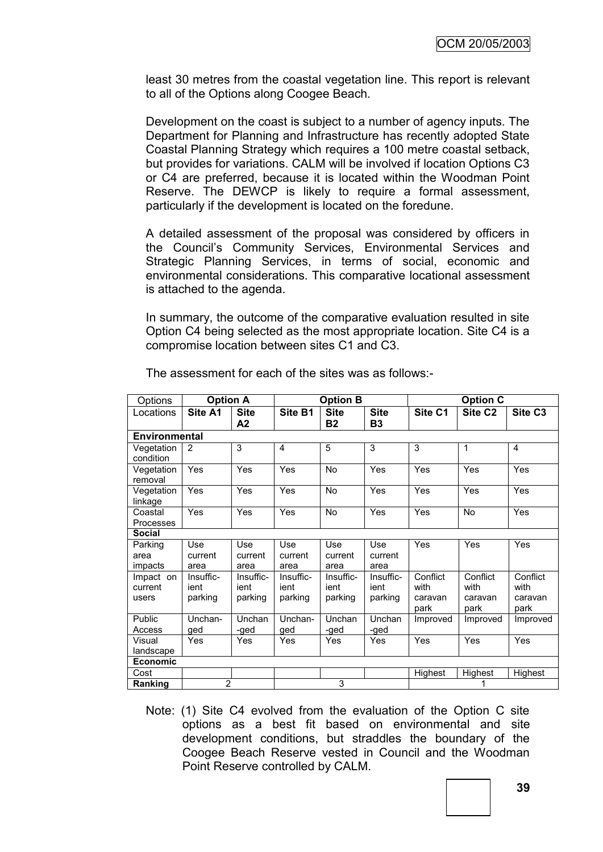least 30 metres from the coastal vegetation line. This report is relevant to all of the Options along Coogee Beach.

Development on the coast is subject to a number of agency inputs. The Department for Planning and Infrastructure has recently adopted State Coastal Planning Strategy which requires a 100 metre coastal setback, but provides for variations. CALM will be involved if location Options C3 or C4 are preferred, because it is located within the Woodman Point Reserve. The DEWCP is likely to require a formal assessment, particularly if the development is located on the foredune.

A detailed assessment of the proposal was considered by officers in the Council"s Community Services, Environmental Services and Strategic Planning Services, in terms of social, economic and environmental considerations. This comparative locational assessment is attached to the agenda.

In summary, the outcome of the comparative evaluation resulted in site Option C4 being selected as the most appropriate location. Site C4 is a compromise location between sites C1 and C3.

| Options                       | <b>Option A</b>              |                              | <b>Option B</b>              |                              |                              | <b>Option C</b>                     |                                     |                                     |  |
|-------------------------------|------------------------------|------------------------------|------------------------------|------------------------------|------------------------------|-------------------------------------|-------------------------------------|-------------------------------------|--|
| Locations                     | Site A1                      | <b>Site</b><br>A2            | Site B1                      | <b>Site</b><br><b>B2</b>     | <b>Site</b><br><b>B3</b>     | Site C1                             | Site C <sub>2</sub>                 | Site C <sub>3</sub>                 |  |
| <b>Environmental</b>          |                              |                              |                              |                              |                              |                                     |                                     |                                     |  |
| Vegetation<br>condition       | $\overline{2}$               | 3                            | 4                            | 5                            | 3                            | 3                                   | 1                                   | 4                                   |  |
| Vegetation<br>removal         | Yes                          | Yes                          | Yes                          | <b>No</b>                    | Yes                          | Yes                                 | Yes                                 | Yes                                 |  |
| Vegetation<br>linkage         | Yes                          | Yes                          | Yes                          | No                           | Yes                          | Yes                                 | Yes                                 | Yes                                 |  |
| Coastal<br>Processes          | Yes                          | Yes                          | Yes                          | <b>No</b>                    | Yes                          | Yes                                 | <b>No</b>                           | Yes                                 |  |
| Social                        |                              |                              |                              |                              |                              |                                     |                                     |                                     |  |
| Parking<br>area<br>impacts    | Use<br>current<br>area       | Use<br>current<br>area       | Use<br>current<br>area       | Use<br>current<br>area       | Use<br>current<br>area       | Yes                                 | Yes                                 | Yes                                 |  |
| Impact on<br>current<br>users | Insuffic-<br>ient<br>parking | Insuffic-<br>ient<br>parking | Insuffic-<br>ient<br>parking | Insuffic-<br>ient<br>parking | Insuffic-<br>ient<br>parking | Conflict<br>with<br>caravan<br>park | Conflict<br>with<br>caravan<br>park | Conflict<br>with<br>caravan<br>park |  |
| Public<br>Access              | Unchan-<br>ged               | Unchan<br>-ged               | Unchan-<br>ged               | Unchan<br>-ged               | Unchan<br>-ged               | Improved                            | Improved                            | Improved                            |  |
| Visual<br>landscape           | Yes                          | Yes                          | Yes                          | Yes                          | Yes                          | Yes                                 | Yes                                 | Yes                                 |  |
| <b>Economic</b>               |                              |                              |                              |                              |                              |                                     |                                     |                                     |  |
| Cost                          |                              |                              |                              |                              |                              | Highest                             | Highest                             | Highest                             |  |
| Ranking                       | $\overline{2}$               |                              | 3                            |                              |                              |                                     |                                     |                                     |  |

The assessment for each of the sites was as follows:-

Note: (1) Site C4 evolved from the evaluation of the Option C site options as a best fit based on environmental and site development conditions, but straddles the boundary of the Coogee Beach Reserve vested in Council and the Woodman Point Reserve controlled by CALM.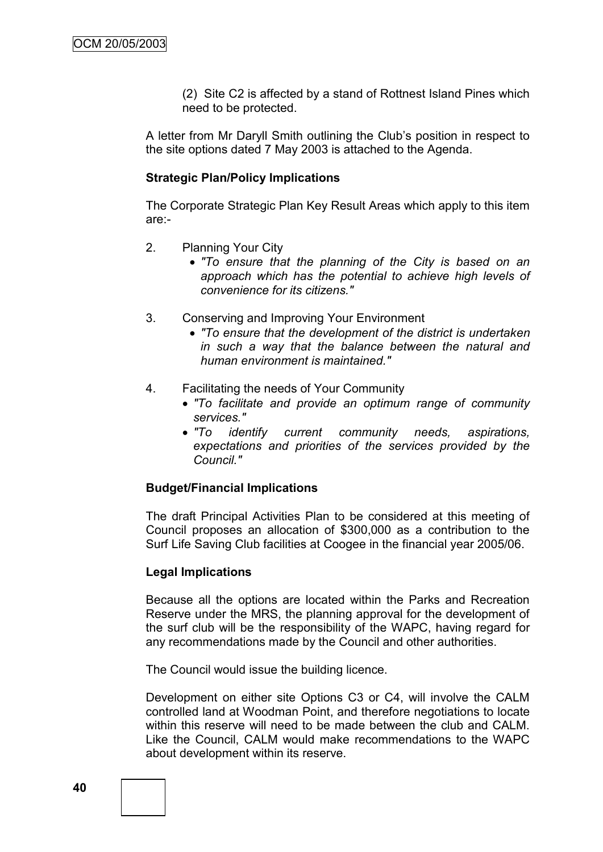(2) Site C2 is affected by a stand of Rottnest Island Pines which need to be protected.

A letter from Mr Daryll Smith outlining the Club"s position in respect to the site options dated 7 May 2003 is attached to the Agenda.

#### **Strategic Plan/Policy Implications**

The Corporate Strategic Plan Key Result Areas which apply to this item are:-

- 2. Planning Your City
	- *"To ensure that the planning of the City is based on an approach which has the potential to achieve high levels of convenience for its citizens."*
- 3. Conserving and Improving Your Environment
	- *"To ensure that the development of the district is undertaken in such a way that the balance between the natural and human environment is maintained."*
- 4. Facilitating the needs of Your Community
	- *"To facilitate and provide an optimum range of community services."*
	- *"To identify current community needs, aspirations, expectations and priorities of the services provided by the Council."*

## **Budget/Financial Implications**

The draft Principal Activities Plan to be considered at this meeting of Council proposes an allocation of \$300,000 as a contribution to the Surf Life Saving Club facilities at Coogee in the financial year 2005/06.

#### **Legal Implications**

Because all the options are located within the Parks and Recreation Reserve under the MRS, the planning approval for the development of the surf club will be the responsibility of the WAPC, having regard for any recommendations made by the Council and other authorities.

The Council would issue the building licence.

Development on either site Options C3 or C4, will involve the CALM controlled land at Woodman Point, and therefore negotiations to locate within this reserve will need to be made between the club and CALM. Like the Council, CALM would make recommendations to the WAPC about development within its reserve.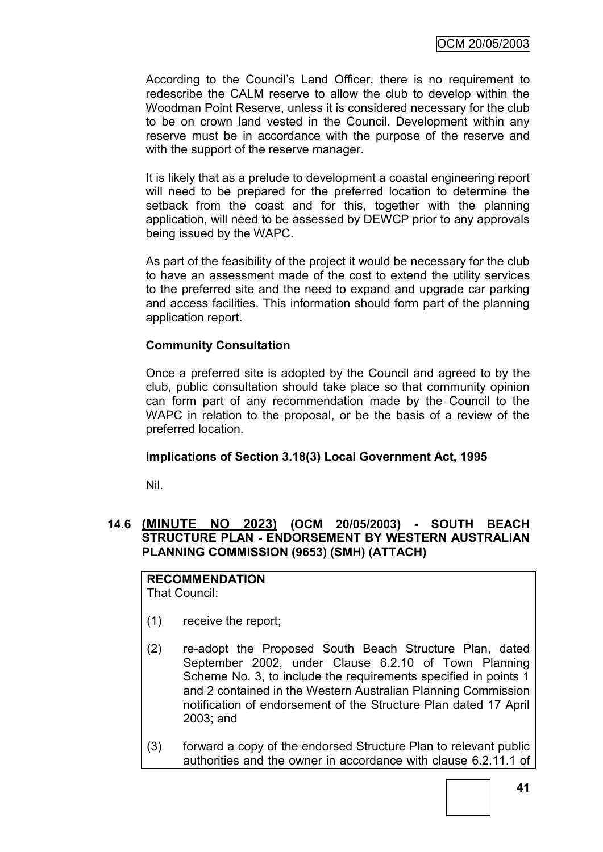According to the Council"s Land Officer, there is no requirement to redescribe the CALM reserve to allow the club to develop within the Woodman Point Reserve, unless it is considered necessary for the club to be on crown land vested in the Council. Development within any reserve must be in accordance with the purpose of the reserve and with the support of the reserve manager.

It is likely that as a prelude to development a coastal engineering report will need to be prepared for the preferred location to determine the setback from the coast and for this, together with the planning application, will need to be assessed by DEWCP prior to any approvals being issued by the WAPC.

As part of the feasibility of the project it would be necessary for the club to have an assessment made of the cost to extend the utility services to the preferred site and the need to expand and upgrade car parking and access facilities. This information should form part of the planning application report.

## **Community Consultation**

Once a preferred site is adopted by the Council and agreed to by the club, public consultation should take place so that community opinion can form part of any recommendation made by the Council to the WAPC in relation to the proposal, or be the basis of a review of the preferred location.

## **Implications of Section 3.18(3) Local Government Act, 1995**

Nil.

## **14.6 (MINUTE NO 2023) (OCM 20/05/2003) - SOUTH BEACH STRUCTURE PLAN - ENDORSEMENT BY WESTERN AUSTRALIAN PLANNING COMMISSION (9653) (SMH) (ATTACH)**

# **RECOMMENDATION**

That Council:

- (1) receive the report;
- (2) re-adopt the Proposed South Beach Structure Plan, dated September 2002, under Clause 6.2.10 of Town Planning Scheme No. 3, to include the requirements specified in points 1 and 2 contained in the Western Australian Planning Commission notification of endorsement of the Structure Plan dated 17 April 2003; and
- (3) forward a copy of the endorsed Structure Plan to relevant public authorities and the owner in accordance with clause 6.2.11.1 of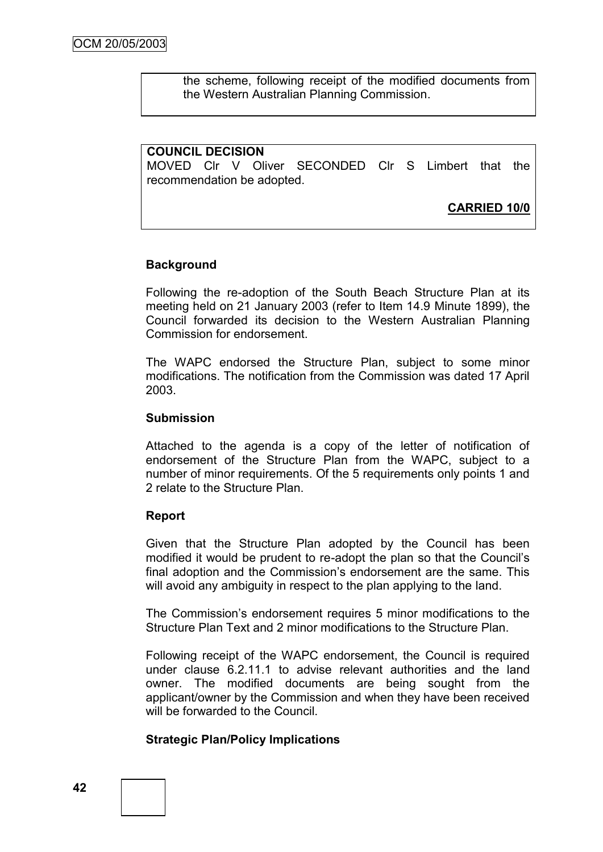the scheme, following receipt of the modified documents from the Western Australian Planning Commission.

## **COUNCIL DECISION**

MOVED Clr V Oliver SECONDED Clr S Limbert that the recommendation be adopted.

**CARRIED 10/0**

## **Background**

Following the re-adoption of the South Beach Structure Plan at its meeting held on 21 January 2003 (refer to Item 14.9 Minute 1899), the Council forwarded its decision to the Western Australian Planning Commission for endorsement.

The WAPC endorsed the Structure Plan, subject to some minor modifications. The notification from the Commission was dated 17 April 2003.

#### **Submission**

Attached to the agenda is a copy of the letter of notification of endorsement of the Structure Plan from the WAPC, subject to a number of minor requirements. Of the 5 requirements only points 1 and 2 relate to the Structure Plan.

## **Report**

Given that the Structure Plan adopted by the Council has been modified it would be prudent to re-adopt the plan so that the Council"s final adoption and the Commission's endorsement are the same. This will avoid any ambiguity in respect to the plan applying to the land.

The Commission"s endorsement requires 5 minor modifications to the Structure Plan Text and 2 minor modifications to the Structure Plan.

Following receipt of the WAPC endorsement, the Council is required under clause 6.2.11.1 to advise relevant authorities and the land owner. The modified documents are being sought from the applicant/owner by the Commission and when they have been received will be forwarded to the Council.

## **Strategic Plan/Policy Implications**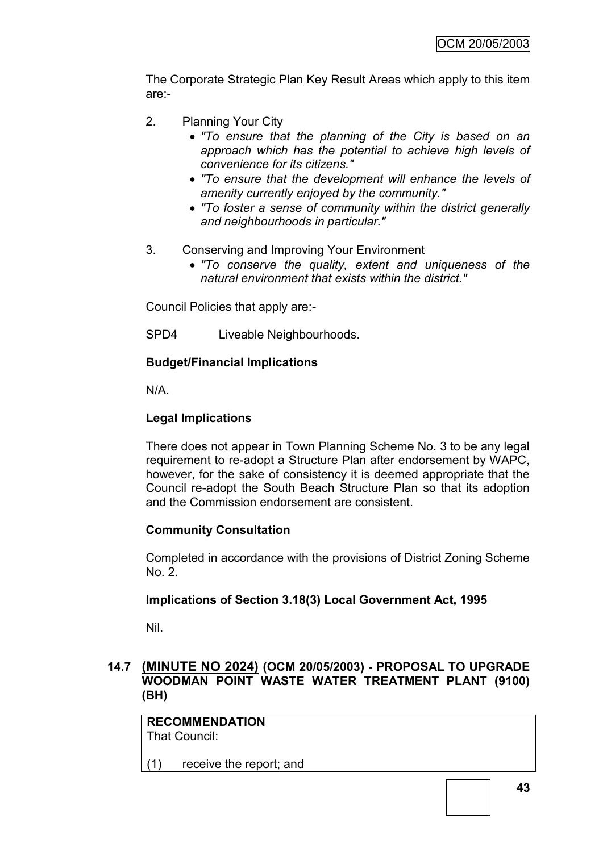The Corporate Strategic Plan Key Result Areas which apply to this item are:-

- 2. Planning Your City
	- *"To ensure that the planning of the City is based on an approach which has the potential to achieve high levels of convenience for its citizens."*
	- *"To ensure that the development will enhance the levels of amenity currently enjoyed by the community."*
	- *"To foster a sense of community within the district generally and neighbourhoods in particular."*
- 3. Conserving and Improving Your Environment
	- *"To conserve the quality, extent and uniqueness of the natural environment that exists within the district."*

Council Policies that apply are:-

SPD4 Liveable Neighbourhoods.

## **Budget/Financial Implications**

N/A.

# **Legal Implications**

There does not appear in Town Planning Scheme No. 3 to be any legal requirement to re-adopt a Structure Plan after endorsement by WAPC, however, for the sake of consistency it is deemed appropriate that the Council re-adopt the South Beach Structure Plan so that its adoption and the Commission endorsement are consistent.

# **Community Consultation**

Completed in accordance with the provisions of District Zoning Scheme No. 2.

# **Implications of Section 3.18(3) Local Government Act, 1995**

Nil.

## **14.7 (MINUTE NO 2024) (OCM 20/05/2003) - PROPOSAL TO UPGRADE WOODMAN POINT WASTE WATER TREATMENT PLANT (9100) (BH)**

**RECOMMENDATION** That Council:

(1) receive the report; and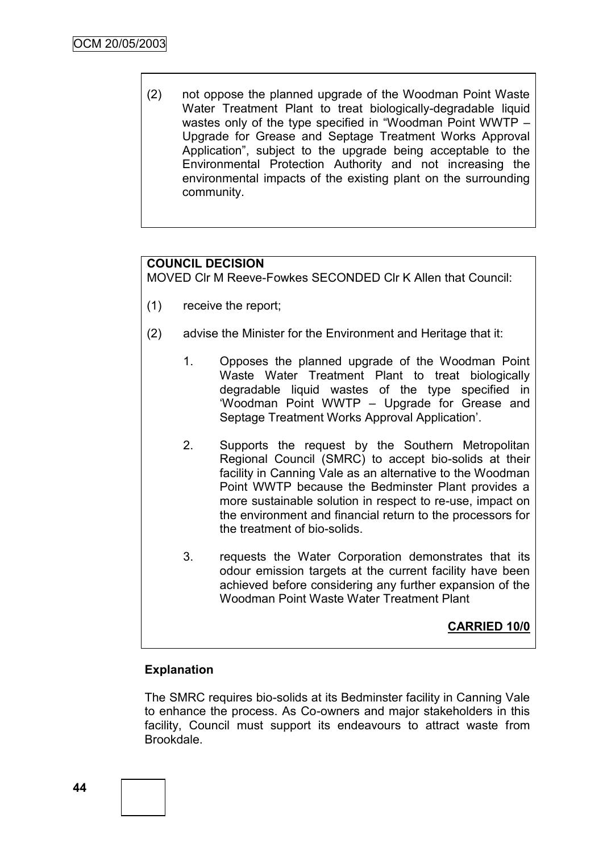(2) not oppose the planned upgrade of the Woodman Point Waste Water Treatment Plant to treat biologically-degradable liquid wastes only of the type specified in "Woodman Point WWTP – Upgrade for Grease and Septage Treatment Works Approval Application", subject to the upgrade being acceptable to the Environmental Protection Authority and not increasing the environmental impacts of the existing plant on the surrounding community.

# **COUNCIL DECISION**

MOVED Clr M Reeve-Fowkes SECONDED Clr K Allen that Council:

- (1) receive the report;
- (2) advise the Minister for the Environment and Heritage that it:
	- 1. Opposes the planned upgrade of the Woodman Point Waste Water Treatment Plant to treat biologically degradable liquid wastes of the type specified in "Woodman Point WWTP – Upgrade for Grease and Septage Treatment Works Approval Application".
	- 2. Supports the request by the Southern Metropolitan Regional Council (SMRC) to accept bio-solids at their facility in Canning Vale as an alternative to the Woodman Point WWTP because the Bedminster Plant provides a more sustainable solution in respect to re-use, impact on the environment and financial return to the processors for the treatment of bio-solids.
	- 3. requests the Water Corporation demonstrates that its odour emission targets at the current facility have been achieved before considering any further expansion of the Woodman Point Waste Water Treatment Plant

## **CARRIED 10/0**

#### **Explanation**

The SMRC requires bio-solids at its Bedminster facility in Canning Vale to enhance the process. As Co-owners and major stakeholders in this facility, Council must support its endeavours to attract waste from Brookdale.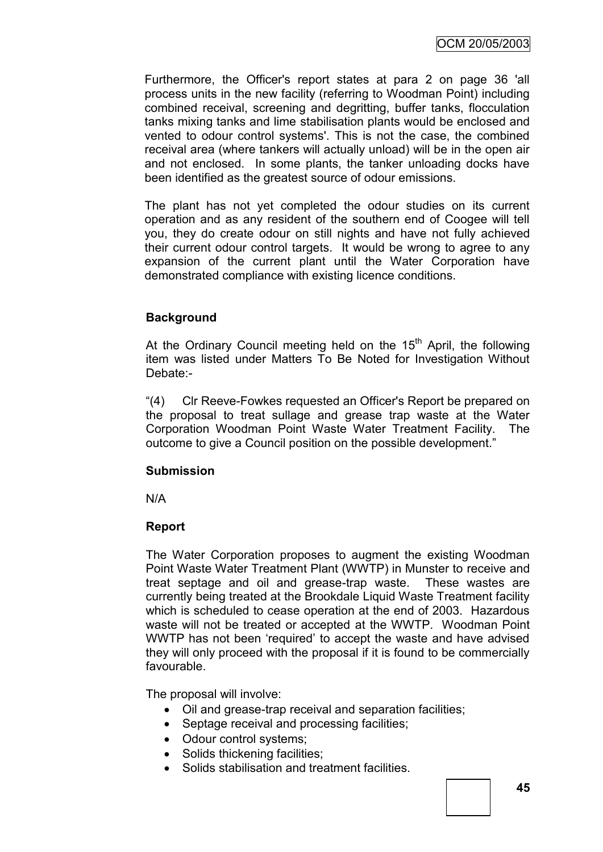Furthermore, the Officer's report states at para 2 on page 36 'all process units in the new facility (referring to Woodman Point) including combined receival, screening and degritting, buffer tanks, flocculation tanks mixing tanks and lime stabilisation plants would be enclosed and vented to odour control systems'. This is not the case, the combined receival area (where tankers will actually unload) will be in the open air and not enclosed. In some plants, the tanker unloading docks have been identified as the greatest source of odour emissions.

The plant has not yet completed the odour studies on its current operation and as any resident of the southern end of Coogee will tell you, they do create odour on still nights and have not fully achieved their current odour control targets. It would be wrong to agree to any expansion of the current plant until the Water Corporation have demonstrated compliance with existing licence conditions.

## **Background**

At the Ordinary Council meeting held on the 15<sup>th</sup> April, the following item was listed under Matters To Be Noted for Investigation Without Debate:-

"(4) Clr Reeve-Fowkes requested an Officer's Report be prepared on the proposal to treat sullage and grease trap waste at the Water Corporation Woodman Point Waste Water Treatment Facility. The outcome to give a Council position on the possible development."

## **Submission**

N/A

## **Report**

The Water Corporation proposes to augment the existing Woodman Point Waste Water Treatment Plant (WWTP) in Munster to receive and treat septage and oil and grease-trap waste. These wastes are currently being treated at the Brookdale Liquid Waste Treatment facility which is scheduled to cease operation at the end of 2003. Hazardous waste will not be treated or accepted at the WWTP. Woodman Point WWTP has not been "required" to accept the waste and have advised they will only proceed with the proposal if it is found to be commercially favourable.

The proposal will involve:

- Oil and grease-trap receival and separation facilities;
- Septage receival and processing facilities;
- Odour control systems;
- Solids thickening facilities;
- Solids stabilisation and treatment facilities.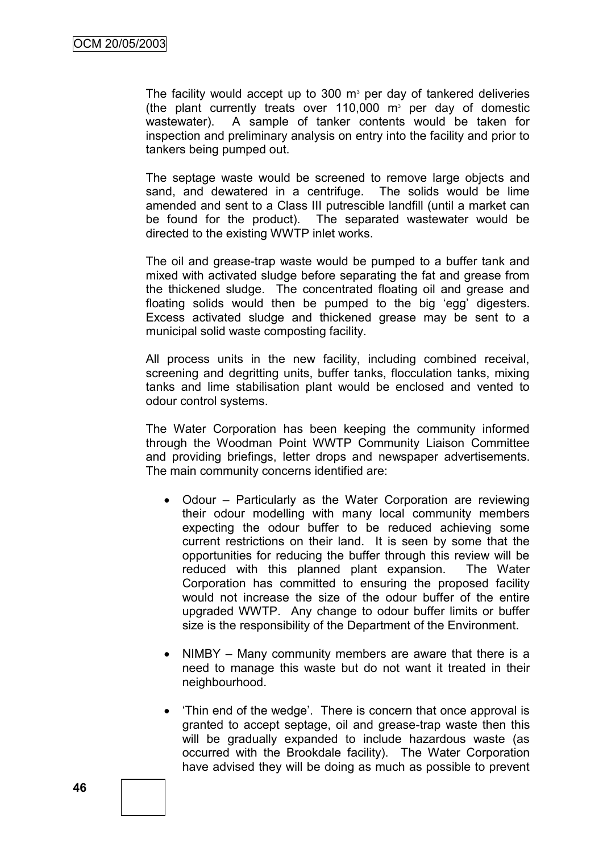The facility would accept up to 300  $m<sup>3</sup>$  per day of tankered deliveries (the plant currently treats over  $110,000$  m<sup>3</sup> per day of domestic wastewater). A sample of tanker contents would be taken for inspection and preliminary analysis on entry into the facility and prior to tankers being pumped out.

The septage waste would be screened to remove large objects and sand, and dewatered in a centrifuge. The solids would be lime amended and sent to a Class III putrescible landfill (until a market can be found for the product). The separated wastewater would be directed to the existing WWTP inlet works.

The oil and grease-trap waste would be pumped to a buffer tank and mixed with activated sludge before separating the fat and grease from the thickened sludge. The concentrated floating oil and grease and floating solids would then be pumped to the big "egg" digesters. Excess activated sludge and thickened grease may be sent to a municipal solid waste composting facility.

All process units in the new facility, including combined receival, screening and degritting units, buffer tanks, flocculation tanks, mixing tanks and lime stabilisation plant would be enclosed and vented to odour control systems.

The Water Corporation has been keeping the community informed through the Woodman Point WWTP Community Liaison Committee and providing briefings, letter drops and newspaper advertisements. The main community concerns identified are:

- Odour Particularly as the Water Corporation are reviewing their odour modelling with many local community members expecting the odour buffer to be reduced achieving some current restrictions on their land. It is seen by some that the opportunities for reducing the buffer through this review will be reduced with this planned plant expansion. The Water Corporation has committed to ensuring the proposed facility would not increase the size of the odour buffer of the entire upgraded WWTP. Any change to odour buffer limits or buffer size is the responsibility of the Department of the Environment.
- NIMBY Many community members are aware that there is a need to manage this waste but do not want it treated in their neighbourhood.
- Thin end of the wedge'. There is concern that once approval is granted to accept septage, oil and grease-trap waste then this will be gradually expanded to include hazardous waste (as occurred with the Brookdale facility). The Water Corporation have advised they will be doing as much as possible to prevent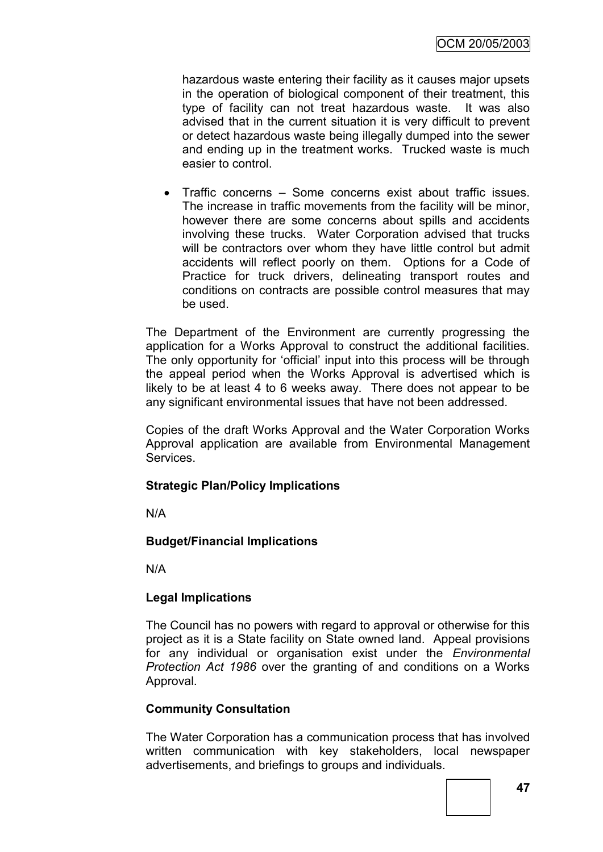hazardous waste entering their facility as it causes major upsets in the operation of biological component of their treatment, this type of facility can not treat hazardous waste. It was also advised that in the current situation it is very difficult to prevent or detect hazardous waste being illegally dumped into the sewer and ending up in the treatment works. Trucked waste is much easier to control.

 Traffic concerns – Some concerns exist about traffic issues. The increase in traffic movements from the facility will be minor, however there are some concerns about spills and accidents involving these trucks. Water Corporation advised that trucks will be contractors over whom they have little control but admit accidents will reflect poorly on them. Options for a Code of Practice for truck drivers, delineating transport routes and conditions on contracts are possible control measures that may be used.

The Department of the Environment are currently progressing the application for a Works Approval to construct the additional facilities. The only opportunity for "official" input into this process will be through the appeal period when the Works Approval is advertised which is likely to be at least 4 to 6 weeks away. There does not appear to be any significant environmental issues that have not been addressed.

Copies of the draft Works Approval and the Water Corporation Works Approval application are available from Environmental Management **Services** 

## **Strategic Plan/Policy Implications**

N/A

# **Budget/Financial Implications**

N/A

## **Legal Implications**

The Council has no powers with regard to approval or otherwise for this project as it is a State facility on State owned land. Appeal provisions for any individual or organisation exist under the *Environmental Protection Act 1986* over the granting of and conditions on a Works Approval.

## **Community Consultation**

The Water Corporation has a communication process that has involved written communication with key stakeholders, local newspaper advertisements, and briefings to groups and individuals.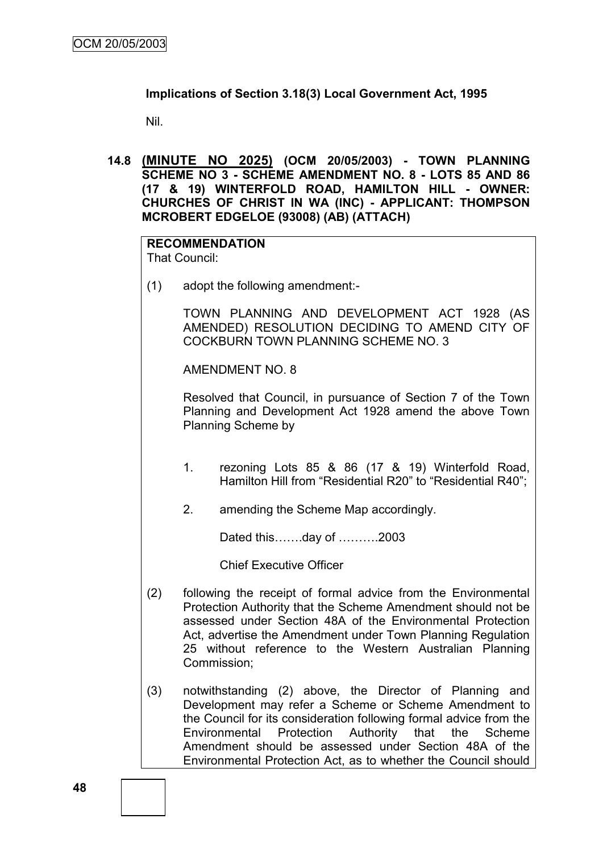## **Implications of Section 3.18(3) Local Government Act, 1995**

Nil.

**14.8 (MINUTE NO 2025) (OCM 20/05/2003) - TOWN PLANNING SCHEME NO 3 - SCHEME AMENDMENT NO. 8 - LOTS 85 AND 86 (17 & 19) WINTERFOLD ROAD, HAMILTON HILL - OWNER: CHURCHES OF CHRIST IN WA (INC) - APPLICANT: THOMPSON MCROBERT EDGELOE (93008) (AB) (ATTACH)**

# **RECOMMENDATION**

That Council:

(1) adopt the following amendment:-

TOWN PLANNING AND DEVELOPMENT ACT 1928 (AS AMENDED) RESOLUTION DECIDING TO AMEND CITY OF COCKBURN TOWN PLANNING SCHEME NO. 3

AMENDMENT NO. 8

Resolved that Council, in pursuance of Section 7 of the Town Planning and Development Act 1928 amend the above Town Planning Scheme by

- 1. rezoning Lots 85 & 86 (17 & 19) Winterfold Road, Hamilton Hill from "Residential R20" to "Residential R40";
- 2. amending the Scheme Map accordingly.

Dated this…….day of ……….2003

Chief Executive Officer

- (2) following the receipt of formal advice from the Environmental Protection Authority that the Scheme Amendment should not be assessed under Section 48A of the Environmental Protection Act, advertise the Amendment under Town Planning Regulation 25 without reference to the Western Australian Planning Commission;
- (3) notwithstanding (2) above, the Director of Planning and Development may refer a Scheme or Scheme Amendment to the Council for its consideration following formal advice from the Environmental Protection Authority that the Scheme Amendment should be assessed under Section 48A of the Environmental Protection Act, as to whether the Council should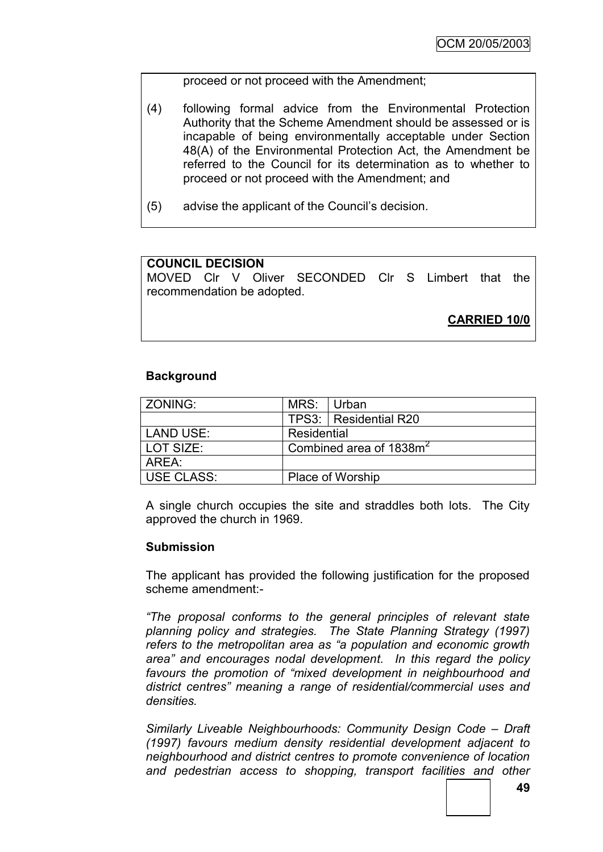proceed or not proceed with the Amendment;

- (4) following formal advice from the Environmental Protection Authority that the Scheme Amendment should be assessed or is incapable of being environmentally acceptable under Section 48(A) of the Environmental Protection Act, the Amendment be referred to the Council for its determination as to whether to proceed or not proceed with the Amendment; and
- (5) advise the applicant of the Council"s decision.

# **COUNCIL DECISION**

MOVED Clr V Oliver SECONDED Clr S Limbert that the recommendation be adopted.

**CARRIED 10/0**

## **Background**

| ZONING:    | MRS: Urban                          |                         |  |  |
|------------|-------------------------------------|-------------------------|--|--|
|            |                                     | TPS3:   Residential R20 |  |  |
| LAND USE:  | Residential                         |                         |  |  |
| LOT SIZE:  | Combined area of 1838m <sup>2</sup> |                         |  |  |
| AREA:      |                                     |                         |  |  |
| USE CLASS: |                                     | <b>Place of Worship</b> |  |  |

A single church occupies the site and straddles both lots. The City approved the church in 1969.

#### **Submission**

The applicant has provided the following justification for the proposed scheme amendment:-

*"The proposal conforms to the general principles of relevant state planning policy and strategies. The State Planning Strategy (1997) refers to the metropolitan area as "a population and economic growth area" and encourages nodal development. In this regard the policy favours the promotion of "mixed development in neighbourhood and district centres" meaning a range of residential/commercial uses and densities.*

*Similarly Liveable Neighbourhoods: Community Design Code – Draft (1997) favours medium density residential development adjacent to neighbourhood and district centres to promote convenience of location and pedestrian access to shopping, transport facilities and other*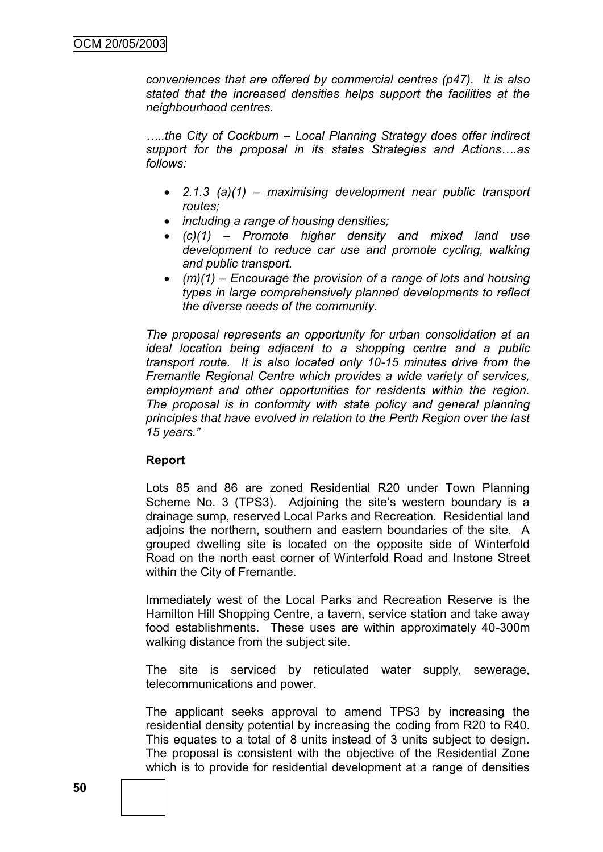*conveniences that are offered by commercial centres (p47). It is also stated that the increased densities helps support the facilities at the neighbourhood centres.*

*…..the City of Cockburn – Local Planning Strategy does offer indirect support for the proposal in its states Strategies and Actions….as follows:*

- *2.1.3 (a)(1) – maximising development near public transport routes;*
- *including a range of housing densities;*
- *(c)(1) – Promote higher density and mixed land use development to reduce car use and promote cycling, walking and public transport.*
- *(m)(1) – Encourage the provision of a range of lots and housing types in large comprehensively planned developments to reflect the diverse needs of the community.*

*The proposal represents an opportunity for urban consolidation at an ideal location being adjacent to a shopping centre and a public transport route. It is also located only 10-15 minutes drive from the Fremantle Regional Centre which provides a wide variety of services, employment and other opportunities for residents within the region. The proposal is in conformity with state policy and general planning principles that have evolved in relation to the Perth Region over the last 15 years."*

## **Report**

Lots 85 and 86 are zoned Residential R20 under Town Planning Scheme No. 3 (TPS3). Adjoining the site's western boundary is a drainage sump, reserved Local Parks and Recreation. Residential land adjoins the northern, southern and eastern boundaries of the site. A grouped dwelling site is located on the opposite side of Winterfold Road on the north east corner of Winterfold Road and Instone Street within the City of Fremantle.

Immediately west of the Local Parks and Recreation Reserve is the Hamilton Hill Shopping Centre, a tavern, service station and take away food establishments. These uses are within approximately 40-300m walking distance from the subject site.

The site is serviced by reticulated water supply, sewerage, telecommunications and power.

The applicant seeks approval to amend TPS3 by increasing the residential density potential by increasing the coding from R20 to R40. This equates to a total of 8 units instead of 3 units subject to design. The proposal is consistent with the objective of the Residential Zone which is to provide for residential development at a range of densities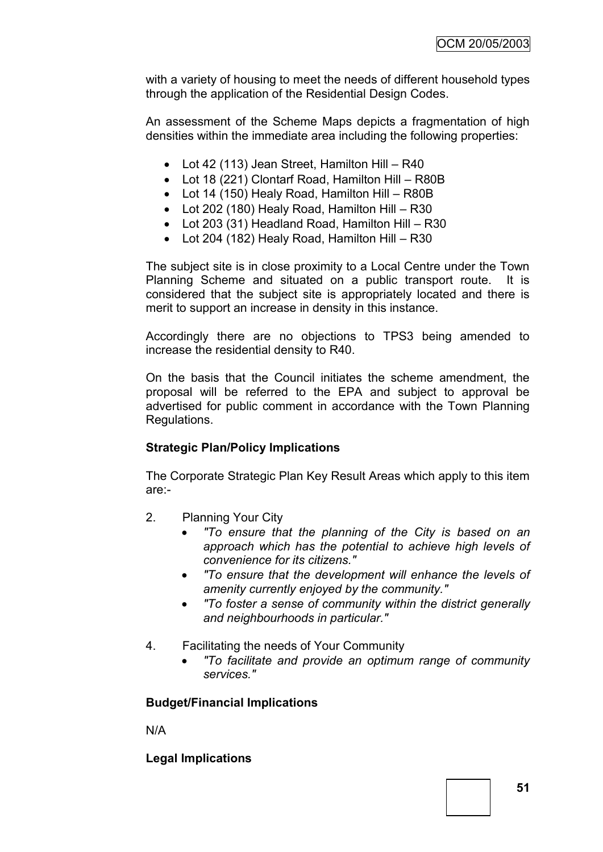with a variety of housing to meet the needs of different household types through the application of the Residential Design Codes.

An assessment of the Scheme Maps depicts a fragmentation of high densities within the immediate area including the following properties:

- Lot 42 (113) Jean Street, Hamilton Hill R40
- Lot 18 (221) Clontarf Road, Hamilton Hill R80B
- Lot 14 (150) Healy Road, Hamilton Hill R80B
- Lot 202 (180) Healy Road, Hamilton Hill R30
- Lot 203 (31) Headland Road, Hamilton Hill R30
- Lot 204 (182) Healy Road, Hamilton Hill R30

The subject site is in close proximity to a Local Centre under the Town Planning Scheme and situated on a public transport route. It is considered that the subject site is appropriately located and there is merit to support an increase in density in this instance.

Accordingly there are no objections to TPS3 being amended to increase the residential density to R40.

On the basis that the Council initiates the scheme amendment, the proposal will be referred to the EPA and subject to approval be advertised for public comment in accordance with the Town Planning Regulations.

# **Strategic Plan/Policy Implications**

The Corporate Strategic Plan Key Result Areas which apply to this item are:-

- 2. Planning Your City
	- *"To ensure that the planning of the City is based on an approach which has the potential to achieve high levels of convenience for its citizens."*
	- *"To ensure that the development will enhance the levels of amenity currently enjoyed by the community."*
	- *"To foster a sense of community within the district generally and neighbourhoods in particular."*
- 4. Facilitating the needs of Your Community
	- *"To facilitate and provide an optimum range of community services."*

## **Budget/Financial Implications**

N/A

**Legal Implications**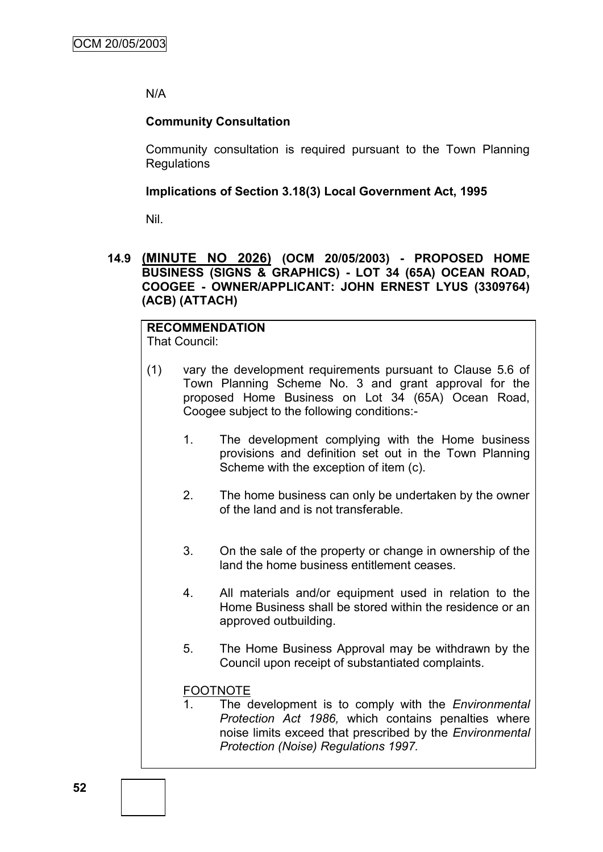## N/A

## **Community Consultation**

Community consultation is required pursuant to the Town Planning Regulations

## **Implications of Section 3.18(3) Local Government Act, 1995**

Nil.

## **14.9 (MINUTE NO 2026) (OCM 20/05/2003) - PROPOSED HOME BUSINESS (SIGNS & GRAPHICS) - LOT 34 (65A) OCEAN ROAD, COOGEE - OWNER/APPLICANT: JOHN ERNEST LYUS (3309764) (ACB) (ATTACH)**

#### **RECOMMENDATION** That Council:

- (1) vary the development requirements pursuant to Clause 5.6 of Town Planning Scheme No. 3 and grant approval for the proposed Home Business on Lot 34 (65A) Ocean Road, Coogee subject to the following conditions:-
	- 1. The development complying with the Home business provisions and definition set out in the Town Planning Scheme with the exception of item (c).
	- 2. The home business can only be undertaken by the owner of the land and is not transferable.
	- 3. On the sale of the property or change in ownership of the land the home business entitlement ceases.
	- 4. All materials and/or equipment used in relation to the Home Business shall be stored within the residence or an approved outbuilding.
	- 5. The Home Business Approval may be withdrawn by the Council upon receipt of substantiated complaints.

# FOOTNOTE

1. The development is to comply with the *Environmental Protection Act 1986,* which contains penalties where noise limits exceed that prescribed by the *Environmental Protection (Noise) Regulations 1997.*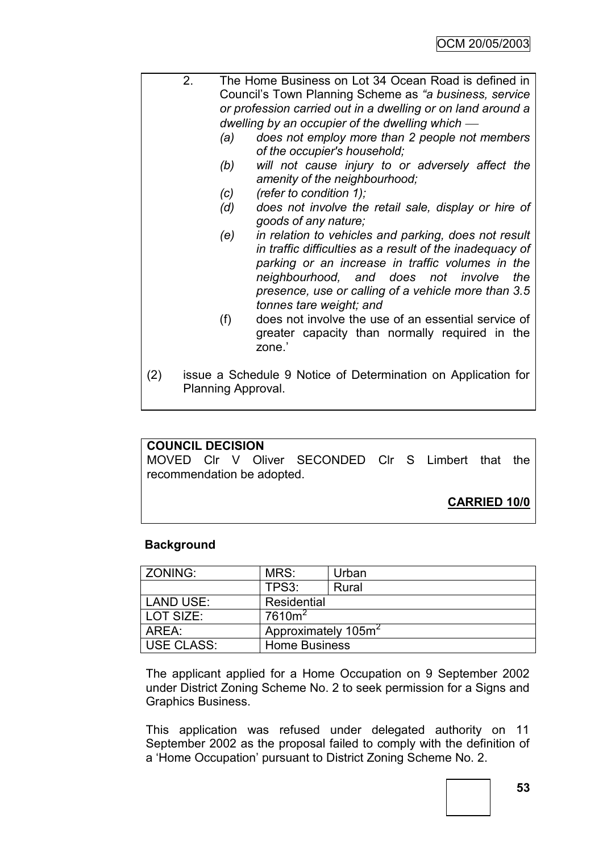|     | 2.                                                                                  |                                                             | The Home Business on Lot 34 Ocean Road is defined in                                                                                                                                                                                                                                                                                                        |  |  |  |  |
|-----|-------------------------------------------------------------------------------------|-------------------------------------------------------------|-------------------------------------------------------------------------------------------------------------------------------------------------------------------------------------------------------------------------------------------------------------------------------------------------------------------------------------------------------------|--|--|--|--|
|     |                                                                                     | Council's Town Planning Scheme as "a business, service      |                                                                                                                                                                                                                                                                                                                                                             |  |  |  |  |
|     |                                                                                     | or profession carried out in a dwelling or on land around a |                                                                                                                                                                                                                                                                                                                                                             |  |  |  |  |
|     |                                                                                     |                                                             | dwelling by an occupier of the dwelling which $-$                                                                                                                                                                                                                                                                                                           |  |  |  |  |
|     |                                                                                     | (a)                                                         | does not employ more than 2 people not members<br>of the occupier's household;                                                                                                                                                                                                                                                                              |  |  |  |  |
|     |                                                                                     | (b)                                                         | will not cause injury to or adversely affect the<br>amenity of the neighbourhood;                                                                                                                                                                                                                                                                           |  |  |  |  |
|     |                                                                                     | (C)                                                         | (refer to condition 1);                                                                                                                                                                                                                                                                                                                                     |  |  |  |  |
|     |                                                                                     | (d)                                                         | does not involve the retail sale, display or hire of<br>goods of any nature;                                                                                                                                                                                                                                                                                |  |  |  |  |
|     |                                                                                     | (e)<br>(f)                                                  | in relation to vehicles and parking, does not result<br>in traffic difficulties as a result of the inadequacy of<br>parking or an increase in traffic volumes in the<br>neighbourhood, and does not involve<br>the<br>presence, use or calling of a vehicle more than 3.5<br>tonnes tare weight; and<br>does not involve the use of an essential service of |  |  |  |  |
|     |                                                                                     |                                                             | greater capacity than normally required in the<br>zone.'                                                                                                                                                                                                                                                                                                    |  |  |  |  |
| (2) | issue a Schedule 9 Notice of Determination on Application for<br>Planning Approval. |                                                             |                                                                                                                                                                                                                                                                                                                                                             |  |  |  |  |

#### **COUNCIL DECISION**

MOVED Clr V Oliver SECONDED Clr S Limbert that the recommendation be adopted.

# **CARRIED 10/0**

## **Background**

| <b>ZONING:</b>    | MRS:                            | Urban |  |  |
|-------------------|---------------------------------|-------|--|--|
|                   | TPS3:                           | Rural |  |  |
| LAND USE:         | Residential                     |       |  |  |
| LOT SIZE:         | $7610m^2$                       |       |  |  |
| AREA:             | Approximately 105m <sup>2</sup> |       |  |  |
| <b>USE CLASS:</b> | <b>Home Business</b>            |       |  |  |

The applicant applied for a Home Occupation on 9 September 2002 under District Zoning Scheme No. 2 to seek permission for a Signs and Graphics Business.

This application was refused under delegated authority on 11 September 2002 as the proposal failed to comply with the definition of a "Home Occupation" pursuant to District Zoning Scheme No. 2.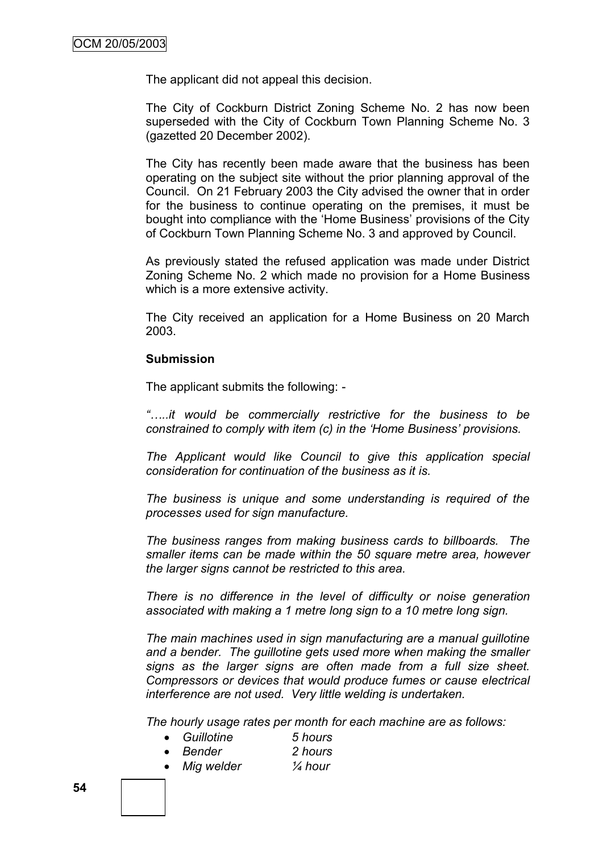The applicant did not appeal this decision.

The City of Cockburn District Zoning Scheme No. 2 has now been superseded with the City of Cockburn Town Planning Scheme No. 3 (gazetted 20 December 2002).

The City has recently been made aware that the business has been operating on the subject site without the prior planning approval of the Council. On 21 February 2003 the City advised the owner that in order for the business to continue operating on the premises, it must be bought into compliance with the "Home Business" provisions of the City of Cockburn Town Planning Scheme No. 3 and approved by Council.

As previously stated the refused application was made under District Zoning Scheme No. 2 which made no provision for a Home Business which is a more extensive activity.

The City received an application for a Home Business on 20 March 2003.

#### **Submission**

The applicant submits the following: -

*"…..it would be commercially restrictive for the business to be constrained to comply with item (c) in the "Home Business" provisions.*

*The Applicant would like Council to give this application special consideration for continuation of the business as it is.*

*The business is unique and some understanding is required of the processes used for sign manufacture.*

*The business ranges from making business cards to billboards. The smaller items can be made within the 50 square metre area, however the larger signs cannot be restricted to this area.*

*There is no difference in the level of difficulty or noise generation associated with making a 1 metre long sign to a 10 metre long sign.*

*The main machines used in sign manufacturing are a manual guillotine and a bender. The guillotine gets used more when making the smaller signs as the larger signs are often made from a full size sheet. Compressors or devices that would produce fumes or cause electrical interference are not used. Very little welding is undertaken.* 

*The hourly usage rates per month for each machine are as follows:*

- *Guillotine 5 hours*
	- *Bender 2 hours*
- *Mig welder ¼ hour*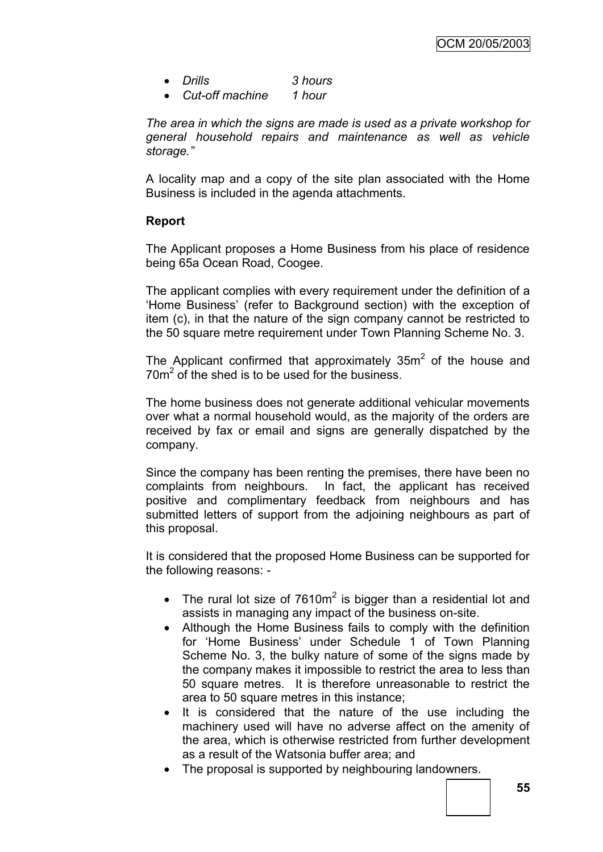- *Drills 3 hours*
- *Cut-off machine 1 hour*

*The area in which the signs are made is used as a private workshop for general household repairs and maintenance as well as vehicle storage."*

A locality map and a copy of the site plan associated with the Home Business is included in the agenda attachments.

# **Report**

The Applicant proposes a Home Business from his place of residence being 65a Ocean Road, Coogee.

The applicant complies with every requirement under the definition of a 'Home Business' (refer to Background section) with the exception of item (c), in that the nature of the sign company cannot be restricted to the 50 square metre requirement under Town Planning Scheme No. 3.

The Applicant confirmed that approximately 35 $m<sup>2</sup>$  of the house and  $70m<sup>2</sup>$  of the shed is to be used for the business.

The home business does not generate additional vehicular movements over what a normal household would, as the majority of the orders are received by fax or email and signs are generally dispatched by the company.

Since the company has been renting the premises, there have been no complaints from neighbours. In fact, the applicant has received positive and complimentary feedback from neighbours and has submitted letters of support from the adjoining neighbours as part of this proposal.

It is considered that the proposed Home Business can be supported for the following reasons: -

- The rural lot size of  $7610m^2$  is bigger than a residential lot and assists in managing any impact of the business on-site.
- Although the Home Business fails to comply with the definition for "Home Business" under Schedule 1 of Town Planning Scheme No. 3, the bulky nature of some of the signs made by the company makes it impossible to restrict the area to less than 50 square metres. It is therefore unreasonable to restrict the area to 50 square metres in this instance;
- It is considered that the nature of the use including the machinery used will have no adverse affect on the amenity of the area, which is otherwise restricted from further development as a result of the Watsonia buffer area; and
- The proposal is supported by neighbouring landowners.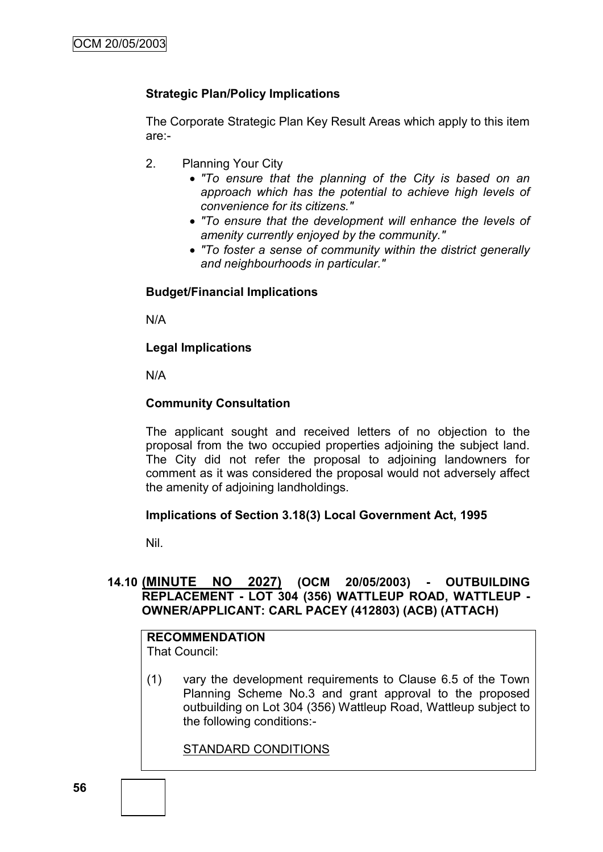# **Strategic Plan/Policy Implications**

The Corporate Strategic Plan Key Result Areas which apply to this item are:-

- 2. Planning Your City
	- *"To ensure that the planning of the City is based on an approach which has the potential to achieve high levels of convenience for its citizens."*
	- *"To ensure that the development will enhance the levels of amenity currently enjoyed by the community."*
	- *"To foster a sense of community within the district generally and neighbourhoods in particular."*

## **Budget/Financial Implications**

N/A

## **Legal Implications**

N/A

## **Community Consultation**

The applicant sought and received letters of no objection to the proposal from the two occupied properties adjoining the subject land. The City did not refer the proposal to adjoining landowners for comment as it was considered the proposal would not adversely affect the amenity of adjoining landholdings.

## **Implications of Section 3.18(3) Local Government Act, 1995**

Nil.

## **14.10 (MINUTE NO 2027) (OCM 20/05/2003) - OUTBUILDING REPLACEMENT - LOT 304 (356) WATTLEUP ROAD, WATTLEUP - OWNER/APPLICANT: CARL PACEY (412803) (ACB) (ATTACH)**

#### **RECOMMENDATION** That Council:

(1) vary the development requirements to Clause 6.5 of the Town Planning Scheme No.3 and grant approval to the proposed outbuilding on Lot 304 (356) Wattleup Road, Wattleup subject to the following conditions:-

STANDARD CONDITIONS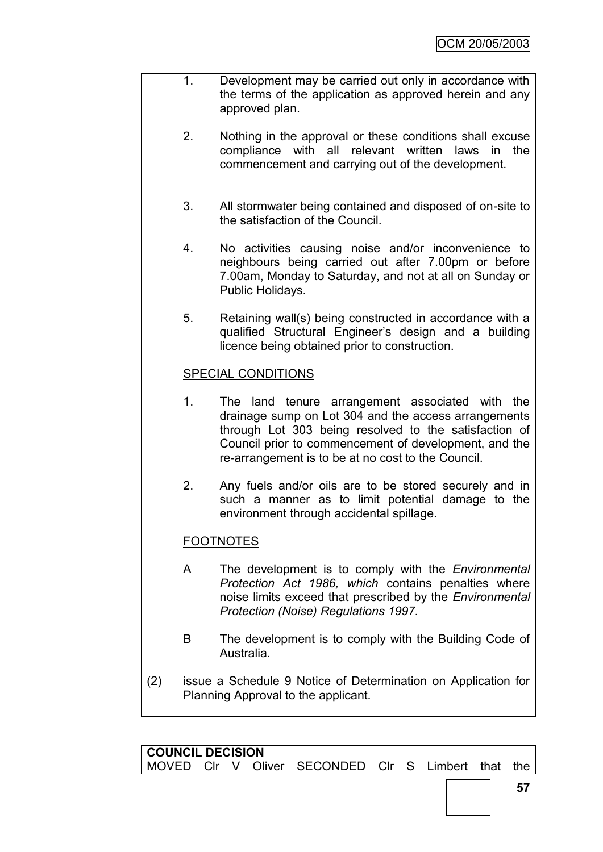- 1. Development may be carried out only in accordance with the terms of the application as approved herein and any approved plan.
	- 2. Nothing in the approval or these conditions shall excuse compliance with all relevant written laws in the commencement and carrying out of the development.
	- 3. All stormwater being contained and disposed of on-site to the satisfaction of the Council.
	- 4. No activities causing noise and/or inconvenience to neighbours being carried out after 7.00pm or before 7.00am, Monday to Saturday, and not at all on Sunday or Public Holidays.
	- 5. Retaining wall(s) being constructed in accordance with a qualified Structural Engineer"s design and a building licence being obtained prior to construction.

## SPECIAL CONDITIONS

- 1. The land tenure arrangement associated with the drainage sump on Lot 304 and the access arrangements through Lot 303 being resolved to the satisfaction of Council prior to commencement of development, and the re-arrangement is to be at no cost to the Council.
- 2. Any fuels and/or oils are to be stored securely and in such a manner as to limit potential damage to the environment through accidental spillage.

# FOOTNOTES

- A The development is to comply with the *Environmental Protection Act 1986, which* contains penalties where noise limits exceed that prescribed by the *Environmental Protection (Noise) Regulations 1997.*
- B The development is to comply with the Building Code of Australia.
- (2) issue a Schedule 9 Notice of Determination on Application for Planning Approval to the applicant.

| <b>COUNCIL DECISION</b> |  |  |  |                                                    |  |  |  |  |  |
|-------------------------|--|--|--|----------------------------------------------------|--|--|--|--|--|
|                         |  |  |  | MOVED CIr V Oliver SECONDED CIr S Limbert that the |  |  |  |  |  |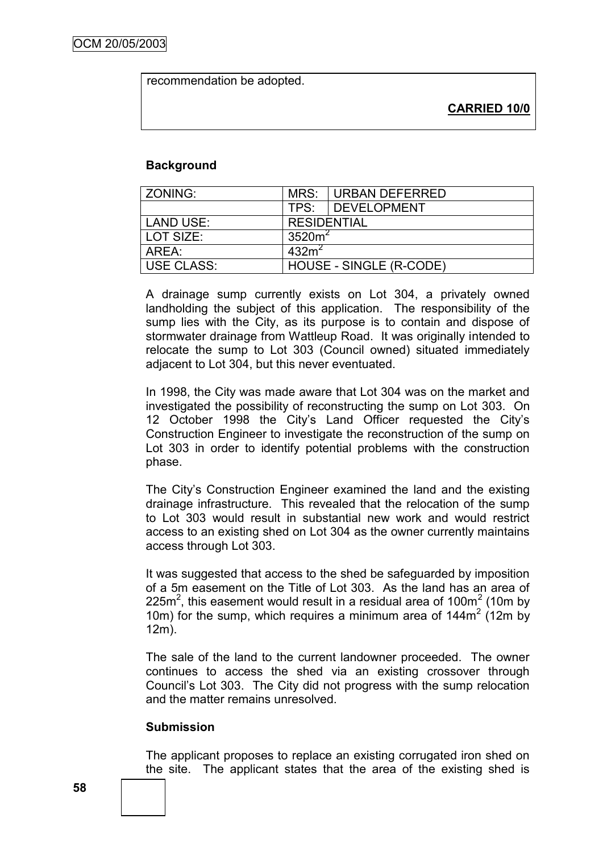recommendation be adopted.

**CARRIED 10/0**

#### **Background**

| <b>ZONING:</b>    | MRS:                    | URBAN DEFERRED     |  |  |  |  |
|-------------------|-------------------------|--------------------|--|--|--|--|
|                   |                         | TPS: DEVELOPMENT   |  |  |  |  |
| <b>LAND USE:</b>  | <b>RESIDENTIAL</b>      |                    |  |  |  |  |
| LOT SIZE:         |                         | 3520m <sup>2</sup> |  |  |  |  |
| AREA:             | 432m <sup>2</sup>       |                    |  |  |  |  |
| <b>USE CLASS:</b> | HOUSE - SINGLE (R-CODE) |                    |  |  |  |  |

A drainage sump currently exists on Lot 304, a privately owned landholding the subject of this application. The responsibility of the sump lies with the City, as its purpose is to contain and dispose of stormwater drainage from Wattleup Road. It was originally intended to relocate the sump to Lot 303 (Council owned) situated immediately adjacent to Lot 304, but this never eventuated.

In 1998, the City was made aware that Lot 304 was on the market and investigated the possibility of reconstructing the sump on Lot 303. On 12 October 1998 the City"s Land Officer requested the City"s Construction Engineer to investigate the reconstruction of the sump on Lot 303 in order to identify potential problems with the construction phase.

The City"s Construction Engineer examined the land and the existing drainage infrastructure. This revealed that the relocation of the sump to Lot 303 would result in substantial new work and would restrict access to an existing shed on Lot 304 as the owner currently maintains access through Lot 303.

It was suggested that access to the shed be safeguarded by imposition of a 5m easement on the Title of Lot 303. As the land has an area of 225m<sup>2</sup>, this easement would result in a residual area of 100m<sup>2</sup> (10m by 10m) for the sump, which requires a minimum area of  $144m^2$  (12m by 12m).

The sale of the land to the current landowner proceeded. The owner continues to access the shed via an existing crossover through Council"s Lot 303. The City did not progress with the sump relocation and the matter remains unresolved.

## **Submission**

The applicant proposes to replace an existing corrugated iron shed on the site. The applicant states that the area of the existing shed is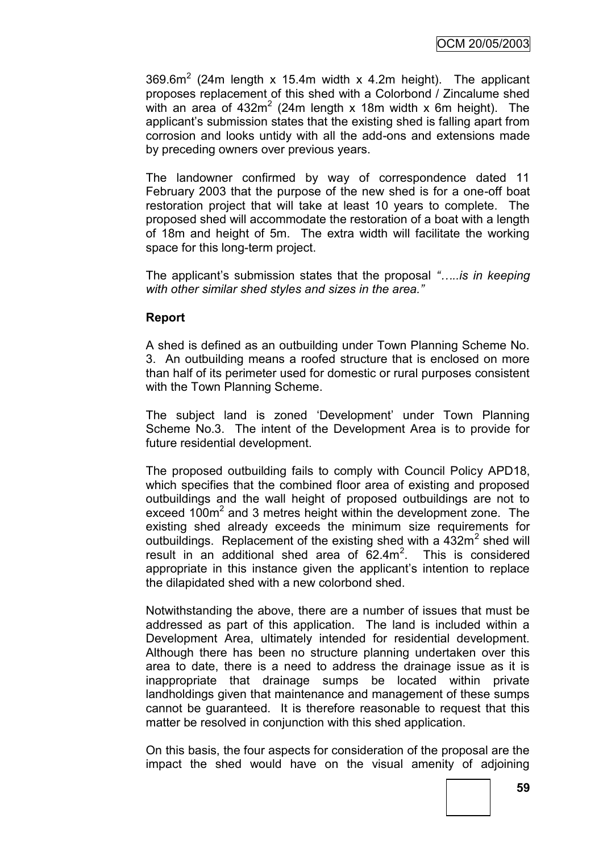369.6m<sup>2</sup> (24m length x 15.4m width x 4.2m height). The applicant proposes replacement of this shed with a Colorbond / Zincalume shed with an area of 432 $m^2$  (24m length x 18m width x 6m height). The applicant"s submission states that the existing shed is falling apart from corrosion and looks untidy with all the add-ons and extensions made by preceding owners over previous years.

The landowner confirmed by way of correspondence dated 11 February 2003 that the purpose of the new shed is for a one-off boat restoration project that will take at least 10 years to complete. The proposed shed will accommodate the restoration of a boat with a length of 18m and height of 5m. The extra width will facilitate the working space for this long-term project.

The applicant"s submission states that the proposal *"…..is in keeping with other similar shed styles and sizes in the area."*

## **Report**

A shed is defined as an outbuilding under Town Planning Scheme No. 3. An outbuilding means a roofed structure that is enclosed on more than half of its perimeter used for domestic or rural purposes consistent with the Town Planning Scheme.

The subject land is zoned "Development" under Town Planning Scheme No.3. The intent of the Development Area is to provide for future residential development.

The proposed outbuilding fails to comply with Council Policy APD18, which specifies that the combined floor area of existing and proposed outbuildings and the wall height of proposed outbuildings are not to exceed 100m<sup>2</sup> and 3 metres height within the development zone. The existing shed already exceeds the minimum size requirements for outbuildings. Replacement of the existing shed with a  $432m^2$  shed will result in an additional shed area of  $62.4m^2$ . This is considered appropriate in this instance given the applicant"s intention to replace the dilapidated shed with a new colorbond shed.

Notwithstanding the above, there are a number of issues that must be addressed as part of this application. The land is included within a Development Area, ultimately intended for residential development. Although there has been no structure planning undertaken over this area to date, there is a need to address the drainage issue as it is inappropriate that drainage sumps be located within private landholdings given that maintenance and management of these sumps cannot be guaranteed. It is therefore reasonable to request that this matter be resolved in conjunction with this shed application.

On this basis, the four aspects for consideration of the proposal are the impact the shed would have on the visual amenity of adjoining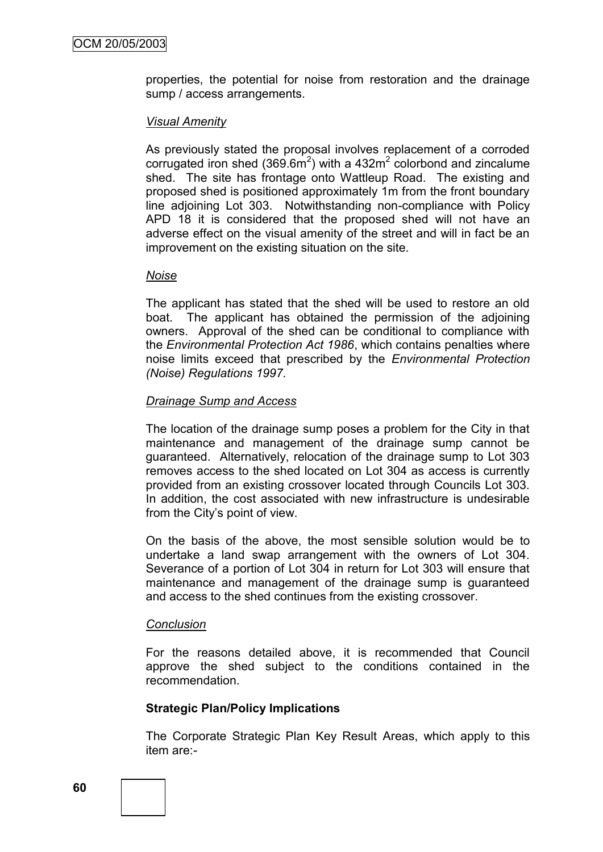properties, the potential for noise from restoration and the drainage sump / access arrangements.

#### *Visual Amenity*

As previously stated the proposal involves replacement of a corroded corrugated iron shed (369.6m<sup>2</sup>) with a 432m<sup>2</sup> colorbond and zincalume shed. The site has frontage onto Wattleup Road. The existing and proposed shed is positioned approximately 1m from the front boundary line adjoining Lot 303. Notwithstanding non-compliance with Policy APD 18 it is considered that the proposed shed will not have an adverse effect on the visual amenity of the street and will in fact be an improvement on the existing situation on the site.

#### *Noise*

The applicant has stated that the shed will be used to restore an old boat. The applicant has obtained the permission of the adjoining owners. Approval of the shed can be conditional to compliance with the *Environmental Protection Act 1986*, which contains penalties where noise limits exceed that prescribed by the *Environmental Protection (Noise) Regulations 1997.*

#### *Drainage Sump and Access*

The location of the drainage sump poses a problem for the City in that maintenance and management of the drainage sump cannot be guaranteed. Alternatively, relocation of the drainage sump to Lot 303 removes access to the shed located on Lot 304 as access is currently provided from an existing crossover located through Councils Lot 303. In addition, the cost associated with new infrastructure is undesirable from the City's point of view.

On the basis of the above, the most sensible solution would be to undertake a land swap arrangement with the owners of Lot 304. Severance of a portion of Lot 304 in return for Lot 303 will ensure that maintenance and management of the drainage sump is guaranteed and access to the shed continues from the existing crossover.

#### *Conclusion*

For the reasons detailed above, it is recommended that Council approve the shed subject to the conditions contained in the recommendation.

## **Strategic Plan/Policy Implications**

The Corporate Strategic Plan Key Result Areas, which apply to this item are:-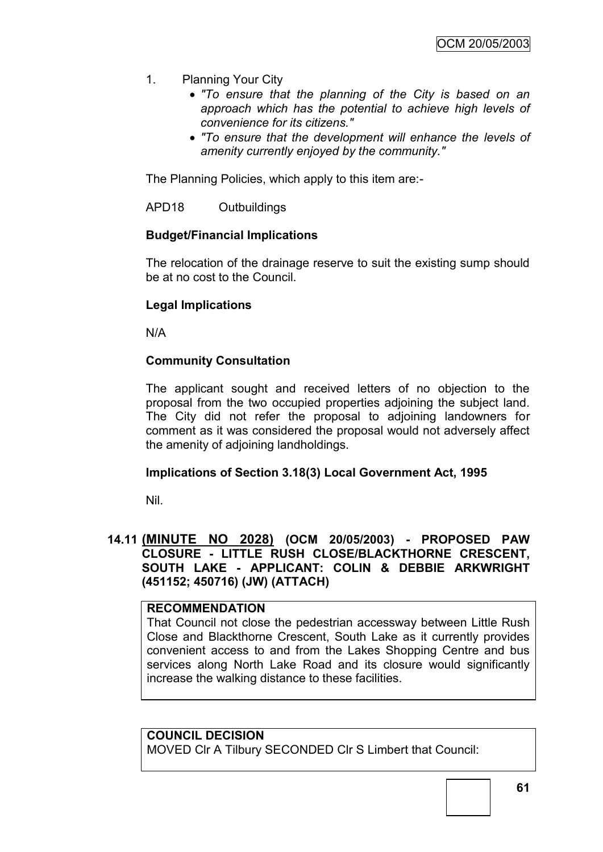- 1. Planning Your City
	- *"To ensure that the planning of the City is based on an approach which has the potential to achieve high levels of convenience for its citizens."*
	- *"To ensure that the development will enhance the levels of amenity currently enjoyed by the community."*

The Planning Policies, which apply to this item are:-

APD18 Outbuildings

## **Budget/Financial Implications**

The relocation of the drainage reserve to suit the existing sump should be at no cost to the Council.

#### **Legal Implications**

N/A

#### **Community Consultation**

The applicant sought and received letters of no objection to the proposal from the two occupied properties adjoining the subject land. The City did not refer the proposal to adjoining landowners for comment as it was considered the proposal would not adversely affect the amenity of adjoining landholdings.

#### **Implications of Section 3.18(3) Local Government Act, 1995**

Nil.

## **14.11 (MINUTE NO 2028) (OCM 20/05/2003) - PROPOSED PAW CLOSURE - LITTLE RUSH CLOSE/BLACKTHORNE CRESCENT, SOUTH LAKE - APPLICANT: COLIN & DEBBIE ARKWRIGHT (451152; 450716) (JW) (ATTACH)**

## **RECOMMENDATION**

That Council not close the pedestrian accessway between Little Rush Close and Blackthorne Crescent, South Lake as it currently provides convenient access to and from the Lakes Shopping Centre and bus services along North Lake Road and its closure would significantly increase the walking distance to these facilities.

#### **COUNCIL DECISION**

MOVED Clr A Tilbury SECONDED Clr S Limbert that Council: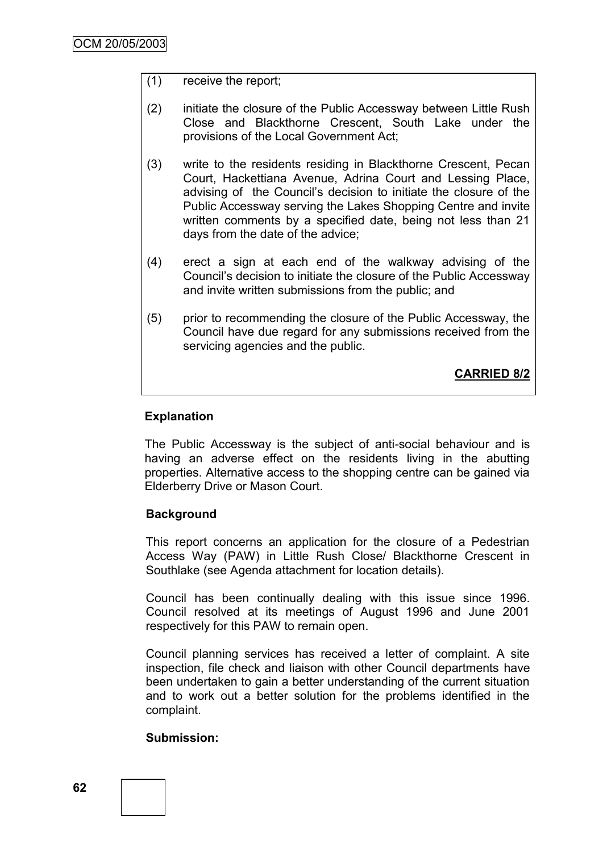## (1) receive the report;

- (2) initiate the closure of the Public Accessway between Little Rush Close and Blackthorne Crescent, South Lake under the provisions of the Local Government Act;
- (3) write to the residents residing in Blackthorne Crescent, Pecan Court, Hackettiana Avenue, Adrina Court and Lessing Place, advising of the Council"s decision to initiate the closure of the Public Accessway serving the Lakes Shopping Centre and invite written comments by a specified date, being not less than 21 days from the date of the advice;
- (4) erect a sign at each end of the walkway advising of the Council"s decision to initiate the closure of the Public Accessway and invite written submissions from the public; and
- (5) prior to recommending the closure of the Public Accessway, the Council have due regard for any submissions received from the servicing agencies and the public.

**CARRIED 8/2**

## **Explanation**

The Public Accessway is the subject of anti-social behaviour and is having an adverse effect on the residents living in the abutting properties. Alternative access to the shopping centre can be gained via Elderberry Drive or Mason Court.

## **Background**

This report concerns an application for the closure of a Pedestrian Access Way (PAW) in Little Rush Close/ Blackthorne Crescent in Southlake (see Agenda attachment for location details).

Council has been continually dealing with this issue since 1996. Council resolved at its meetings of August 1996 and June 2001 respectively for this PAW to remain open.

Council planning services has received a letter of complaint. A site inspection, file check and liaison with other Council departments have been undertaken to gain a better understanding of the current situation and to work out a better solution for the problems identified in the complaint.

## **Submission:**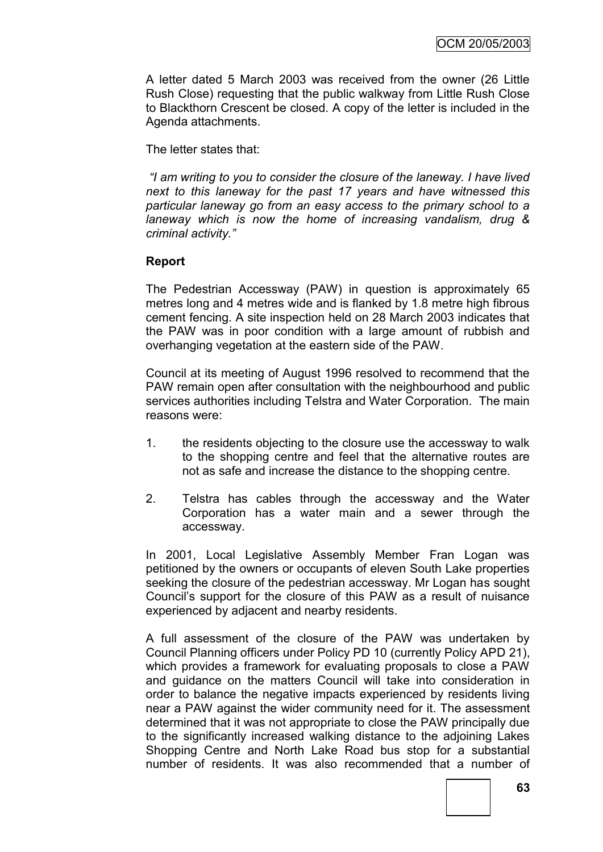A letter dated 5 March 2003 was received from the owner (26 Little Rush Close) requesting that the public walkway from Little Rush Close to Blackthorn Crescent be closed. A copy of the letter is included in the Agenda attachments.

The letter states that:

*"I am writing to you to consider the closure of the laneway. I have lived next to this laneway for the past 17 years and have witnessed this particular laneway go from an easy access to the primary school to a laneway which is now the home of increasing vandalism, drug & criminal activity."* 

## **Report**

The Pedestrian Accessway (PAW) in question is approximately 65 metres long and 4 metres wide and is flanked by 1.8 metre high fibrous cement fencing. A site inspection held on 28 March 2003 indicates that the PAW was in poor condition with a large amount of rubbish and overhanging vegetation at the eastern side of the PAW.

Council at its meeting of August 1996 resolved to recommend that the PAW remain open after consultation with the neighbourhood and public services authorities including Telstra and Water Corporation. The main reasons were:

- 1. the residents objecting to the closure use the accessway to walk to the shopping centre and feel that the alternative routes are not as safe and increase the distance to the shopping centre.
- 2. Telstra has cables through the accessway and the Water Corporation has a water main and a sewer through the accessway.

In 2001, Local Legislative Assembly Member Fran Logan was petitioned by the owners or occupants of eleven South Lake properties seeking the closure of the pedestrian accessway. Mr Logan has sought Council"s support for the closure of this PAW as a result of nuisance experienced by adjacent and nearby residents.

A full assessment of the closure of the PAW was undertaken by Council Planning officers under Policy PD 10 (currently Policy APD 21), which provides a framework for evaluating proposals to close a PAW and guidance on the matters Council will take into consideration in order to balance the negative impacts experienced by residents living near a PAW against the wider community need for it. The assessment determined that it was not appropriate to close the PAW principally due to the significantly increased walking distance to the adjoining Lakes Shopping Centre and North Lake Road bus stop for a substantial number of residents. It was also recommended that a number of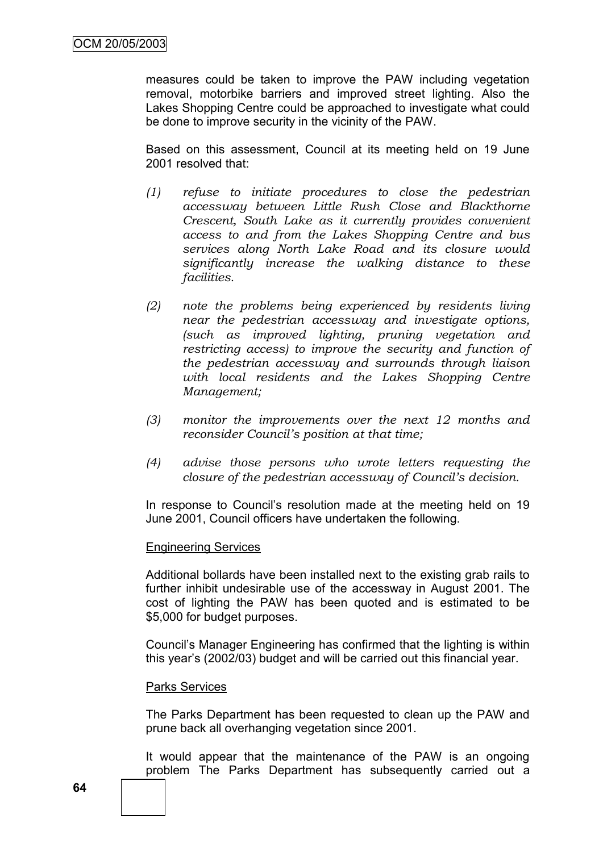measures could be taken to improve the PAW including vegetation removal, motorbike barriers and improved street lighting. Also the Lakes Shopping Centre could be approached to investigate what could be done to improve security in the vicinity of the PAW.

Based on this assessment, Council at its meeting held on 19 June 2001 resolved that:

- *(1) refuse to initiate procedures to close the pedestrian accessway between Little Rush Close and Blackthorne Crescent, South Lake as it currently provides convenient access to and from the Lakes Shopping Centre and bus services along North Lake Road and its closure would significantly increase the walking distance to these facilities.*
- *(2) note the problems being experienced by residents living near the pedestrian accessway and investigate options, (such as improved lighting, pruning vegetation and restricting access) to improve the security and function of the pedestrian accessway and surrounds through liaison with local residents and the Lakes Shopping Centre Management;*
- *(3) monitor the improvements over the next 12 months and reconsider Council's position at that time;*
- *(4) advise those persons who wrote letters requesting the closure of the pedestrian accessway of Council's decision.*

In response to Council's resolution made at the meeting held on 19 June 2001, Council officers have undertaken the following.

#### Engineering Services

Additional bollards have been installed next to the existing grab rails to further inhibit undesirable use of the accessway in August 2001. The cost of lighting the PAW has been quoted and is estimated to be \$5,000 for budget purposes.

Council"s Manager Engineering has confirmed that the lighting is within this year"s (2002/03) budget and will be carried out this financial year.

#### Parks Services

The Parks Department has been requested to clean up the PAW and prune back all overhanging vegetation since 2001.

It would appear that the maintenance of the PAW is an ongoing problem The Parks Department has subsequently carried out a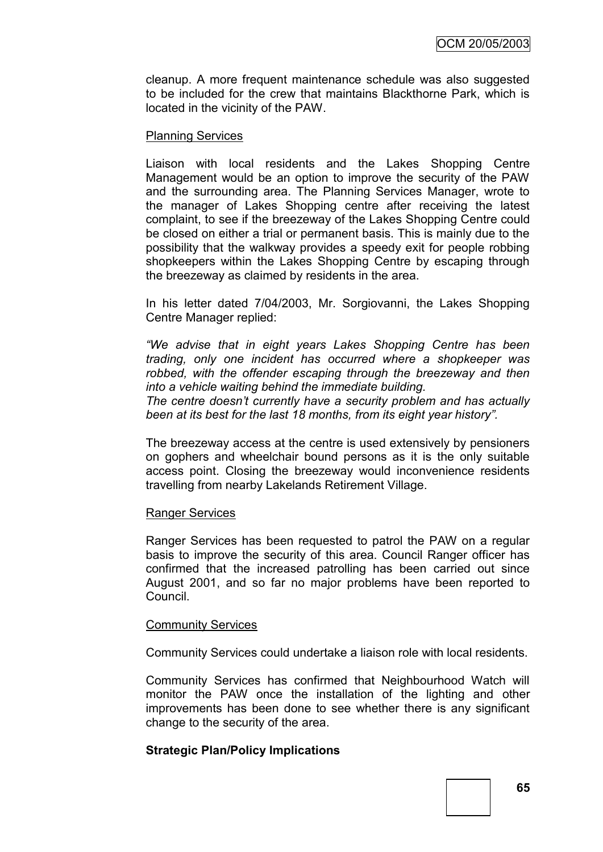cleanup. A more frequent maintenance schedule was also suggested to be included for the crew that maintains Blackthorne Park, which is located in the vicinity of the PAW.

#### Planning Services

Liaison with local residents and the Lakes Shopping Centre Management would be an option to improve the security of the PAW and the surrounding area. The Planning Services Manager, wrote to the manager of Lakes Shopping centre after receiving the latest complaint, to see if the breezeway of the Lakes Shopping Centre could be closed on either a trial or permanent basis. This is mainly due to the possibility that the walkway provides a speedy exit for people robbing shopkeepers within the Lakes Shopping Centre by escaping through the breezeway as claimed by residents in the area.

In his letter dated 7/04/2003, Mr. Sorgiovanni, the Lakes Shopping Centre Manager replied:

*"We advise that in eight years Lakes Shopping Centre has been trading, only one incident has occurred where a shopkeeper was*  robbed, with the offender escaping through the breezeway and then *into a vehicle waiting behind the immediate building.*

*The centre doesn"t currently have a security problem and has actually been at its best for the last 18 months, from its eight year history".*

The breezeway access at the centre is used extensively by pensioners on gophers and wheelchair bound persons as it is the only suitable access point. Closing the breezeway would inconvenience residents travelling from nearby Lakelands Retirement Village.

## Ranger Services

Ranger Services has been requested to patrol the PAW on a regular basis to improve the security of this area. Council Ranger officer has confirmed that the increased patrolling has been carried out since August 2001, and so far no major problems have been reported to Council.

#### Community Services

Community Services could undertake a liaison role with local residents.

Community Services has confirmed that Neighbourhood Watch will monitor the PAW once the installation of the lighting and other improvements has been done to see whether there is any significant change to the security of the area.

## **Strategic Plan/Policy Implications**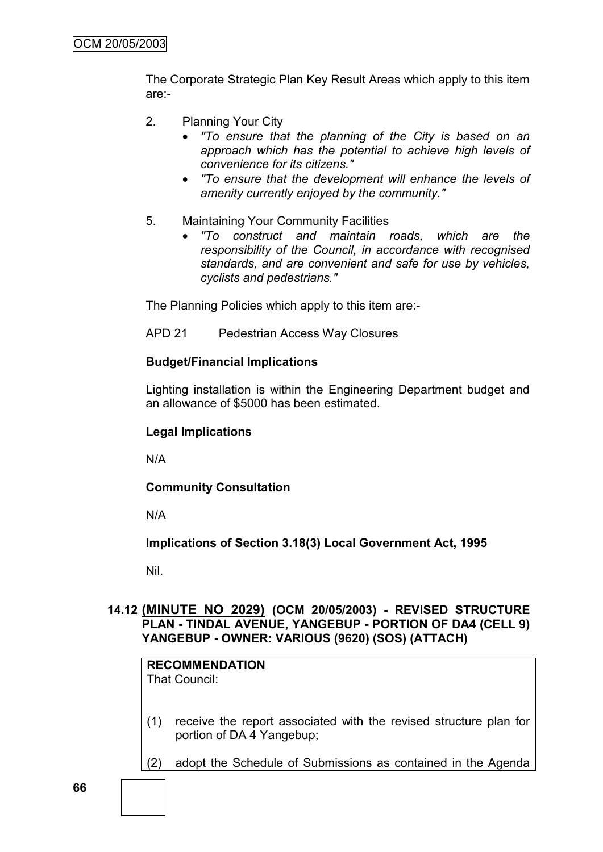The Corporate Strategic Plan Key Result Areas which apply to this item are:-

- 2. Planning Your City
	- *"To ensure that the planning of the City is based on an approach which has the potential to achieve high levels of convenience for its citizens."*
	- *"To ensure that the development will enhance the levels of amenity currently enjoyed by the community."*
- 5. Maintaining Your Community Facilities
	- *"To construct and maintain roads, which are the responsibility of the Council, in accordance with recognised standards, and are convenient and safe for use by vehicles, cyclists and pedestrians."*

The Planning Policies which apply to this item are:-

APD 21 Pedestrian Access Way Closures

#### **Budget/Financial Implications**

Lighting installation is within the Engineering Department budget and an allowance of \$5000 has been estimated.

#### **Legal Implications**

N/A

## **Community Consultation**

N/A

**Implications of Section 3.18(3) Local Government Act, 1995**

Nil.

## **14.12 (MINUTE NO 2029) (OCM 20/05/2003) - REVISED STRUCTURE PLAN - TINDAL AVENUE, YANGEBUP - PORTION OF DA4 (CELL 9) YANGEBUP - OWNER: VARIOUS (9620) (SOS) (ATTACH)**

# **RECOMMENDATION**

That Council:

- (1) receive the report associated with the revised structure plan for portion of DA 4 Yangebup;
- (2) adopt the Schedule of Submissions as contained in the Agenda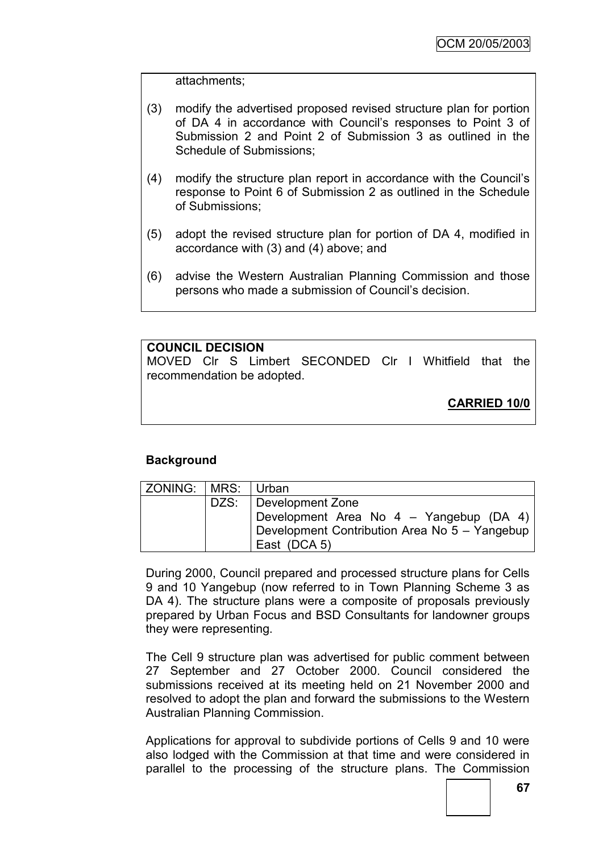attachments;

- (3) modify the advertised proposed revised structure plan for portion of DA 4 in accordance with Council"s responses to Point 3 of Submission 2 and Point 2 of Submission 3 as outlined in the Schedule of Submissions;
- (4) modify the structure plan report in accordance with the Council"s response to Point 6 of Submission 2 as outlined in the Schedule of Submissions;
- (5) adopt the revised structure plan for portion of DA 4, modified in accordance with (3) and (4) above; and
- (6) advise the Western Australian Planning Commission and those persons who made a submission of Council"s decision.

# **COUNCIL DECISION**

MOVED Clr S Limbert SECONDED Clr I Whitfield that the recommendation be adopted.

**CARRIED 10/0**

# **Background**

| ZONING:   MRS:   Urban |                                               |
|------------------------|-----------------------------------------------|
|                        | DZS:   Development Zone                       |
|                        | Development Area No 4 - Yangebup (DA 4)       |
|                        | Development Contribution Area No 5 - Yangebup |
|                        | East (DCA 5)                                  |

During 2000, Council prepared and processed structure plans for Cells 9 and 10 Yangebup (now referred to in Town Planning Scheme 3 as DA 4). The structure plans were a composite of proposals previously prepared by Urban Focus and BSD Consultants for landowner groups they were representing.

The Cell 9 structure plan was advertised for public comment between 27 September and 27 October 2000. Council considered the submissions received at its meeting held on 21 November 2000 and resolved to adopt the plan and forward the submissions to the Western Australian Planning Commission.

Applications for approval to subdivide portions of Cells 9 and 10 were also lodged with the Commission at that time and were considered in parallel to the processing of the structure plans. The Commission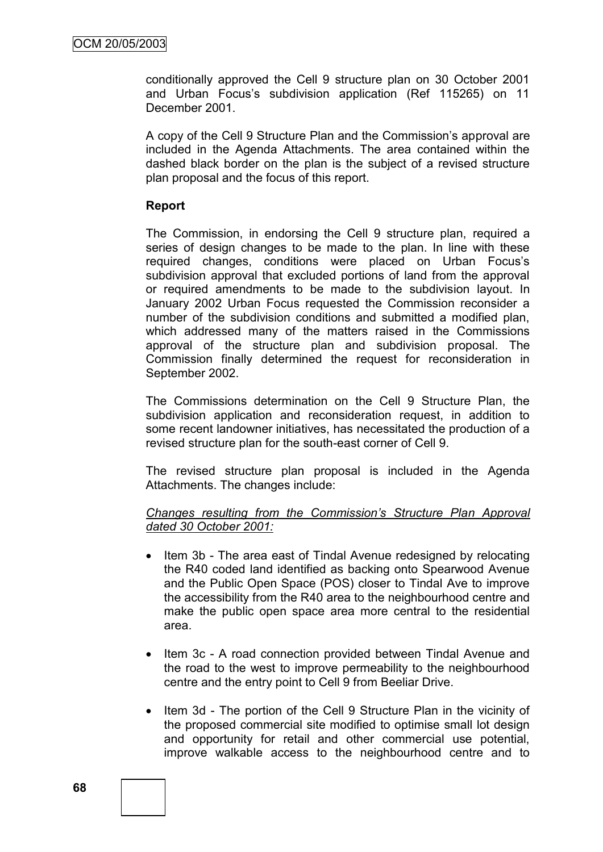conditionally approved the Cell 9 structure plan on 30 October 2001 and Urban Focus's subdivision application (Ref 115265) on 11 December 2001.

A copy of the Cell 9 Structure Plan and the Commission"s approval are included in the Agenda Attachments. The area contained within the dashed black border on the plan is the subject of a revised structure plan proposal and the focus of this report.

### **Report**

The Commission, in endorsing the Cell 9 structure plan, required a series of design changes to be made to the plan. In line with these required changes, conditions were placed on Urban Focus"s subdivision approval that excluded portions of land from the approval or required amendments to be made to the subdivision layout. In January 2002 Urban Focus requested the Commission reconsider a number of the subdivision conditions and submitted a modified plan, which addressed many of the matters raised in the Commissions approval of the structure plan and subdivision proposal. The Commission finally determined the request for reconsideration in September 2002.

The Commissions determination on the Cell 9 Structure Plan, the subdivision application and reconsideration request, in addition to some recent landowner initiatives, has necessitated the production of a revised structure plan for the south-east corner of Cell 9.

The revised structure plan proposal is included in the Agenda Attachments. The changes include:

### *Changes resulting from the Commission"s Structure Plan Approval dated 30 October 2001:*

- Item 3b The area east of Tindal Avenue redesigned by relocating the R40 coded land identified as backing onto Spearwood Avenue and the Public Open Space (POS) closer to Tindal Ave to improve the accessibility from the R40 area to the neighbourhood centre and make the public open space area more central to the residential area.
- Item 3c A road connection provided between Tindal Avenue and the road to the west to improve permeability to the neighbourhood centre and the entry point to Cell 9 from Beeliar Drive.
- Item 3d The portion of the Cell 9 Structure Plan in the vicinity of the proposed commercial site modified to optimise small lot design and opportunity for retail and other commercial use potential, improve walkable access to the neighbourhood centre and to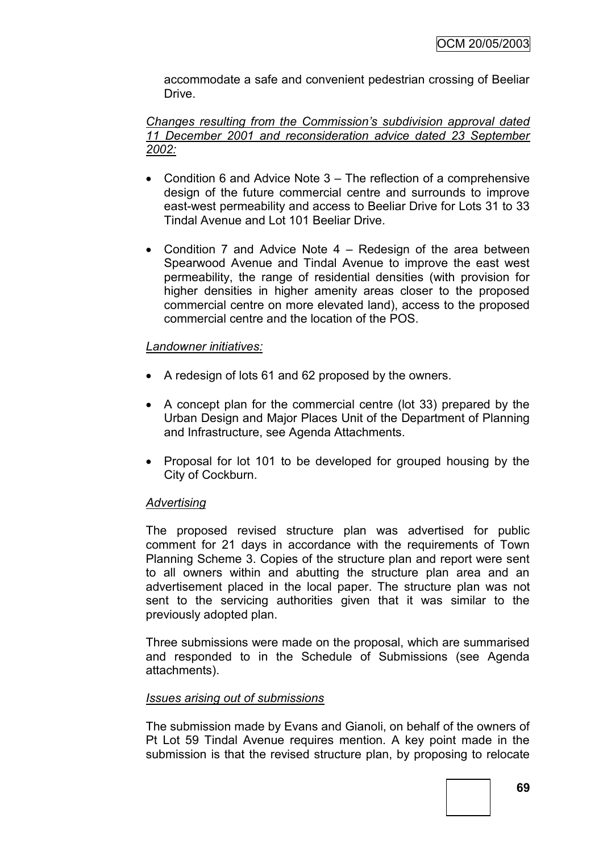accommodate a safe and convenient pedestrian crossing of Beeliar Drive.

*Changes resulting from the Commission"s subdivision approval dated 11 December 2001 and reconsideration advice dated 23 September 2002:*

- Condition 6 and Advice Note 3 The reflection of a comprehensive design of the future commercial centre and surrounds to improve east-west permeability and access to Beeliar Drive for Lots 31 to 33 Tindal Avenue and Lot 101 Beeliar Drive.
- Condition 7 and Advice Note 4 Redesign of the area between Spearwood Avenue and Tindal Avenue to improve the east west permeability, the range of residential densities (with provision for higher densities in higher amenity areas closer to the proposed commercial centre on more elevated land), access to the proposed commercial centre and the location of the POS.

# *Landowner initiatives:*

- A redesign of lots 61 and 62 proposed by the owners.
- A concept plan for the commercial centre (lot 33) prepared by the Urban Design and Major Places Unit of the Department of Planning and Infrastructure, see Agenda Attachments.
- Proposal for lot 101 to be developed for grouped housing by the City of Cockburn.

# *Advertising*

The proposed revised structure plan was advertised for public comment for 21 days in accordance with the requirements of Town Planning Scheme 3. Copies of the structure plan and report were sent to all owners within and abutting the structure plan area and an advertisement placed in the local paper. The structure plan was not sent to the servicing authorities given that it was similar to the previously adopted plan.

Three submissions were made on the proposal, which are summarised and responded to in the Schedule of Submissions (see Agenda attachments).

# *Issues arising out of submissions*

The submission made by Evans and Gianoli, on behalf of the owners of Pt Lot 59 Tindal Avenue requires mention. A key point made in the submission is that the revised structure plan, by proposing to relocate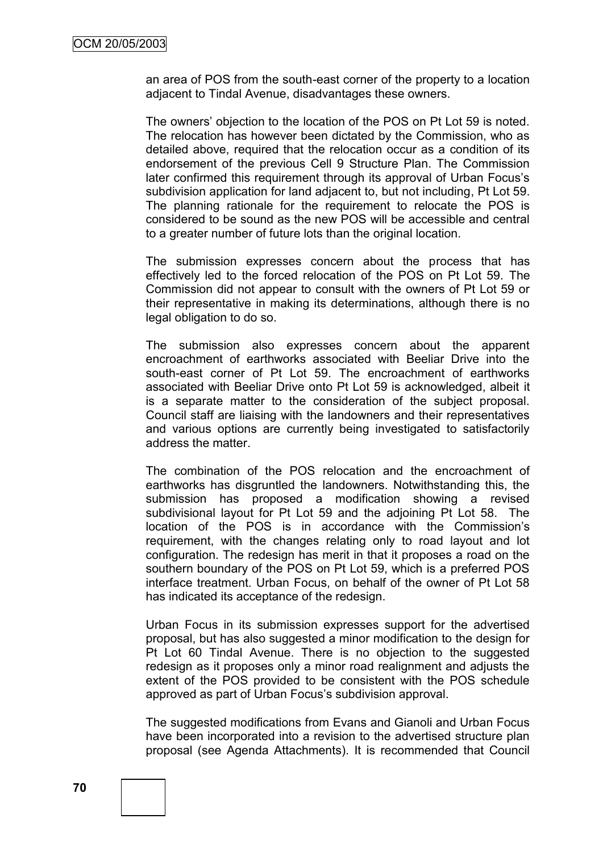an area of POS from the south-east corner of the property to a location adjacent to Tindal Avenue, disadvantages these owners.

The owners" objection to the location of the POS on Pt Lot 59 is noted. The relocation has however been dictated by the Commission, who as detailed above, required that the relocation occur as a condition of its endorsement of the previous Cell 9 Structure Plan. The Commission later confirmed this requirement through its approval of Urban Focus's subdivision application for land adjacent to, but not including, Pt Lot 59. The planning rationale for the requirement to relocate the POS is considered to be sound as the new POS will be accessible and central to a greater number of future lots than the original location.

The submission expresses concern about the process that has effectively led to the forced relocation of the POS on Pt Lot 59. The Commission did not appear to consult with the owners of Pt Lot 59 or their representative in making its determinations, although there is no legal obligation to do so.

The submission also expresses concern about the apparent encroachment of earthworks associated with Beeliar Drive into the south-east corner of Pt Lot 59. The encroachment of earthworks associated with Beeliar Drive onto Pt Lot 59 is acknowledged, albeit it is a separate matter to the consideration of the subject proposal. Council staff are liaising with the landowners and their representatives and various options are currently being investigated to satisfactorily address the matter.

The combination of the POS relocation and the encroachment of earthworks has disgruntled the landowners. Notwithstanding this, the submission has proposed a modification showing a revised subdivisional layout for Pt Lot 59 and the adjoining Pt Lot 58. The location of the POS is in accordance with the Commission"s requirement, with the changes relating only to road layout and lot configuration. The redesign has merit in that it proposes a road on the southern boundary of the POS on Pt Lot 59, which is a preferred POS interface treatment. Urban Focus, on behalf of the owner of Pt Lot 58 has indicated its acceptance of the redesign.

Urban Focus in its submission expresses support for the advertised proposal, but has also suggested a minor modification to the design for Pt Lot 60 Tindal Avenue. There is no objection to the suggested redesign as it proposes only a minor road realignment and adjusts the extent of the POS provided to be consistent with the POS schedule approved as part of Urban Focus's subdivision approval.

The suggested modifications from Evans and Gianoli and Urban Focus have been incorporated into a revision to the advertised structure plan proposal (see Agenda Attachments). It is recommended that Council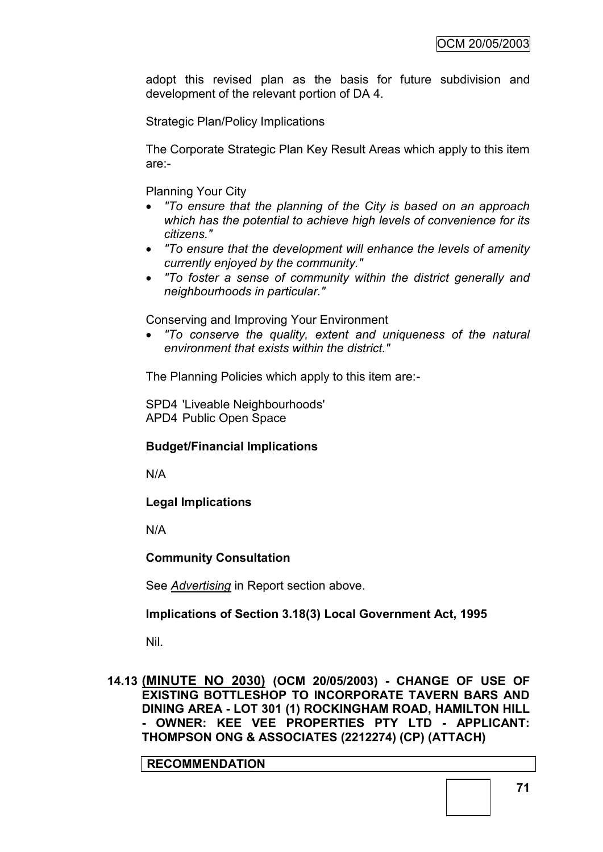adopt this revised plan as the basis for future subdivision and development of the relevant portion of DA 4.

Strategic Plan/Policy Implications

The Corporate Strategic Plan Key Result Areas which apply to this item are:-

Planning Your City

- *"To ensure that the planning of the City is based on an approach which has the potential to achieve high levels of convenience for its citizens."*
- *"To ensure that the development will enhance the levels of amenity currently enjoyed by the community."*
- *"To foster a sense of community within the district generally and neighbourhoods in particular."*

Conserving and Improving Your Environment

 *"To conserve the quality, extent and uniqueness of the natural environment that exists within the district."*

The Planning Policies which apply to this item are:-

SPD4 'Liveable Neighbourhoods' APD4 Public Open Space

# **Budget/Financial Implications**

N/A

**Legal Implications**

N/A

# **Community Consultation**

See *Advertising* in Report section above.

# **Implications of Section 3.18(3) Local Government Act, 1995**

Nil.

**14.13 (MINUTE NO 2030) (OCM 20/05/2003) - CHANGE OF USE OF EXISTING BOTTLESHOP TO INCORPORATE TAVERN BARS AND DINING AREA - LOT 301 (1) ROCKINGHAM ROAD, HAMILTON HILL - OWNER: KEE VEE PROPERTIES PTY LTD - APPLICANT: THOMPSON ONG & ASSOCIATES (2212274) (CP) (ATTACH)**

**RECOMMENDATION**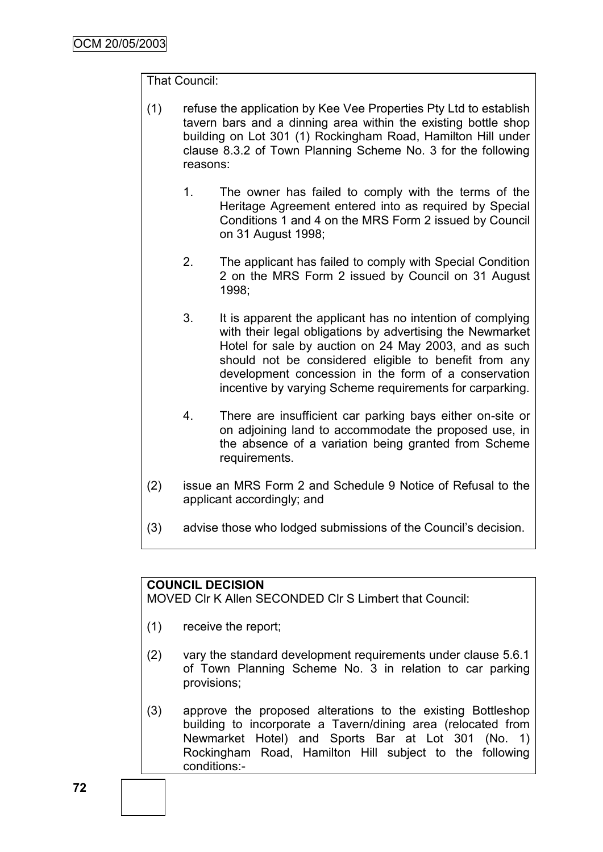# That Council:

- (1) refuse the application by Kee Vee Properties Pty Ltd to establish tavern bars and a dinning area within the existing bottle shop building on Lot 301 (1) Rockingham Road, Hamilton Hill under clause 8.3.2 of Town Planning Scheme No. 3 for the following reasons:
	- 1. The owner has failed to comply with the terms of the Heritage Agreement entered into as required by Special Conditions 1 and 4 on the MRS Form 2 issued by Council on 31 August 1998;
	- 2. The applicant has failed to comply with Special Condition 2 on the MRS Form 2 issued by Council on 31 August 1998;
	- 3. It is apparent the applicant has no intention of complying with their legal obligations by advertising the Newmarket Hotel for sale by auction on 24 May 2003, and as such should not be considered eligible to benefit from any development concession in the form of a conservation incentive by varying Scheme requirements for carparking.
	- 4. There are insufficient car parking bays either on-site or on adjoining land to accommodate the proposed use, in the absence of a variation being granted from Scheme requirements.
- (2) issue an MRS Form 2 and Schedule 9 Notice of Refusal to the applicant accordingly; and
- (3) advise those who lodged submissions of the Council"s decision.

# **COUNCIL DECISION**

MOVED Clr K Allen SECONDED Clr S Limbert that Council:

- (1) receive the report;
- (2) vary the standard development requirements under clause 5.6.1 of Town Planning Scheme No. 3 in relation to car parking provisions;
- (3) approve the proposed alterations to the existing Bottleshop building to incorporate a Tavern/dining area (relocated from Newmarket Hotel) and Sports Bar at Lot 301 (No. 1) Rockingham Road, Hamilton Hill subject to the following conditions:-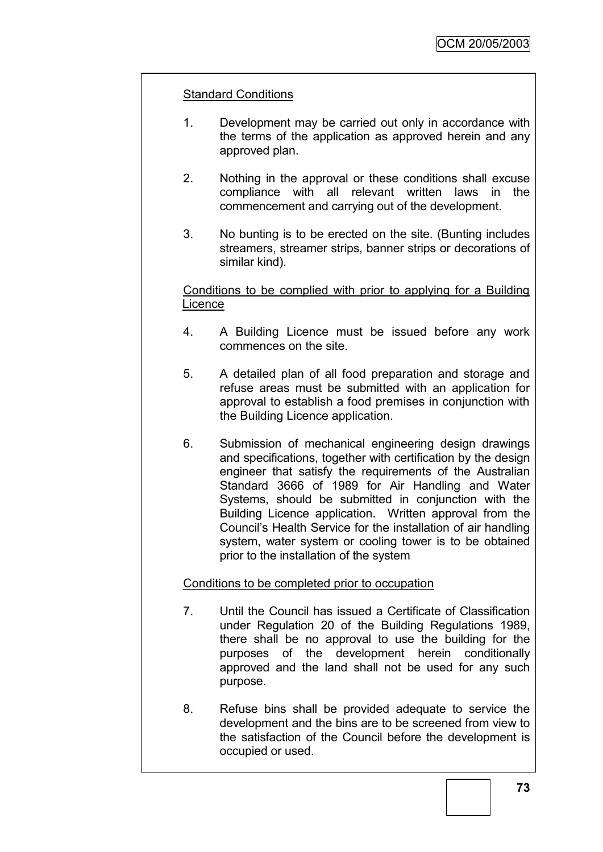# Standard Conditions

- 1. Development may be carried out only in accordance with the terms of the application as approved herein and any approved plan.
- 2. Nothing in the approval or these conditions shall excuse compliance with all relevant written laws in the commencement and carrying out of the development.
- 3. No bunting is to be erected on the site. (Bunting includes streamers, streamer strips, banner strips or decorations of similar kind).

Conditions to be complied with prior to applying for a Building **Licence** 

- 4. A Building Licence must be issued before any work commences on the site.
- 5. A detailed plan of all food preparation and storage and refuse areas must be submitted with an application for approval to establish a food premises in conjunction with the Building Licence application.
- 6. Submission of mechanical engineering design drawings and specifications, together with certification by the design engineer that satisfy the requirements of the Australian Standard 3666 of 1989 for Air Handling and Water Systems, should be submitted in conjunction with the Building Licence application. Written approval from the Council"s Health Service for the installation of air handling system, water system or cooling tower is to be obtained prior to the installation of the system

Conditions to be completed prior to occupation

- 7. Until the Council has issued a Certificate of Classification under Regulation 20 of the Building Regulations 1989, there shall be no approval to use the building for the purposes of the development herein conditionally approved and the land shall not be used for any such purpose.
- 8. Refuse bins shall be provided adequate to service the development and the bins are to be screened from view to the satisfaction of the Council before the development is occupied or used.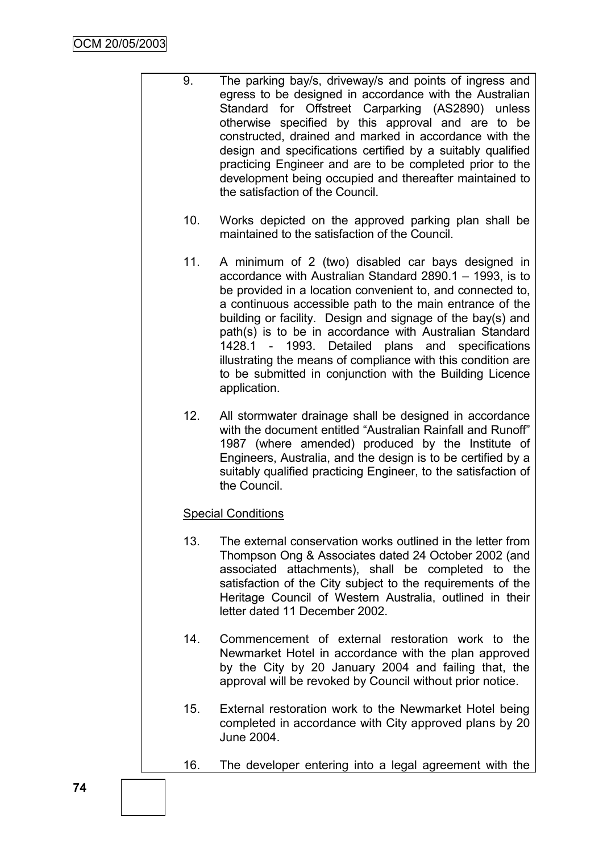- 9. The parking bay/s, driveway/s and points of ingress and egress to be designed in accordance with the Australian Standard for Offstreet Carparking (AS2890) unless otherwise specified by this approval and are to be constructed, drained and marked in accordance with the design and specifications certified by a suitably qualified practicing Engineer and are to be completed prior to the development being occupied and thereafter maintained to the satisfaction of the Council.
	- 10. Works depicted on the approved parking plan shall be maintained to the satisfaction of the Council.
	- 11. A minimum of 2 (two) disabled car bays designed in accordance with Australian Standard 2890.1 – 1993, is to be provided in a location convenient to, and connected to, a continuous accessible path to the main entrance of the building or facility. Design and signage of the bay(s) and path(s) is to be in accordance with Australian Standard 1428.1 - 1993. Detailed plans and specifications illustrating the means of compliance with this condition are to be submitted in conjunction with the Building Licence application.
	- 12. All stormwater drainage shall be designed in accordance with the document entitled "Australian Rainfall and Runoff" 1987 (where amended) produced by the Institute of Engineers, Australia, and the design is to be certified by a suitably qualified practicing Engineer, to the satisfaction of the Council.

# Special Conditions

- 13. The external conservation works outlined in the letter from Thompson Ong & Associates dated 24 October 2002 (and associated attachments), shall be completed to the satisfaction of the City subject to the requirements of the Heritage Council of Western Australia, outlined in their letter dated 11 December 2002.
- 14. Commencement of external restoration work to the Newmarket Hotel in accordance with the plan approved by the City by 20 January 2004 and failing that, the approval will be revoked by Council without prior notice.
- 15. External restoration work to the Newmarket Hotel being completed in accordance with City approved plans by 20 June 2004.
- 16. The developer entering into a legal agreement with the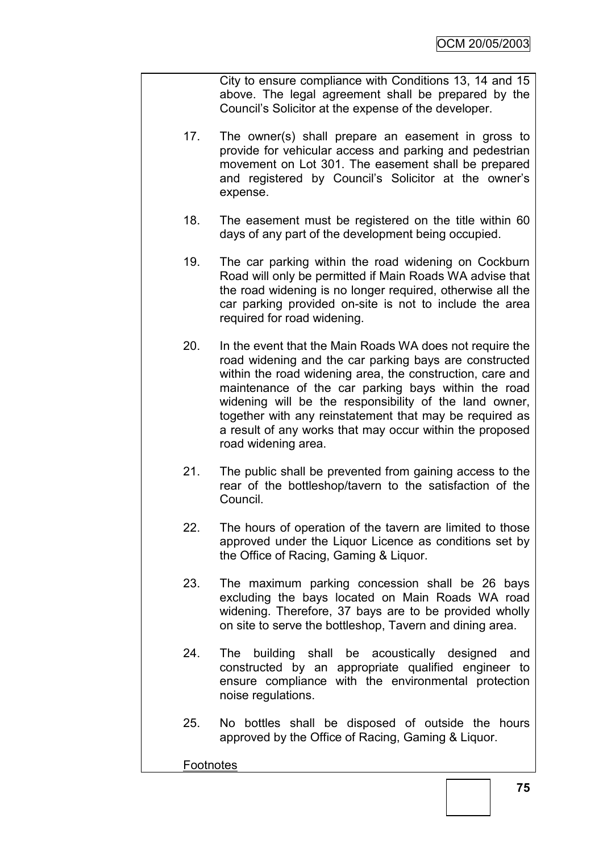City to ensure compliance with Conditions 13, 14 and 15 above. The legal agreement shall be prepared by the Council"s Solicitor at the expense of the developer.

- 17. The owner(s) shall prepare an easement in gross to provide for vehicular access and parking and pedestrian movement on Lot 301. The easement shall be prepared and registered by Council"s Solicitor at the owner"s expense.
- 18. The easement must be registered on the title within 60 days of any part of the development being occupied.
- 19. The car parking within the road widening on Cockburn Road will only be permitted if Main Roads WA advise that the road widening is no longer required, otherwise all the car parking provided on-site is not to include the area required for road widening.
- 20. In the event that the Main Roads WA does not require the road widening and the car parking bays are constructed within the road widening area, the construction, care and maintenance of the car parking bays within the road widening will be the responsibility of the land owner, together with any reinstatement that may be required as a result of any works that may occur within the proposed road widening area.
- 21. The public shall be prevented from gaining access to the rear of the bottleshop/tavern to the satisfaction of the Council.
- 22. The hours of operation of the tavern are limited to those approved under the Liquor Licence as conditions set by the Office of Racing, Gaming & Liquor.
- 23. The maximum parking concession shall be 26 bays excluding the bays located on Main Roads WA road widening. Therefore, 37 bays are to be provided wholly on site to serve the bottleshop, Tavern and dining area.
- 24. The building shall be acoustically designed and constructed by an appropriate qualified engineer to ensure compliance with the environmental protection noise regulations.
- 25. No bottles shall be disposed of outside the hours approved by the Office of Racing, Gaming & Liquor.

#### **Footnotes**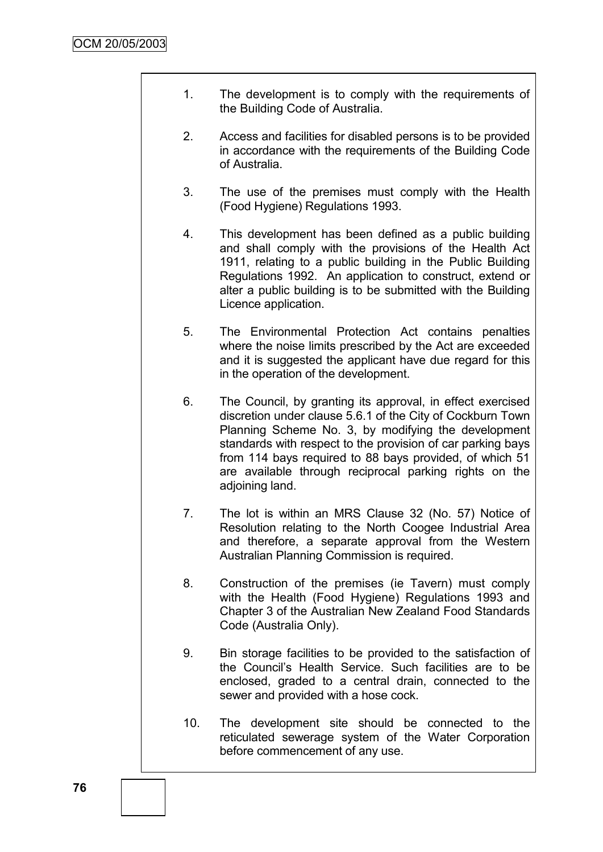- 1. The development is to comply with the requirements of the Building Code of Australia.
- 2. Access and facilities for disabled persons is to be provided in accordance with the requirements of the Building Code of Australia.
- 3. The use of the premises must comply with the Health (Food Hygiene) Regulations 1993.
- 4. This development has been defined as a public building and shall comply with the provisions of the Health Act 1911, relating to a public building in the Public Building Regulations 1992. An application to construct, extend or alter a public building is to be submitted with the Building Licence application.
- 5. The Environmental Protection Act contains penalties where the noise limits prescribed by the Act are exceeded and it is suggested the applicant have due regard for this in the operation of the development.
- 6. The Council, by granting its approval, in effect exercised discretion under clause 5.6.1 of the City of Cockburn Town Planning Scheme No. 3, by modifying the development standards with respect to the provision of car parking bays from 114 bays required to 88 bays provided, of which 51 are available through reciprocal parking rights on the adjoining land.
- 7. The lot is within an MRS Clause 32 (No. 57) Notice of Resolution relating to the North Coogee Industrial Area and therefore, a separate approval from the Western Australian Planning Commission is required.
- 8. Construction of the premises (ie Tavern) must comply with the Health (Food Hygiene) Regulations 1993 and Chapter 3 of the Australian New Zealand Food Standards Code (Australia Only).
- 9. Bin storage facilities to be provided to the satisfaction of the Council"s Health Service. Such facilities are to be enclosed, graded to a central drain, connected to the sewer and provided with a hose cock.
- 10. The development site should be connected to the reticulated sewerage system of the Water Corporation before commencement of any use.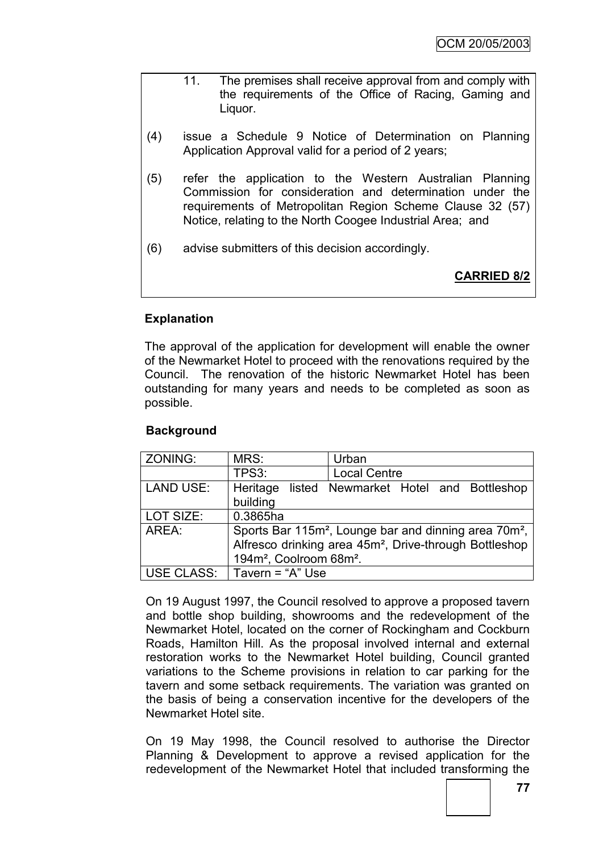- 11. The premises shall receive approval from and comply with the requirements of the Office of Racing, Gaming and Liquor.
- (4) issue a Schedule 9 Notice of Determination on Planning Application Approval valid for a period of 2 years;
- (5) refer the application to the Western Australian Planning Commission for consideration and determination under the requirements of Metropolitan Region Scheme Clause 32 (57) Notice, relating to the North Coogee Industrial Area; and
- (6) advise submitters of this decision accordingly.

**CARRIED 8/2**

# **Explanation**

The approval of the application for development will enable the owner of the Newmarket Hotel to proceed with the renovations required by the Council. The renovation of the historic Newmarket Hotel has been outstanding for many years and needs to be completed as soon as possible.

# **Background**

| ZONING:          | MRS:                                                                          | Urban                                          |  |  |  |  |
|------------------|-------------------------------------------------------------------------------|------------------------------------------------|--|--|--|--|
|                  | TPS3:                                                                         | <b>Local Centre</b>                            |  |  |  |  |
| <b>LAND USE:</b> |                                                                               | Heritage listed Newmarket Hotel and Bottleshop |  |  |  |  |
|                  | building                                                                      |                                                |  |  |  |  |
| LOT SIZE:        | 0.3865ha                                                                      |                                                |  |  |  |  |
| AREA:            | Sports Bar 115m <sup>2</sup> , Lounge bar and dinning area 70m <sup>2</sup> , |                                                |  |  |  |  |
|                  | Alfresco drinking area 45m <sup>2</sup> , Drive-through Bottleshop            |                                                |  |  |  |  |
|                  | 194m <sup>2</sup> , Coolroom 68m <sup>2</sup> .                               |                                                |  |  |  |  |
| USE CLASS:       | $\vert$ Tavern = "A" Use                                                      |                                                |  |  |  |  |

On 19 August 1997, the Council resolved to approve a proposed tavern and bottle shop building, showrooms and the redevelopment of the Newmarket Hotel, located on the corner of Rockingham and Cockburn Roads, Hamilton Hill. As the proposal involved internal and external restoration works to the Newmarket Hotel building, Council granted variations to the Scheme provisions in relation to car parking for the tavern and some setback requirements. The variation was granted on the basis of being a conservation incentive for the developers of the Newmarket Hotel site.

On 19 May 1998, the Council resolved to authorise the Director Planning & Development to approve a revised application for the redevelopment of the Newmarket Hotel that included transforming the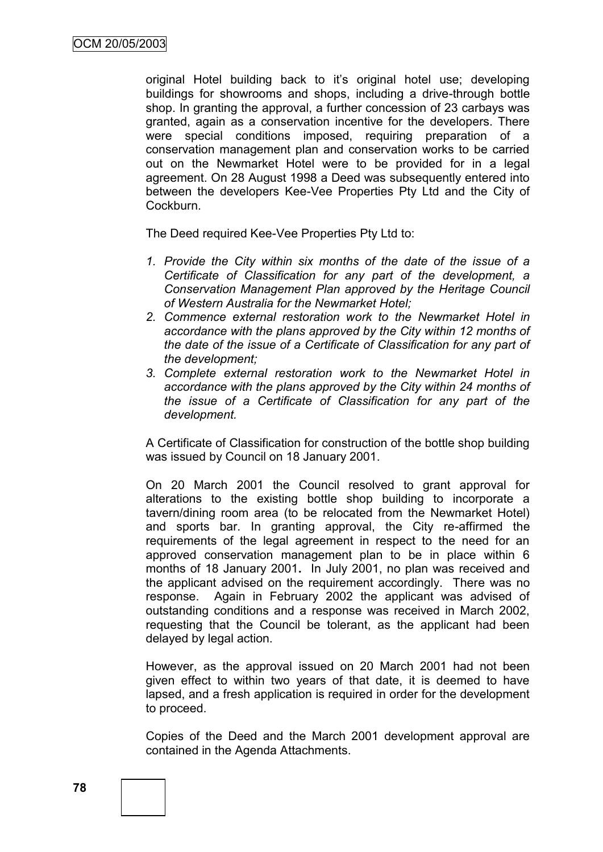original Hotel building back to it"s original hotel use; developing buildings for showrooms and shops, including a drive-through bottle shop. In granting the approval, a further concession of 23 carbays was granted, again as a conservation incentive for the developers. There were special conditions imposed, requiring preparation of a conservation management plan and conservation works to be carried out on the Newmarket Hotel were to be provided for in a legal agreement. On 28 August 1998 a Deed was subsequently entered into between the developers Kee-Vee Properties Pty Ltd and the City of Cockburn.

The Deed required Kee-Vee Properties Pty Ltd to:

- *1. Provide the City within six months of the date of the issue of a Certificate of Classification for any part of the development, a Conservation Management Plan approved by the Heritage Council of Western Australia for the Newmarket Hotel;*
- *2. Commence external restoration work to the Newmarket Hotel in accordance with the plans approved by the City within 12 months of the date of the issue of a Certificate of Classification for any part of the development;*
- *3. Complete external restoration work to the Newmarket Hotel in accordance with the plans approved by the City within 24 months of the issue of a Certificate of Classification for any part of the development.*

A Certificate of Classification for construction of the bottle shop building was issued by Council on 18 January 2001.

On 20 March 2001 the Council resolved to grant approval for alterations to the existing bottle shop building to incorporate a tavern/dining room area (to be relocated from the Newmarket Hotel) and sports bar. In granting approval, the City re-affirmed the requirements of the legal agreement in respect to the need for an approved conservation management plan to be in place within 6 months of 18 January 2001**.** In July 2001, no plan was received and the applicant advised on the requirement accordingly. There was no response. Again in February 2002 the applicant was advised of outstanding conditions and a response was received in March 2002, requesting that the Council be tolerant, as the applicant had been delayed by legal action.

However, as the approval issued on 20 March 2001 had not been given effect to within two years of that date, it is deemed to have lapsed, and a fresh application is required in order for the development to proceed.

Copies of the Deed and the March 2001 development approval are contained in the Agenda Attachments.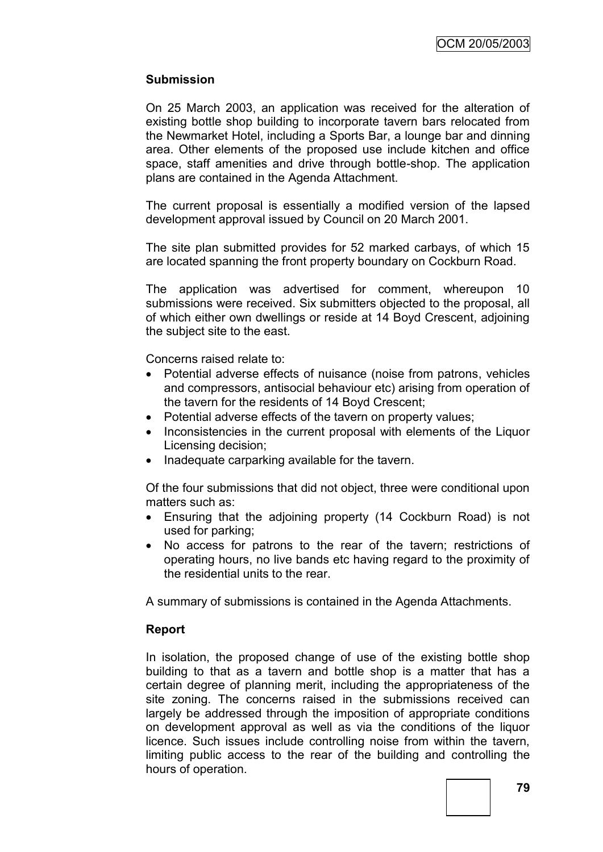# **Submission**

On 25 March 2003, an application was received for the alteration of existing bottle shop building to incorporate tavern bars relocated from the Newmarket Hotel, including a Sports Bar, a lounge bar and dinning area. Other elements of the proposed use include kitchen and office space, staff amenities and drive through bottle-shop. The application plans are contained in the Agenda Attachment.

The current proposal is essentially a modified version of the lapsed development approval issued by Council on 20 March 2001.

The site plan submitted provides for 52 marked carbays, of which 15 are located spanning the front property boundary on Cockburn Road.

The application was advertised for comment, whereupon 10 submissions were received. Six submitters objected to the proposal, all of which either own dwellings or reside at 14 Boyd Crescent, adjoining the subject site to the east.

Concerns raised relate to:

- Potential adverse effects of nuisance (noise from patrons, vehicles and compressors, antisocial behaviour etc) arising from operation of the tavern for the residents of 14 Boyd Crescent;
- Potential adverse effects of the tavern on property values;
- Inconsistencies in the current proposal with elements of the Liquor Licensing decision;
- Inadequate carparking available for the tavern.

Of the four submissions that did not object, three were conditional upon matters such as:

- Ensuring that the adjoining property (14 Cockburn Road) is not used for parking;
- No access for patrons to the rear of the tavern; restrictions of operating hours, no live bands etc having regard to the proximity of the residential units to the rear.

A summary of submissions is contained in the Agenda Attachments.

# **Report**

In isolation, the proposed change of use of the existing bottle shop building to that as a tavern and bottle shop is a matter that has a certain degree of planning merit, including the appropriateness of the site zoning. The concerns raised in the submissions received can largely be addressed through the imposition of appropriate conditions on development approval as well as via the conditions of the liquor licence. Such issues include controlling noise from within the tavern, limiting public access to the rear of the building and controlling the hours of operation.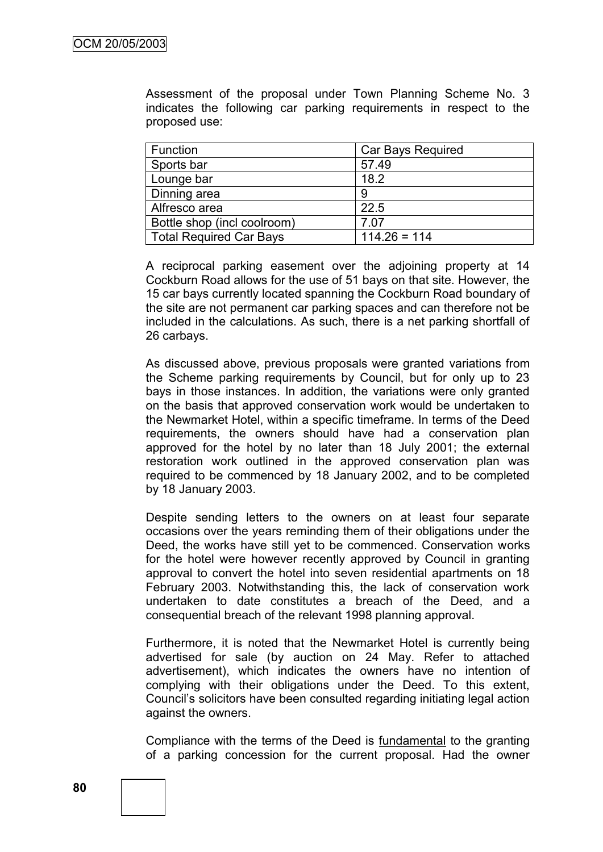Assessment of the proposal under Town Planning Scheme No. 3 indicates the following car parking requirements in respect to the proposed use:

| Function                       | <b>Car Bays Required</b> |
|--------------------------------|--------------------------|
| Sports bar                     | 57.49                    |
| Lounge bar                     | 18.2                     |
| Dinning area                   | 9                        |
| Alfresco area                  | 22.5                     |
| Bottle shop (incl coolroom)    | 7.07                     |
| <b>Total Required Car Bays</b> | $114.26 = 114$           |

A reciprocal parking easement over the adjoining property at 14 Cockburn Road allows for the use of 51 bays on that site. However, the 15 car bays currently located spanning the Cockburn Road boundary of the site are not permanent car parking spaces and can therefore not be included in the calculations. As such, there is a net parking shortfall of 26 carbays.

As discussed above, previous proposals were granted variations from the Scheme parking requirements by Council, but for only up to 23 bays in those instances. In addition, the variations were only granted on the basis that approved conservation work would be undertaken to the Newmarket Hotel, within a specific timeframe. In terms of the Deed requirements, the owners should have had a conservation plan approved for the hotel by no later than 18 July 2001; the external restoration work outlined in the approved conservation plan was required to be commenced by 18 January 2002, and to be completed by 18 January 2003.

Despite sending letters to the owners on at least four separate occasions over the years reminding them of their obligations under the Deed, the works have still yet to be commenced. Conservation works for the hotel were however recently approved by Council in granting approval to convert the hotel into seven residential apartments on 18 February 2003. Notwithstanding this, the lack of conservation work undertaken to date constitutes a breach of the Deed, and a consequential breach of the relevant 1998 planning approval.

Furthermore, it is noted that the Newmarket Hotel is currently being advertised for sale (by auction on 24 May. Refer to attached advertisement), which indicates the owners have no intention of complying with their obligations under the Deed. To this extent, Council"s solicitors have been consulted regarding initiating legal action against the owners.

Compliance with the terms of the Deed is fundamental to the granting of a parking concession for the current proposal. Had the owner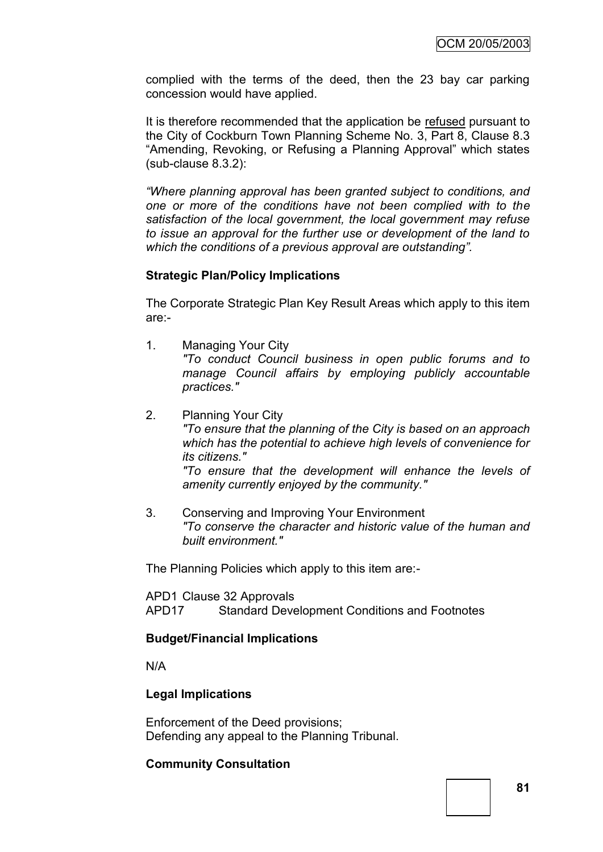complied with the terms of the deed, then the 23 bay car parking concession would have applied.

It is therefore recommended that the application be refused pursuant to the City of Cockburn Town Planning Scheme No. 3, Part 8, Clause 8.3 "Amending, Revoking, or Refusing a Planning Approval" which states (sub-clause 8.3.2):

*"Where planning approval has been granted subject to conditions, and one or more of the conditions have not been complied with to the satisfaction of the local government, the local government may refuse to issue an approval for the further use or development of the land to which the conditions of a previous approval are outstanding".*

### **Strategic Plan/Policy Implications**

The Corporate Strategic Plan Key Result Areas which apply to this item are:-

- 1. Managing Your City *"To conduct Council business in open public forums and to manage Council affairs by employing publicly accountable practices."*
- 2. Planning Your City *"To ensure that the planning of the City is based on an approach which has the potential to achieve high levels of convenience for its citizens." "To ensure that the development will enhance the levels of amenity currently enjoyed by the community."*
- 3. Conserving and Improving Your Environment *"To conserve the character and historic value of the human and built environment."*

The Planning Policies which apply to this item are:-

APD1 Clause 32 Approvals APD17 Standard Development Conditions and Footnotes

# **Budget/Financial Implications**

N/A

# **Legal Implications**

Enforcement of the Deed provisions; Defending any appeal to the Planning Tribunal.

# **Community Consultation**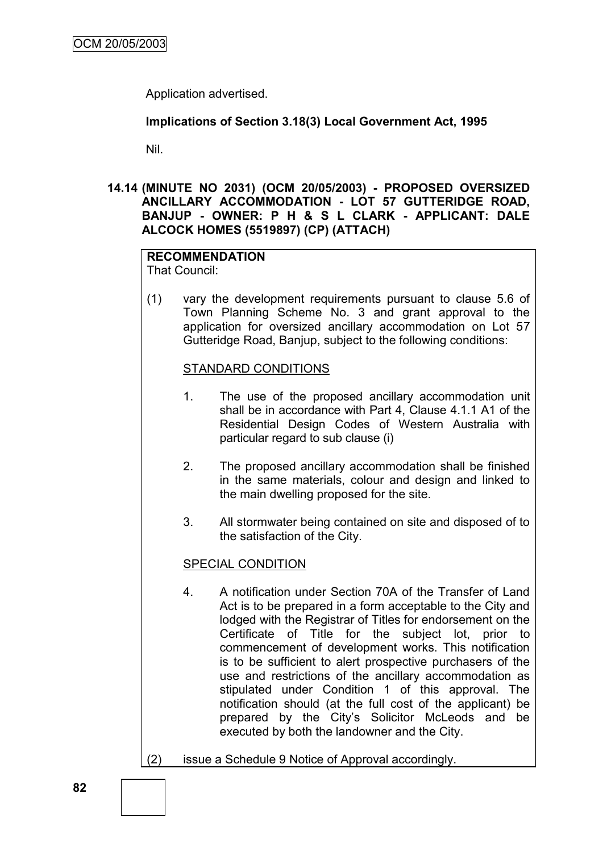Application advertised.

# **Implications of Section 3.18(3) Local Government Act, 1995**

Nil.

### **14.14 (MINUTE NO 2031) (OCM 20/05/2003) - PROPOSED OVERSIZED ANCILLARY ACCOMMODATION - LOT 57 GUTTERIDGE ROAD, BANJUP - OWNER: P H & S L CLARK - APPLICANT: DALE ALCOCK HOMES (5519897) (CP) (ATTACH)**

#### **RECOMMENDATION** That Council:

(1) vary the development requirements pursuant to clause 5.6 of Town Planning Scheme No. 3 and grant approval to the application for oversized ancillary accommodation on Lot 57 Gutteridge Road, Banjup, subject to the following conditions:

# STANDARD CONDITIONS

- 1. The use of the proposed ancillary accommodation unit shall be in accordance with Part 4, Clause 4.1.1 A1 of the Residential Design Codes of Western Australia with particular regard to sub clause (i)
- 2. The proposed ancillary accommodation shall be finished in the same materials, colour and design and linked to the main dwelling proposed for the site.
- 3. All stormwater being contained on site and disposed of to the satisfaction of the City.

# SPECIAL CONDITION

- 4. A notification under Section 70A of the Transfer of Land Act is to be prepared in a form acceptable to the City and lodged with the Registrar of Titles for endorsement on the Certificate of Title for the subject lot, prior to commencement of development works. This notification is to be sufficient to alert prospective purchasers of the use and restrictions of the ancillary accommodation as stipulated under Condition 1 of this approval. The notification should (at the full cost of the applicant) be prepared by the City"s Solicitor McLeods and be executed by both the landowner and the City.
- (2) issue a Schedule 9 Notice of Approval accordingly.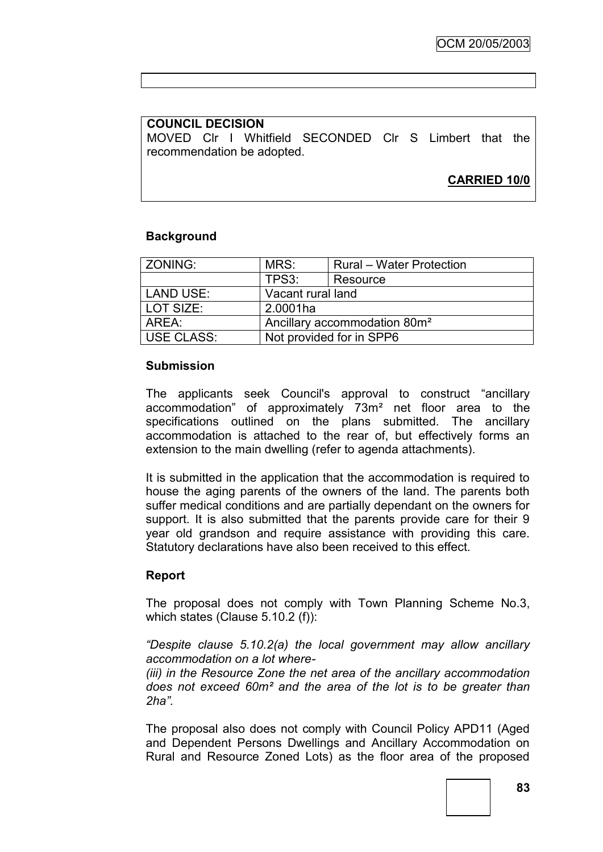# **COUNCIL DECISION**

MOVED Clr I Whitfield SECONDED Clr S Limbert that the recommendation be adopted.

# **CARRIED 10/0**

# **Background**

| ZONING:           | MRS:                                     | <b>Rural – Water Protection</b> |  |  |
|-------------------|------------------------------------------|---------------------------------|--|--|
|                   | TPS3:                                    | Resource                        |  |  |
| LAND USE:         | Vacant rural land                        |                                 |  |  |
| LOT SIZE:         | 2.0001ha                                 |                                 |  |  |
| AREA:             | Ancillary accommodation 80m <sup>2</sup> |                                 |  |  |
| <b>USE CLASS:</b> | Not provided for in SPP6                 |                                 |  |  |

# **Submission**

The applicants seek Council's approval to construct "ancillary accommodation" of approximately 73m² net floor area to the specifications outlined on the plans submitted. The ancillary accommodation is attached to the rear of, but effectively forms an extension to the main dwelling (refer to agenda attachments).

It is submitted in the application that the accommodation is required to house the aging parents of the owners of the land. The parents both suffer medical conditions and are partially dependant on the owners for support. It is also submitted that the parents provide care for their 9 year old grandson and require assistance with providing this care. Statutory declarations have also been received to this effect.

# **Report**

The proposal does not comply with Town Planning Scheme No.3, which states (Clause 5.10.2 (f)):

*"Despite clause 5.10.2(a) the local government may allow ancillary accommodation on a lot where-*

*(iii) in the Resource Zone the net area of the ancillary accommodation does not exceed 60m² and the area of the lot is to be greater than 2ha".*

The proposal also does not comply with Council Policy APD11 (Aged and Dependent Persons Dwellings and Ancillary Accommodation on Rural and Resource Zoned Lots) as the floor area of the proposed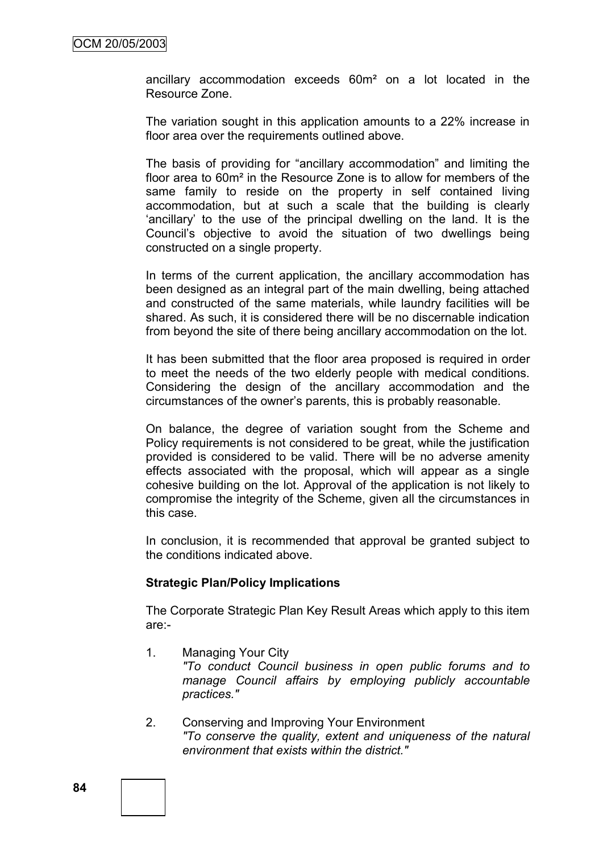ancillary accommodation exceeds 60m² on a lot located in the Resource Zone.

The variation sought in this application amounts to a 22% increase in floor area over the requirements outlined above.

The basis of providing for "ancillary accommodation" and limiting the floor area to 60m² in the Resource Zone is to allow for members of the same family to reside on the property in self contained living accommodation, but at such a scale that the building is clearly "ancillary" to the use of the principal dwelling on the land. It is the Council"s objective to avoid the situation of two dwellings being constructed on a single property.

In terms of the current application, the ancillary accommodation has been designed as an integral part of the main dwelling, being attached and constructed of the same materials, while laundry facilities will be shared. As such, it is considered there will be no discernable indication from beyond the site of there being ancillary accommodation on the lot.

It has been submitted that the floor area proposed is required in order to meet the needs of the two elderly people with medical conditions. Considering the design of the ancillary accommodation and the circumstances of the owner"s parents, this is probably reasonable.

On balance, the degree of variation sought from the Scheme and Policy requirements is not considered to be great, while the justification provided is considered to be valid. There will be no adverse amenity effects associated with the proposal, which will appear as a single cohesive building on the lot. Approval of the application is not likely to compromise the integrity of the Scheme, given all the circumstances in this case.

In conclusion, it is recommended that approval be granted subject to the conditions indicated above.

#### **Strategic Plan/Policy Implications**

The Corporate Strategic Plan Key Result Areas which apply to this item are:-

- 1. Managing Your City *"To conduct Council business in open public forums and to manage Council affairs by employing publicly accountable practices."*
- 2. Conserving and Improving Your Environment *"To conserve the quality, extent and uniqueness of the natural environment that exists within the district."*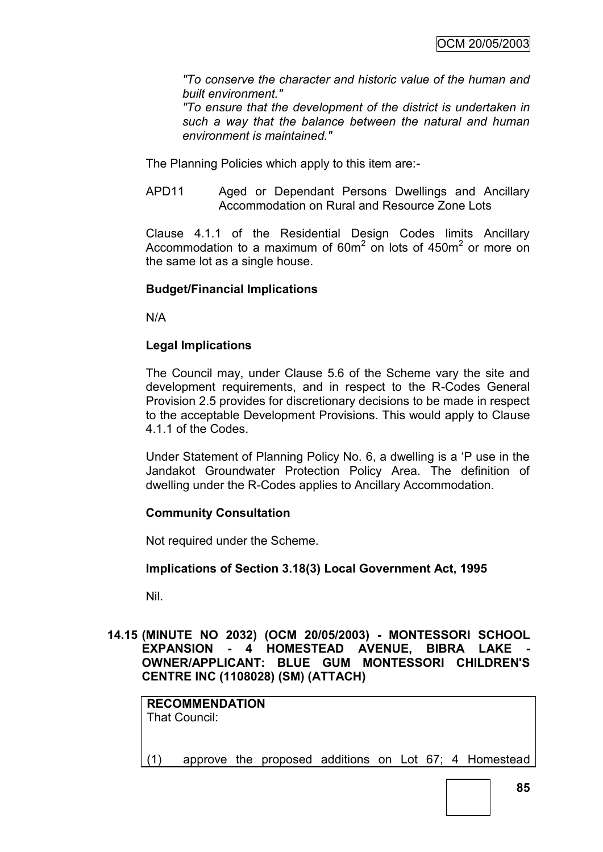*"To conserve the character and historic value of the human and built environment."*

*"To ensure that the development of the district is undertaken in such a way that the balance between the natural and human environment is maintained."*

The Planning Policies which apply to this item are:-

APD11 Aged or Dependant Persons Dwellings and Ancillary Accommodation on Rural and Resource Zone Lots

Clause 4.1.1 of the Residential Design Codes limits Ancillary Accommodation to a maximum of  $60m^2$  on lots of  $450m^2$  or more on the same lot as a single house.

# **Budget/Financial Implications**

N/A

# **Legal Implications**

The Council may, under Clause 5.6 of the Scheme vary the site and development requirements, and in respect to the R-Codes General Provision 2.5 provides for discretionary decisions to be made in respect to the acceptable Development Provisions. This would apply to Clause 4.1.1 of the Codes.

Under Statement of Planning Policy No. 6, a dwelling is a "P use in the Jandakot Groundwater Protection Policy Area. The definition of dwelling under the R-Codes applies to Ancillary Accommodation.

# **Community Consultation**

Not required under the Scheme.

# **Implications of Section 3.18(3) Local Government Act, 1995**

Nil.

# **14.15 (MINUTE NO 2032) (OCM 20/05/2003) - MONTESSORI SCHOOL EXPANSION - 4 HOMESTEAD AVENUE, BIBRA LAKE OWNER/APPLICANT: BLUE GUM MONTESSORI CHILDREN'S CENTRE INC (1108028) (SM) (ATTACH)**

|     | <b>RECOMMENDATION</b><br>That Council: |  |  |  |                                                       |
|-----|----------------------------------------|--|--|--|-------------------------------------------------------|
| (1) |                                        |  |  |  | approve the proposed additions on Lot 67; 4 Homestead |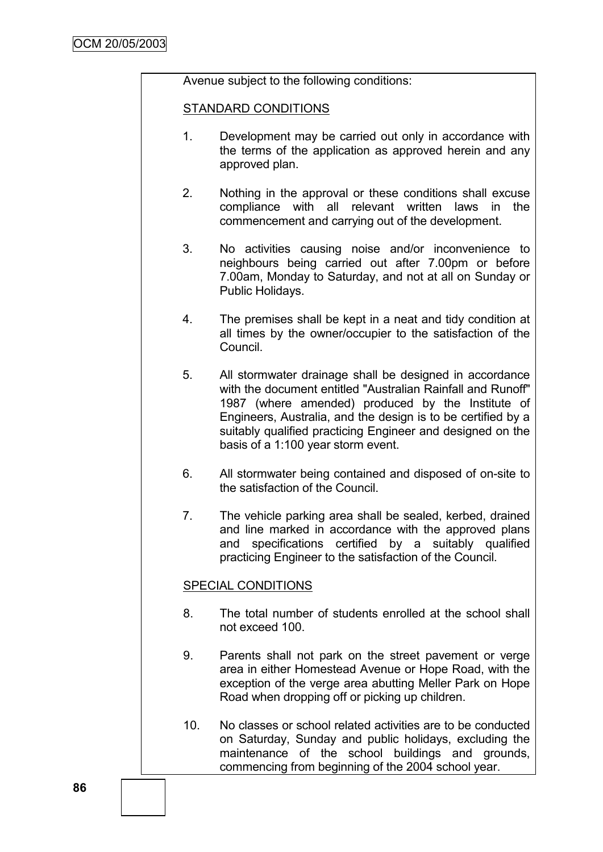Avenue subject to the following conditions:

### STANDARD CONDITIONS

- 1. Development may be carried out only in accordance with the terms of the application as approved herein and any approved plan.
- 2. Nothing in the approval or these conditions shall excuse compliance with all relevant written laws in the commencement and carrying out of the development.
- 3. No activities causing noise and/or inconvenience to neighbours being carried out after 7.00pm or before 7.00am, Monday to Saturday, and not at all on Sunday or Public Holidays.
- 4. The premises shall be kept in a neat and tidy condition at all times by the owner/occupier to the satisfaction of the Council.
- 5. All stormwater drainage shall be designed in accordance with the document entitled "Australian Rainfall and Runoff" 1987 (where amended) produced by the Institute of Engineers, Australia, and the design is to be certified by a suitably qualified practicing Engineer and designed on the basis of a 1:100 year storm event.
- 6. All stormwater being contained and disposed of on-site to the satisfaction of the Council.
- 7. The vehicle parking area shall be sealed, kerbed, drained and line marked in accordance with the approved plans and specifications certified by a suitably qualified practicing Engineer to the satisfaction of the Council.

# SPECIAL CONDITIONS

- 8. The total number of students enrolled at the school shall not exceed 100.
- 9. Parents shall not park on the street pavement or verge area in either Homestead Avenue or Hope Road, with the exception of the verge area abutting Meller Park on Hope Road when dropping off or picking up children.
- 10. No classes or school related activities are to be conducted on Saturday, Sunday and public holidays, excluding the maintenance of the school buildings and grounds, commencing from beginning of the 2004 school year.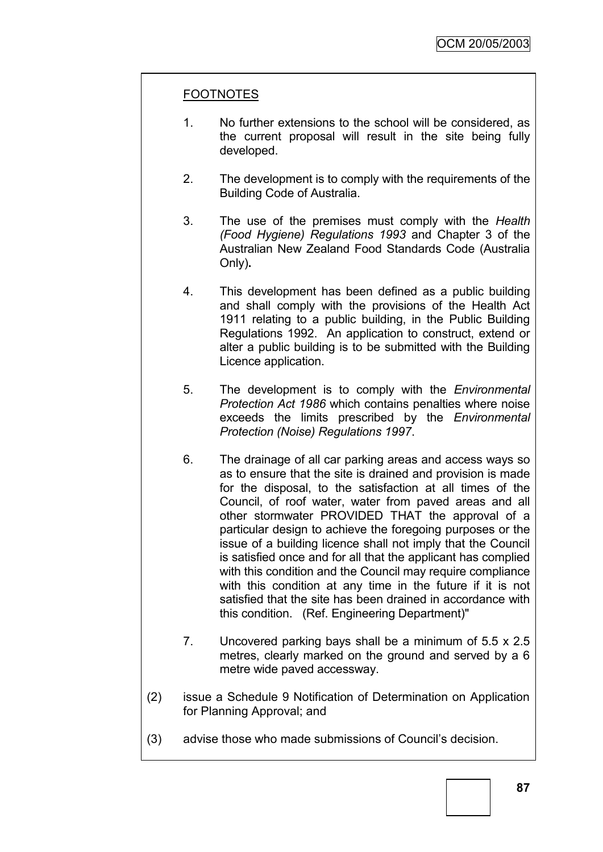# FOOTNOTES

- 1. No further extensions to the school will be considered, as the current proposal will result in the site being fully developed.
- 2. The development is to comply with the requirements of the Building Code of Australia.
- 3. The use of the premises must comply with the *Health (Food Hygiene) Regulations 1993* and Chapter 3 of the Australian New Zealand Food Standards Code (Australia Only)**.**
- 4. This development has been defined as a public building and shall comply with the provisions of the Health Act 1911 relating to a public building, in the Public Building Regulations 1992. An application to construct, extend or alter a public building is to be submitted with the Building Licence application.
- 5. The development is to comply with the *Environmental Protection Act 1986* which contains penalties where noise exceeds the limits prescribed by the *Environmental Protection (Noise) Regulations 1997*.
- 6. The drainage of all car parking areas and access ways so as to ensure that the site is drained and provision is made for the disposal, to the satisfaction at all times of the Council, of roof water, water from paved areas and all other stormwater PROVIDED THAT the approval of a particular design to achieve the foregoing purposes or the issue of a building licence shall not imply that the Council is satisfied once and for all that the applicant has complied with this condition and the Council may require compliance with this condition at any time in the future if it is not satisfied that the site has been drained in accordance with this condition. (Ref. Engineering Department)"
- 7. Uncovered parking bays shall be a minimum of 5.5 x 2.5 metres, clearly marked on the ground and served by a 6 metre wide paved accessway.
- (2) issue a Schedule 9 Notification of Determination on Application for Planning Approval; and
- (3) advise those who made submissions of Council"s decision.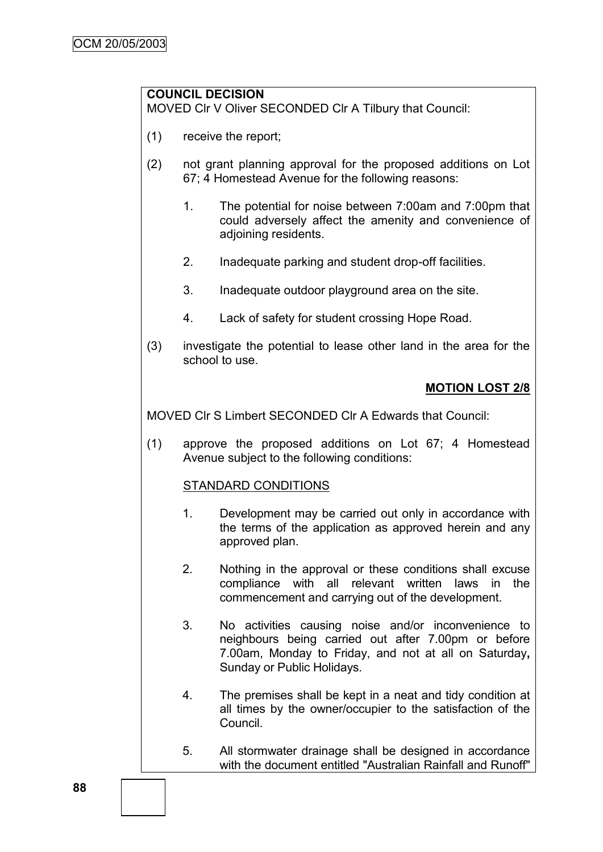# **COUNCIL DECISION**

MOVED Clr V Oliver SECONDED Clr A Tilbury that Council:

- (1) receive the report;
- (2) not grant planning approval for the proposed additions on Lot 67; 4 Homestead Avenue for the following reasons:
	- 1. The potential for noise between 7:00am and 7:00pm that could adversely affect the amenity and convenience of adjoining residents.
	- 2. Inadequate parking and student drop-off facilities.
	- 3. Inadequate outdoor playground area on the site.
	- 4. Lack of safety for student crossing Hope Road.
- (3) investigate the potential to lease other land in the area for the school to use.

# **MOTION LOST 2/8**

MOVED Clr S Limbert SECONDED Clr A Edwards that Council:

(1) approve the proposed additions on Lot 67; 4 Homestead Avenue subject to the following conditions:

# STANDARD CONDITIONS

- 1. Development may be carried out only in accordance with the terms of the application as approved herein and any approved plan.
- 2. Nothing in the approval or these conditions shall excuse compliance with all relevant written laws in the commencement and carrying out of the development.
- 3. No activities causing noise and/or inconvenience to neighbours being carried out after 7.00pm or before 7.00am, Monday to Friday, and not at all on Saturday**,**  Sunday or Public Holidays.
- 4. The premises shall be kept in a neat and tidy condition at all times by the owner/occupier to the satisfaction of the Council.
- 5. All stormwater drainage shall be designed in accordance with the document entitled "Australian Rainfall and Runoff"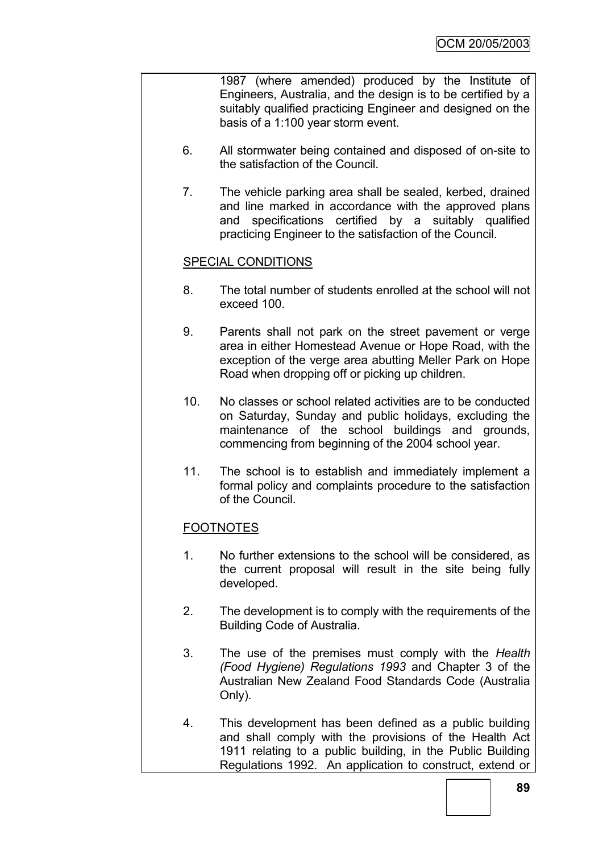1987 (where amended) produced by the Institute of Engineers, Australia, and the design is to be certified by a suitably qualified practicing Engineer and designed on the basis of a 1:100 year storm event.

- 6. All stormwater being contained and disposed of on-site to the satisfaction of the Council.
- 7. The vehicle parking area shall be sealed, kerbed, drained and line marked in accordance with the approved plans and specifications certified by a suitably qualified practicing Engineer to the satisfaction of the Council.

# SPECIAL CONDITIONS

- 8. The total number of students enrolled at the school will not exceed 100.
- 9. Parents shall not park on the street pavement or verge area in either Homestead Avenue or Hope Road, with the exception of the verge area abutting Meller Park on Hope Road when dropping off or picking up children.
- 10. No classes or school related activities are to be conducted on Saturday, Sunday and public holidays, excluding the maintenance of the school buildings and grounds, commencing from beginning of the 2004 school year.
- 11. The school is to establish and immediately implement a formal policy and complaints procedure to the satisfaction of the Council.

# FOOTNOTES

- 1. No further extensions to the school will be considered, as the current proposal will result in the site being fully developed.
- 2. The development is to comply with the requirements of the Building Code of Australia.
- 3. The use of the premises must comply with the *Health (Food Hygiene) Regulations 1993* and Chapter 3 of the Australian New Zealand Food Standards Code (Australia Only).
- 4. This development has been defined as a public building and shall comply with the provisions of the Health Act 1911 relating to a public building, in the Public Building Regulations 1992. An application to construct, extend or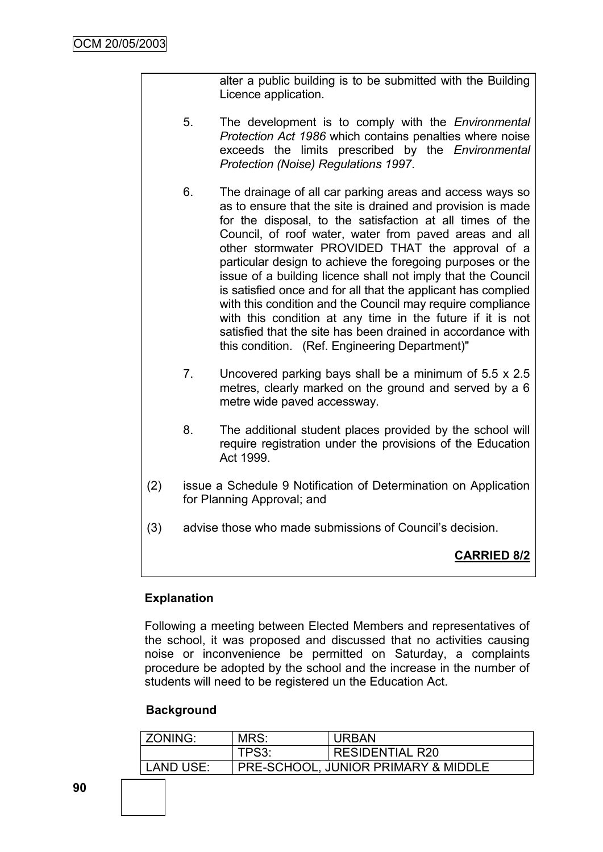alter a public building is to be submitted with the Building Licence application.

- 5. The development is to comply with the *Environmental Protection Act 1986* which contains penalties where noise exceeds the limits prescribed by the *Environmental Protection (Noise) Regulations 1997*.
- 6. The drainage of all car parking areas and access ways so as to ensure that the site is drained and provision is made for the disposal, to the satisfaction at all times of the Council, of roof water, water from paved areas and all other stormwater PROVIDED THAT the approval of a particular design to achieve the foregoing purposes or the issue of a building licence shall not imply that the Council is satisfied once and for all that the applicant has complied with this condition and the Council may require compliance with this condition at any time in the future if it is not satisfied that the site has been drained in accordance with this condition. (Ref. Engineering Department)"
- 7. Uncovered parking bays shall be a minimum of 5.5 x 2.5 metres, clearly marked on the ground and served by a 6 metre wide paved accessway.
- 8. The additional student places provided by the school will require registration under the provisions of the Education Act 1999.
- (2) issue a Schedule 9 Notification of Determination on Application for Planning Approval; and
- (3) advise those who made submissions of Council"s decision.

# **CARRIED 8/2**

# **Explanation**

Following a meeting between Elected Members and representatives of the school, it was proposed and discussed that no activities causing noise or inconvenience be permitted on Saturday, a complaints procedure be adopted by the school and the increase in the number of students will need to be registered un the Education Act.

# **Background**

| ZONING:   | MRS:  | <b>URBAN</b>                                   |
|-----------|-------|------------------------------------------------|
|           | TPS3: | <b>RESIDENTIAL R20</b>                         |
| LAND USE: |       | <b>PRE-SCHOOL, JUNIOR PRIMARY &amp; MIDDLE</b> |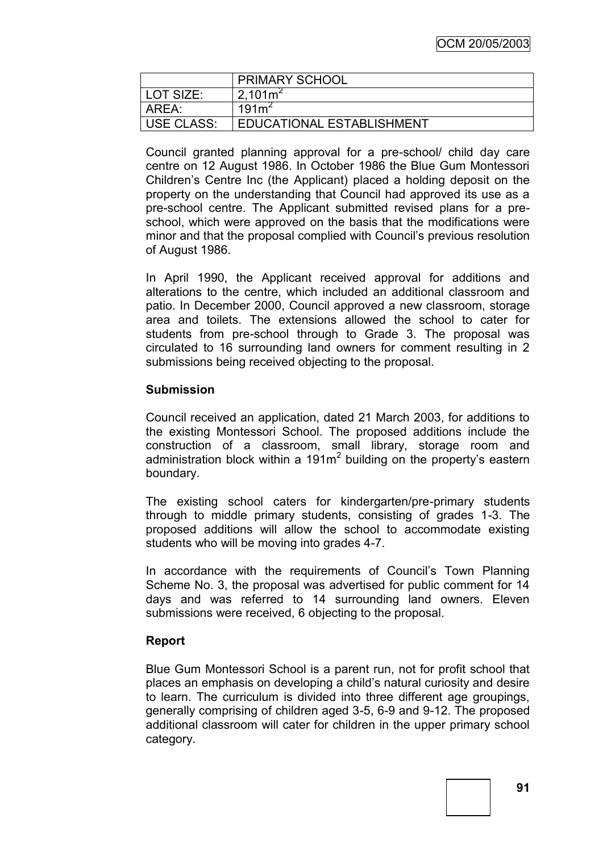|                   | <b>PRIMARY SCHOOL</b>       |
|-------------------|-----------------------------|
| LOT SIZE:         | 2.101 <sup>2</sup>          |
| AREA:             | 191m <sup>2</sup>           |
| <b>USE CLASS:</b> | I EDUCATIONAL ESTABLISHMENT |

Council granted planning approval for a pre-school/ child day care centre on 12 August 1986. In October 1986 the Blue Gum Montessori Children"s Centre Inc (the Applicant) placed a holding deposit on the property on the understanding that Council had approved its use as a pre-school centre. The Applicant submitted revised plans for a preschool, which were approved on the basis that the modifications were minor and that the proposal complied with Council"s previous resolution of August 1986.

In April 1990, the Applicant received approval for additions and alterations to the centre, which included an additional classroom and patio. In December 2000, Council approved a new classroom, storage area and toilets. The extensions allowed the school to cater for students from pre-school through to Grade 3. The proposal was circulated to 16 surrounding land owners for comment resulting in 2 submissions being received objecting to the proposal.

# **Submission**

Council received an application, dated 21 March 2003, for additions to the existing Montessori School. The proposed additions include the construction of a classroom, small library, storage room and administration block within a 191 $m<sup>2</sup>$  building on the property's eastern boundary.

The existing school caters for kindergarten/pre-primary students through to middle primary students, consisting of grades 1-3. The proposed additions will allow the school to accommodate existing students who will be moving into grades 4-7.

In accordance with the requirements of Council"s Town Planning Scheme No. 3, the proposal was advertised for public comment for 14 days and was referred to 14 surrounding land owners. Eleven submissions were received, 6 objecting to the proposal.

#### **Report**

Blue Gum Montessori School is a parent run, not for profit school that places an emphasis on developing a child"s natural curiosity and desire to learn. The curriculum is divided into three different age groupings, generally comprising of children aged 3-5, 6-9 and 9-12. The proposed additional classroom will cater for children in the upper primary school category.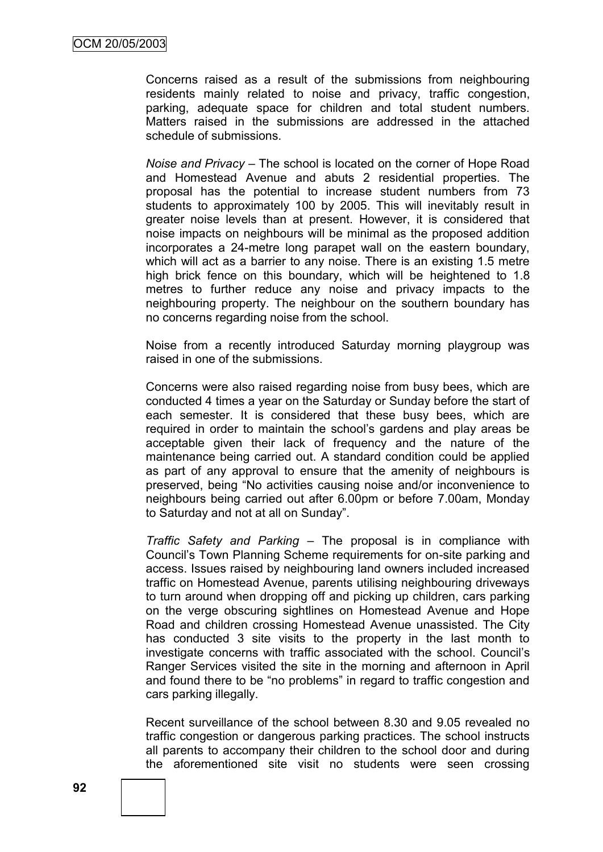Concerns raised as a result of the submissions from neighbouring residents mainly related to noise and privacy, traffic congestion, parking, adequate space for children and total student numbers. Matters raised in the submissions are addressed in the attached schedule of submissions.

*Noise and Privacy –* The school is located on the corner of Hope Road and Homestead Avenue and abuts 2 residential properties. The proposal has the potential to increase student numbers from 73 students to approximately 100 by 2005. This will inevitably result in greater noise levels than at present. However, it is considered that noise impacts on neighbours will be minimal as the proposed addition incorporates a 24-metre long parapet wall on the eastern boundary, which will act as a barrier to any noise. There is an existing 1.5 metre high brick fence on this boundary, which will be heightened to 1.8 metres to further reduce any noise and privacy impacts to the neighbouring property. The neighbour on the southern boundary has no concerns regarding noise from the school.

Noise from a recently introduced Saturday morning playgroup was raised in one of the submissions.

Concerns were also raised regarding noise from busy bees, which are conducted 4 times a year on the Saturday or Sunday before the start of each semester. It is considered that these busy bees, which are required in order to maintain the school"s gardens and play areas be acceptable given their lack of frequency and the nature of the maintenance being carried out. A standard condition could be applied as part of any approval to ensure that the amenity of neighbours is preserved, being "No activities causing noise and/or inconvenience to neighbours being carried out after 6.00pm or before 7.00am, Monday to Saturday and not at all on Sunday".

*Traffic Safety and Parking* – The proposal is in compliance with Council"s Town Planning Scheme requirements for on-site parking and access. Issues raised by neighbouring land owners included increased traffic on Homestead Avenue, parents utilising neighbouring driveways to turn around when dropping off and picking up children, cars parking on the verge obscuring sightlines on Homestead Avenue and Hope Road and children crossing Homestead Avenue unassisted. The City has conducted 3 site visits to the property in the last month to investigate concerns with traffic associated with the school. Council"s Ranger Services visited the site in the morning and afternoon in April and found there to be "no problems" in regard to traffic congestion and cars parking illegally.

Recent surveillance of the school between 8.30 and 9.05 revealed no traffic congestion or dangerous parking practices. The school instructs all parents to accompany their children to the school door and during the aforementioned site visit no students were seen crossing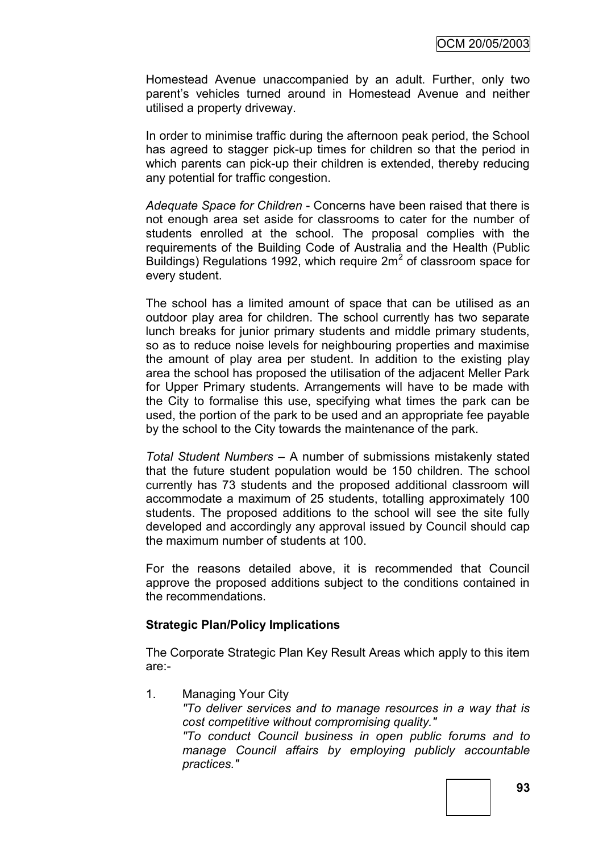Homestead Avenue unaccompanied by an adult. Further, only two parent's vehicles turned around in Homestead Avenue and neither utilised a property driveway.

In order to minimise traffic during the afternoon peak period, the School has agreed to stagger pick-up times for children so that the period in which parents can pick-up their children is extended, thereby reducing any potential for traffic congestion.

*Adequate Space for Children* - Concerns have been raised that there is not enough area set aside for classrooms to cater for the number of students enrolled at the school. The proposal complies with the requirements of the Building Code of Australia and the Health (Public Buildings) Regulations 1992, which require  $2m^2$  of classroom space for every student.

The school has a limited amount of space that can be utilised as an outdoor play area for children. The school currently has two separate lunch breaks for junior primary students and middle primary students, so as to reduce noise levels for neighbouring properties and maximise the amount of play area per student. In addition to the existing play area the school has proposed the utilisation of the adjacent Meller Park for Upper Primary students. Arrangements will have to be made with the City to formalise this use, specifying what times the park can be used, the portion of the park to be used and an appropriate fee payable by the school to the City towards the maintenance of the park.

*Total Student Numbers* – A number of submissions mistakenly stated that the future student population would be 150 children. The school currently has 73 students and the proposed additional classroom will accommodate a maximum of 25 students, totalling approximately 100 students. The proposed additions to the school will see the site fully developed and accordingly any approval issued by Council should cap the maximum number of students at 100.

For the reasons detailed above, it is recommended that Council approve the proposed additions subject to the conditions contained in the recommendations.

# **Strategic Plan/Policy Implications**

The Corporate Strategic Plan Key Result Areas which apply to this item are:-

1. Managing Your City

*"To deliver services and to manage resources in a way that is cost competitive without compromising quality."*

*"To conduct Council business in open public forums and to manage Council affairs by employing publicly accountable practices."*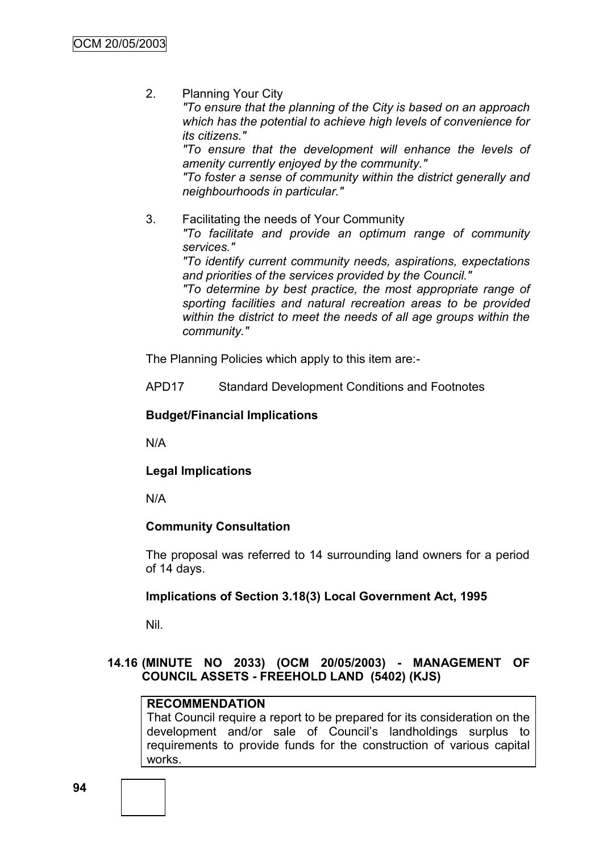2. Planning Your City

*"To ensure that the planning of the City is based on an approach which has the potential to achieve high levels of convenience for its citizens."*

*"To ensure that the development will enhance the levels of amenity currently enjoyed by the community."*

*"To foster a sense of community within the district generally and neighbourhoods in particular."*

3. Facilitating the needs of Your Community

*"To facilitate and provide an optimum range of community services."*

*"To identify current community needs, aspirations, expectations and priorities of the services provided by the Council."*

*"To determine by best practice, the most appropriate range of sporting facilities and natural recreation areas to be provided within the district to meet the needs of all age groups within the community."*

The Planning Policies which apply to this item are:-

APD17 Standard Development Conditions and Footnotes

# **Budget/Financial Implications**

N/A

**Legal Implications**

N/A

# **Community Consultation**

The proposal was referred to 14 surrounding land owners for a period of 14 days.

# **Implications of Section 3.18(3) Local Government Act, 1995**

Nil.

# **14.16 (MINUTE NO 2033) (OCM 20/05/2003) - MANAGEMENT OF COUNCIL ASSETS - FREEHOLD LAND (5402) (KJS)**

# **RECOMMENDATION**

That Council require a report to be prepared for its consideration on the development and/or sale of Council"s landholdings surplus to requirements to provide funds for the construction of various capital works.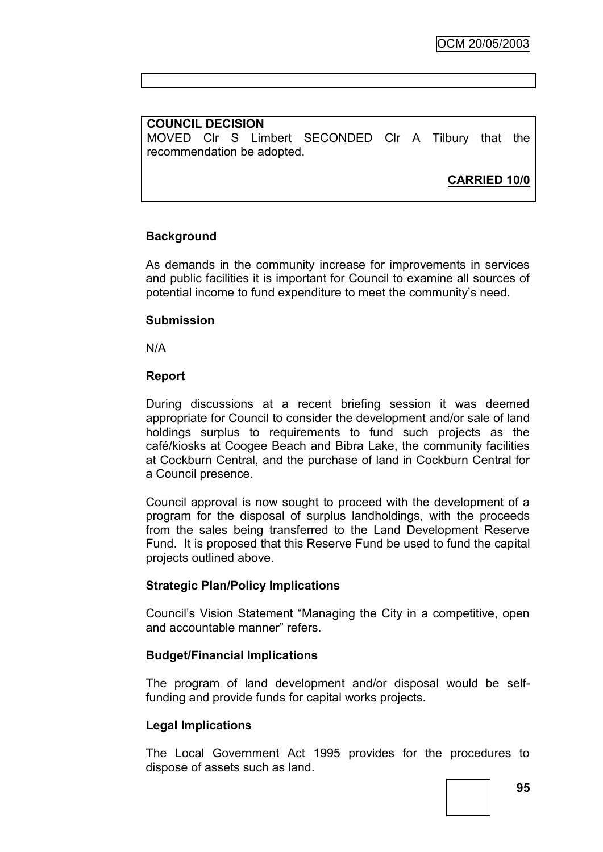# **COUNCIL DECISION**

MOVED Clr S Limbert SECONDED Clr A Tilbury that the recommendation be adopted.

**CARRIED 10/0**

# **Background**

As demands in the community increase for improvements in services and public facilities it is important for Council to examine all sources of potential income to fund expenditure to meet the community"s need.

#### **Submission**

N/A

#### **Report**

During discussions at a recent briefing session it was deemed appropriate for Council to consider the development and/or sale of land holdings surplus to requirements to fund such projects as the café/kiosks at Coogee Beach and Bibra Lake, the community facilities at Cockburn Central, and the purchase of land in Cockburn Central for a Council presence.

Council approval is now sought to proceed with the development of a program for the disposal of surplus landholdings, with the proceeds from the sales being transferred to the Land Development Reserve Fund. It is proposed that this Reserve Fund be used to fund the capital projects outlined above.

#### **Strategic Plan/Policy Implications**

Council"s Vision Statement "Managing the City in a competitive, open and accountable manner" refers.

#### **Budget/Financial Implications**

The program of land development and/or disposal would be selffunding and provide funds for capital works projects.

# **Legal Implications**

The Local Government Act 1995 provides for the procedures to dispose of assets such as land.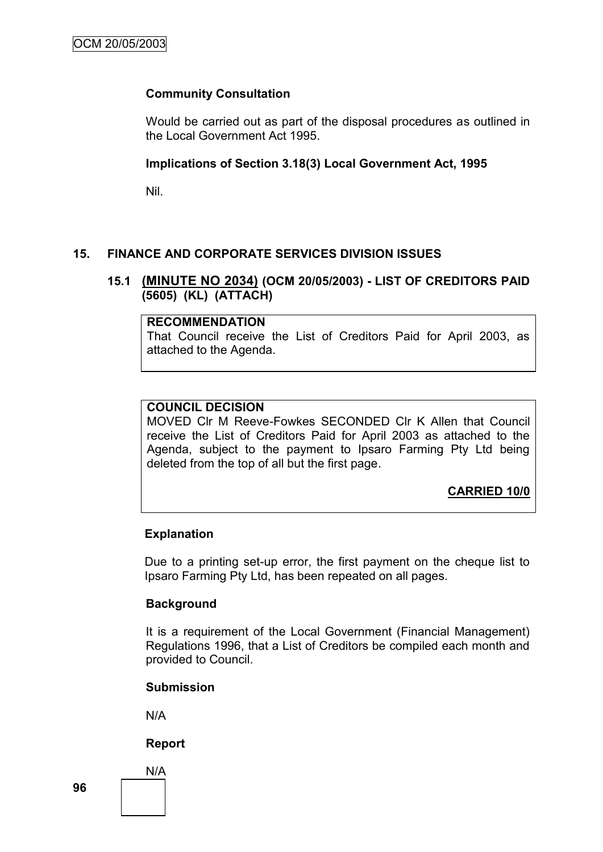# **Community Consultation**

Would be carried out as part of the disposal procedures as outlined in the Local Government Act 1995.

# **Implications of Section 3.18(3) Local Government Act, 1995**

Nil.

# **15. FINANCE AND CORPORATE SERVICES DIVISION ISSUES**

# **15.1 (MINUTE NO 2034) (OCM 20/05/2003) - LIST OF CREDITORS PAID (5605) (KL) (ATTACH)**

#### **RECOMMENDATION**

That Council receive the List of Creditors Paid for April 2003, as attached to the Agenda.

# **COUNCIL DECISION**

MOVED Clr M Reeve-Fowkes SECONDED Clr K Allen that Council receive the List of Creditors Paid for April 2003 as attached to the Agenda, subject to the payment to Ipsaro Farming Pty Ltd being deleted from the top of all but the first page.

**CARRIED 10/0**

# **Explanation**

Due to a printing set-up error, the first payment on the cheque list to Ipsaro Farming Pty Ltd, has been repeated on all pages.

# **Background**

It is a requirement of the Local Government (Financial Management) Regulations 1996, that a List of Creditors be compiled each month and provided to Council.

#### **Submission**

N/A

# **Report**

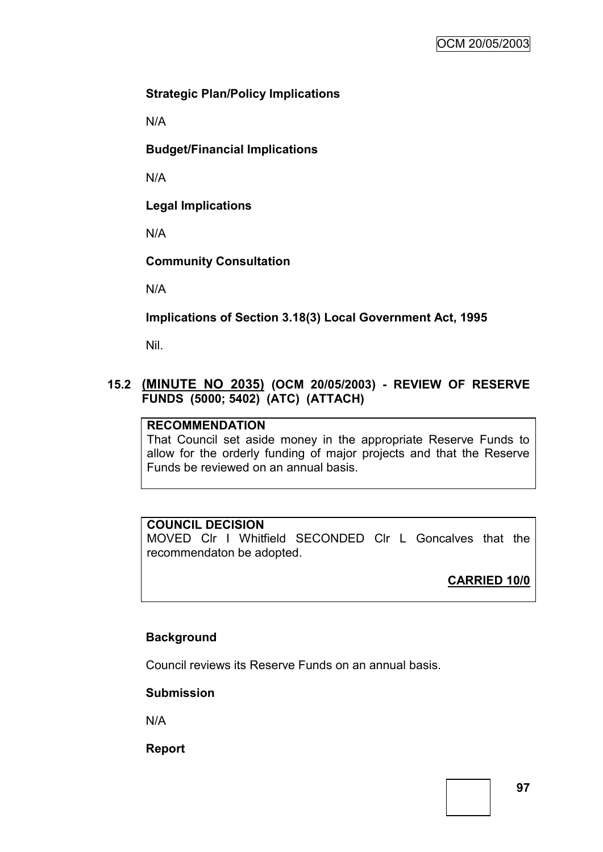# **Strategic Plan/Policy Implications**

N/A

**Budget/Financial Implications**

N/A

**Legal Implications**

N/A

**Community Consultation**

N/A

**Implications of Section 3.18(3) Local Government Act, 1995**

Nil.

# **15.2 (MINUTE NO 2035) (OCM 20/05/2003) - REVIEW OF RESERVE FUNDS (5000; 5402) (ATC) (ATTACH)**

# **RECOMMENDATION**

That Council set aside money in the appropriate Reserve Funds to allow for the orderly funding of major projects and that the Reserve Funds be reviewed on an annual basis.

# **COUNCIL DECISION**

MOVED Clr I Whitfield SECONDED Clr L Goncalves that the recommendaton be adopted.

**CARRIED 10/0**

# **Background**

Council reviews its Reserve Funds on an annual basis.

# **Submission**

N/A

**Report**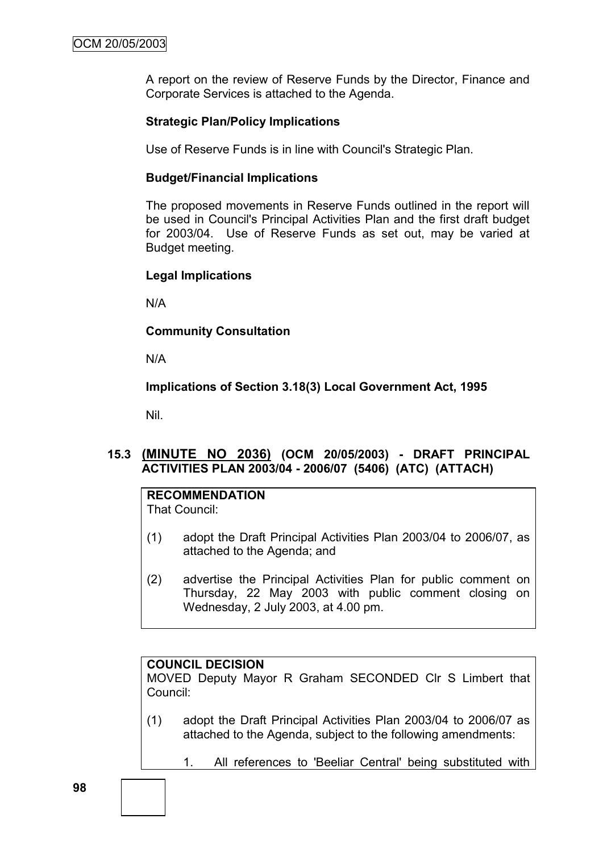A report on the review of Reserve Funds by the Director, Finance and Corporate Services is attached to the Agenda.

# **Strategic Plan/Policy Implications**

Use of Reserve Funds is in line with Council's Strategic Plan.

#### **Budget/Financial Implications**

The proposed movements in Reserve Funds outlined in the report will be used in Council's Principal Activities Plan and the first draft budget for 2003/04. Use of Reserve Funds as set out, may be varied at Budget meeting.

### **Legal Implications**

N/A

### **Community Consultation**

N/A

# **Implications of Section 3.18(3) Local Government Act, 1995**

Nil.

# **15.3 (MINUTE NO 2036) (OCM 20/05/2003) - DRAFT PRINCIPAL ACTIVITIES PLAN 2003/04 - 2006/07 (5406) (ATC) (ATTACH)**

# **RECOMMENDATION**

That Council:

- (1) adopt the Draft Principal Activities Plan 2003/04 to 2006/07, as attached to the Agenda; and
- (2) advertise the Principal Activities Plan for public comment on Thursday, 22 May 2003 with public comment closing on Wednesday, 2 July 2003, at 4.00 pm.

# **COUNCIL DECISION**

MOVED Deputy Mayor R Graham SECONDED Clr S Limbert that Council:

- (1) adopt the Draft Principal Activities Plan 2003/04 to 2006/07 as attached to the Agenda, subject to the following amendments:
	- 1. All references to 'Beeliar Central' being substituted with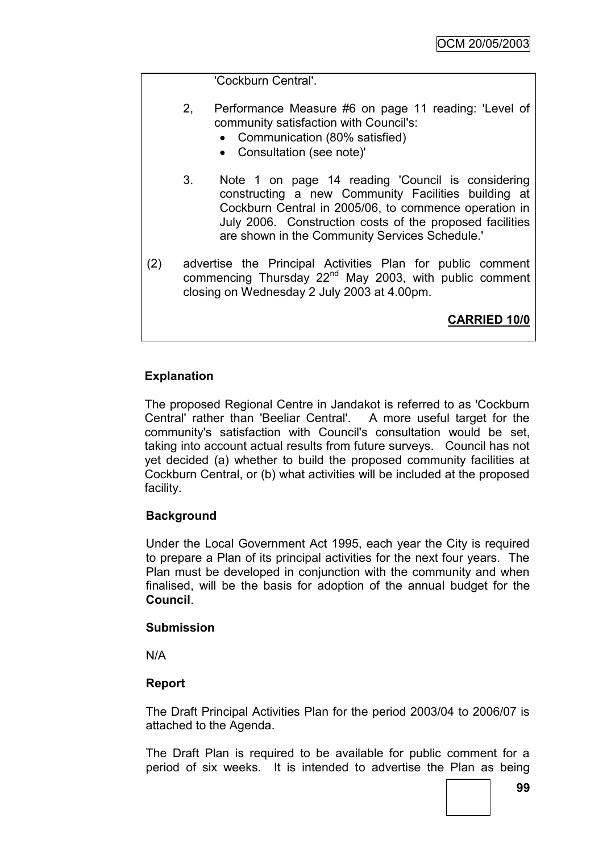'Cockburn Central'.

- 2, Performance Measure #6 on page 11 reading: 'Level of community satisfaction with Council's:
	- Communication (80% satisfied)
	- Consultation (see note)'
- 3. Note 1 on page 14 reading 'Council is considering constructing a new Community Facilities building at Cockburn Central in 2005/06, to commence operation in July 2006. Construction costs of the proposed facilities are shown in the Community Services Schedule.'
- (2) advertise the Principal Activities Plan for public comment commencing Thursday 22<sup>nd</sup> May 2003, with public comment closing on Wednesday 2 July 2003 at 4.00pm.

**CARRIED 10/0**

# **Explanation**

The proposed Regional Centre in Jandakot is referred to as 'Cockburn Central' rather than 'Beeliar Central'. A more useful target for the community's satisfaction with Council's consultation would be set, taking into account actual results from future surveys. Council has not yet decided (a) whether to build the proposed community facilities at Cockburn Central, or (b) what activities will be included at the proposed facility.

# **Background**

Under the Local Government Act 1995, each year the City is required to prepare a Plan of its principal activities for the next four years. The Plan must be developed in conjunction with the community and when finalised, will be the basis for adoption of the annual budget for the **Council**.

#### **Submission**

N/A

# **Report**

The Draft Principal Activities Plan for the period 2003/04 to 2006/07 is attached to the Agenda.

The Draft Plan is required to be available for public comment for a period of six weeks. It is intended to advertise the Plan as being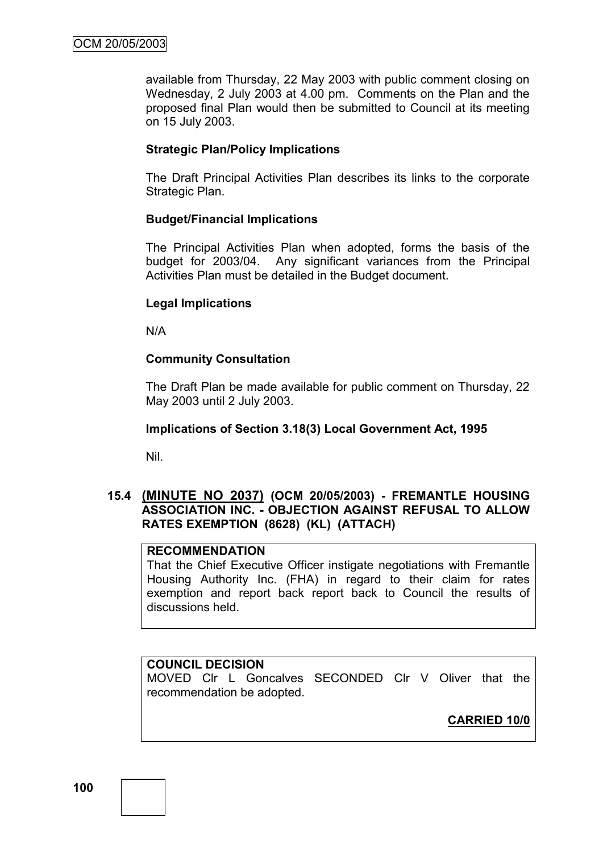available from Thursday, 22 May 2003 with public comment closing on Wednesday, 2 July 2003 at 4.00 pm. Comments on the Plan and the proposed final Plan would then be submitted to Council at its meeting on 15 July 2003.

# **Strategic Plan/Policy Implications**

The Draft Principal Activities Plan describes its links to the corporate Strategic Plan.

### **Budget/Financial Implications**

The Principal Activities Plan when adopted, forms the basis of the budget for 2003/04. Any significant variances from the Principal Activities Plan must be detailed in the Budget document.

### **Legal Implications**

N/A

# **Community Consultation**

The Draft Plan be made available for public comment on Thursday, 22 May 2003 until 2 July 2003.

#### **Implications of Section 3.18(3) Local Government Act, 1995**

Nil.

# **15.4 (MINUTE NO 2037) (OCM 20/05/2003) - FREMANTLE HOUSING ASSOCIATION INC. - OBJECTION AGAINST REFUSAL TO ALLOW RATES EXEMPTION (8628) (KL) (ATTACH)**

# **RECOMMENDATION**

That the Chief Executive Officer instigate negotiations with Fremantle Housing Authority Inc. (FHA) in regard to their claim for rates exemption and report back report back to Council the results of discussions held.

# **COUNCIL DECISION**

MOVED Clr L Goncalves SECONDED Clr V Oliver that the recommendation be adopted.

**CARRIED 10/0**

**100**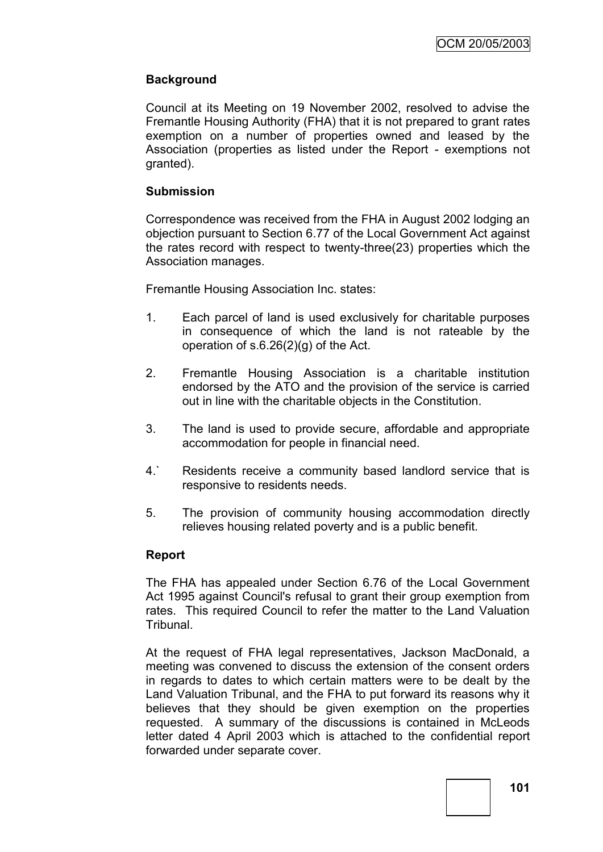# **Background**

Council at its Meeting on 19 November 2002, resolved to advise the Fremantle Housing Authority (FHA) that it is not prepared to grant rates exemption on a number of properties owned and leased by the Association (properties as listed under the Report - exemptions not granted).

### **Submission**

Correspondence was received from the FHA in August 2002 lodging an objection pursuant to Section 6.77 of the Local Government Act against the rates record with respect to twenty-three(23) properties which the Association manages.

Fremantle Housing Association Inc. states:

- 1. Each parcel of land is used exclusively for charitable purposes in consequence of which the land is not rateable by the operation of s.6.26(2)(g) of the Act.
- 2. Fremantle Housing Association is a charitable institution endorsed by the ATO and the provision of the service is carried out in line with the charitable objects in the Constitution.
- 3. The land is used to provide secure, affordable and appropriate accommodation for people in financial need.
- 4.` Residents receive a community based landlord service that is responsive to residents needs.
- 5. The provision of community housing accommodation directly relieves housing related poverty and is a public benefit.

# **Report**

The FHA has appealed under Section 6.76 of the Local Government Act 1995 against Council's refusal to grant their group exemption from rates. This required Council to refer the matter to the Land Valuation Tribunal.

At the request of FHA legal representatives, Jackson MacDonald, a meeting was convened to discuss the extension of the consent orders in regards to dates to which certain matters were to be dealt by the Land Valuation Tribunal, and the FHA to put forward its reasons why it believes that they should be given exemption on the properties requested. A summary of the discussions is contained in McLeods letter dated 4 April 2003 which is attached to the confidential report forwarded under separate cover.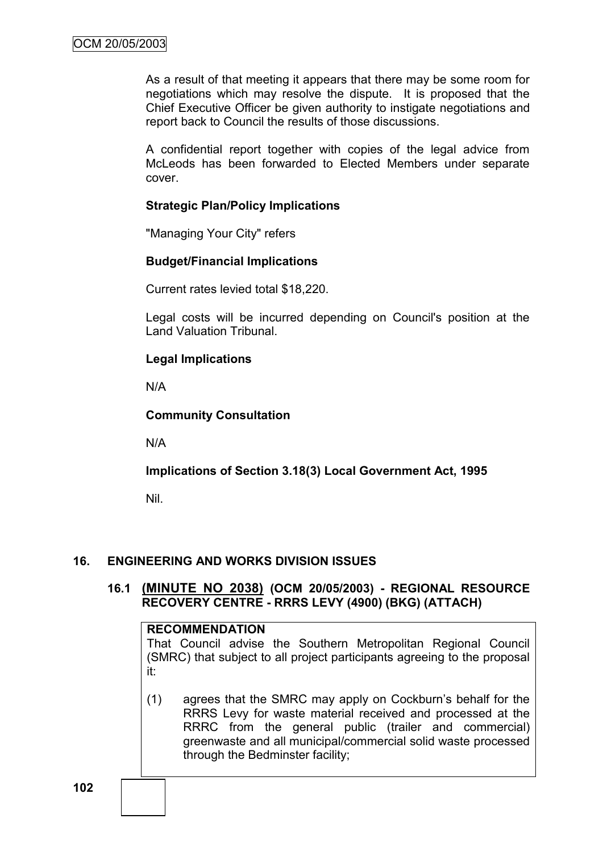As a result of that meeting it appears that there may be some room for negotiations which may resolve the dispute. It is proposed that the Chief Executive Officer be given authority to instigate negotiations and report back to Council the results of those discussions.

A confidential report together with copies of the legal advice from McLeods has been forwarded to Elected Members under separate cover.

# **Strategic Plan/Policy Implications**

"Managing Your City" refers

# **Budget/Financial Implications**

Current rates levied total \$18,220.

Legal costs will be incurred depending on Council's position at the Land Valuation Tribunal.

# **Legal Implications**

N/A

# **Community Consultation**

N/A

# **Implications of Section 3.18(3) Local Government Act, 1995**

Nil.

# **16. ENGINEERING AND WORKS DIVISION ISSUES**

# **16.1 (MINUTE NO 2038) (OCM 20/05/2003) - REGIONAL RESOURCE RECOVERY CENTRE - RRRS LEVY (4900) (BKG) (ATTACH)**

#### **RECOMMENDATION**

That Council advise the Southern Metropolitan Regional Council (SMRC) that subject to all project participants agreeing to the proposal it:

(1) agrees that the SMRC may apply on Cockburn"s behalf for the RRRS Levy for waste material received and processed at the RRRC from the general public (trailer and commercial) greenwaste and all municipal/commercial solid waste processed through the Bedminster facility;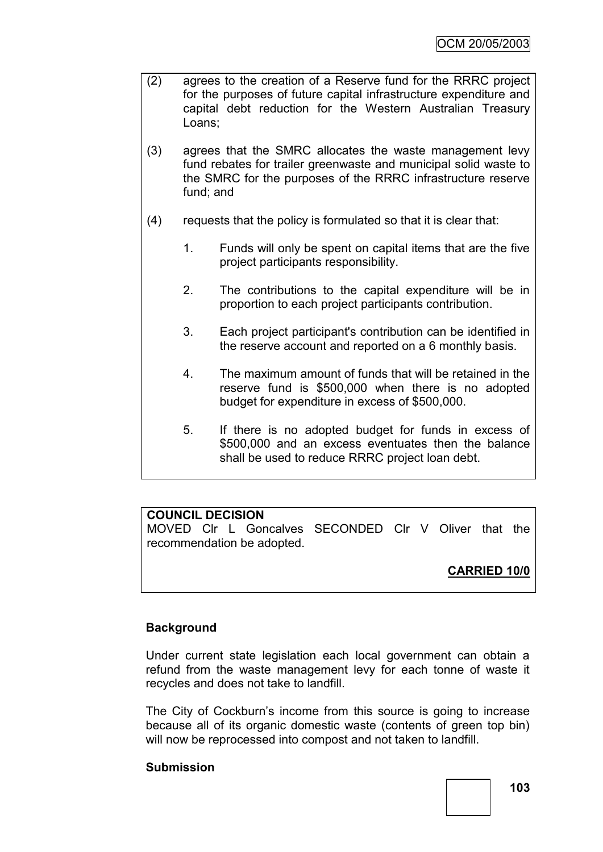- (2) agrees to the creation of a Reserve fund for the RRRC project for the purposes of future capital infrastructure expenditure and capital debt reduction for the Western Australian Treasury Loans;
- (3) agrees that the SMRC allocates the waste management levy fund rebates for trailer greenwaste and municipal solid waste to the SMRC for the purposes of the RRRC infrastructure reserve fund; and
- (4) requests that the policy is formulated so that it is clear that:
	- 1. Funds will only be spent on capital items that are the five project participants responsibility.
	- 2. The contributions to the capital expenditure will be in proportion to each project participants contribution.
	- 3. Each project participant's contribution can be identified in the reserve account and reported on a 6 monthly basis.
	- 4. The maximum amount of funds that will be retained in the reserve fund is \$500,000 when there is no adopted budget for expenditure in excess of \$500,000.
	- 5. If there is no adopted budget for funds in excess of \$500,000 and an excess eventuates then the balance shall be used to reduce RRRC project loan debt.

# **COUNCIL DECISION**

MOVED Clr L Goncalves SECONDED Clr V Oliver that the recommendation be adopted.

# **CARRIED 10/0**

# **Background**

Under current state legislation each local government can obtain a refund from the waste management levy for each tonne of waste it recycles and does not take to landfill.

The City of Cockburn's income from this source is going to increase because all of its organic domestic waste (contents of green top bin) will now be reprocessed into compost and not taken to landfill.

# **Submission**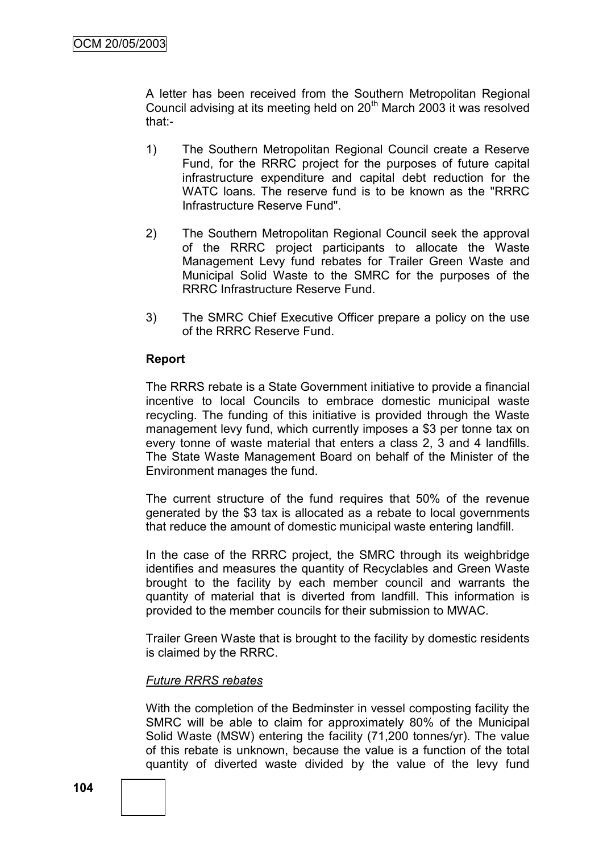A letter has been received from the Southern Metropolitan Regional Council advising at its meeting held on  $20<sup>th</sup>$  March 2003 it was resolved that:-

- 1) The Southern Metropolitan Regional Council create a Reserve Fund, for the RRRC project for the purposes of future capital infrastructure expenditure and capital debt reduction for the WATC loans. The reserve fund is to be known as the "RRRC Infrastructure Reserve Fund".
- 2) The Southern Metropolitan Regional Council seek the approval of the RRRC project participants to allocate the Waste Management Levy fund rebates for Trailer Green Waste and Municipal Solid Waste to the SMRC for the purposes of the RRRC Infrastructure Reserve Fund.
- 3) The SMRC Chief Executive Officer prepare a policy on the use of the RRRC Reserve Fund.

### **Report**

The RRRS rebate is a State Government initiative to provide a financial incentive to local Councils to embrace domestic municipal waste recycling. The funding of this initiative is provided through the Waste management levy fund, which currently imposes a \$3 per tonne tax on every tonne of waste material that enters a class 2, 3 and 4 landfills. The State Waste Management Board on behalf of the Minister of the Environment manages the fund.

The current structure of the fund requires that 50% of the revenue generated by the \$3 tax is allocated as a rebate to local governments that reduce the amount of domestic municipal waste entering landfill.

In the case of the RRRC project, the SMRC through its weighbridge identifies and measures the quantity of Recyclables and Green Waste brought to the facility by each member council and warrants the quantity of material that is diverted from landfill. This information is provided to the member councils for their submission to MWAC.

Trailer Green Waste that is brought to the facility by domestic residents is claimed by the RRRC.

#### *Future RRRS rebates*

With the completion of the Bedminster in vessel composting facility the SMRC will be able to claim for approximately 80% of the Municipal Solid Waste (MSW) entering the facility (71,200 tonnes/yr). The value of this rebate is unknown, because the value is a function of the total quantity of diverted waste divided by the value of the levy fund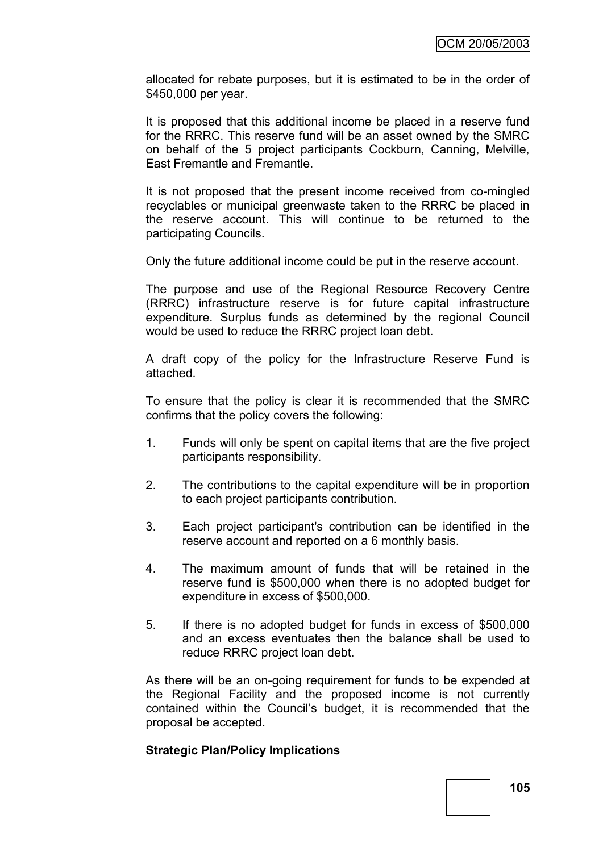allocated for rebate purposes, but it is estimated to be in the order of \$450,000 per year.

It is proposed that this additional income be placed in a reserve fund for the RRRC. This reserve fund will be an asset owned by the SMRC on behalf of the 5 project participants Cockburn, Canning, Melville, East Fremantle and Fremantle.

It is not proposed that the present income received from co-mingled recyclables or municipal greenwaste taken to the RRRC be placed in the reserve account. This will continue to be returned to the participating Councils.

Only the future additional income could be put in the reserve account.

The purpose and use of the Regional Resource Recovery Centre (RRRC) infrastructure reserve is for future capital infrastructure expenditure. Surplus funds as determined by the regional Council would be used to reduce the RRRC project loan debt.

A draft copy of the policy for the Infrastructure Reserve Fund is attached.

To ensure that the policy is clear it is recommended that the SMRC confirms that the policy covers the following:

- 1. Funds will only be spent on capital items that are the five project participants responsibility.
- 2. The contributions to the capital expenditure will be in proportion to each project participants contribution.
- 3. Each project participant's contribution can be identified in the reserve account and reported on a 6 monthly basis.
- 4. The maximum amount of funds that will be retained in the reserve fund is \$500,000 when there is no adopted budget for expenditure in excess of \$500,000.
- 5. If there is no adopted budget for funds in excess of \$500,000 and an excess eventuates then the balance shall be used to reduce RRRC project loan debt.

As there will be an on-going requirement for funds to be expended at the Regional Facility and the proposed income is not currently contained within the Council"s budget, it is recommended that the proposal be accepted.

#### **Strategic Plan/Policy Implications**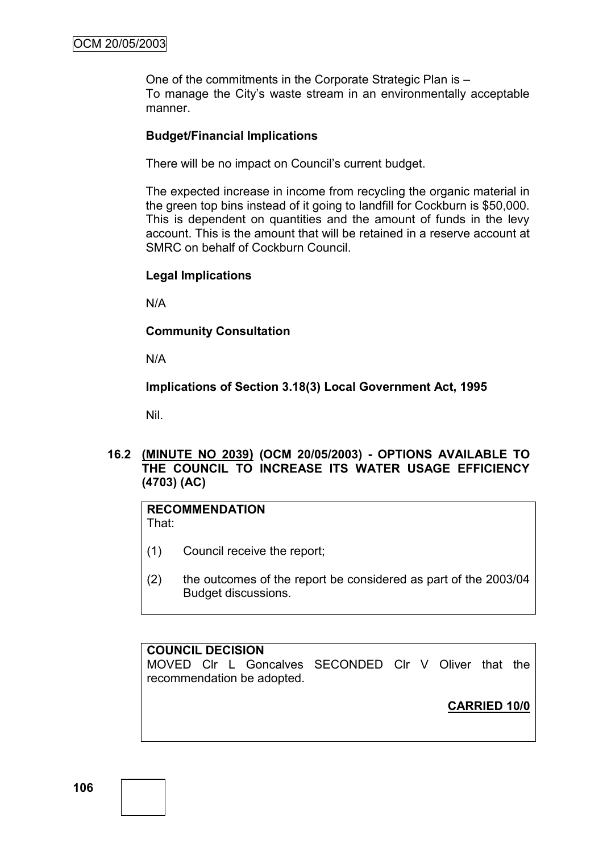One of the commitments in the Corporate Strategic Plan is – To manage the City"s waste stream in an environmentally acceptable manner.

### **Budget/Financial Implications**

There will be no impact on Council"s current budget.

The expected increase in income from recycling the organic material in the green top bins instead of it going to landfill for Cockburn is \$50,000. This is dependent on quantities and the amount of funds in the levy account. This is the amount that will be retained in a reserve account at SMRC on behalf of Cockburn Council.

#### **Legal Implications**

N/A

#### **Community Consultation**

N/A

**Implications of Section 3.18(3) Local Government Act, 1995**

Nil.

# **16.2 (MINUTE NO 2039) (OCM 20/05/2003) - OPTIONS AVAILABLE TO THE COUNCIL TO INCREASE ITS WATER USAGE EFFICIENCY (4703) (AC)**

# **RECOMMENDATION**

That:

- (1) Council receive the report;
- (2) the outcomes of the report be considered as part of the 2003/04 Budget discussions.

#### **COUNCIL DECISION**

MOVED Clr L Goncalves SECONDED Clr V Oliver that the recommendation be adopted.

**CARRIED 10/0**

**106**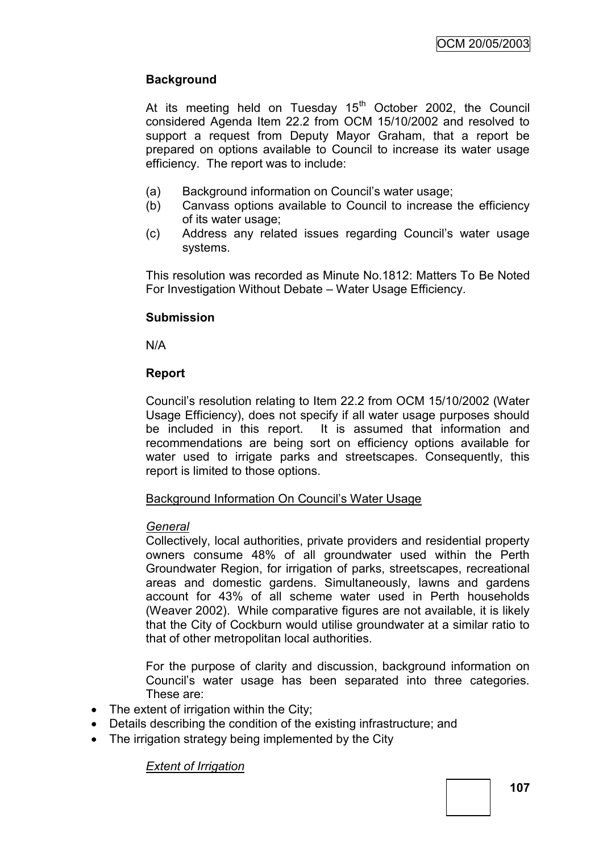# **Background**

At its meeting held on Tuesday  $15<sup>th</sup>$  October 2002, the Council considered Agenda Item 22.2 from OCM 15/10/2002 and resolved to support a request from Deputy Mayor Graham, that a report be prepared on options available to Council to increase its water usage efficiency. The report was to include:

- (a) Background information on Council"s water usage;
- (b) Canvass options available to Council to increase the efficiency of its water usage;
- (c) Address any related issues regarding Council"s water usage systems.

This resolution was recorded as Minute No.1812: Matters To Be Noted For Investigation Without Debate – Water Usage Efficiency.

# **Submission**

N/A

# **Report**

Council"s resolution relating to Item 22.2 from OCM 15/10/2002 (Water Usage Efficiency), does not specify if all water usage purposes should be included in this report. It is assumed that information and recommendations are being sort on efficiency options available for water used to irrigate parks and streetscapes. Consequently, this report is limited to those options.

# Background Information On Council"s Water Usage

# *General*

Collectively, local authorities, private providers and residential property owners consume 48% of all groundwater used within the Perth Groundwater Region, for irrigation of parks, streetscapes, recreational areas and domestic gardens. Simultaneously, lawns and gardens account for 43% of all scheme water used in Perth households (Weaver 2002). While comparative figures are not available, it is likely that the City of Cockburn would utilise groundwater at a similar ratio to that of other metropolitan local authorities.

For the purpose of clarity and discussion, background information on Council"s water usage has been separated into three categories. These are:

- The extent of irrigation within the City;
- Details describing the condition of the existing infrastructure; and
- The irrigation strategy being implemented by the City

# *Extent of Irrigation*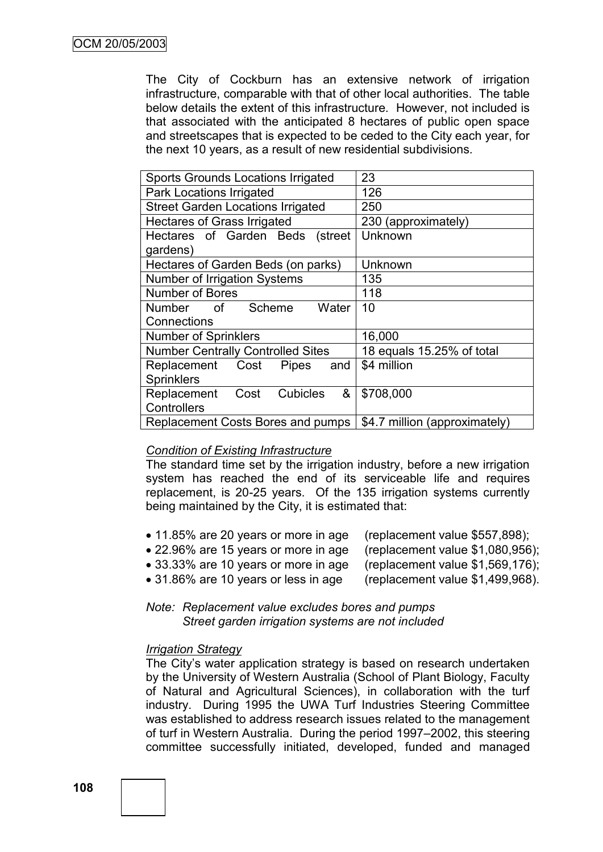The City of Cockburn has an extensive network of irrigation infrastructure, comparable with that of other local authorities. The table below details the extent of this infrastructure. However, not included is that associated with the anticipated 8 hectares of public open space and streetscapes that is expected to be ceded to the City each year, for the next 10 years, as a result of new residential subdivisions.

| <b>Sports Grounds Locations Irrigated</b>                                                                                                           | 23                        |
|-----------------------------------------------------------------------------------------------------------------------------------------------------|---------------------------|
| Park Locations Irrigated                                                                                                                            | 126                       |
| <b>Street Garden Locations Irrigated</b>                                                                                                            | 250                       |
| <b>Hectares of Grass Irrigated</b>                                                                                                                  | 230 (approximately)       |
| Hectares of Garden Beds (street                                                                                                                     | Unknown                   |
| gardens)                                                                                                                                            |                           |
| Hectares of Garden Beds (on parks)                                                                                                                  | Unknown                   |
| Number of Irrigation Systems                                                                                                                        | 135                       |
| Number of Bores                                                                                                                                     | 118                       |
| <b>Number</b><br>of the contract of the contract of the contract of the contract of the contract of the contract of the contract<br>Scheme<br>Water | 10                        |
| Connections                                                                                                                                         |                           |
|                                                                                                                                                     |                           |
| <b>Number of Sprinklers</b>                                                                                                                         | 16,000                    |
| <b>Number Centrally Controlled Sites</b>                                                                                                            | 18 equals 15.25% of total |
| Replacement Cost<br><b>Pipes</b><br>and                                                                                                             | \$4 million               |
| <b>Sprinklers</b>                                                                                                                                   |                           |
| Cubicles<br>&<br>Cost<br>Replacement                                                                                                                | \$708,000                 |
| Controllers                                                                                                                                         |                           |

# *Condition of Existing Infrastructure*

The standard time set by the irrigation industry, before a new irrigation system has reached the end of its serviceable life and requires replacement, is 20-25 years. Of the 135 irrigation systems currently being maintained by the City, it is estimated that:

- 11.85% are 20 years or more in age (replacement value \$557,898);
- 22.96% are 15 years or more in age (replacement value \$1,080,956);
- 33.33% are 10 years or more in age (replacement value \$1,569,176);
- 31.86% are 10 years or less in age (replacement value \$1,499,968).

*Note: Replacement value excludes bores and pumps Street garden irrigation systems are not included*

#### *Irrigation Strategy*

The City"s water application strategy is based on research undertaken by the University of Western Australia (School of Plant Biology, Faculty of Natural and Agricultural Sciences), in collaboration with the turf industry. During 1995 the UWA Turf Industries Steering Committee was established to address research issues related to the management of turf in Western Australia. During the period 1997–2002, this steering committee successfully initiated, developed, funded and managed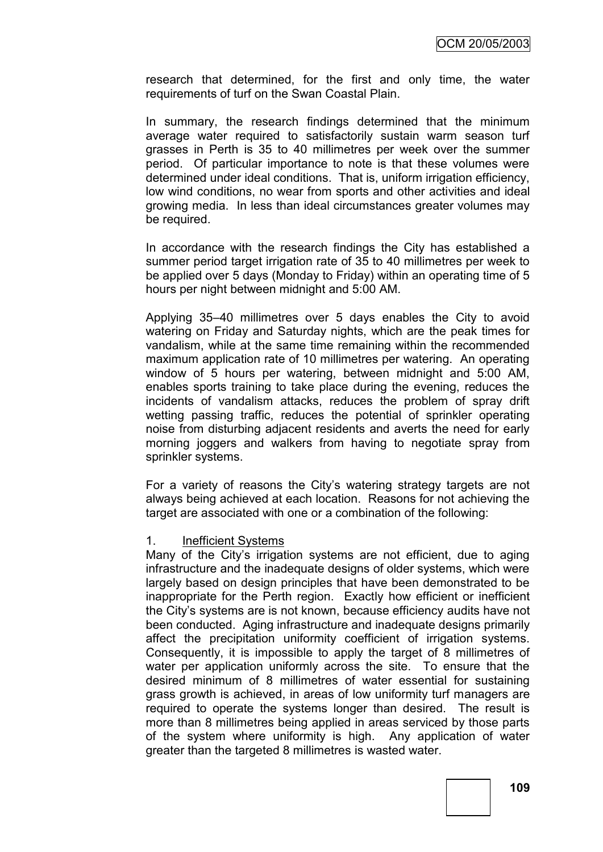research that determined, for the first and only time, the water requirements of turf on the Swan Coastal Plain.

In summary, the research findings determined that the minimum average water required to satisfactorily sustain warm season turf grasses in Perth is 35 to 40 millimetres per week over the summer period. Of particular importance to note is that these volumes were determined under ideal conditions. That is, uniform irrigation efficiency, low wind conditions, no wear from sports and other activities and ideal growing media. In less than ideal circumstances greater volumes may be required.

In accordance with the research findings the City has established a summer period target irrigation rate of 35 to 40 millimetres per week to be applied over 5 days (Monday to Friday) within an operating time of 5 hours per night between midnight and 5:00 AM.

Applying 35–40 millimetres over 5 days enables the City to avoid watering on Friday and Saturday nights, which are the peak times for vandalism, while at the same time remaining within the recommended maximum application rate of 10 millimetres per watering. An operating window of 5 hours per watering, between midnight and 5:00 AM, enables sports training to take place during the evening, reduces the incidents of vandalism attacks, reduces the problem of spray drift wetting passing traffic, reduces the potential of sprinkler operating noise from disturbing adjacent residents and averts the need for early morning joggers and walkers from having to negotiate spray from sprinkler systems.

For a variety of reasons the City"s watering strategy targets are not always being achieved at each location. Reasons for not achieving the target are associated with one or a combination of the following:

#### 1. Inefficient Systems

Many of the City's irrigation systems are not efficient, due to aging infrastructure and the inadequate designs of older systems, which were largely based on design principles that have been demonstrated to be inappropriate for the Perth region. Exactly how efficient or inefficient the City"s systems are is not known, because efficiency audits have not been conducted. Aging infrastructure and inadequate designs primarily affect the precipitation uniformity coefficient of irrigation systems. Consequently, it is impossible to apply the target of 8 millimetres of water per application uniformly across the site. To ensure that the desired minimum of 8 millimetres of water essential for sustaining grass growth is achieved, in areas of low uniformity turf managers are required to operate the systems longer than desired. The result is more than 8 millimetres being applied in areas serviced by those parts of the system where uniformity is high. Any application of water greater than the targeted 8 millimetres is wasted water.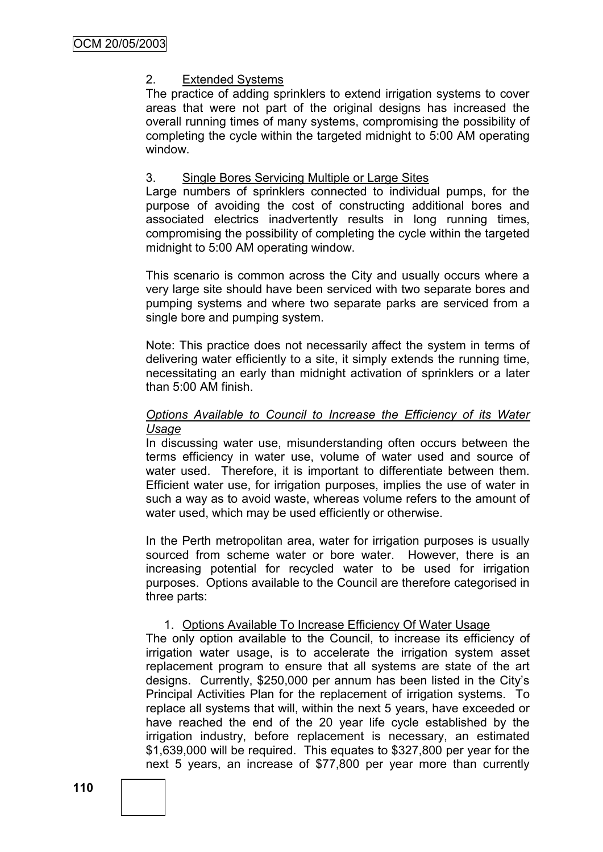# 2. Extended Systems

The practice of adding sprinklers to extend irrigation systems to cover areas that were not part of the original designs has increased the overall running times of many systems, compromising the possibility of completing the cycle within the targeted midnight to 5:00 AM operating window.

# 3. Single Bores Servicing Multiple or Large Sites

Large numbers of sprinklers connected to individual pumps, for the purpose of avoiding the cost of constructing additional bores and associated electrics inadvertently results in long running times, compromising the possibility of completing the cycle within the targeted midnight to 5:00 AM operating window.

This scenario is common across the City and usually occurs where a very large site should have been serviced with two separate bores and pumping systems and where two separate parks are serviced from a single bore and pumping system.

Note: This practice does not necessarily affect the system in terms of delivering water efficiently to a site, it simply extends the running time, necessitating an early than midnight activation of sprinklers or a later than 5:00 AM finish.

### *Options Available to Council to Increase the Efficiency of its Water Usage*

In discussing water use, misunderstanding often occurs between the terms efficiency in water use, volume of water used and source of water used. Therefore, it is important to differentiate between them. Efficient water use, for irrigation purposes, implies the use of water in such a way as to avoid waste, whereas volume refers to the amount of water used, which may be used efficiently or otherwise.

In the Perth metropolitan area, water for irrigation purposes is usually sourced from scheme water or bore water. However, there is an increasing potential for recycled water to be used for irrigation purposes. Options available to the Council are therefore categorised in three parts:

# 1. Options Available To Increase Efficiency Of Water Usage

The only option available to the Council, to increase its efficiency of irrigation water usage, is to accelerate the irrigation system asset replacement program to ensure that all systems are state of the art designs. Currently, \$250,000 per annum has been listed in the City"s Principal Activities Plan for the replacement of irrigation systems. To replace all systems that will, within the next 5 years, have exceeded or have reached the end of the 20 year life cycle established by the irrigation industry, before replacement is necessary, an estimated \$1,639,000 will be required. This equates to \$327,800 per year for the next 5 years, an increase of \$77,800 per year more than currently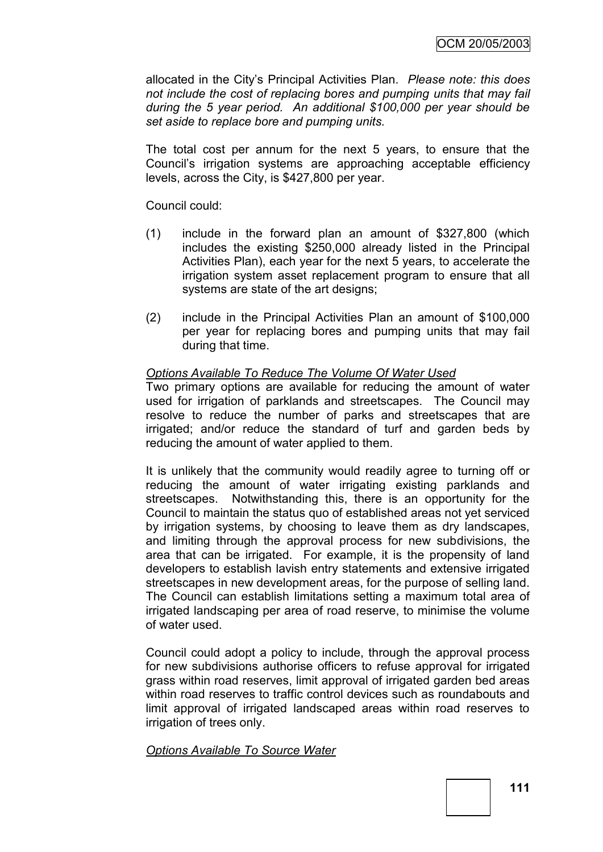allocated in the City"s Principal Activities Plan.*Please note: this does not include the cost of replacing bores and pumping units that may fail during the 5 year period. An additional \$100,000 per year should be set aside to replace bore and pumping units.*

The total cost per annum for the next 5 years, to ensure that the Council"s irrigation systems are approaching acceptable efficiency levels, across the City, is \$427,800 per year.

Council could:

- (1) include in the forward plan an amount of \$327,800 (which includes the existing \$250,000 already listed in the Principal Activities Plan), each year for the next 5 years, to accelerate the irrigation system asset replacement program to ensure that all systems are state of the art designs;
- (2) include in the Principal Activities Plan an amount of \$100,000 per year for replacing bores and pumping units that may fail during that time.

# *Options Available To Reduce The Volume Of Water Used*

Two primary options are available for reducing the amount of water used for irrigation of parklands and streetscapes. The Council may resolve to reduce the number of parks and streetscapes that are irrigated; and/or reduce the standard of turf and garden beds by reducing the amount of water applied to them.

It is unlikely that the community would readily agree to turning off or reducing the amount of water irrigating existing parklands and streetscapes. Notwithstanding this, there is an opportunity for the Council to maintain the status quo of established areas not yet serviced by irrigation systems, by choosing to leave them as dry landscapes, and limiting through the approval process for new subdivisions, the area that can be irrigated. For example, it is the propensity of land developers to establish lavish entry statements and extensive irrigated streetscapes in new development areas, for the purpose of selling land. The Council can establish limitations setting a maximum total area of irrigated landscaping per area of road reserve, to minimise the volume of water used.

Council could adopt a policy to include, through the approval process for new subdivisions authorise officers to refuse approval for irrigated grass within road reserves, limit approval of irrigated garden bed areas within road reserves to traffic control devices such as roundabouts and limit approval of irrigated landscaped areas within road reserves to irrigation of trees only.

*Options Available To Source Water*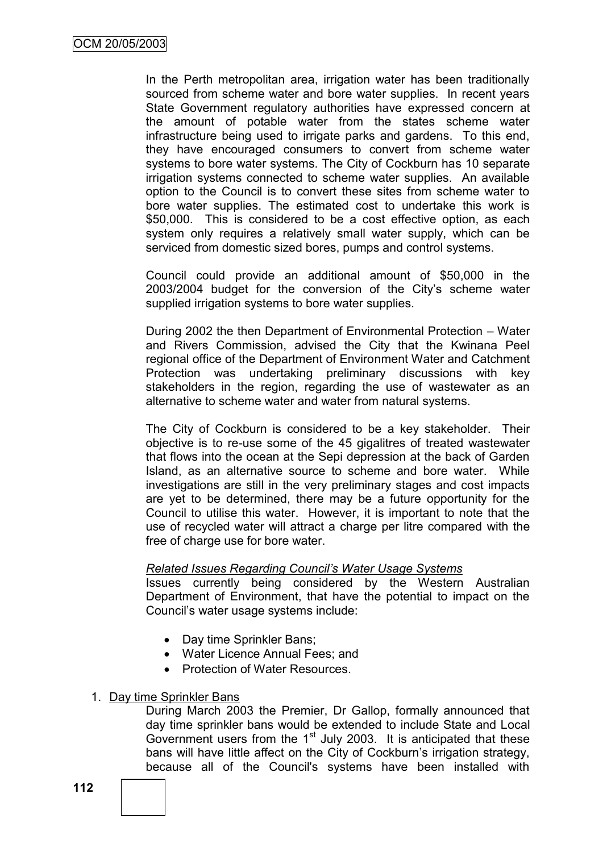In the Perth metropolitan area, irrigation water has been traditionally sourced from scheme water and bore water supplies. In recent years State Government regulatory authorities have expressed concern at the amount of potable water from the states scheme water infrastructure being used to irrigate parks and gardens. To this end, they have encouraged consumers to convert from scheme water systems to bore water systems. The City of Cockburn has 10 separate irrigation systems connected to scheme water supplies. An available option to the Council is to convert these sites from scheme water to bore water supplies. The estimated cost to undertake this work is \$50,000. This is considered to be a cost effective option, as each system only requires a relatively small water supply, which can be serviced from domestic sized bores, pumps and control systems.

Council could provide an additional amount of \$50,000 in the 2003/2004 budget for the conversion of the City"s scheme water supplied irrigation systems to bore water supplies.

During 2002 the then Department of Environmental Protection – Water and Rivers Commission, advised the City that the Kwinana Peel regional office of the Department of Environment Water and Catchment Protection was undertaking preliminary discussions with key stakeholders in the region, regarding the use of wastewater as an alternative to scheme water and water from natural systems.

The City of Cockburn is considered to be a key stakeholder. Their objective is to re-use some of the 45 gigalitres of treated wastewater that flows into the ocean at the Sepi depression at the back of Garden Island, as an alternative source to scheme and bore water. While investigations are still in the very preliminary stages and cost impacts are yet to be determined, there may be a future opportunity for the Council to utilise this water. However, it is important to note that the use of recycled water will attract a charge per litre compared with the free of charge use for bore water.

#### *Related Issues Regarding Council"s Water Usage Systems*

Issues currently being considered by the Western Australian Department of Environment, that have the potential to impact on the Council"s water usage systems include:

- Day time Sprinkler Bans;
- Water Licence Annual Fees; and
- Protection of Water Resources.
- 1. Day time Sprinkler Bans

During March 2003 the Premier, Dr Gallop, formally announced that day time sprinkler bans would be extended to include State and Local Government users from the  $1<sup>st</sup>$  July 2003. It is anticipated that these bans will have little affect on the City of Cockburn"s irrigation strategy, because all of the Council's systems have been installed with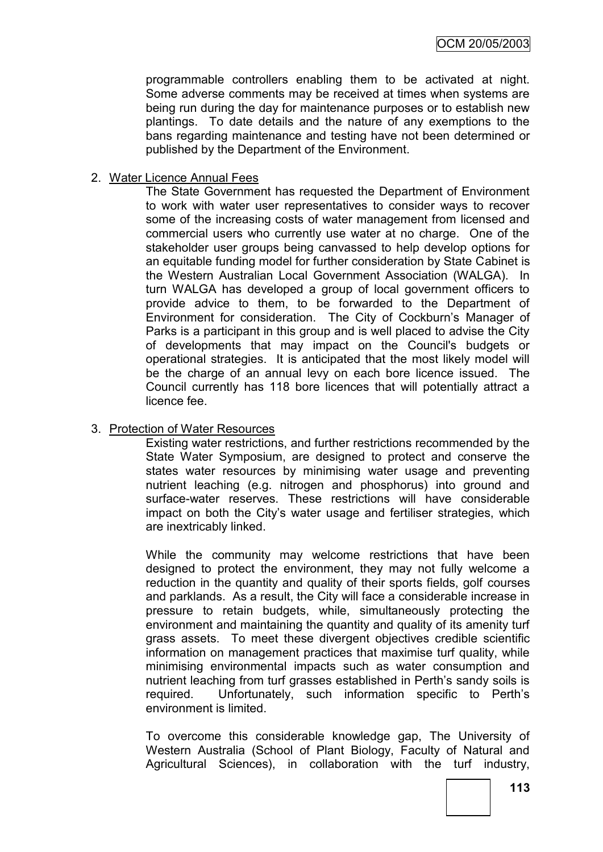programmable controllers enabling them to be activated at night. Some adverse comments may be received at times when systems are being run during the day for maintenance purposes or to establish new plantings. To date details and the nature of any exemptions to the bans regarding maintenance and testing have not been determined or published by the Department of the Environment.

### 2. Water Licence Annual Fees

The State Government has requested the Department of Environment to work with water user representatives to consider ways to recover some of the increasing costs of water management from licensed and commercial users who currently use water at no charge. One of the stakeholder user groups being canvassed to help develop options for an equitable funding model for further consideration by State Cabinet is the Western Australian Local Government Association (WALGA). In turn WALGA has developed a group of local government officers to provide advice to them, to be forwarded to the Department of Environment for consideration. The City of Cockburn"s Manager of Parks is a participant in this group and is well placed to advise the City of developments that may impact on the Council's budgets or operational strategies. It is anticipated that the most likely model will be the charge of an annual levy on each bore licence issued. The Council currently has 118 bore licences that will potentially attract a licence fee.

### 3. Protection of Water Resources

Existing water restrictions, and further restrictions recommended by the State Water Symposium, are designed to protect and conserve the states water resources by minimising water usage and preventing nutrient leaching (e.g. nitrogen and phosphorus) into ground and surface-water reserves. These restrictions will have considerable impact on both the City"s water usage and fertiliser strategies, which are inextricably linked.

While the community may welcome restrictions that have been designed to protect the environment, they may not fully welcome a reduction in the quantity and quality of their sports fields, golf courses and parklands. As a result, the City will face a considerable increase in pressure to retain budgets, while, simultaneously protecting the environment and maintaining the quantity and quality of its amenity turf grass assets. To meet these divergent objectives credible scientific information on management practices that maximise turf quality, while minimising environmental impacts such as water consumption and nutrient leaching from turf grasses established in Perth"s sandy soils is required. Unfortunately, such information specific to Perth"s environment is limited.

To overcome this considerable knowledge gap, The University of Western Australia (School of Plant Biology, Faculty of Natural and Agricultural Sciences), in collaboration with the turf industry,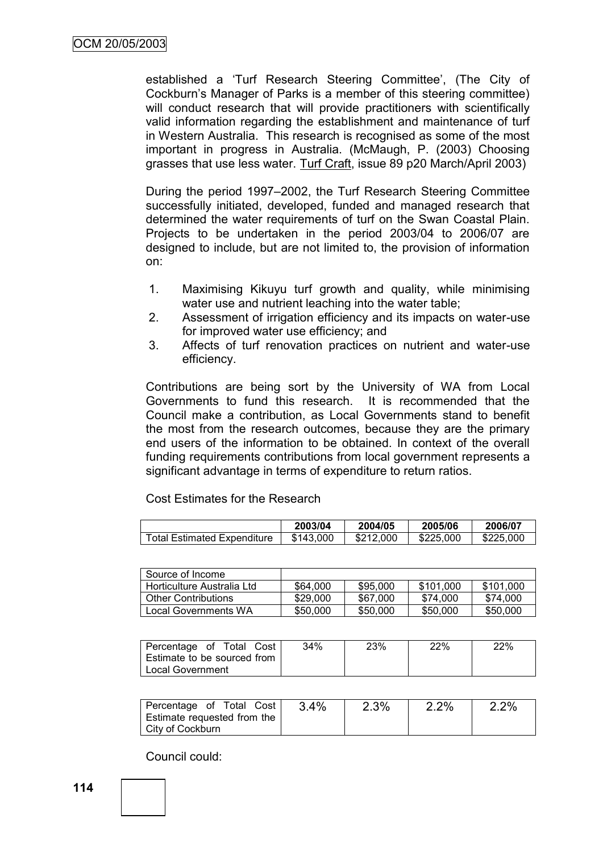established a 'Turf Research Steering Committee', (The City of Cockburn"s Manager of Parks is a member of this steering committee) will conduct research that will provide practitioners with scientifically valid information regarding the establishment and maintenance of turf in Western Australia. This research is recognised as some of the most important in progress in Australia. (McMaugh, P. (2003) Choosing grasses that use less water. Turf Craft, issue 89 p20 March/April 2003)

During the period 1997–2002, the Turf Research Steering Committee successfully initiated, developed, funded and managed research that determined the water requirements of turf on the Swan Coastal Plain. Projects to be undertaken in the period 2003/04 to 2006/07 are designed to include, but are not limited to, the provision of information on:

- 1. Maximising Kikuyu turf growth and quality, while minimising water use and nutrient leaching into the water table;
- 2. Assessment of irrigation efficiency and its impacts on water-use for improved water use efficiency; and
- 3. Affects of turf renovation practices on nutrient and water-use efficiency.

Contributions are being sort by the University of WA from Local Governments to fund this research. It is recommended that the Council make a contribution, as Local Governments stand to benefit the most from the research outcomes, because they are the primary end users of the information to be obtained. In context of the overall funding requirements contributions from local government represents a significant advantage in terms of expenditure to return ratios.

Cost Estimates for the Research

|                                    | 2003/04   | 2004/05   | 2005/06   | 2006/07   |
|------------------------------------|-----------|-----------|-----------|-----------|
| <b>Total Estimated Expenditure</b> | \$143,000 | \$212,000 | \$225,000 | \$225,000 |

| Source of Income           |          |          |           |           |
|----------------------------|----------|----------|-----------|-----------|
| Horticulture Australia Ltd | \$64,000 | \$95,000 | \$101.000 | \$101.000 |
| <b>Other Contributions</b> | \$29,000 | \$67,000 | \$74.000  | \$74.000  |
| Local Governments WA       | \$50,000 | \$50,000 | \$50,000  | \$50,000  |

| Percentage of Total Cost    | 34% | 23% | 22% | 22% |
|-----------------------------|-----|-----|-----|-----|
| Estimate to be sourced from |     |     |     |     |
| Local Government            |     |     |     |     |

| Percentage of Total Cost<br>Estimate requested from the | 3.4% | 2.3% | 2.2% | 2.2% |
|---------------------------------------------------------|------|------|------|------|
| City of Cockburn                                        |      |      |      |      |

Council could: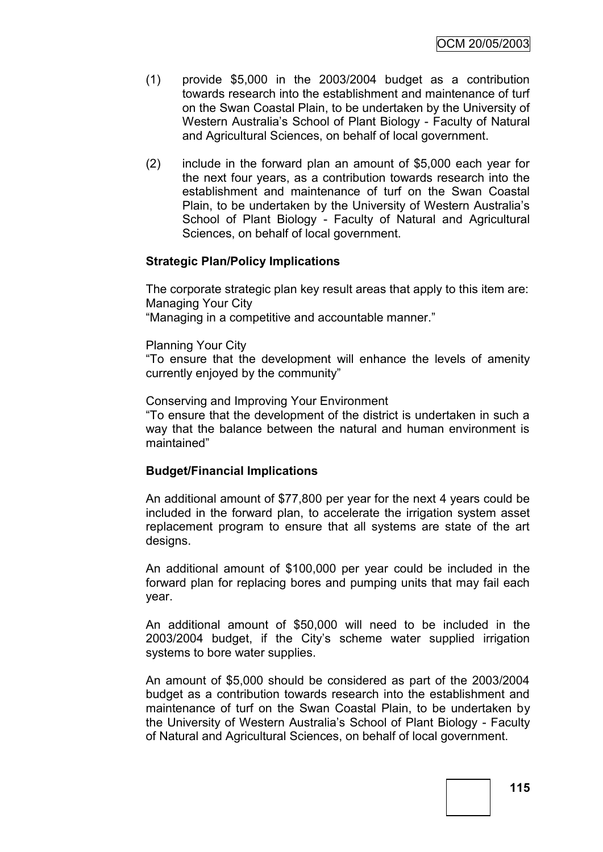- (1) provide \$5,000 in the 2003/2004 budget as a contribution towards research into the establishment and maintenance of turf on the Swan Coastal Plain, to be undertaken by the University of Western Australia"s School of Plant Biology - Faculty of Natural and Agricultural Sciences, on behalf of local government.
- (2) include in the forward plan an amount of \$5,000 each year for the next four years, as a contribution towards research into the establishment and maintenance of turf on the Swan Coastal Plain, to be undertaken by the University of Western Australia"s School of Plant Biology - Faculty of Natural and Agricultural Sciences, on behalf of local government.

# **Strategic Plan/Policy Implications**

The corporate strategic plan key result areas that apply to this item are: Managing Your City "Managing in a competitive and accountable manner."

Planning Your City

"To ensure that the development will enhance the levels of amenity currently enjoyed by the community"

Conserving and Improving Your Environment

"To ensure that the development of the district is undertaken in such a way that the balance between the natural and human environment is maintained"

# **Budget/Financial Implications**

An additional amount of \$77,800 per year for the next 4 years could be included in the forward plan, to accelerate the irrigation system asset replacement program to ensure that all systems are state of the art designs.

An additional amount of \$100,000 per year could be included in the forward plan for replacing bores and pumping units that may fail each year.

An additional amount of \$50,000 will need to be included in the 2003/2004 budget, if the City"s scheme water supplied irrigation systems to bore water supplies.

An amount of \$5,000 should be considered as part of the 2003/2004 budget as a contribution towards research into the establishment and maintenance of turf on the Swan Coastal Plain, to be undertaken by the University of Western Australia"s School of Plant Biology - Faculty of Natural and Agricultural Sciences, on behalf of local government.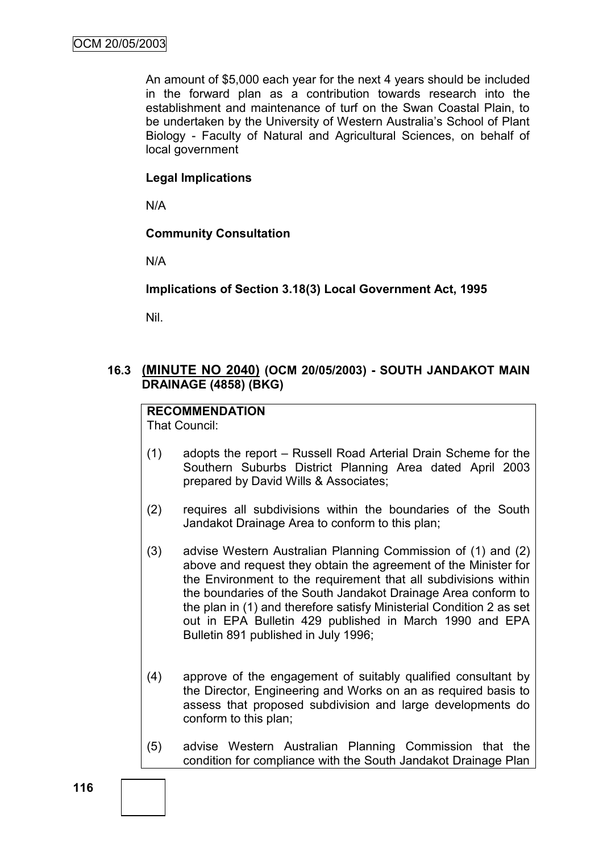An amount of \$5,000 each year for the next 4 years should be included in the forward plan as a contribution towards research into the establishment and maintenance of turf on the Swan Coastal Plain, to be undertaken by the University of Western Australia"s School of Plant Biology - Faculty of Natural and Agricultural Sciences, on behalf of local government

# **Legal Implications**

N/A

# **Community Consultation**

N/A

# **Implications of Section 3.18(3) Local Government Act, 1995**

Nil.

# **16.3 (MINUTE NO 2040) (OCM 20/05/2003) - SOUTH JANDAKOT MAIN DRAINAGE (4858) (BKG)**

# **RECOMMENDATION**

That Council:

- (1) adopts the report Russell Road Arterial Drain Scheme for the Southern Suburbs District Planning Area dated April 2003 prepared by David Wills & Associates;
- (2) requires all subdivisions within the boundaries of the South Jandakot Drainage Area to conform to this plan;
- (3) advise Western Australian Planning Commission of (1) and (2) above and request they obtain the agreement of the Minister for the Environment to the requirement that all subdivisions within the boundaries of the South Jandakot Drainage Area conform to the plan in (1) and therefore satisfy Ministerial Condition 2 as set out in EPA Bulletin 429 published in March 1990 and EPA Bulletin 891 published in July 1996;
- (4) approve of the engagement of suitably qualified consultant by the Director, Engineering and Works on an as required basis to assess that proposed subdivision and large developments do conform to this plan;
- (5) advise Western Australian Planning Commission that the condition for compliance with the South Jandakot Drainage Plan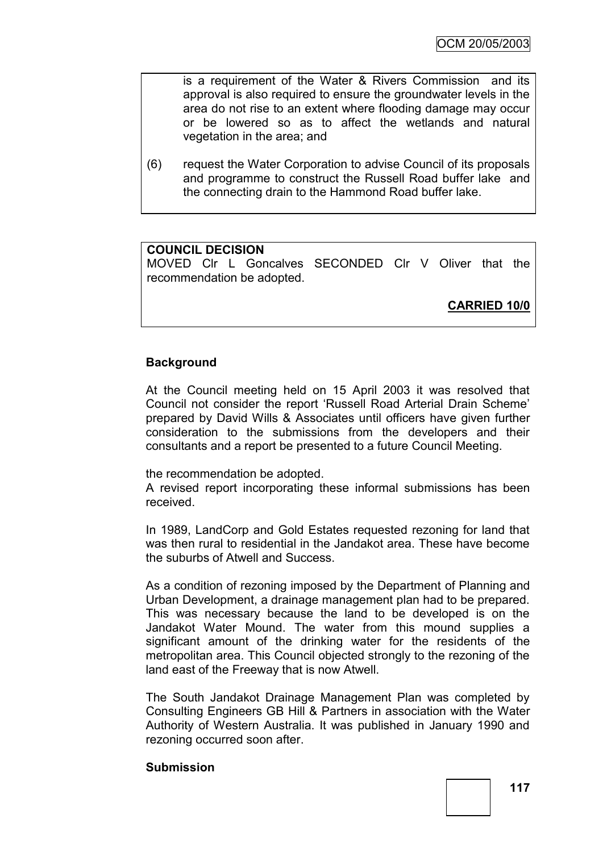is a requirement of the Water & Rivers Commission and its approval is also required to ensure the groundwater levels in the area do not rise to an extent where flooding damage may occur or be lowered so as to affect the wetlands and natural vegetation in the area; and

(6) request the Water Corporation to advise Council of its proposals and programme to construct the Russell Road buffer lake and the connecting drain to the Hammond Road buffer lake.

### **COUNCIL DECISION**

MOVED Clr L Goncalves SECONDED Clr V Oliver that the recommendation be adopted.

**CARRIED 10/0**

# **Background**

At the Council meeting held on 15 April 2003 it was resolved that Council not consider the report "Russell Road Arterial Drain Scheme" prepared by David Wills & Associates until officers have given further consideration to the submissions from the developers and their consultants and a report be presented to a future Council Meeting.

the recommendation be adopted.

A revised report incorporating these informal submissions has been received.

In 1989, LandCorp and Gold Estates requested rezoning for land that was then rural to residential in the Jandakot area. These have become the suburbs of Atwell and Success.

As a condition of rezoning imposed by the Department of Planning and Urban Development, a drainage management plan had to be prepared. This was necessary because the land to be developed is on the Jandakot Water Mound. The water from this mound supplies a significant amount of the drinking water for the residents of the metropolitan area. This Council objected strongly to the rezoning of the land east of the Freeway that is now Atwell.

The South Jandakot Drainage Management Plan was completed by Consulting Engineers GB Hill & Partners in association with the Water Authority of Western Australia. It was published in January 1990 and rezoning occurred soon after.

#### **Submission**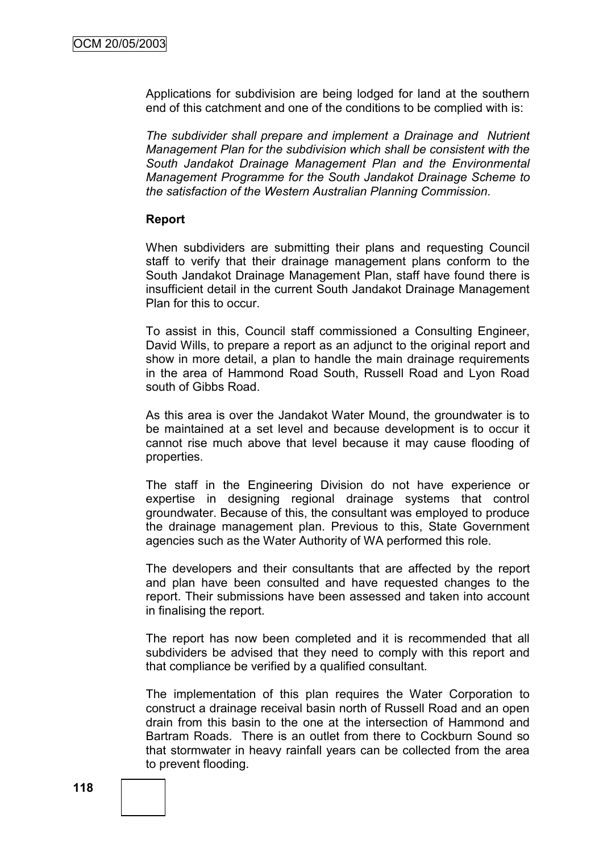Applications for subdivision are being lodged for land at the southern end of this catchment and one of the conditions to be complied with is:

*The subdivider shall prepare and implement a Drainage and Nutrient Management Plan for the subdivision which shall be consistent with the South Jandakot Drainage Management Plan and the Environmental Management Programme for the South Jandakot Drainage Scheme to the satisfaction of the Western Australian Planning Commission.*

### **Report**

When subdividers are submitting their plans and requesting Council staff to verify that their drainage management plans conform to the South Jandakot Drainage Management Plan, staff have found there is insufficient detail in the current South Jandakot Drainage Management Plan for this to occur.

To assist in this, Council staff commissioned a Consulting Engineer, David Wills, to prepare a report as an adjunct to the original report and show in more detail, a plan to handle the main drainage requirements in the area of Hammond Road South, Russell Road and Lyon Road south of Gibbs Road.

As this area is over the Jandakot Water Mound, the groundwater is to be maintained at a set level and because development is to occur it cannot rise much above that level because it may cause flooding of properties.

The staff in the Engineering Division do not have experience or expertise in designing regional drainage systems that control groundwater. Because of this, the consultant was employed to produce the drainage management plan. Previous to this, State Government agencies such as the Water Authority of WA performed this role.

The developers and their consultants that are affected by the report and plan have been consulted and have requested changes to the report. Their submissions have been assessed and taken into account in finalising the report.

The report has now been completed and it is recommended that all subdividers be advised that they need to comply with this report and that compliance be verified by a qualified consultant.

The implementation of this plan requires the Water Corporation to construct a drainage receival basin north of Russell Road and an open drain from this basin to the one at the intersection of Hammond and Bartram Roads. There is an outlet from there to Cockburn Sound so that stormwater in heavy rainfall years can be collected from the area to prevent flooding.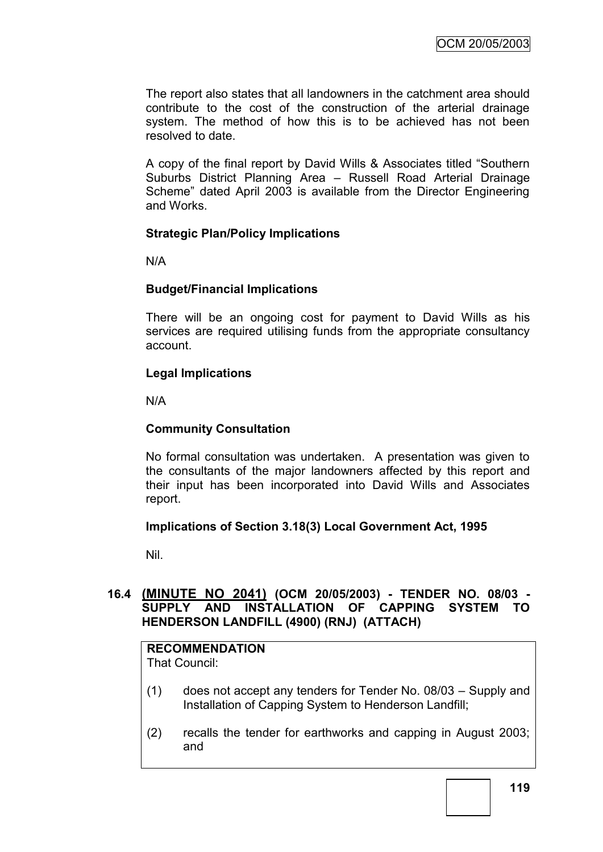The report also states that all landowners in the catchment area should contribute to the cost of the construction of the arterial drainage system. The method of how this is to be achieved has not been resolved to date.

A copy of the final report by David Wills & Associates titled "Southern Suburbs District Planning Area – Russell Road Arterial Drainage Scheme" dated April 2003 is available from the Director Engineering and Works.

# **Strategic Plan/Policy Implications**

N/A

# **Budget/Financial Implications**

There will be an ongoing cost for payment to David Wills as his services are required utilising funds from the appropriate consultancy account.

# **Legal Implications**

N/A

# **Community Consultation**

No formal consultation was undertaken. A presentation was given to the consultants of the major landowners affected by this report and their input has been incorporated into David Wills and Associates report.

# **Implications of Section 3.18(3) Local Government Act, 1995**

Nil.

# **16.4 (MINUTE NO 2041) (OCM 20/05/2003) - TENDER NO. 08/03 - SUPPLY AND INSTALLATION OF CAPPING SYSTEM TO HENDERSON LANDFILL (4900) (RNJ) (ATTACH)**

# **RECOMMENDATION**

That Council:

- (1) does not accept any tenders for Tender No. 08/03 Supply and Installation of Capping System to Henderson Landfill;
- (2) recalls the tender for earthworks and capping in August 2003; and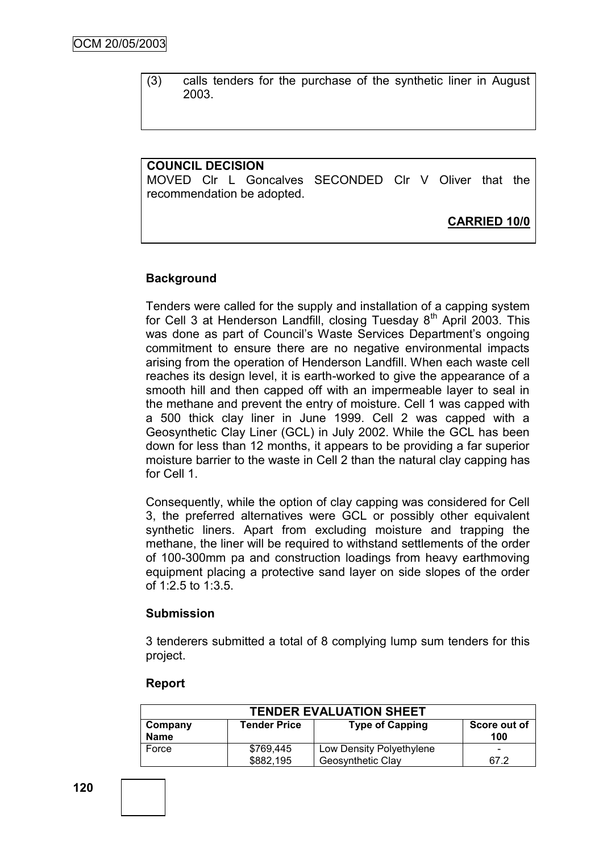(3) calls tenders for the purchase of the synthetic liner in August 2003.

# **COUNCIL DECISION**

MOVED Clr L Goncalves SECONDED Clr V Oliver that the recommendation be adopted.

# **CARRIED 10/0**

### **Background**

Tenders were called for the supply and installation of a capping system for Cell 3 at Henderson Landfill, closing Tuesday  $8<sup>th</sup>$  April 2003. This was done as part of Council's Waste Services Department's ongoing commitment to ensure there are no negative environmental impacts arising from the operation of Henderson Landfill. When each waste cell reaches its design level, it is earth-worked to give the appearance of a smooth hill and then capped off with an impermeable layer to seal in the methane and prevent the entry of moisture. Cell 1 was capped with a 500 thick clay liner in June 1999. Cell 2 was capped with a Geosynthetic Clay Liner (GCL) in July 2002. While the GCL has been down for less than 12 months, it appears to be providing a far superior moisture barrier to the waste in Cell 2 than the natural clay capping has for Cell 1.

Consequently, while the option of clay capping was considered for Cell 3, the preferred alternatives were GCL or possibly other equivalent synthetic liners. Apart from excluding moisture and trapping the methane, the liner will be required to withstand settlements of the order of 100-300mm pa and construction loadings from heavy earthmoving equipment placing a protective sand layer on side slopes of the order of 1:2.5 to 1:3.5.

#### **Submission**

3 tenderers submitted a total of 8 complying lump sum tenders for this project.

#### **Report**

| <b>TENDER EVALUATION SHEET</b>                                                                 |           |                          |      |  |
|------------------------------------------------------------------------------------------------|-----------|--------------------------|------|--|
| <b>Tender Price</b><br><b>Type of Capping</b><br>Score out of<br>Company<br><b>Name</b><br>100 |           |                          |      |  |
| Force                                                                                          | \$769,445 | Low Density Polyethylene |      |  |
|                                                                                                | \$882.195 | Geosynthetic Clay        | 67.2 |  |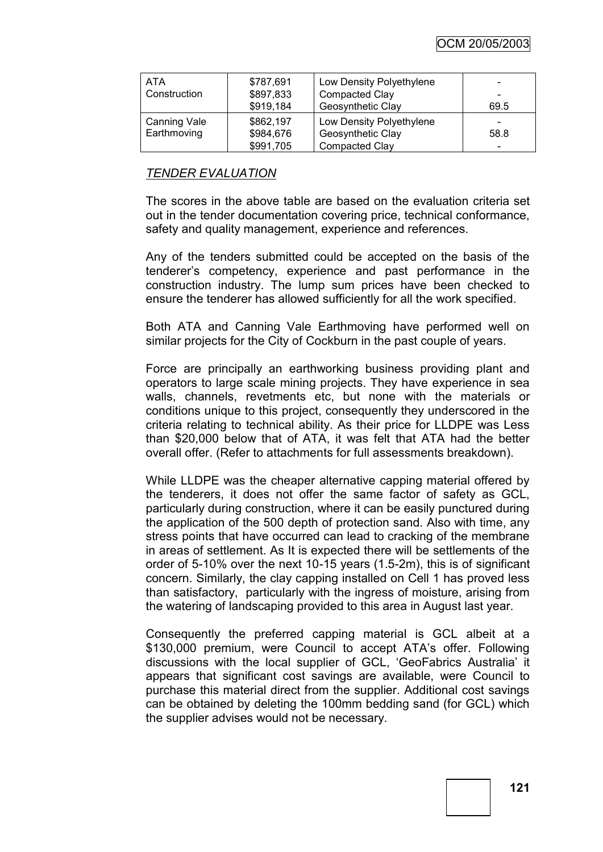OCM 20/05/2003

| <b>ATA</b>          | \$787,691 | Low Density Polyethylene |      |
|---------------------|-----------|--------------------------|------|
| Construction        | \$897,833 | <b>Compacted Clay</b>    |      |
|                     | \$919,184 | Geosynthetic Clay        | 69.5 |
| <b>Canning Vale</b> | \$862,197 | Low Density Polyethylene |      |
| Earthmoving         | \$984,676 | Geosynthetic Clay        | 58.8 |
|                     | \$991,705 | <b>Compacted Clay</b>    | -    |

### *TENDER EVALUATION*

The scores in the above table are based on the evaluation criteria set out in the tender documentation covering price, technical conformance, safety and quality management, experience and references.

Any of the tenders submitted could be accepted on the basis of the tenderer"s competency, experience and past performance in the construction industry. The lump sum prices have been checked to ensure the tenderer has allowed sufficiently for all the work specified.

Both ATA and Canning Vale Earthmoving have performed well on similar projects for the City of Cockburn in the past couple of years.

Force are principally an earthworking business providing plant and operators to large scale mining projects. They have experience in sea walls, channels, revetments etc, but none with the materials or conditions unique to this project, consequently they underscored in the criteria relating to technical ability. As their price for LLDPE was Less than \$20,000 below that of ATA, it was felt that ATA had the better overall offer. (Refer to attachments for full assessments breakdown).

While LLDPE was the cheaper alternative capping material offered by the tenderers, it does not offer the same factor of safety as GCL, particularly during construction, where it can be easily punctured during the application of the 500 depth of protection sand. Also with time, any stress points that have occurred can lead to cracking of the membrane in areas of settlement. As It is expected there will be settlements of the order of 5-10% over the next 10-15 years (1.5-2m), this is of significant concern. Similarly, the clay capping installed on Cell 1 has proved less than satisfactory, particularly with the ingress of moisture, arising from the watering of landscaping provided to this area in August last year.

Consequently the preferred capping material is GCL albeit at a \$130,000 premium, were Council to accept ATA's offer. Following discussions with the local supplier of GCL, "GeoFabrics Australia" it appears that significant cost savings are available, were Council to purchase this material direct from the supplier. Additional cost savings can be obtained by deleting the 100mm bedding sand (for GCL) which the supplier advises would not be necessary.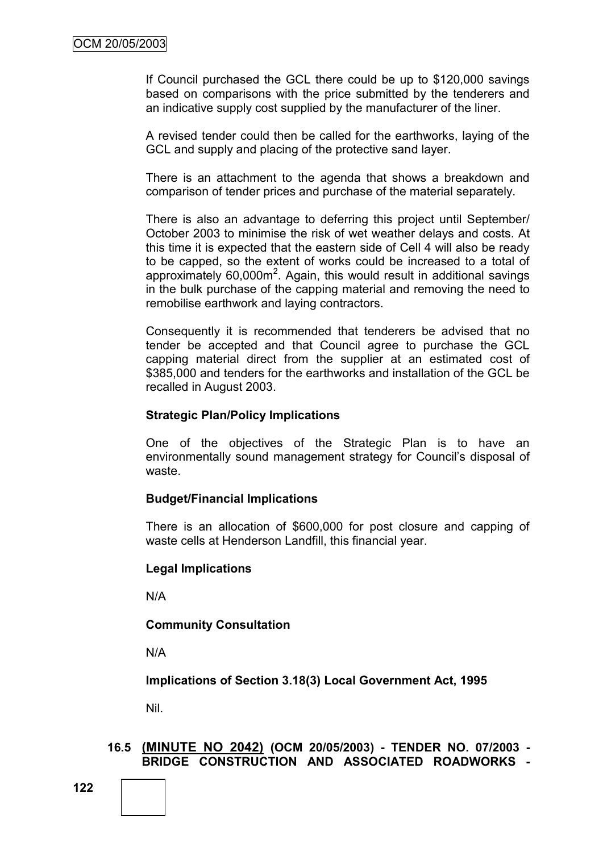If Council purchased the GCL there could be up to \$120,000 savings based on comparisons with the price submitted by the tenderers and an indicative supply cost supplied by the manufacturer of the liner.

A revised tender could then be called for the earthworks, laying of the GCL and supply and placing of the protective sand layer.

There is an attachment to the agenda that shows a breakdown and comparison of tender prices and purchase of the material separately.

There is also an advantage to deferring this project until September/ October 2003 to minimise the risk of wet weather delays and costs. At this time it is expected that the eastern side of Cell 4 will also be ready to be capped, so the extent of works could be increased to a total of approximately  $60,000m^2$ . Again, this would result in additional savings in the bulk purchase of the capping material and removing the need to remobilise earthwork and laying contractors.

Consequently it is recommended that tenderers be advised that no tender be accepted and that Council agree to purchase the GCL capping material direct from the supplier at an estimated cost of \$385,000 and tenders for the earthworks and installation of the GCL be recalled in August 2003.

#### **Strategic Plan/Policy Implications**

One of the objectives of the Strategic Plan is to have an environmentally sound management strategy for Council's disposal of waste.

#### **Budget/Financial Implications**

There is an allocation of \$600,000 for post closure and capping of waste cells at Henderson Landfill, this financial year.

#### **Legal Implications**

N/A

# **Community Consultation**

N/A

**Implications of Section 3.18(3) Local Government Act, 1995**

Nil.

### **16.5 (MINUTE NO 2042) (OCM 20/05/2003) - TENDER NO. 07/2003 - BRIDGE CONSTRUCTION AND ASSOCIATED ROADWORKS -**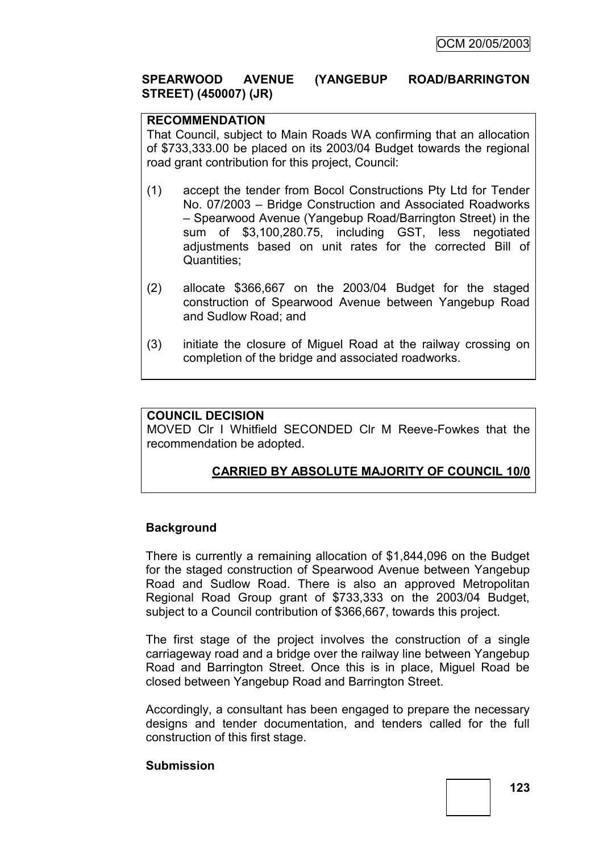# **SPEARWOOD AVENUE (YANGEBUP ROAD/BARRINGTON STREET) (450007) (JR)**

# **RECOMMENDATION**

That Council, subject to Main Roads WA confirming that an allocation of \$733,333.00 be placed on its 2003/04 Budget towards the regional road grant contribution for this project, Council:

- (1) accept the tender from Bocol Constructions Pty Ltd for Tender No. 07/2003 – Bridge Construction and Associated Roadworks – Spearwood Avenue (Yangebup Road/Barrington Street) in the sum of \$3,100,280.75, including GST, less negotiated adjustments based on unit rates for the corrected Bill of Quantities;
- (2) allocate \$366,667 on the 2003/04 Budget for the staged construction of Spearwood Avenue between Yangebup Road and Sudlow Road; and
- (3) initiate the closure of Miguel Road at the railway crossing on completion of the bridge and associated roadworks.

### **COUNCIL DECISION**

MOVED Clr I Whitfield SECONDED Clr M Reeve-Fowkes that the recommendation be adopted.

# **CARRIED BY ABSOLUTE MAJORITY OF COUNCIL 10/0**

#### **Background**

There is currently a remaining allocation of \$1,844,096 on the Budget for the staged construction of Spearwood Avenue between Yangebup Road and Sudlow Road. There is also an approved Metropolitan Regional Road Group grant of \$733,333 on the 2003/04 Budget, subject to a Council contribution of \$366,667, towards this project.

The first stage of the project involves the construction of a single carriageway road and a bridge over the railway line between Yangebup Road and Barrington Street. Once this is in place, Miguel Road be closed between Yangebup Road and Barrington Street.

Accordingly, a consultant has been engaged to prepare the necessary designs and tender documentation, and tenders called for the full construction of this first stage.

#### **Submission**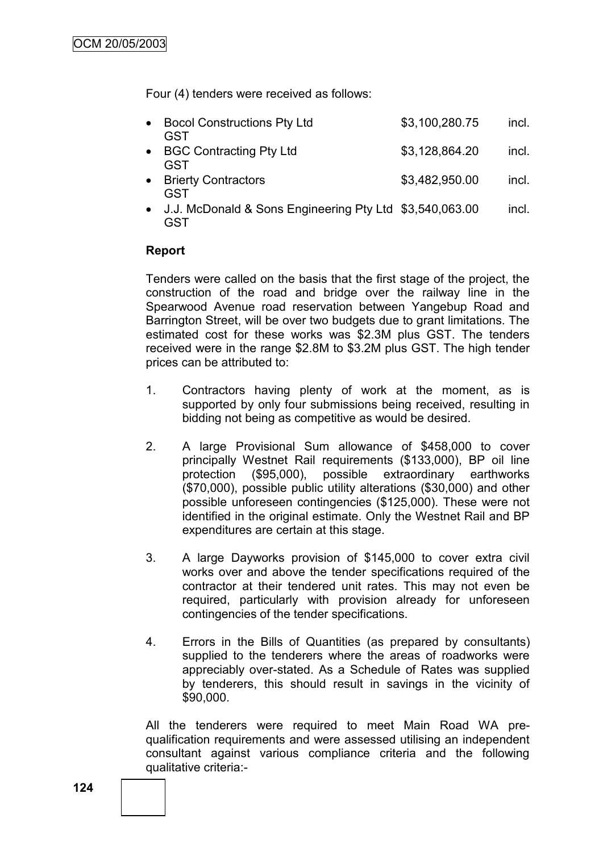Four (4) tenders were received as follows:

| • Bocol Constructions Pty Ltd<br>GST | \$3,100,280.75 | incl. |
|--------------------------------------|----------------|-------|
| • BGC Contracting Pty Ltd<br>GST     | \$3,128,864.20 | incl. |
| • Brierty Contractors<br>GST         | \$3,482,950.00 | incl. |

 J.J. McDonald & Sons Engineering Pty Ltd \$3,540,063.00 incl. GST

#### **Report**

Tenders were called on the basis that the first stage of the project, the construction of the road and bridge over the railway line in the Spearwood Avenue road reservation between Yangebup Road and Barrington Street, will be over two budgets due to grant limitations. The estimated cost for these works was \$2.3M plus GST. The tenders received were in the range \$2.8M to \$3.2M plus GST. The high tender prices can be attributed to:

- 1. Contractors having plenty of work at the moment, as is supported by only four submissions being received, resulting in bidding not being as competitive as would be desired.
- 2. A large Provisional Sum allowance of \$458,000 to cover principally Westnet Rail requirements (\$133,000), BP oil line protection (\$95,000), possible extraordinary earthworks (\$70,000), possible public utility alterations (\$30,000) and other possible unforeseen contingencies (\$125,000). These were not identified in the original estimate. Only the Westnet Rail and BP expenditures are certain at this stage.
- 3. A large Dayworks provision of \$145,000 to cover extra civil works over and above the tender specifications required of the contractor at their tendered unit rates. This may not even be required, particularly with provision already for unforeseen contingencies of the tender specifications.
- 4. Errors in the Bills of Quantities (as prepared by consultants) supplied to the tenderers where the areas of roadworks were appreciably over-stated. As a Schedule of Rates was supplied by tenderers, this should result in savings in the vicinity of \$90,000.

All the tenderers were required to meet Main Road WA prequalification requirements and were assessed utilising an independent consultant against various compliance criteria and the following qualitative criteria:-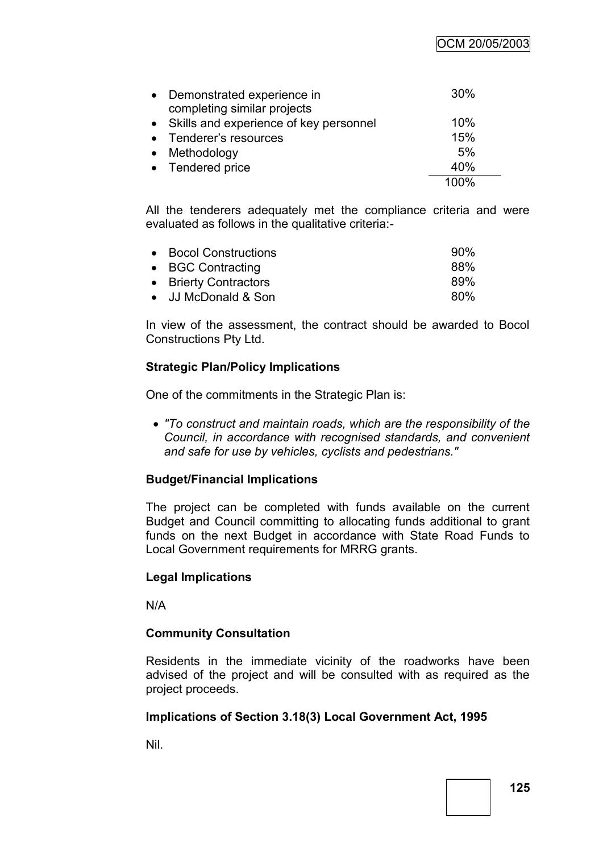OCM 20/05/2003

| • Demonstrated experience in<br>completing similar projects | 30%  |
|-------------------------------------------------------------|------|
| • Skills and experience of key personnel                    | 10%  |
| • Tenderer's resources                                      | 15%  |
| • Methodology                                               | 5%   |
| • Tendered price                                            | 40%  |
|                                                             | 100% |

All the tenderers adequately met the compliance criteria and were evaluated as follows in the qualitative criteria:-

| • Bocol Constructions | 90% |
|-----------------------|-----|
| • BGC Contracting     | 88% |
| • Brierty Contractors | 89% |
| • JJ McDonald & Son   | 80% |

In view of the assessment, the contract should be awarded to Bocol Constructions Pty Ltd.

# **Strategic Plan/Policy Implications**

One of the commitments in the Strategic Plan is:

 *"To construct and maintain roads, which are the responsibility of the Council, in accordance with recognised standards, and convenient and safe for use by vehicles, cyclists and pedestrians."*

# **Budget/Financial Implications**

The project can be completed with funds available on the current Budget and Council committing to allocating funds additional to grant funds on the next Budget in accordance with State Road Funds to Local Government requirements for MRRG grants.

# **Legal Implications**

N/A

# **Community Consultation**

Residents in the immediate vicinity of the roadworks have been advised of the project and will be consulted with as required as the project proceeds.

# **Implications of Section 3.18(3) Local Government Act, 1995**

Nil.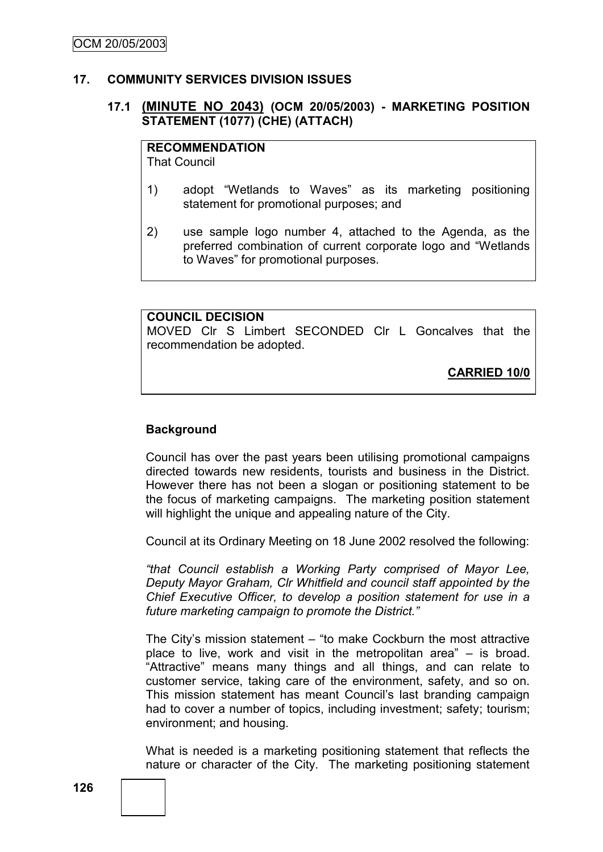### **17. COMMUNITY SERVICES DIVISION ISSUES**

# **17.1 (MINUTE NO 2043) (OCM 20/05/2003) - MARKETING POSITION STATEMENT (1077) (CHE) (ATTACH)**

# **RECOMMENDATION**

That Council

- 1) adopt "Wetlands to Waves" as its marketing positioning statement for promotional purposes; and
- 2) use sample logo number 4, attached to the Agenda, as the preferred combination of current corporate logo and "Wetlands to Waves" for promotional purposes.

### **COUNCIL DECISION**

MOVED Clr S Limbert SECONDED Clr L Goncalves that the recommendation be adopted.

**CARRIED 10/0**

# **Background**

Council has over the past years been utilising promotional campaigns directed towards new residents, tourists and business in the District. However there has not been a slogan or positioning statement to be the focus of marketing campaigns. The marketing position statement will highlight the unique and appealing nature of the City.

Council at its Ordinary Meeting on 18 June 2002 resolved the following:

*"that Council establish a Working Party comprised of Mayor Lee, Deputy Mayor Graham, Clr Whitfield and council staff appointed by the Chief Executive Officer, to develop a position statement for use in a future marketing campaign to promote the District."*

The City"s mission statement – "to make Cockburn the most attractive place to live, work and visit in the metropolitan area" – is broad. "Attractive" means many things and all things, and can relate to customer service, taking care of the environment, safety, and so on. This mission statement has meant Council"s last branding campaign had to cover a number of topics, including investment; safety; tourism; environment; and housing.

What is needed is a marketing positioning statement that reflects the nature or character of the City. The marketing positioning statement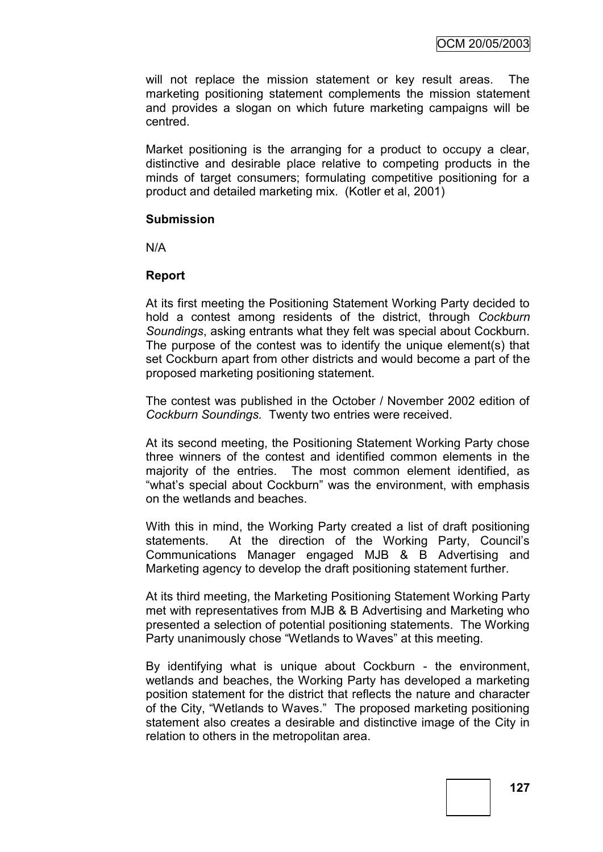will not replace the mission statement or key result areas. The marketing positioning statement complements the mission statement and provides a slogan on which future marketing campaigns will be centred.

Market positioning is the arranging for a product to occupy a clear, distinctive and desirable place relative to competing products in the minds of target consumers; formulating competitive positioning for a product and detailed marketing mix. (Kotler et al, 2001)

#### **Submission**

N/A

# **Report**

At its first meeting the Positioning Statement Working Party decided to hold a contest among residents of the district, through *Cockburn Soundings*, asking entrants what they felt was special about Cockburn. The purpose of the contest was to identify the unique element(s) that set Cockburn apart from other districts and would become a part of the proposed marketing positioning statement.

The contest was published in the October / November 2002 edition of *Cockburn Soundings.* Twenty two entries were received.

At its second meeting, the Positioning Statement Working Party chose three winners of the contest and identified common elements in the majority of the entries. The most common element identified, as "what"s special about Cockburn" was the environment, with emphasis on the wetlands and beaches.

With this in mind, the Working Party created a list of draft positioning statements. At the direction of the Working Party, Council's Communications Manager engaged MJB & B Advertising and Marketing agency to develop the draft positioning statement further.

At its third meeting, the Marketing Positioning Statement Working Party met with representatives from MJB & B Advertising and Marketing who presented a selection of potential positioning statements. The Working Party unanimously chose "Wetlands to Waves" at this meeting.

By identifying what is unique about Cockburn - the environment, wetlands and beaches, the Working Party has developed a marketing position statement for the district that reflects the nature and character of the City, "Wetlands to Waves." The proposed marketing positioning statement also creates a desirable and distinctive image of the City in relation to others in the metropolitan area.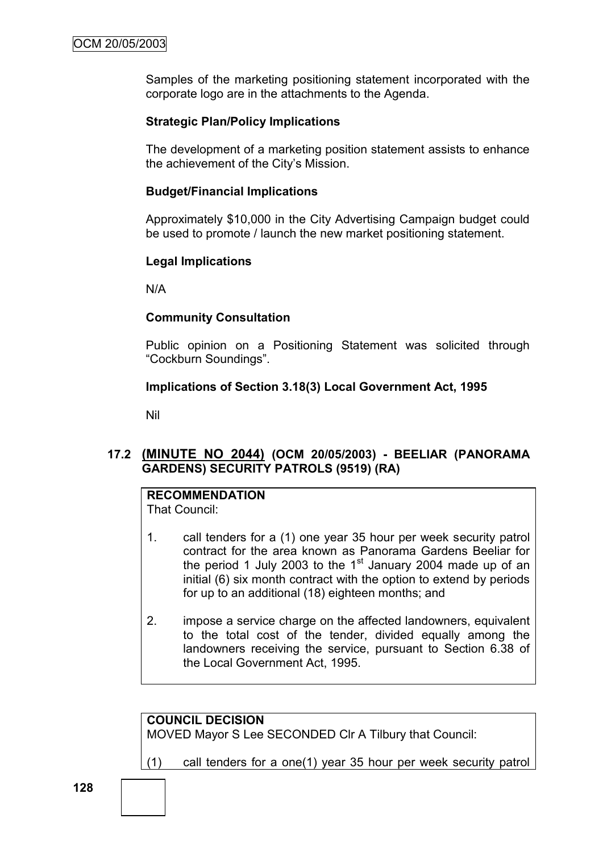Samples of the marketing positioning statement incorporated with the corporate logo are in the attachments to the Agenda.

# **Strategic Plan/Policy Implications**

The development of a marketing position statement assists to enhance the achievement of the City"s Mission.

# **Budget/Financial Implications**

Approximately \$10,000 in the City Advertising Campaign budget could be used to promote / launch the new market positioning statement.

# **Legal Implications**

N/A

# **Community Consultation**

Public opinion on a Positioning Statement was solicited through "Cockburn Soundings".

# **Implications of Section 3.18(3) Local Government Act, 1995**

Nil

# **17.2 (MINUTE NO 2044) (OCM 20/05/2003) - BEELIAR (PANORAMA GARDENS) SECURITY PATROLS (9519) (RA)**

# **RECOMMENDATION**

That Council:

- 1. call tenders for a (1) one year 35 hour per week security patrol contract for the area known as Panorama Gardens Beeliar for the period 1 July 2003 to the 1 $\mathrm{^{st}}$  January 2004 made up of an initial (6) six month contract with the option to extend by periods for up to an additional (18) eighteen months; and
- 2. impose a service charge on the affected landowners, equivalent to the total cost of the tender, divided equally among the landowners receiving the service, pursuant to Section 6.38 of the Local Government Act, 1995.

**COUNCIL DECISION** MOVED Mayor S Lee SECONDED Clr A Tilbury that Council:

(1) call tenders for a one(1) year 35 hour per week security patrol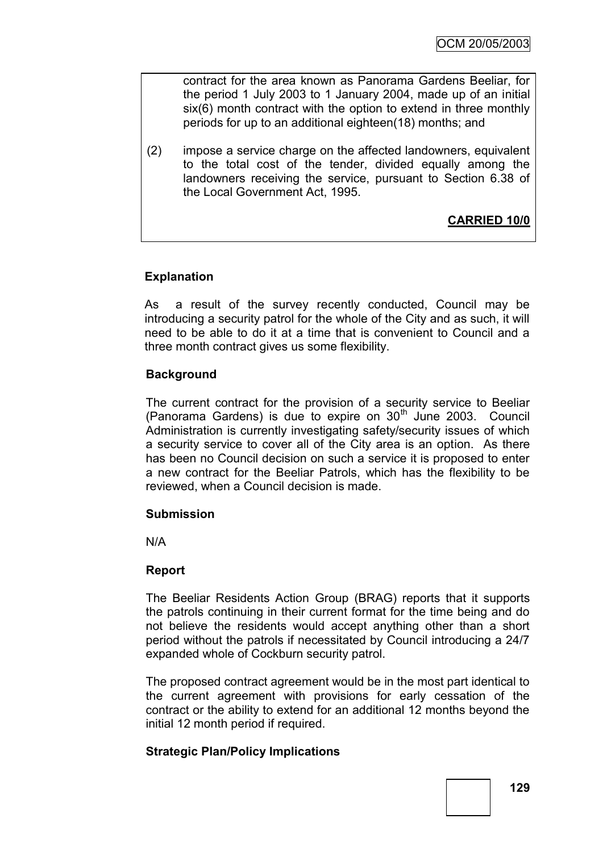contract for the area known as Panorama Gardens Beeliar, for the period 1 July 2003 to 1 January 2004, made up of an initial six(6) month contract with the option to extend in three monthly periods for up to an additional eighteen(18) months; and

(2) impose a service charge on the affected landowners, equivalent to the total cost of the tender, divided equally among the landowners receiving the service, pursuant to Section 6.38 of the Local Government Act, 1995.

**CARRIED 10/0**

# **Explanation**

As a result of the survey recently conducted, Council may be introducing a security patrol for the whole of the City and as such, it will need to be able to do it at a time that is convenient to Council and a three month contract gives us some flexibility.

# **Background**

The current contract for the provision of a security service to Beeliar (Panorama Gardens) is due to expire on  $30<sup>th</sup>$  June 2003. Council Administration is currently investigating safety/security issues of which a security service to cover all of the City area is an option. As there has been no Council decision on such a service it is proposed to enter a new contract for the Beeliar Patrols, which has the flexibility to be reviewed, when a Council decision is made.

# **Submission**

N/A

# **Report**

The Beeliar Residents Action Group (BRAG) reports that it supports the patrols continuing in their current format for the time being and do not believe the residents would accept anything other than a short period without the patrols if necessitated by Council introducing a 24/7 expanded whole of Cockburn security patrol.

The proposed contract agreement would be in the most part identical to the current agreement with provisions for early cessation of the contract or the ability to extend for an additional 12 months beyond the initial 12 month period if required.

# **Strategic Plan/Policy Implications**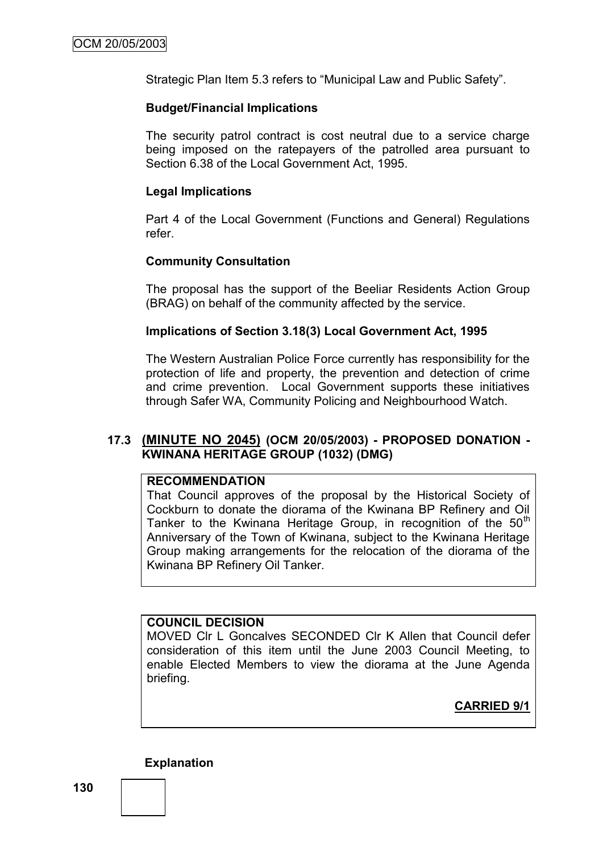Strategic Plan Item 5.3 refers to "Municipal Law and Public Safety".

#### **Budget/Financial Implications**

The security patrol contract is cost neutral due to a service charge being imposed on the ratepayers of the patrolled area pursuant to Section 6.38 of the Local Government Act, 1995.

#### **Legal Implications**

Part 4 of the Local Government (Functions and General) Regulations refer.

### **Community Consultation**

The proposal has the support of the Beeliar Residents Action Group (BRAG) on behalf of the community affected by the service.

#### **Implications of Section 3.18(3) Local Government Act, 1995**

The Western Australian Police Force currently has responsibility for the protection of life and property, the prevention and detection of crime and crime prevention. Local Government supports these initiatives through Safer WA, Community Policing and Neighbourhood Watch.

### **17.3 (MINUTE NO 2045) (OCM 20/05/2003) - PROPOSED DONATION - KWINANA HERITAGE GROUP (1032) (DMG)**

#### **RECOMMENDATION**

That Council approves of the proposal by the Historical Society of Cockburn to donate the diorama of the Kwinana BP Refinery and Oil Tanker to the Kwinana Heritage Group, in recognition of the  $50<sup>th</sup>$ Anniversary of the Town of Kwinana, subject to the Kwinana Heritage Group making arrangements for the relocation of the diorama of the Kwinana BP Refinery Oil Tanker.

#### **COUNCIL DECISION**

MOVED Clr L Goncalves SECONDED Clr K Allen that Council defer consideration of this item until the June 2003 Council Meeting, to enable Elected Members to view the diorama at the June Agenda briefing.

**CARRIED 9/1**

**Explanation**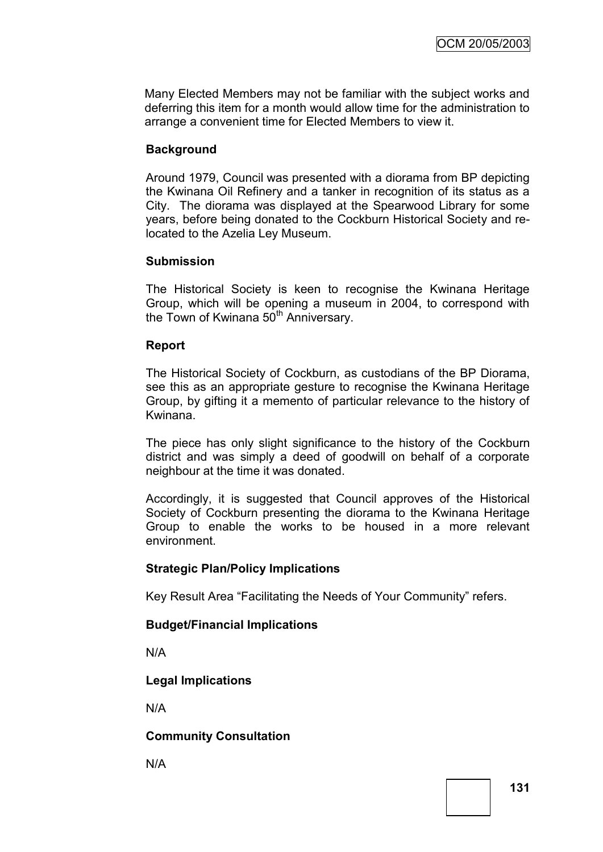Many Elected Members may not be familiar with the subject works and deferring this item for a month would allow time for the administration to arrange a convenient time for Elected Members to view it.

# **Background**

Around 1979, Council was presented with a diorama from BP depicting the Kwinana Oil Refinery and a tanker in recognition of its status as a City. The diorama was displayed at the Spearwood Library for some years, before being donated to the Cockburn Historical Society and relocated to the Azelia Ley Museum.

# **Submission**

The Historical Society is keen to recognise the Kwinana Heritage Group, which will be opening a museum in 2004, to correspond with the Town of Kwinana 50<sup>th</sup> Anniversary.

### **Report**

The Historical Society of Cockburn, as custodians of the BP Diorama, see this as an appropriate gesture to recognise the Kwinana Heritage Group, by gifting it a memento of particular relevance to the history of Kwinana.

The piece has only slight significance to the history of the Cockburn district and was simply a deed of goodwill on behalf of a corporate neighbour at the time it was donated.

Accordingly, it is suggested that Council approves of the Historical Society of Cockburn presenting the diorama to the Kwinana Heritage Group to enable the works to be housed in a more relevant environment.

# **Strategic Plan/Policy Implications**

Key Result Area "Facilitating the Needs of Your Community" refers.

# **Budget/Financial Implications**

N/A

# **Legal Implications**

N/A

# **Community Consultation**

N/A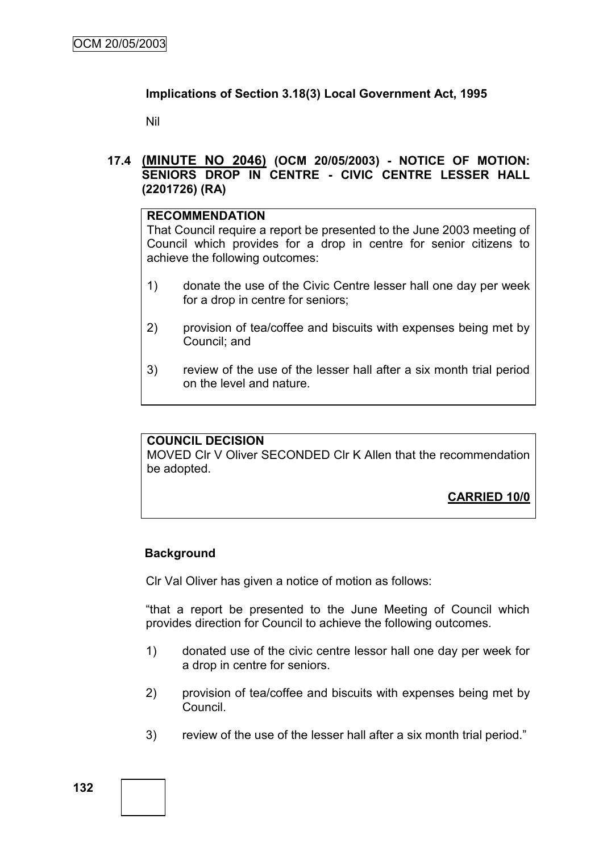# **Implications of Section 3.18(3) Local Government Act, 1995**

Nil

# **17.4 (MINUTE NO 2046) (OCM 20/05/2003) - NOTICE OF MOTION: SENIORS DROP IN CENTRE - CIVIC CENTRE LESSER HALL (2201726) (RA)**

### **RECOMMENDATION**

That Council require a report be presented to the June 2003 meeting of Council which provides for a drop in centre for senior citizens to achieve the following outcomes:

- 1) donate the use of the Civic Centre lesser hall one day per week for a drop in centre for seniors;
- 2) provision of tea/coffee and biscuits with expenses being met by Council; and
- 3) review of the use of the lesser hall after a six month trial period on the level and nature.

# **COUNCIL DECISION**

MOVED Clr V Oliver SECONDED Clr K Allen that the recommendation be adopted.

**CARRIED 10/0**

# **Background**

Clr Val Oliver has given a notice of motion as follows:

"that a report be presented to the June Meeting of Council which provides direction for Council to achieve the following outcomes.

- 1) donated use of the civic centre lessor hall one day per week for a drop in centre for seniors.
- 2) provision of tea/coffee and biscuits with expenses being met by Council.
- 3) review of the use of the lesser hall after a six month trial period."

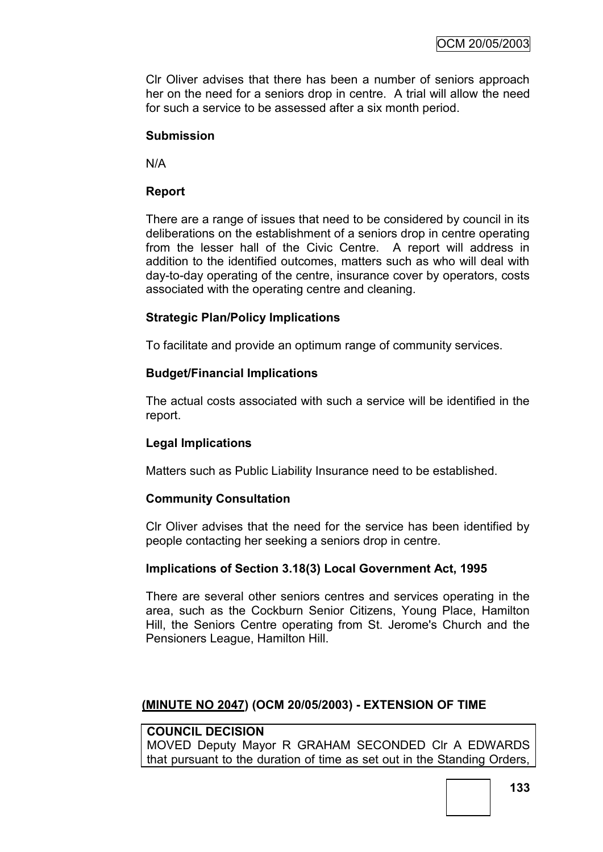Clr Oliver advises that there has been a number of seniors approach her on the need for a seniors drop in centre. A trial will allow the need for such a service to be assessed after a six month period.

### **Submission**

N/A

# **Report**

There are a range of issues that need to be considered by council in its deliberations on the establishment of a seniors drop in centre operating from the lesser hall of the Civic Centre. A report will address in addition to the identified outcomes, matters such as who will deal with day-to-day operating of the centre, insurance cover by operators, costs associated with the operating centre and cleaning.

# **Strategic Plan/Policy Implications**

To facilitate and provide an optimum range of community services.

# **Budget/Financial Implications**

The actual costs associated with such a service will be identified in the report.

# **Legal Implications**

Matters such as Public Liability Insurance need to be established.

# **Community Consultation**

Clr Oliver advises that the need for the service has been identified by people contacting her seeking a seniors drop in centre.

# **Implications of Section 3.18(3) Local Government Act, 1995**

There are several other seniors centres and services operating in the area, such as the Cockburn Senior Citizens, Young Place, Hamilton Hill, the Seniors Centre operating from St. Jerome's Church and the Pensioners League, Hamilton Hill.

# **(MINUTE NO 2047) (OCM 20/05/2003) - EXTENSION OF TIME**

# **COUNCIL DECISION**

MOVED Deputy Mayor R GRAHAM SECONDED Clr A EDWARDS that pursuant to the duration of time as set out in the Standing Orders,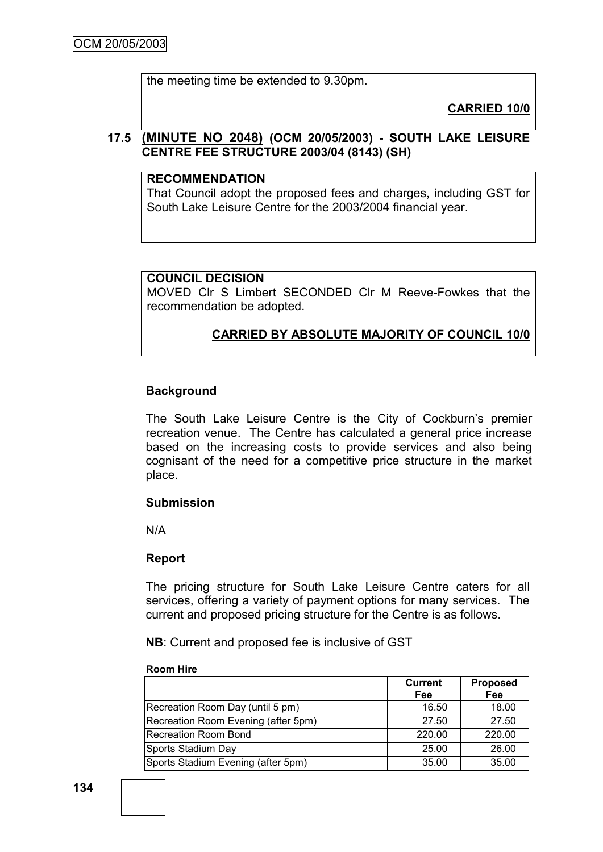the meeting time be extended to 9.30pm.

**CARRIED 10/0**

# **17.5 (MINUTE NO 2048) (OCM 20/05/2003) - SOUTH LAKE LEISURE CENTRE FEE STRUCTURE 2003/04 (8143) (SH)**

### **RECOMMENDATION**

That Council adopt the proposed fees and charges, including GST for South Lake Leisure Centre for the 2003/2004 financial year.

# **COUNCIL DECISION**

MOVED Clr S Limbert SECONDED Clr M Reeve-Fowkes that the recommendation be adopted.

# **CARRIED BY ABSOLUTE MAJORITY OF COUNCIL 10/0**

# **Background**

The South Lake Leisure Centre is the City of Cockburn's premier recreation venue. The Centre has calculated a general price increase based on the increasing costs to provide services and also being cognisant of the need for a competitive price structure in the market place.

#### **Submission**

N/A

# **Report**

The pricing structure for South Lake Leisure Centre caters for all services, offering a variety of payment options for many services. The current and proposed pricing structure for the Centre is as follows.

**NB**: Current and proposed fee is inclusive of GST

#### **Room Hire**

|                                     | <b>Current</b><br>Fee | <b>Proposed</b><br>Fee |
|-------------------------------------|-----------------------|------------------------|
| Recreation Room Day (until 5 pm)    | 16.50                 | 18.00                  |
| Recreation Room Evening (after 5pm) | 27.50                 | 27.50                  |
| <b>Recreation Room Bond</b>         | 220.00                | 220.00                 |
| Sports Stadium Day                  | 25.00                 | 26.00                  |
| Sports Stadium Evening (after 5pm)  | 35.00                 | 35.00                  |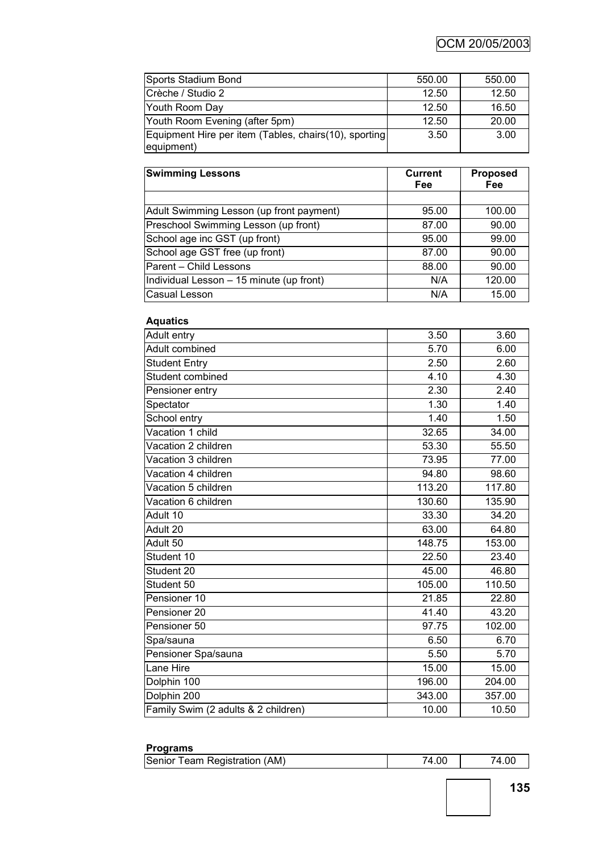| Sports Stadium Bond                                                  | 550.00 | 550.00 |
|----------------------------------------------------------------------|--------|--------|
| Crèche / Studio 2                                                    | 12.50  | 12.50  |
| Youth Room Day                                                       | 12.50  | 16.50  |
| Youth Room Evening (after 5pm)                                       | 12.50  | 20.00  |
| Equipment Hire per item (Tables, chairs (10), sporting<br>equipment) | 3.50   | 3.00   |

| <b>Swimming Lessons</b>                  | <b>Current</b><br>Fee | <b>Proposed</b><br>Fee |
|------------------------------------------|-----------------------|------------------------|
|                                          |                       |                        |
| Adult Swimming Lesson (up front payment) | 95.00                 | 100.00                 |
| Preschool Swimming Lesson (up front)     | 87.00                 | 90.00                  |
| School age inc GST (up front)            | 95.00                 | 99.00                  |
| School age GST free (up front)           | 87.00                 | 90.00                  |
| Parent - Child Lessons                   | 88.00                 | 90.00                  |
| Individual Lesson - 15 minute (up front) | N/A                   | 120.00                 |
| Casual Lesson                            | N/A                   | 15.00                  |

# **Aquatics**

| Adult entry                         | 3.50   | 3.60   |
|-------------------------------------|--------|--------|
| <b>Adult combined</b>               | 5.70   | 6.00   |
| <b>Student Entry</b>                | 2.50   | 2.60   |
| Student combined                    | 4.10   | 4.30   |
| Pensioner entry                     | 2.30   | 2.40   |
| Spectator                           | 1.30   | 1.40   |
| School entry                        | 1.40   | 1.50   |
| Vacation 1 child                    | 32.65  | 34.00  |
| Vacation 2 children                 | 53.30  | 55.50  |
| Vacation 3 children                 | 73.95  | 77.00  |
| Vacation 4 children                 | 94.80  | 98.60  |
| Vacation 5 children                 | 113.20 | 117.80 |
| Vacation 6 children                 | 130.60 | 135.90 |
| Adult 10                            | 33.30  | 34.20  |
| Adult 20                            | 63.00  | 64.80  |
| Adult 50                            | 148.75 | 153.00 |
| Student 10                          | 22.50  | 23.40  |
| Student 20                          | 45.00  | 46.80  |
| Student 50                          | 105.00 | 110.50 |
| Pensioner 10                        | 21.85  | 22.80  |
| Pensioner 20                        | 41.40  | 43.20  |
| Pensioner 50                        | 97.75  | 102.00 |
| Spa/sauna                           | 6.50   | 6.70   |
| Pensioner Spa/sauna                 | 5.50   | 5.70   |
| Lane Hire                           | 15.00  | 15.00  |
| Dolphin 100                         | 196.00 | 204.00 |
| Dolphin 200                         | 343.00 | 357.00 |
| Family Swim (2 adults & 2 children) | 10.00  | 10.50  |

#### **Programs**

| Senior Team Registration (AM) | 74.00 |  |
|-------------------------------|-------|--|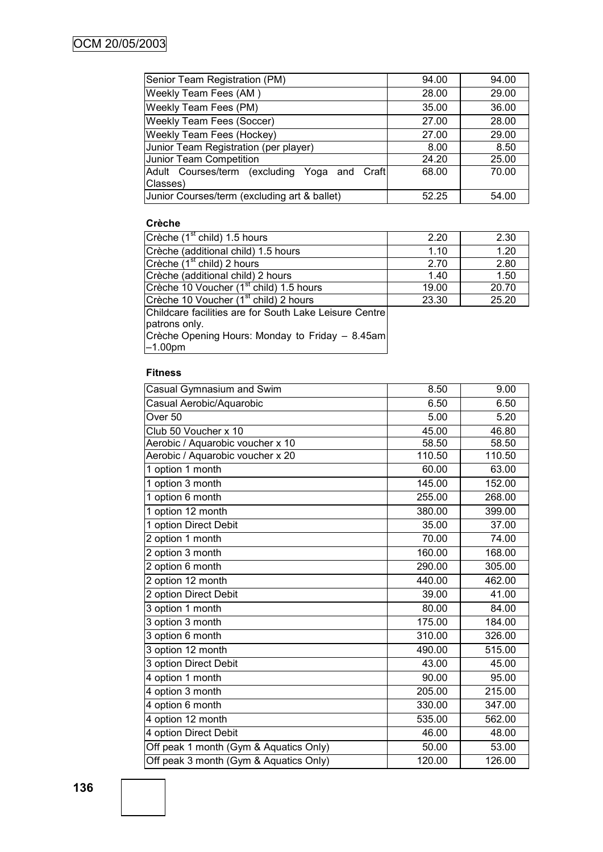| Senior Team Registration (PM)                   | 94.00 | 94.00 |
|-------------------------------------------------|-------|-------|
| Weekly Team Fees (AM)                           | 28.00 | 29.00 |
| Weekly Team Fees (PM)                           | 35.00 | 36.00 |
| <b>Weekly Team Fees (Soccer)</b>                | 27.00 | 28.00 |
| Weekly Team Fees (Hockey)                       | 27.00 | 29.00 |
| Junior Team Registration (per player)           | 8.00  | 8.50  |
| Junior Team Competition                         | 24.20 | 25.00 |
| Adult Courses/term (excluding Yoga and<br>Craft | 68.00 | 70.00 |
| Classes)                                        |       |       |
| Junior Courses/term (excluding art & ballet)    | 52.25 | 54.00 |

#### **Crèche**

| Crèche (1 <sup>st</sup> child) 1.5 hours               | 2.20  | 2.30  |
|--------------------------------------------------------|-------|-------|
| Crèche (additional child) 1.5 hours                    | 1.10  | 1.20  |
| Crèche (1 <sup>st</sup> child) 2 hours                 | 2.70  | 2.80  |
| Crèche (additional child) 2 hours                      | 1.40  | 1.50  |
| Crèche 10 Voucher (1 <sup>st</sup> child) 1.5 hours    | 19.00 | 20.70 |
| Crèche 10 Voucher (1 <sup>st</sup> child) 2 hours      | 23.30 | 25.20 |
| Childcare facilities are for South Lake Leisure Centre |       |       |
| patrons only.                                          |       |       |

Crèche Opening Hours: Monday to Friday – 8.45am –1.00pm

#### **Fitness**

| 8.50   | 9.00   |
|--------|--------|
| 6.50   | 6.50   |
| 5.00   | 5.20   |
| 45.00  | 46.80  |
| 58.50  | 58.50  |
| 110.50 | 110.50 |
| 60.00  | 63.00  |
| 145.00 | 152.00 |
| 255.00 | 268.00 |
| 380.00 | 399.00 |
| 35.00  | 37.00  |
| 70.00  | 74.00  |
| 160.00 | 168.00 |
| 290.00 | 305.00 |
| 440.00 | 462.00 |
| 39.00  | 41.00  |
| 80.00  | 84.00  |
| 175.00 | 184.00 |
| 310.00 | 326.00 |
| 490.00 | 515.00 |
| 43.00  | 45.00  |
| 90.00  | 95.00  |
| 205.00 | 215.00 |
| 330.00 | 347.00 |
| 535.00 | 562.00 |
| 46.00  | 48.00  |
| 50.00  | 53.00  |
| 120.00 | 126.00 |
|        |        |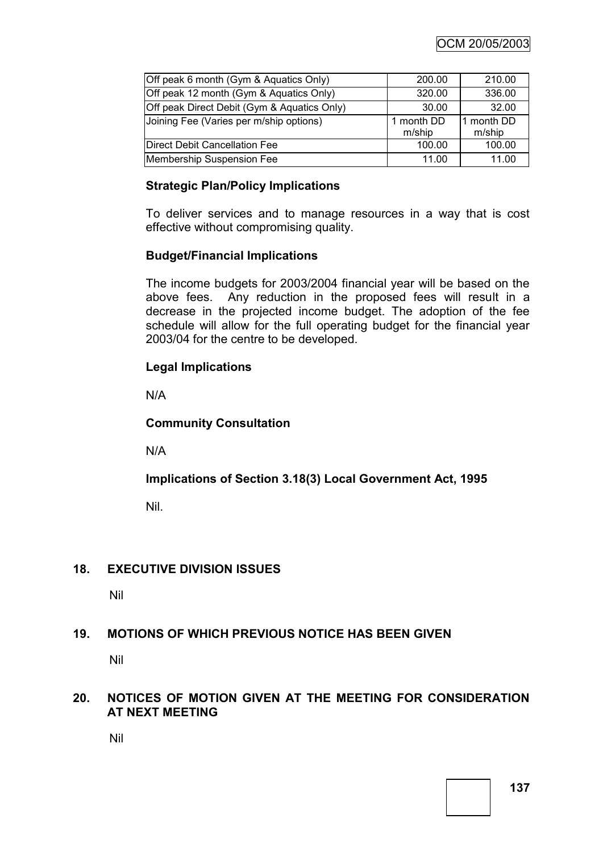| Off peak 6 month (Gym & Aquatics Only)      | 200.00               | 210.00               |
|---------------------------------------------|----------------------|----------------------|
| Off peak 12 month (Gym & Aquatics Only)     | 320.00               | 336.00               |
| Off peak Direct Debit (Gym & Aquatics Only) | 30.00                | 32.00                |
| Joining Fee (Varies per m/ship options)     | 1 month DD<br>m/ship | 1 month DD<br>m/ship |
| <b>Direct Debit Cancellation Fee</b>        | 100.00               | 100.00               |
| Membership Suspension Fee                   | 11.00                | 11.00                |

# **Strategic Plan/Policy Implications**

To deliver services and to manage resources in a way that is cost effective without compromising quality.

# **Budget/Financial Implications**

The income budgets for 2003/2004 financial year will be based on the above fees. Any reduction in the proposed fees will result in a decrease in the projected income budget. The adoption of the fee schedule will allow for the full operating budget for the financial year 2003/04 for the centre to be developed.

# **Legal Implications**

N/A

# **Community Consultation**

N/A

# **Implications of Section 3.18(3) Local Government Act, 1995**

Nil.

# **18. EXECUTIVE DIVISION ISSUES**

Nil

# **19. MOTIONS OF WHICH PREVIOUS NOTICE HAS BEEN GIVEN**

Nil

# **20. NOTICES OF MOTION GIVEN AT THE MEETING FOR CONSIDERATION AT NEXT MEETING**

Nil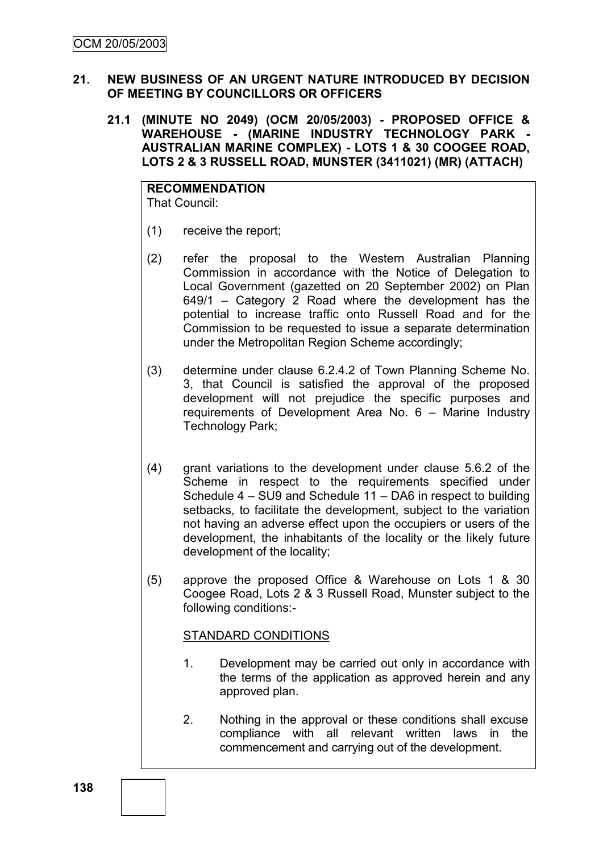# **21. NEW BUSINESS OF AN URGENT NATURE INTRODUCED BY DECISION OF MEETING BY COUNCILLORS OR OFFICERS**

**21.1 (MINUTE NO 2049) (OCM 20/05/2003) - PROPOSED OFFICE &**  WAREHOUSE - **(MARINE INDUSTRY TECHNOLOGY PARK AUSTRALIAN MARINE COMPLEX) - LOTS 1 & 30 COOGEE ROAD, LOTS 2 & 3 RUSSELL ROAD, MUNSTER (3411021) (MR) (ATTACH)**

**RECOMMENDATION** That Council:

- (1) receive the report;
- (2) refer the proposal to the Western Australian Planning Commission in accordance with the Notice of Delegation to Local Government (gazetted on 20 September 2002) on Plan 649/1 – Category 2 Road where the development has the potential to increase traffic onto Russell Road and for the Commission to be requested to issue a separate determination under the Metropolitan Region Scheme accordingly;
- (3) determine under clause 6.2.4.2 of Town Planning Scheme No. 3, that Council is satisfied the approval of the proposed development will not prejudice the specific purposes and requirements of Development Area No. 6 – Marine Industry Technology Park;
- (4) grant variations to the development under clause 5.6.2 of the Scheme in respect to the requirements specified under Schedule 4 – SU9 and Schedule 11 – DA6 in respect to building setbacks, to facilitate the development, subject to the variation not having an adverse effect upon the occupiers or users of the development, the inhabitants of the locality or the likely future development of the locality;
- (5) approve the proposed Office & Warehouse on Lots 1 & 30 Coogee Road, Lots 2 & 3 Russell Road, Munster subject to the following conditions:-

# STANDARD CONDITIONS

- 1. Development may be carried out only in accordance with the terms of the application as approved herein and any approved plan.
- 2. Nothing in the approval or these conditions shall excuse compliance with all relevant written laws in the commencement and carrying out of the development.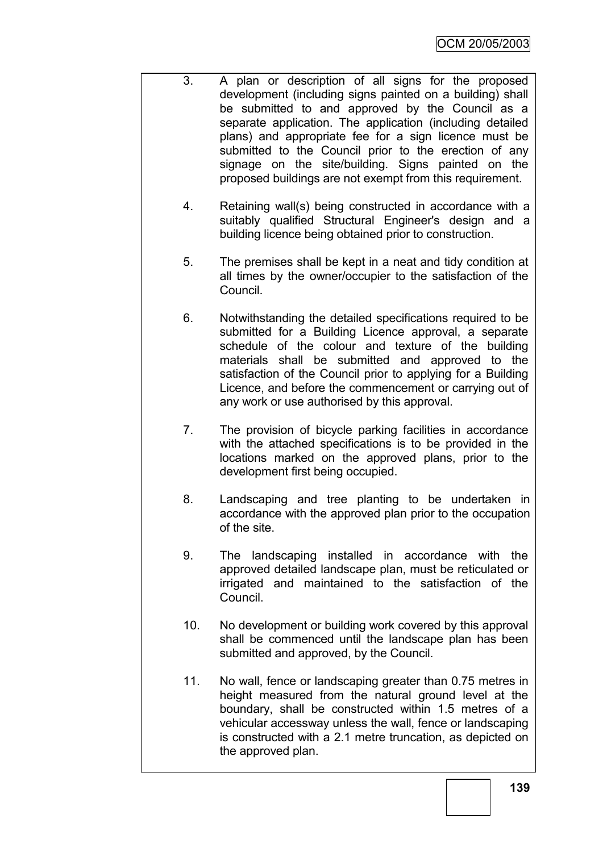- 3. A plan or description of all signs for the proposed development (including signs painted on a building) shall be submitted to and approved by the Council as a separate application. The application (including detailed plans) and appropriate fee for a sign licence must be submitted to the Council prior to the erection of any signage on the site/building. Signs painted on the proposed buildings are not exempt from this requirement.
	- 4. Retaining wall(s) being constructed in accordance with a suitably qualified Structural Engineer's design and a building licence being obtained prior to construction.
	- 5. The premises shall be kept in a neat and tidy condition at all times by the owner/occupier to the satisfaction of the Council.
	- 6. Notwithstanding the detailed specifications required to be submitted for a Building Licence approval, a separate schedule of the colour and texture of the building materials shall be submitted and approved to the satisfaction of the Council prior to applying for a Building Licence, and before the commencement or carrying out of any work or use authorised by this approval.
	- 7. The provision of bicycle parking facilities in accordance with the attached specifications is to be provided in the locations marked on the approved plans, prior to the development first being occupied.
	- 8. Landscaping and tree planting to be undertaken in accordance with the approved plan prior to the occupation of the site.
	- 9. The landscaping installed in accordance with the approved detailed landscape plan, must be reticulated or irrigated and maintained to the satisfaction of the Council.
	- 10. No development or building work covered by this approval shall be commenced until the landscape plan has been submitted and approved, by the Council.
	- 11. No wall, fence or landscaping greater than 0.75 metres in height measured from the natural ground level at the boundary, shall be constructed within 1.5 metres of a vehicular accessway unless the wall, fence or landscaping is constructed with a 2.1 metre truncation, as depicted on the approved plan.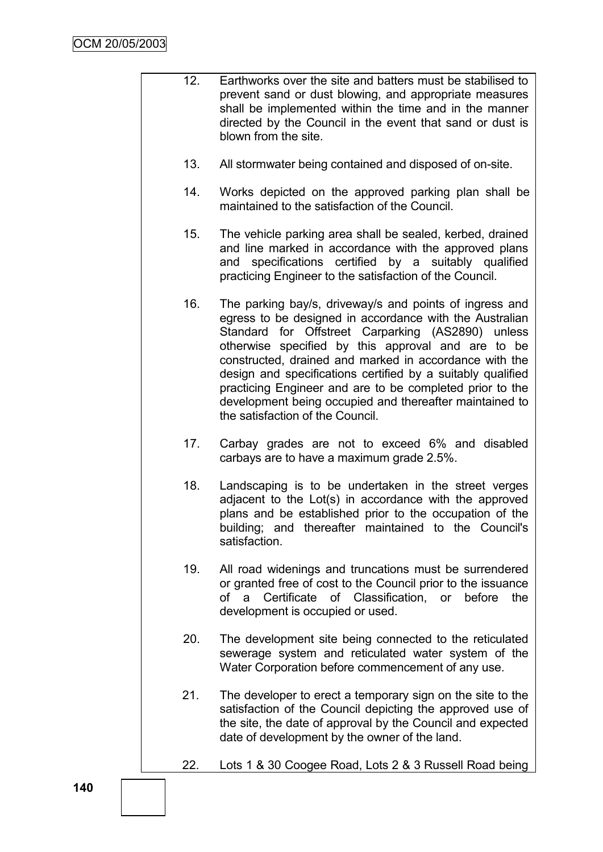- 12. Earthworks over the site and batters must be stabilised to prevent sand or dust blowing, and appropriate measures shall be implemented within the time and in the manner directed by the Council in the event that sand or dust is blown from the site.
	- 13. All stormwater being contained and disposed of on-site.
	- 14. Works depicted on the approved parking plan shall be maintained to the satisfaction of the Council.
	- 15. The vehicle parking area shall be sealed, kerbed, drained and line marked in accordance with the approved plans and specifications certified by a suitably qualified practicing Engineer to the satisfaction of the Council.
	- 16. The parking bay/s, driveway/s and points of ingress and egress to be designed in accordance with the Australian Standard for Offstreet Carparking (AS2890) unless otherwise specified by this approval and are to be constructed, drained and marked in accordance with the design and specifications certified by a suitably qualified practicing Engineer and are to be completed prior to the development being occupied and thereafter maintained to the satisfaction of the Council.
	- 17. Carbay grades are not to exceed 6% and disabled carbays are to have a maximum grade 2.5%.
	- 18. Landscaping is to be undertaken in the street verges adjacent to the Lot(s) in accordance with the approved plans and be established prior to the occupation of the building; and thereafter maintained to the Council's satisfaction.
	- 19. All road widenings and truncations must be surrendered or granted free of cost to the Council prior to the issuance of a Certificate of Classification, or before the development is occupied or used.
	- 20. The development site being connected to the reticulated sewerage system and reticulated water system of the Water Corporation before commencement of any use.
	- 21. The developer to erect a temporary sign on the site to the satisfaction of the Council depicting the approved use of the site, the date of approval by the Council and expected date of development by the owner of the land.
	- 22. Lots 1 & 30 Coogee Road, Lots 2 & 3 Russell Road being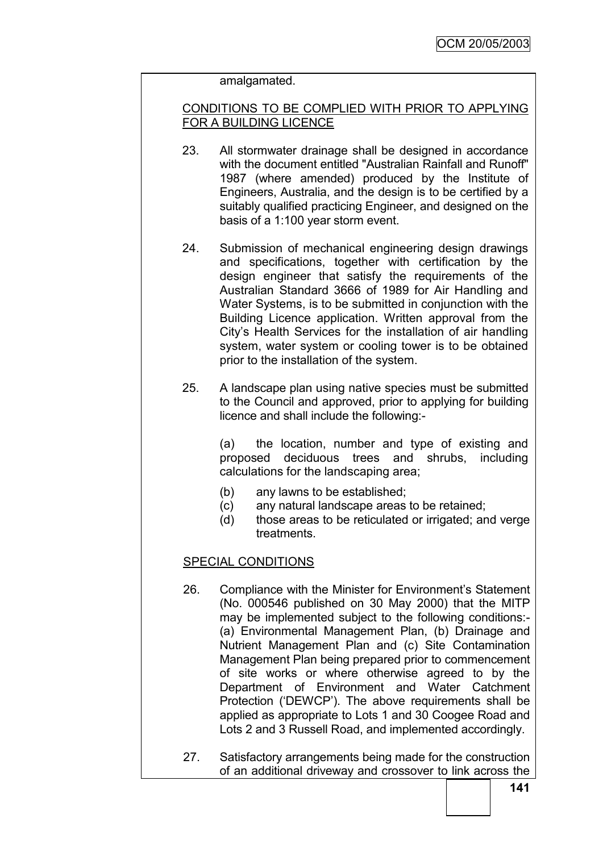#### amalgamated.

### CONDITIONS TO BE COMPLIED WITH PRIOR TO APPLYING FOR A BUILDING LICENCE

- 23. All stormwater drainage shall be designed in accordance with the document entitled "Australian Rainfall and Runoff" 1987 (where amended) produced by the Institute of Engineers, Australia, and the design is to be certified by a suitably qualified practicing Engineer, and designed on the basis of a 1:100 year storm event.
- 24. Submission of mechanical engineering design drawings and specifications, together with certification by the design engineer that satisfy the requirements of the Australian Standard 3666 of 1989 for Air Handling and Water Systems, is to be submitted in conjunction with the Building Licence application. Written approval from the City"s Health Services for the installation of air handling system, water system or cooling tower is to be obtained prior to the installation of the system.
- 25. A landscape plan using native species must be submitted to the Council and approved, prior to applying for building licence and shall include the following:-

(a) the location, number and type of existing and proposed deciduous trees and shrubs, including calculations for the landscaping area;

- (b) any lawns to be established;
- (c) any natural landscape areas to be retained;
- (d) those areas to be reticulated or irrigated; and verge treatments.

### SPECIAL CONDITIONS

- 26. Compliance with the Minister for Environment's Statement (No. 000546 published on 30 May 2000) that the MITP may be implemented subject to the following conditions:- (a) Environmental Management Plan, (b) Drainage and Nutrient Management Plan and (c) Site Contamination Management Plan being prepared prior to commencement of site works or where otherwise agreed to by the Department of Environment and Water Catchment Protection ("DEWCP"). The above requirements shall be applied as appropriate to Lots 1 and 30 Coogee Road and Lots 2 and 3 Russell Road, and implemented accordingly.
- 27. Satisfactory arrangements being made for the construction of an additional driveway and crossover to link across the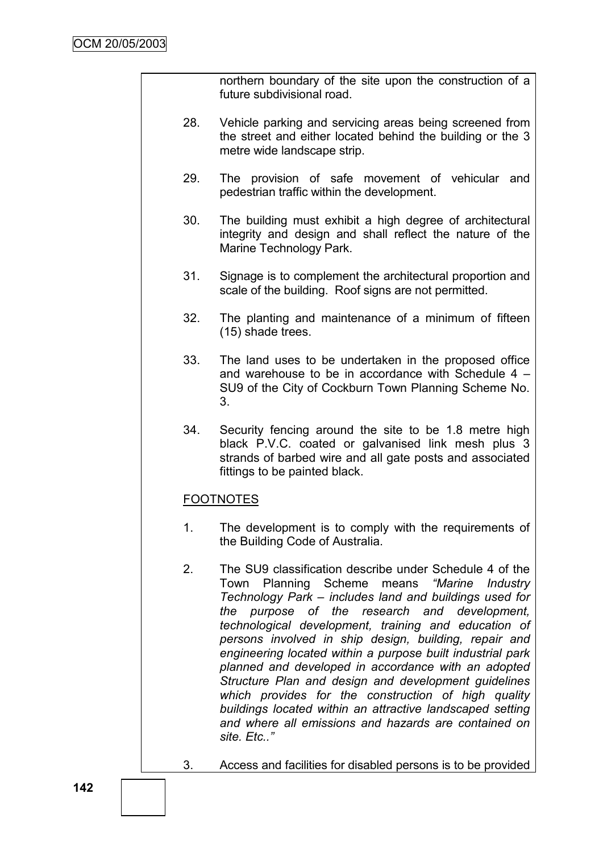northern boundary of the site upon the construction of a future subdivisional road.

- 28. Vehicle parking and servicing areas being screened from the street and either located behind the building or the 3 metre wide landscape strip.
- 29. The provision of safe movement of vehicular and pedestrian traffic within the development.
- 30. The building must exhibit a high degree of architectural integrity and design and shall reflect the nature of the Marine Technology Park.
- 31. Signage is to complement the architectural proportion and scale of the building. Roof signs are not permitted.
- 32. The planting and maintenance of a minimum of fifteen (15) shade trees.
- 33. The land uses to be undertaken in the proposed office and warehouse to be in accordance with Schedule 4 – SU9 of the City of Cockburn Town Planning Scheme No. 3.
- 34. Security fencing around the site to be 1.8 metre high black P.V.C. coated or galvanised link mesh plus 3 strands of barbed wire and all gate posts and associated fittings to be painted black.

## FOOTNOTES

- 1. The development is to comply with the requirements of the Building Code of Australia.
- 2. The SU9 classification describe under Schedule 4 of the Town Planning Scheme means *"Marine Industry Technology Park – includes land and buildings used for the purpose of the research and development, technological development, training and education of persons involved in ship design, building, repair and engineering located within a purpose built industrial park planned and developed in accordance with an adopted Structure Plan and design and development guidelines which provides for the construction of high quality buildings located within an attractive landscaped setting and where all emissions and hazards are contained on site. Etc.."*
- 3. Access and facilities for disabled persons is to be provided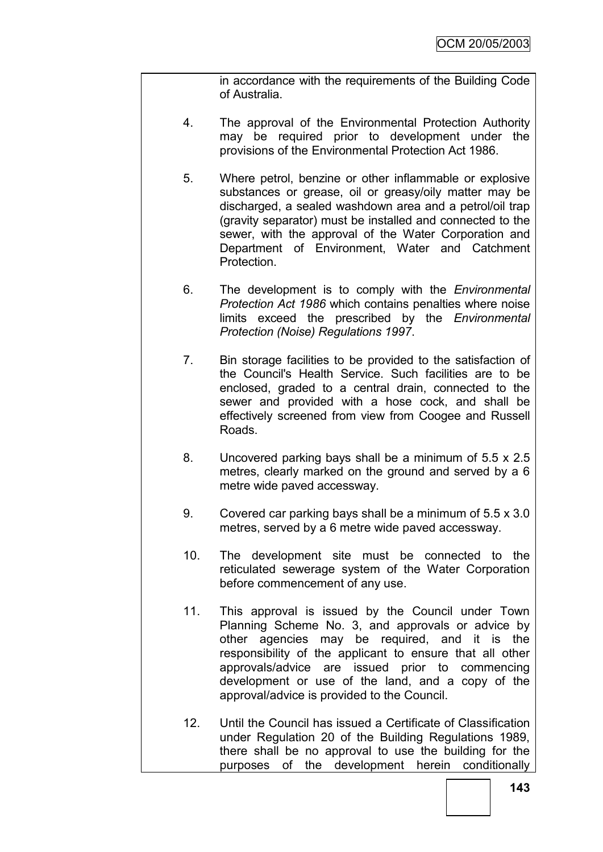in accordance with the requirements of the Building Code of Australia.

- 4. The approval of the Environmental Protection Authority may be required prior to development under the provisions of the Environmental Protection Act 1986.
- 5. Where petrol, benzine or other inflammable or explosive substances or grease, oil or greasy/oily matter may be discharged, a sealed washdown area and a petrol/oil trap (gravity separator) must be installed and connected to the sewer, with the approval of the Water Corporation and Department of Environment, Water and Catchment **Protection**
- 6. The development is to comply with the *Environmental Protection Act 1986* which contains penalties where noise limits exceed the prescribed by the *Environmental Protection (Noise) Regulations 1997*.
- 7. Bin storage facilities to be provided to the satisfaction of the Council's Health Service. Such facilities are to be enclosed, graded to a central drain, connected to the sewer and provided with a hose cock, and shall be effectively screened from view from Coogee and Russell Roads.
- 8. Uncovered parking bays shall be a minimum of 5.5 x 2.5 metres, clearly marked on the ground and served by a 6 metre wide paved accessway.
- 9. Covered car parking bays shall be a minimum of 5.5 x 3.0 metres, served by a 6 metre wide paved accessway.
- 10. The development site must be connected to the reticulated sewerage system of the Water Corporation before commencement of any use.
- 11. This approval is issued by the Council under Town Planning Scheme No. 3, and approvals or advice by other agencies may be required, and it is the responsibility of the applicant to ensure that all other approvals/advice are issued prior to commencing development or use of the land, and a copy of the approval/advice is provided to the Council.
- 12. Until the Council has issued a Certificate of Classification under Regulation 20 of the Building Regulations 1989, there shall be no approval to use the building for the purposes of the development herein conditionally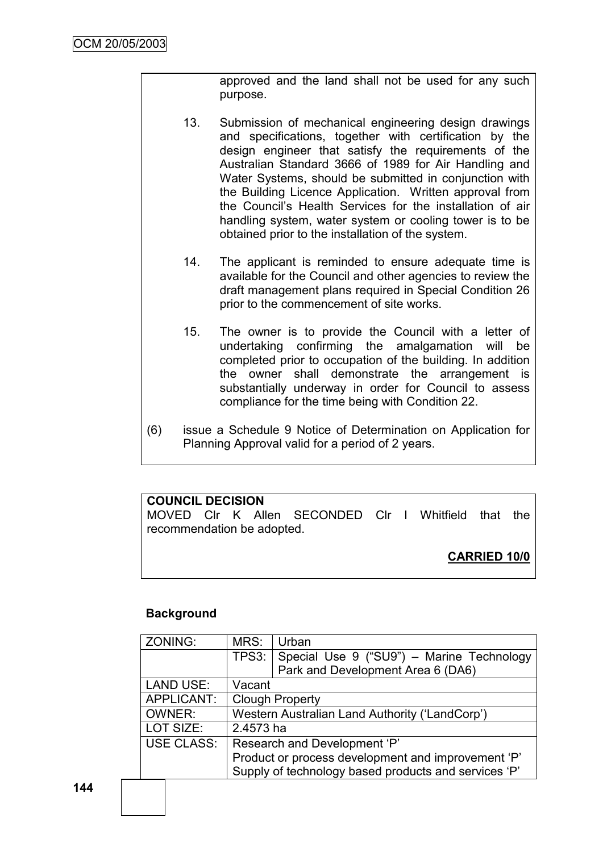approved and the land shall not be used for any such purpose.

- 13. Submission of mechanical engineering design drawings and specifications, together with certification by the design engineer that satisfy the requirements of the Australian Standard 3666 of 1989 for Air Handling and Water Systems, should be submitted in conjunction with the Building Licence Application. Written approval from the Council"s Health Services for the installation of air handling system, water system or cooling tower is to be obtained prior to the installation of the system.
- 14. The applicant is reminded to ensure adequate time is available for the Council and other agencies to review the draft management plans required in Special Condition 26 prior to the commencement of site works.
- 15. The owner is to provide the Council with a letter of undertaking confirming the amalgamation will be completed prior to occupation of the building. In addition the owner shall demonstrate the arrangement is substantially underway in order for Council to assess compliance for the time being with Condition 22.
- (6) issue a Schedule 9 Notice of Determination on Application for Planning Approval valid for a period of 2 years.

## **COUNCIL DECISION**

MOVED Clr K Allen SECONDED Clr I Whitfield that the recommendation be adopted.

**CARRIED 10/0**

### **Background**

| ZONING:           | MRS:                                                 | Urban                                           |  |  |  |  |
|-------------------|------------------------------------------------------|-------------------------------------------------|--|--|--|--|
|                   |                                                      | TPS3: Special Use 9 ("SU9") - Marine Technology |  |  |  |  |
|                   |                                                      | Park and Development Area 6 (DA6)               |  |  |  |  |
| <b>LAND USE:</b>  | Vacant                                               |                                                 |  |  |  |  |
| APPLICANT:        | <b>Clough Property</b>                               |                                                 |  |  |  |  |
| OWNER:            | Western Australian Land Authority ('LandCorp')       |                                                 |  |  |  |  |
| LOT SIZE:         | 2.4573 ha                                            |                                                 |  |  |  |  |
| <b>USE CLASS:</b> | Research and Development 'P'                         |                                                 |  |  |  |  |
|                   | Product or process development and improvement 'P'   |                                                 |  |  |  |  |
|                   | Supply of technology based products and services 'P' |                                                 |  |  |  |  |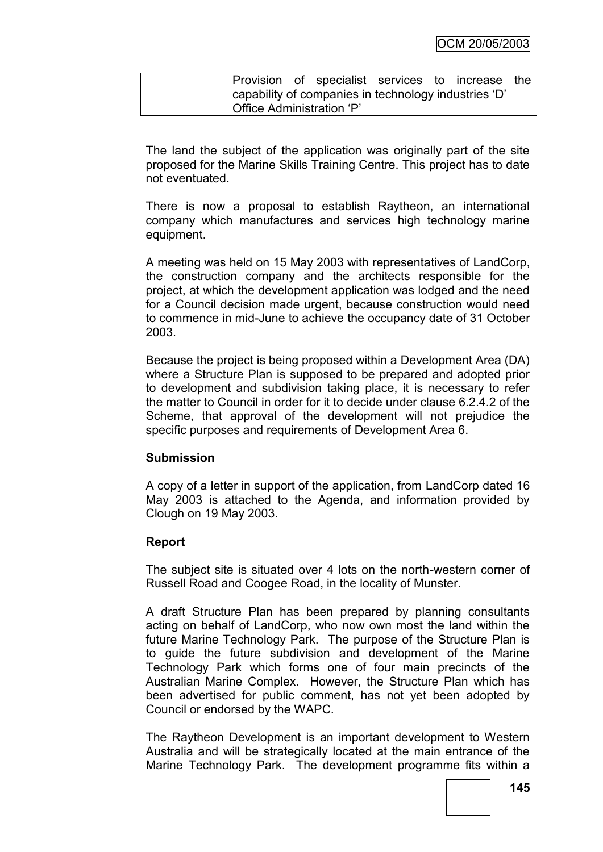| <b>Provision of specialist services to increase the</b> |  |  |  |  |  |  |  |  |
|---------------------------------------------------------|--|--|--|--|--|--|--|--|
| ' capability of companies in technology industries 'D'  |  |  |  |  |  |  |  |  |
| Office Administration 'P'                               |  |  |  |  |  |  |  |  |

The land the subject of the application was originally part of the site proposed for the Marine Skills Training Centre. This project has to date not eventuated.

There is now a proposal to establish Raytheon, an international company which manufactures and services high technology marine equipment.

A meeting was held on 15 May 2003 with representatives of LandCorp, the construction company and the architects responsible for the project, at which the development application was lodged and the need for a Council decision made urgent, because construction would need to commence in mid-June to achieve the occupancy date of 31 October 2003.

Because the project is being proposed within a Development Area (DA) where a Structure Plan is supposed to be prepared and adopted prior to development and subdivision taking place, it is necessary to refer the matter to Council in order for it to decide under clause 6.2.4.2 of the Scheme, that approval of the development will not prejudice the specific purposes and requirements of Development Area 6.

### **Submission**

A copy of a letter in support of the application, from LandCorp dated 16 May 2003 is attached to the Agenda, and information provided by Clough on 19 May 2003.

## **Report**

The subject site is situated over 4 lots on the north-western corner of Russell Road and Coogee Road, in the locality of Munster.

A draft Structure Plan has been prepared by planning consultants acting on behalf of LandCorp, who now own most the land within the future Marine Technology Park. The purpose of the Structure Plan is to guide the future subdivision and development of the Marine Technology Park which forms one of four main precincts of the Australian Marine Complex. However, the Structure Plan which has been advertised for public comment, has not yet been adopted by Council or endorsed by the WAPC.

The Raytheon Development is an important development to Western Australia and will be strategically located at the main entrance of the Marine Technology Park. The development programme fits within a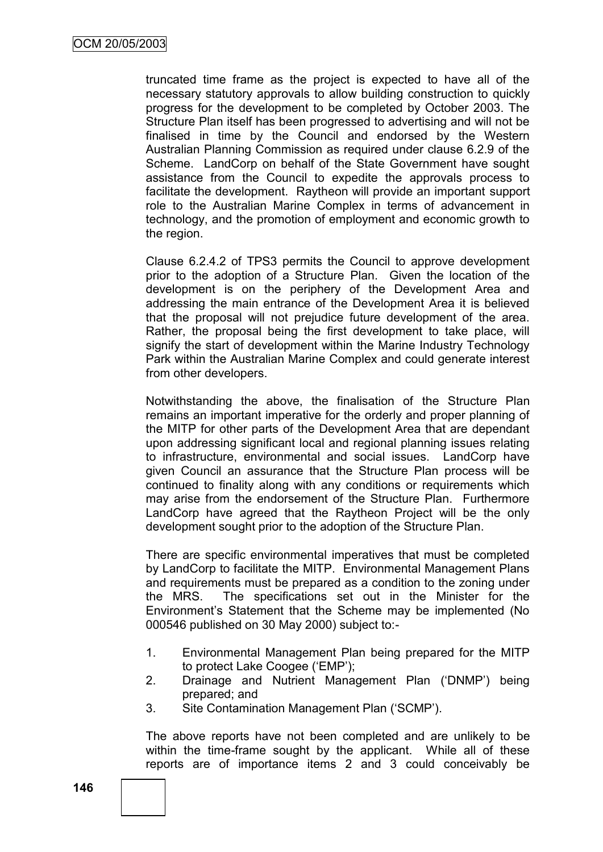truncated time frame as the project is expected to have all of the necessary statutory approvals to allow building construction to quickly progress for the development to be completed by October 2003. The Structure Plan itself has been progressed to advertising and will not be finalised in time by the Council and endorsed by the Western Australian Planning Commission as required under clause 6.2.9 of the Scheme. LandCorp on behalf of the State Government have sought assistance from the Council to expedite the approvals process to facilitate the development. Raytheon will provide an important support role to the Australian Marine Complex in terms of advancement in technology, and the promotion of employment and economic growth to the region.

Clause 6.2.4.2 of TPS3 permits the Council to approve development prior to the adoption of a Structure Plan. Given the location of the development is on the periphery of the Development Area and addressing the main entrance of the Development Area it is believed that the proposal will not prejudice future development of the area. Rather, the proposal being the first development to take place, will signify the start of development within the Marine Industry Technology Park within the Australian Marine Complex and could generate interest from other developers.

Notwithstanding the above, the finalisation of the Structure Plan remains an important imperative for the orderly and proper planning of the MITP for other parts of the Development Area that are dependant upon addressing significant local and regional planning issues relating to infrastructure, environmental and social issues. LandCorp have given Council an assurance that the Structure Plan process will be continued to finality along with any conditions or requirements which may arise from the endorsement of the Structure Plan. Furthermore LandCorp have agreed that the Raytheon Project will be the only development sought prior to the adoption of the Structure Plan.

There are specific environmental imperatives that must be completed by LandCorp to facilitate the MITP. Environmental Management Plans and requirements must be prepared as a condition to the zoning under the MRS. The specifications set out in the Minister for the Environment"s Statement that the Scheme may be implemented (No 000546 published on 30 May 2000) subject to:-

- 1. Environmental Management Plan being prepared for the MITP to protect Lake Coogee ("EMP");
- 2. Drainage and Nutrient Management Plan ("DNMP") being prepared; and
- 3. Site Contamination Management Plan ("SCMP").

The above reports have not been completed and are unlikely to be within the time-frame sought by the applicant. While all of these reports are of importance items 2 and 3 could conceivably be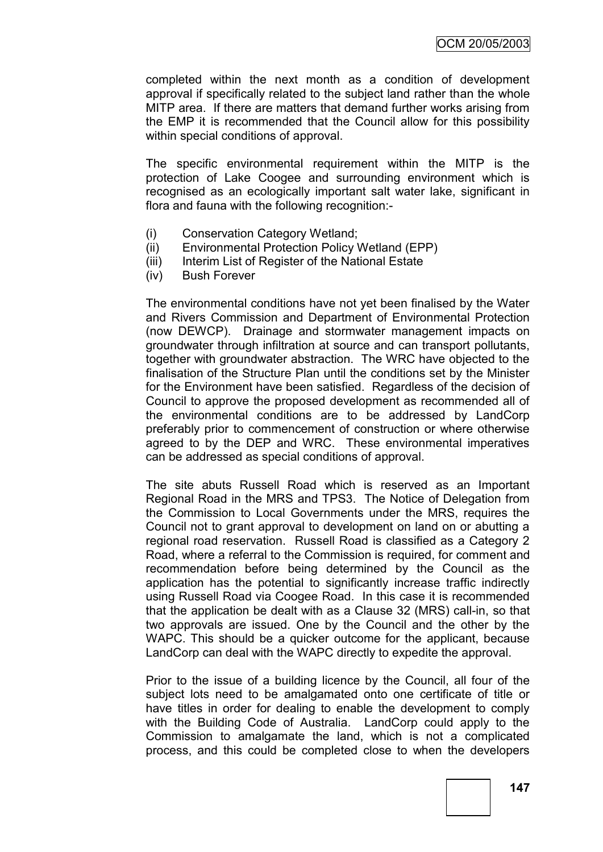completed within the next month as a condition of development approval if specifically related to the subject land rather than the whole MITP area. If there are matters that demand further works arising from the EMP it is recommended that the Council allow for this possibility within special conditions of approval.

The specific environmental requirement within the MITP is the protection of Lake Coogee and surrounding environment which is recognised as an ecologically important salt water lake, significant in flora and fauna with the following recognition:-

- (i) Conservation Category Wetland;
- (ii) Environmental Protection Policy Wetland (EPP)
- (iii) Interim List of Register of the National Estate
- (iv) Bush Forever

The environmental conditions have not yet been finalised by the Water and Rivers Commission and Department of Environmental Protection (now DEWCP). Drainage and stormwater management impacts on groundwater through infiltration at source and can transport pollutants, together with groundwater abstraction. The WRC have objected to the finalisation of the Structure Plan until the conditions set by the Minister for the Environment have been satisfied. Regardless of the decision of Council to approve the proposed development as recommended all of the environmental conditions are to be addressed by LandCorp preferably prior to commencement of construction or where otherwise agreed to by the DEP and WRC. These environmental imperatives can be addressed as special conditions of approval.

The site abuts Russell Road which is reserved as an Important Regional Road in the MRS and TPS3. The Notice of Delegation from the Commission to Local Governments under the MRS, requires the Council not to grant approval to development on land on or abutting a regional road reservation. Russell Road is classified as a Category 2 Road, where a referral to the Commission is required, for comment and recommendation before being determined by the Council as the application has the potential to significantly increase traffic indirectly using Russell Road via Coogee Road. In this case it is recommended that the application be dealt with as a Clause 32 (MRS) call-in, so that two approvals are issued. One by the Council and the other by the WAPC. This should be a quicker outcome for the applicant, because LandCorp can deal with the WAPC directly to expedite the approval.

Prior to the issue of a building licence by the Council, all four of the subject lots need to be amalgamated onto one certificate of title or have titles in order for dealing to enable the development to comply with the Building Code of Australia. LandCorp could apply to the Commission to amalgamate the land, which is not a complicated process, and this could be completed close to when the developers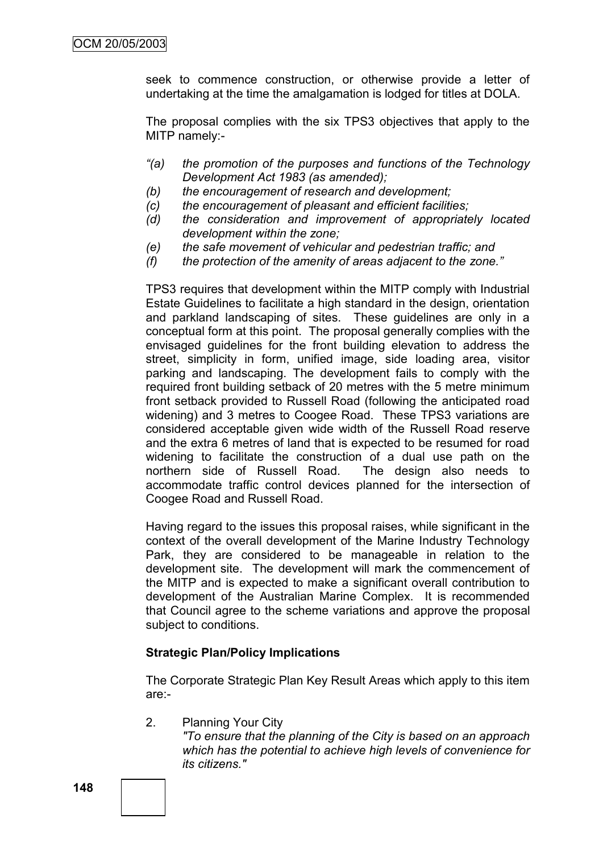seek to commence construction, or otherwise provide a letter of undertaking at the time the amalgamation is lodged for titles at DOLA.

The proposal complies with the six TPS3 objectives that apply to the MITP namely:-

- *"(a) the promotion of the purposes and functions of the Technology Development Act 1983 (as amended);*
- *(b) the encouragement of research and development;*
- *(c) the encouragement of pleasant and efficient facilities;*
- *(d) the consideration and improvement of appropriately located development within the zone;*
- *(e) the safe movement of vehicular and pedestrian traffic; and*
- *(f) the protection of the amenity of areas adjacent to the zone."*

TPS3 requires that development within the MITP comply with Industrial Estate Guidelines to facilitate a high standard in the design, orientation and parkland landscaping of sites. These guidelines are only in a conceptual form at this point. The proposal generally complies with the envisaged guidelines for the front building elevation to address the street, simplicity in form, unified image, side loading area, visitor parking and landscaping. The development fails to comply with the required front building setback of 20 metres with the 5 metre minimum front setback provided to Russell Road (following the anticipated road widening) and 3 metres to Coogee Road. These TPS3 variations are considered acceptable given wide width of the Russell Road reserve and the extra 6 metres of land that is expected to be resumed for road widening to facilitate the construction of a dual use path on the northern side of Russell Road. The design also needs to accommodate traffic control devices planned for the intersection of Coogee Road and Russell Road.

Having regard to the issues this proposal raises, while significant in the context of the overall development of the Marine Industry Technology Park, they are considered to be manageable in relation to the development site. The development will mark the commencement of the MITP and is expected to make a significant overall contribution to development of the Australian Marine Complex. It is recommended that Council agree to the scheme variations and approve the proposal subject to conditions.

### **Strategic Plan/Policy Implications**

The Corporate Strategic Plan Key Result Areas which apply to this item are:-

2. Planning Your City

*"To ensure that the planning of the City is based on an approach which has the potential to achieve high levels of convenience for its citizens."*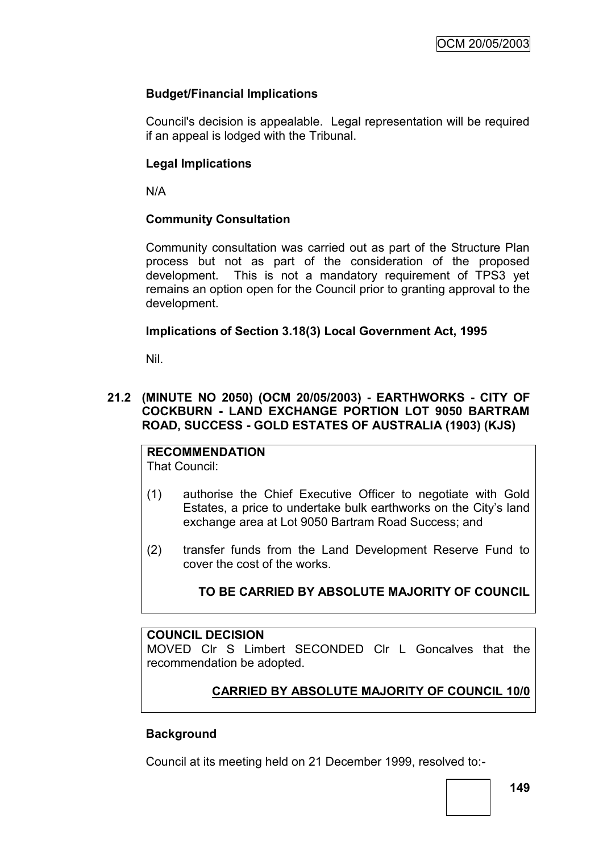## **Budget/Financial Implications**

Council's decision is appealable. Legal representation will be required if an appeal is lodged with the Tribunal.

### **Legal Implications**

N/A

### **Community Consultation**

Community consultation was carried out as part of the Structure Plan process but not as part of the consideration of the proposed development. This is not a mandatory requirement of TPS3 yet remains an option open for the Council prior to granting approval to the development.

### **Implications of Section 3.18(3) Local Government Act, 1995**

Nil.

### **21.2 (MINUTE NO 2050) (OCM 20/05/2003) - EARTHWORKS - CITY OF COCKBURN - LAND EXCHANGE PORTION LOT 9050 BARTRAM ROAD, SUCCESS - GOLD ESTATES OF AUSTRALIA (1903) (KJS)**

**RECOMMENDATION** That Council:

- (1) authorise the Chief Executive Officer to negotiate with Gold Estates, a price to undertake bulk earthworks on the City"s land exchange area at Lot 9050 Bartram Road Success; and
- (2) transfer funds from the Land Development Reserve Fund to cover the cost of the works.

# **TO BE CARRIED BY ABSOLUTE MAJORITY OF COUNCIL**

### **COUNCIL DECISION**

MOVED Clr S Limbert SECONDED Clr L Goncalves that the recommendation be adopted.

## **CARRIED BY ABSOLUTE MAJORITY OF COUNCIL 10/0**

### **Background**

Council at its meeting held on 21 December 1999, resolved to:-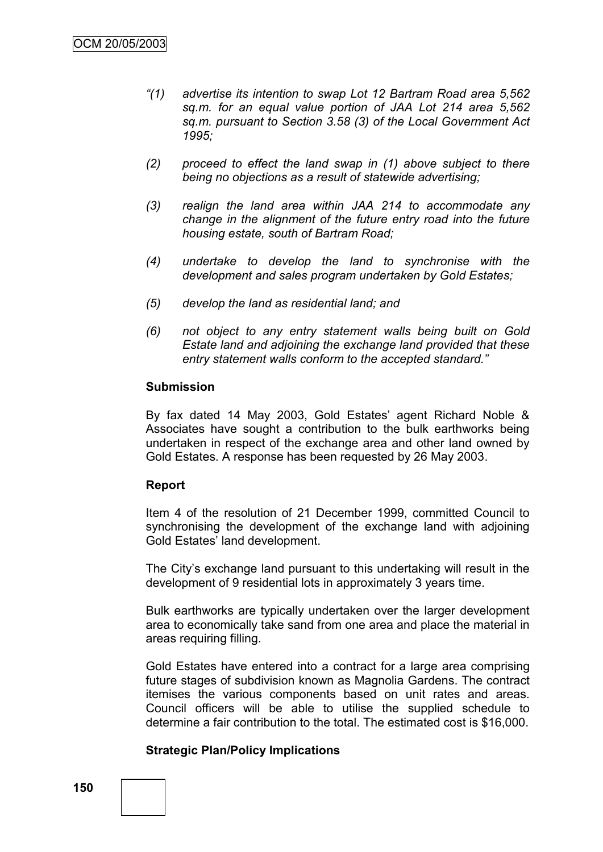- *"(1) advertise its intention to swap Lot 12 Bartram Road area 5,562 sq.m. for an equal value portion of JAA Lot 214 area 5,562 sq.m. pursuant to Section 3.58 (3) of the Local Government Act 1995;*
- *(2) proceed to effect the land swap in (1) above subject to there being no objections as a result of statewide advertising;*
- *(3) realign the land area within JAA 214 to accommodate any change in the alignment of the future entry road into the future housing estate, south of Bartram Road;*
- *(4) undertake to develop the land to synchronise with the development and sales program undertaken by Gold Estates;*
- *(5) develop the land as residential land; and*
- *(6) not object to any entry statement walls being built on Gold Estate land and adjoining the exchange land provided that these entry statement walls conform to the accepted standard."*

#### **Submission**

By fax dated 14 May 2003, Gold Estates' agent Richard Noble & Associates have sought a contribution to the bulk earthworks being undertaken in respect of the exchange area and other land owned by Gold Estates. A response has been requested by 26 May 2003.

#### **Report**

Item 4 of the resolution of 21 December 1999, committed Council to synchronising the development of the exchange land with adjoining Gold Estates' land development.

The City"s exchange land pursuant to this undertaking will result in the development of 9 residential lots in approximately 3 years time.

Bulk earthworks are typically undertaken over the larger development area to economically take sand from one area and place the material in areas requiring filling.

Gold Estates have entered into a contract for a large area comprising future stages of subdivision known as Magnolia Gardens. The contract itemises the various components based on unit rates and areas. Council officers will be able to utilise the supplied schedule to determine a fair contribution to the total. The estimated cost is \$16,000.

#### **Strategic Plan/Policy Implications**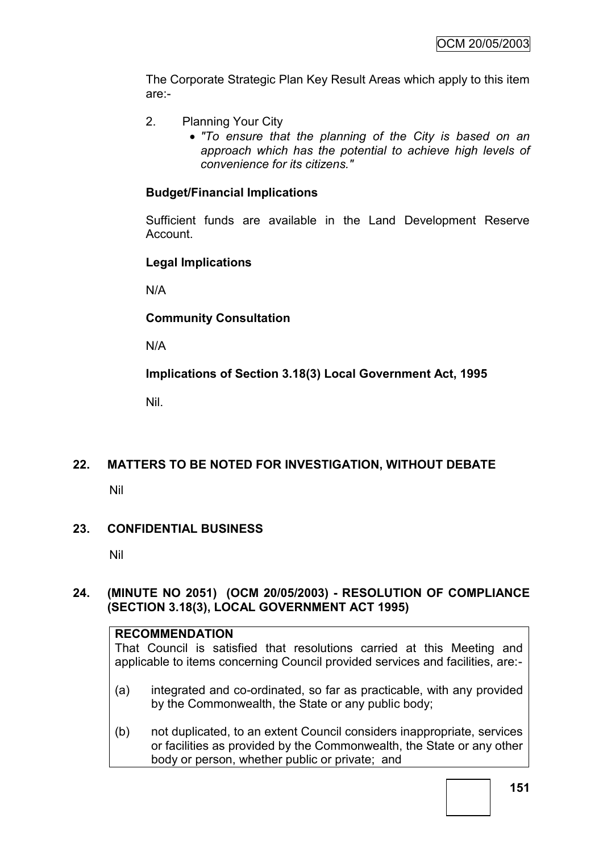The Corporate Strategic Plan Key Result Areas which apply to this item are:-

- 2. Planning Your City
	- *"To ensure that the planning of the City is based on an approach which has the potential to achieve high levels of convenience for its citizens."*

### **Budget/Financial Implications**

Sufficient funds are available in the Land Development Reserve Account.

### **Legal Implications**

N/A

### **Community Consultation**

N/A

**Implications of Section 3.18(3) Local Government Act, 1995**

Nil.

## **22. MATTERS TO BE NOTED FOR INVESTIGATION, WITHOUT DEBATE**

Nil

### **23. CONFIDENTIAL BUSINESS**

Nil

### **24. (MINUTE NO 2051) (OCM 20/05/2003) - RESOLUTION OF COMPLIANCE (SECTION 3.18(3), LOCAL GOVERNMENT ACT 1995)**

#### **RECOMMENDATION**

That Council is satisfied that resolutions carried at this Meeting and applicable to items concerning Council provided services and facilities, are:-

- (a) integrated and co-ordinated, so far as practicable, with any provided by the Commonwealth, the State or any public body;
- (b) not duplicated, to an extent Council considers inappropriate, services or facilities as provided by the Commonwealth, the State or any other body or person, whether public or private; and